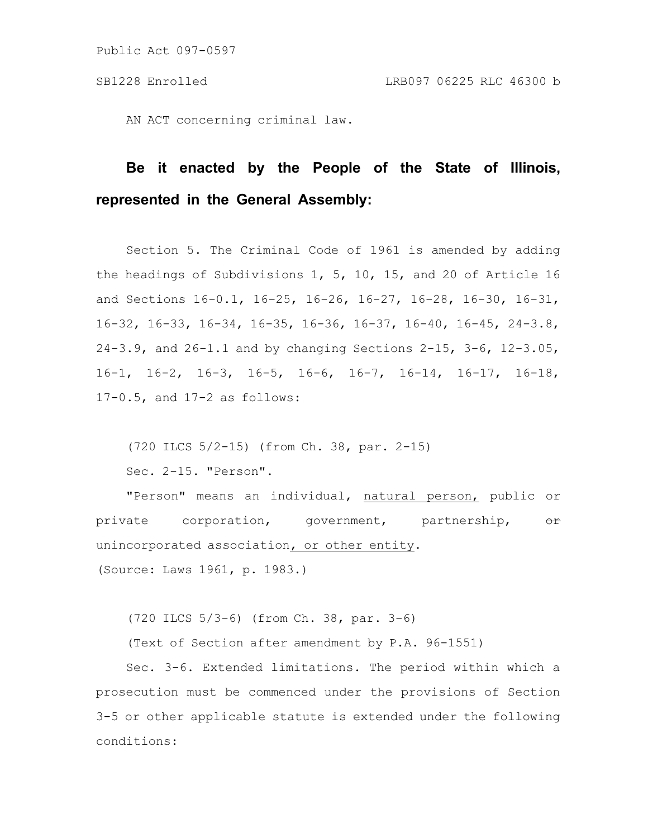AN ACT concerning criminal law.

# **Be it enacted by the People of the State of Illinois, represented in the General Assembly:**

Section 5. The Criminal Code of 1961 is amended by adding the headings of Subdivisions 1, 5, 10, 15, and 20 of Article 16 and Sections 16-0.1, 16-25, 16-26, 16-27, 16-28, 16-30, 16-31, 16-32, 16-33, 16-34, 16-35, 16-36, 16-37, 16-40, 16-45, 24-3.8, 24-3.9, and 26-1.1 and by changing Sections 2-15, 3-6, 12-3.05, 16-1, 16-2, 16-3, 16-5, 16-6, 16-7, 16-14, 16-17, 16-18, 17-0.5, and 17-2 as follows:

(720 ILCS 5/2-15) (from Ch. 38, par. 2-15)

Sec. 2-15. "Person".

"Person" means an individual, natural person, public or private corporation, government, partnership, or unincorporated association, or other entity. (Source: Laws 1961, p. 1983.)

(720 ILCS 5/3-6) (from Ch. 38, par. 3-6)

(Text of Section after amendment by P.A. 96-1551)

Sec. 3-6. Extended limitations. The period within which a prosecution must be commenced under the provisions of Section 3-5 or other applicable statute is extended under the following conditions: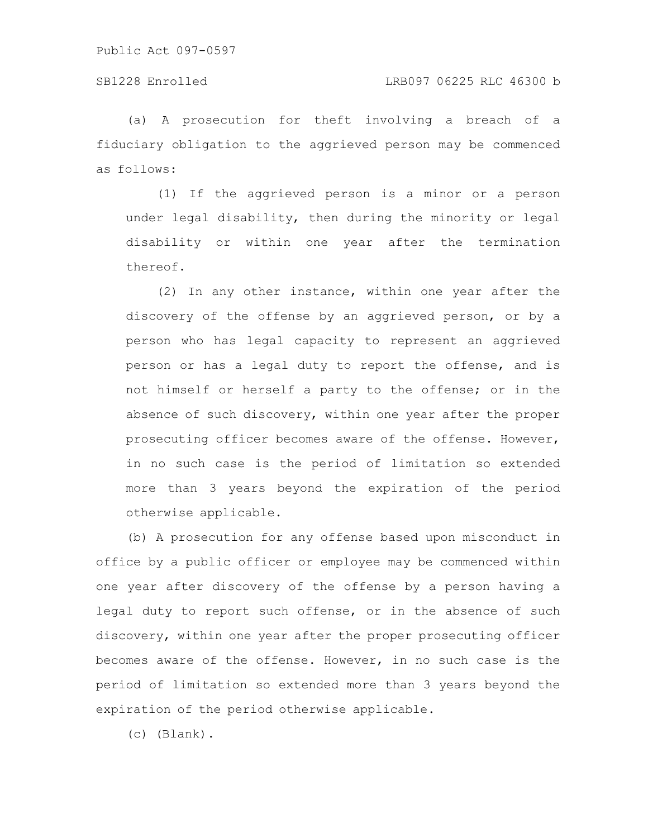### SB1228 Enrolled LRB097 06225 RLC 46300 b

(a) A prosecution for theft involving a breach of a fiduciary obligation to the aggrieved person may be commenced as follows:

(1) If the aggrieved person is a minor or a person under legal disability, then during the minority or legal disability or within one year after the termination thereof.

(2) In any other instance, within one year after the discovery of the offense by an aggrieved person, or by a person who has legal capacity to represent an aggrieved person or has a legal duty to report the offense, and is not himself or herself a party to the offense; or in the absence of such discovery, within one year after the proper prosecuting officer becomes aware of the offense. However, in no such case is the period of limitation so extended more than 3 years beyond the expiration of the period otherwise applicable.

(b) A prosecution for any offense based upon misconduct in office by a public officer or employee may be commenced within one year after discovery of the offense by a person having a legal duty to report such offense, or in the absence of such discovery, within one year after the proper prosecuting officer becomes aware of the offense. However, in no such case is the period of limitation so extended more than 3 years beyond the expiration of the period otherwise applicable.

(c) (Blank).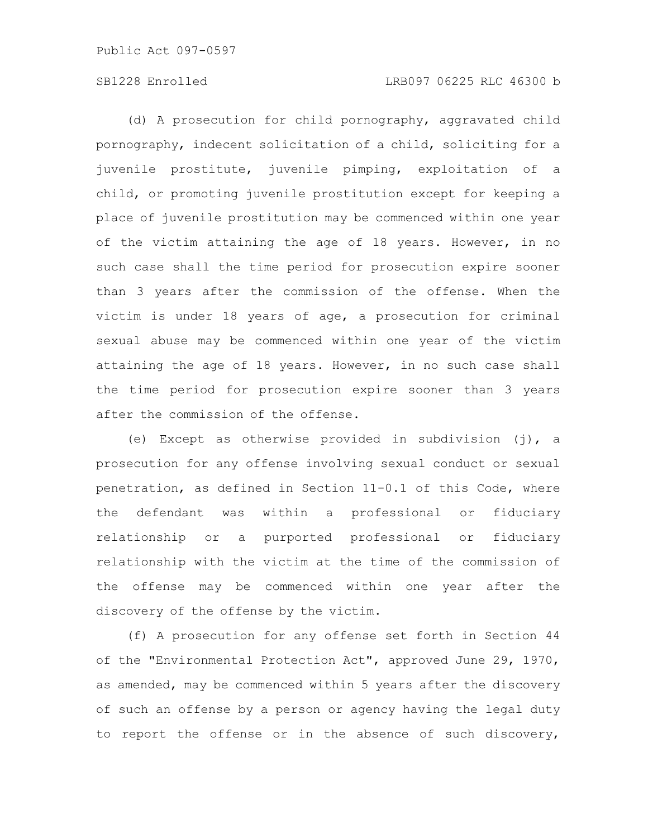(d) A prosecution for child pornography, aggravated child pornography, indecent solicitation of a child, soliciting for a juvenile prostitute, juvenile pimping, exploitation of a child, or promoting juvenile prostitution except for keeping a place of juvenile prostitution may be commenced within one year of the victim attaining the age of 18 years. However, in no such case shall the time period for prosecution expire sooner than 3 years after the commission of the offense. When the victim is under 18 years of age, a prosecution for criminal sexual abuse may be commenced within one year of the victim attaining the age of 18 years. However, in no such case shall the time period for prosecution expire sooner than 3 years after the commission of the offense.

(e) Except as otherwise provided in subdivision (j), a prosecution for any offense involving sexual conduct or sexual penetration, as defined in Section 11-0.1 of this Code, where the defendant was within a professional or fiduciary relationship or a purported professional or fiduciary relationship with the victim at the time of the commission of the offense may be commenced within one year after the discovery of the offense by the victim.

(f) A prosecution for any offense set forth in Section 44 of the "Environmental Protection Act", approved June 29, 1970, as amended, may be commenced within 5 years after the discovery of such an offense by a person or agency having the legal duty to report the offense or in the absence of such discovery,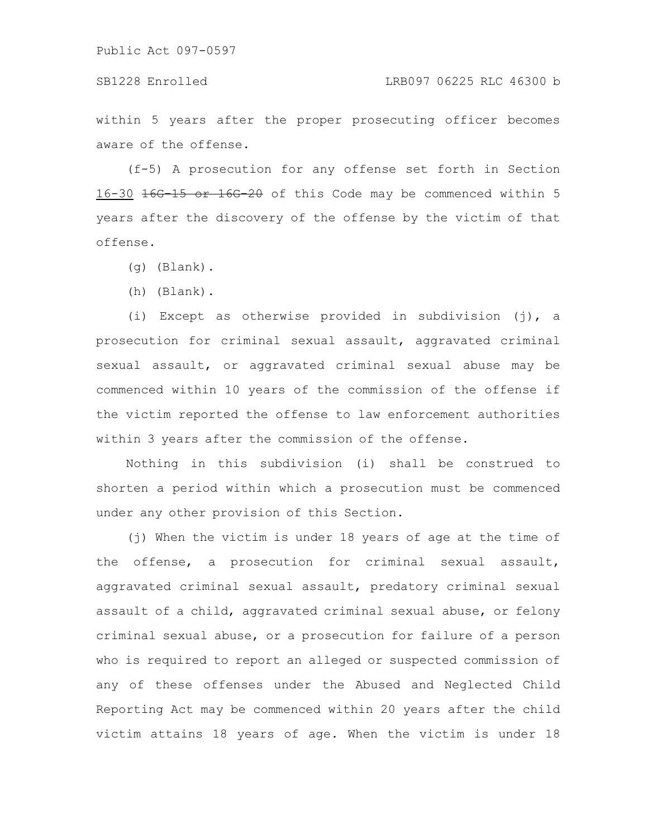within 5 years after the proper prosecuting officer becomes aware of the offense.

(f-5) A prosecution for any offense set forth in Section 16-30 16G-15 or 16G-20 of this Code may be commenced within 5 years after the discovery of the offense by the victim of that offense.

- (g) (Blank).
- (h) (Blank).

(i) Except as otherwise provided in subdivision (j), a prosecution for criminal sexual assault, aggravated criminal sexual assault, or aggravated criminal sexual abuse may be commenced within 10 years of the commission of the offense if the victim reported the offense to law enforcement authorities within 3 years after the commission of the offense.

Nothing in this subdivision (i) shall be construed to shorten a period within which a prosecution must be commenced under any other provision of this Section.

(j) When the victim is under 18 years of age at the time of the offense, a prosecution for criminal sexual assault, aggravated criminal sexual assault, predatory criminal sexual assault of a child, aggravated criminal sexual abuse, or felony criminal sexual abuse, or a prosecution for failure of a person who is required to report an alleged or suspected commission of any of these offenses under the Abused and Neglected Child Reporting Act may be commenced within 20 years after the child victim attains 18 years of age. When the victim is under 18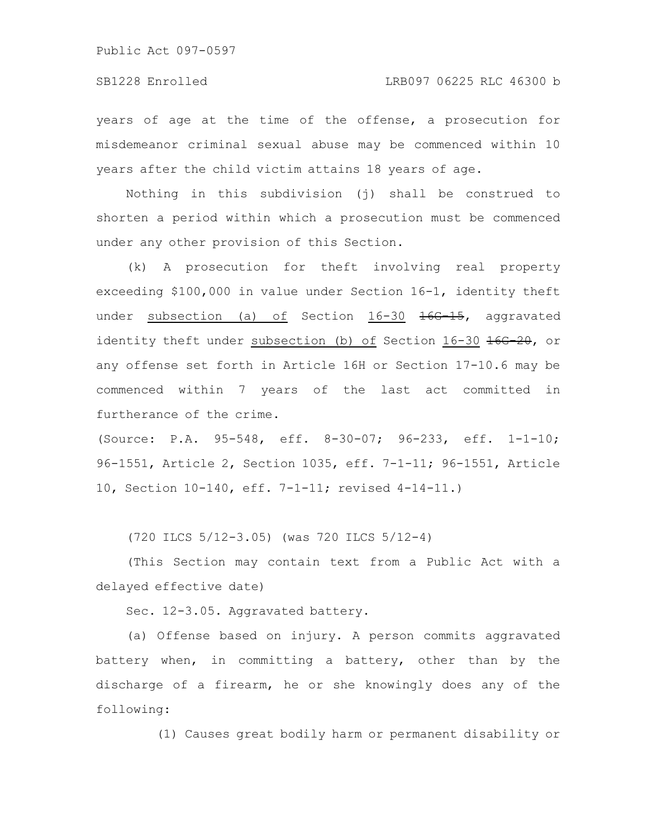years of age at the time of the offense, a prosecution for misdemeanor criminal sexual abuse may be commenced within 10 years after the child victim attains 18 years of age.

Nothing in this subdivision (j) shall be construed to shorten a period within which a prosecution must be commenced under any other provision of this Section.

(k) A prosecution for theft involving real property exceeding \$100,000 in value under Section 16-1, identity theft under subsection (a) of Section 16-30 <del>16G-15</del>, aggravated identity theft under subsection (b) of Section  $16-30$   $166-20$ , or any offense set forth in Article 16H or Section 17-10.6 may be commenced within 7 years of the last act committed in furtherance of the crime.

(Source: P.A. 95-548, eff. 8-30-07; 96-233, eff. 1-1-10; 96-1551, Article 2, Section 1035, eff. 7-1-11; 96-1551, Article 10, Section 10-140, eff. 7-1-11; revised 4-14-11.)

(720 ILCS 5/12-3.05) (was 720 ILCS 5/12-4)

(This Section may contain text from a Public Act with a delayed effective date)

Sec. 12-3.05. Aggravated battery.

(a) Offense based on injury. A person commits aggravated battery when, in committing a battery, other than by the discharge of a firearm, he or she knowingly does any of the following:

(1) Causes great bodily harm or permanent disability or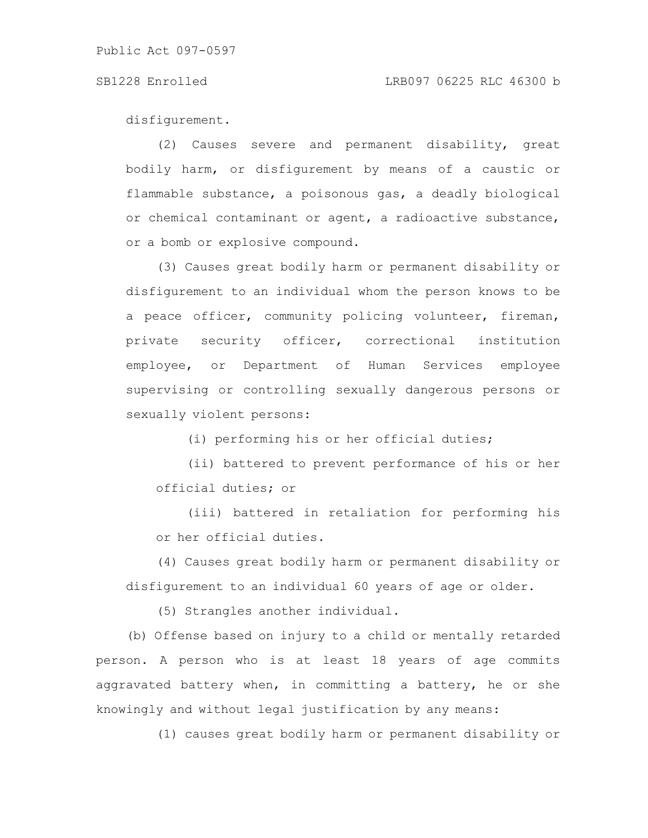### SB1228 Enrolled LRB097 06225 RLC 46300 b

disfigurement.

(2) Causes severe and permanent disability, great bodily harm, or disfigurement by means of a caustic or flammable substance, a poisonous gas, a deadly biological or chemical contaminant or agent, a radioactive substance, or a bomb or explosive compound.

(3) Causes great bodily harm or permanent disability or disfigurement to an individual whom the person knows to be a peace officer, community policing volunteer, fireman, private security officer, correctional institution employee, or Department of Human Services employee supervising or controlling sexually dangerous persons or sexually violent persons:

(i) performing his or her official duties;

(ii) battered to prevent performance of his or her official duties; or

(iii) battered in retaliation for performing his or her official duties.

(4) Causes great bodily harm or permanent disability or disfigurement to an individual 60 years of age or older.

(5) Strangles another individual.

(b) Offense based on injury to a child or mentally retarded person. A person who is at least 18 years of age commits aggravated battery when, in committing a battery, he or she knowingly and without legal justification by any means:

(1) causes great bodily harm or permanent disability or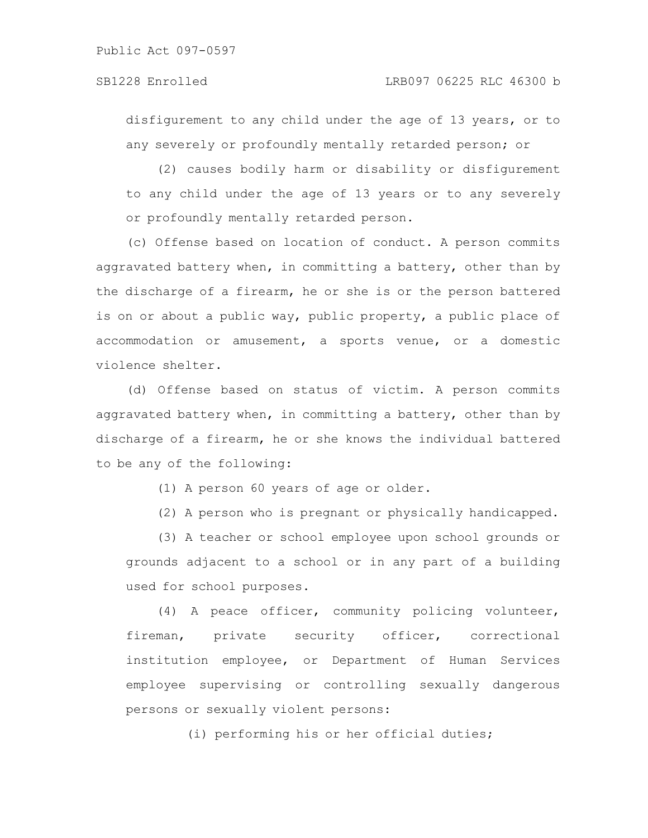disfigurement to any child under the age of 13 years, or to any severely or profoundly mentally retarded person; or

(2) causes bodily harm or disability or disfigurement to any child under the age of 13 years or to any severely or profoundly mentally retarded person.

(c) Offense based on location of conduct. A person commits aggravated battery when, in committing a battery, other than by the discharge of a firearm, he or she is or the person battered is on or about a public way, public property, a public place of accommodation or amusement, a sports venue, or a domestic violence shelter.

(d) Offense based on status of victim. A person commits aggravated battery when, in committing a battery, other than by discharge of a firearm, he or she knows the individual battered to be any of the following:

(1) A person 60 years of age or older.

(2) A person who is pregnant or physically handicapped.

(3) A teacher or school employee upon school grounds or grounds adjacent to a school or in any part of a building used for school purposes.

(4) A peace officer, community policing volunteer, fireman, private security officer, correctional institution employee, or Department of Human Services employee supervising or controlling sexually dangerous persons or sexually violent persons:

(i) performing his or her official duties;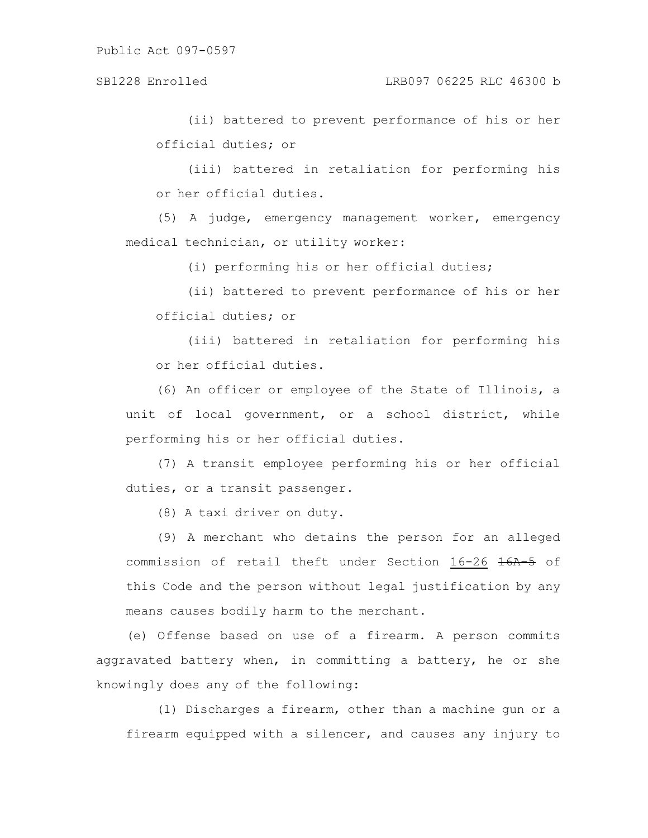(ii) battered to prevent performance of his or her official duties; or

(iii) battered in retaliation for performing his or her official duties.

(5) A judge, emergency management worker, emergency medical technician, or utility worker:

(i) performing his or her official duties;

(ii) battered to prevent performance of his or her official duties; or

(iii) battered in retaliation for performing his or her official duties.

(6) An officer or employee of the State of Illinois, a unit of local government, or a school district, while performing his or her official duties.

(7) A transit employee performing his or her official duties, or a transit passenger.

(8) A taxi driver on duty.

(9) A merchant who detains the person for an alleged commission of retail theft under Section 16-26 16A-5 of this Code and the person without legal justification by any means causes bodily harm to the merchant.

(e) Offense based on use of a firearm. A person commits aggravated battery when, in committing a battery, he or she knowingly does any of the following:

(1) Discharges a firearm, other than a machine gun or a firearm equipped with a silencer, and causes any injury to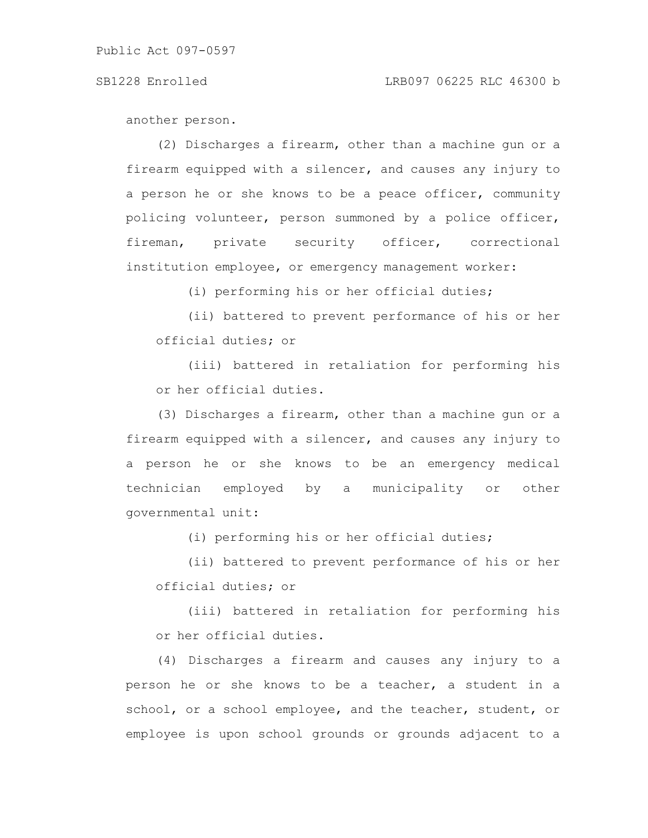another person.

(2) Discharges a firearm, other than a machine gun or a firearm equipped with a silencer, and causes any injury to a person he or she knows to be a peace officer, community policing volunteer, person summoned by a police officer, fireman, private security officer, correctional institution employee, or emergency management worker:

(i) performing his or her official duties;

(ii) battered to prevent performance of his or her official duties; or

(iii) battered in retaliation for performing his or her official duties.

(3) Discharges a firearm, other than a machine gun or a firearm equipped with a silencer, and causes any injury to a person he or she knows to be an emergency medical technician employed by a municipality or other governmental unit:

(i) performing his or her official duties;

(ii) battered to prevent performance of his or her official duties; or

(iii) battered in retaliation for performing his or her official duties.

(4) Discharges a firearm and causes any injury to a person he or she knows to be a teacher, a student in a school, or a school employee, and the teacher, student, or employee is upon school grounds or grounds adjacent to a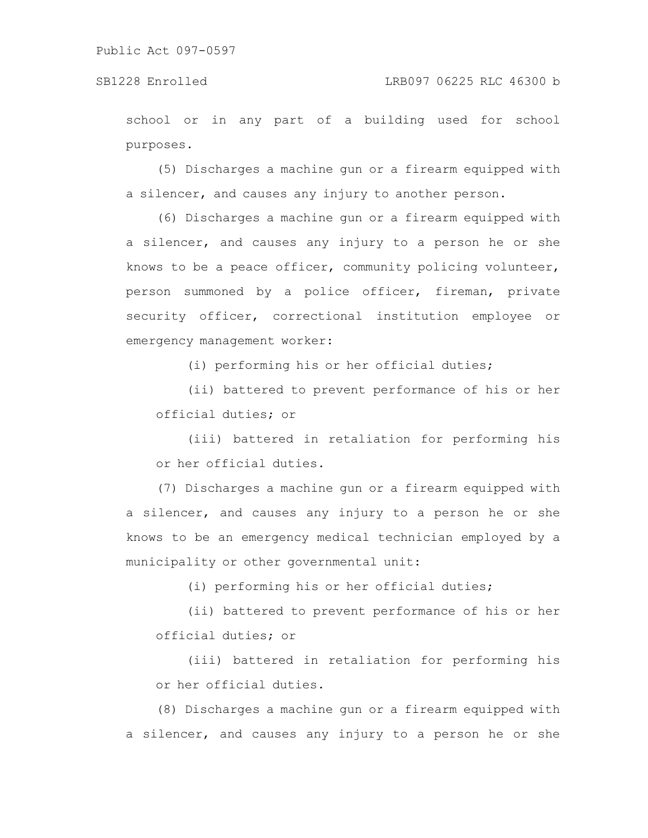school or in any part of a building used for school purposes.

(5) Discharges a machine gun or a firearm equipped with a silencer, and causes any injury to another person.

(6) Discharges a machine gun or a firearm equipped with a silencer, and causes any injury to a person he or she knows to be a peace officer, community policing volunteer, person summoned by a police officer, fireman, private security officer, correctional institution employee or emergency management worker:

(i) performing his or her official duties;

(ii) battered to prevent performance of his or her official duties; or

(iii) battered in retaliation for performing his or her official duties.

(7) Discharges a machine gun or a firearm equipped with a silencer, and causes any injury to a person he or she knows to be an emergency medical technician employed by a municipality or other governmental unit:

(i) performing his or her official duties;

(ii) battered to prevent performance of his or her official duties; or

(iii) battered in retaliation for performing his or her official duties.

(8) Discharges a machine gun or a firearm equipped with a silencer, and causes any injury to a person he or she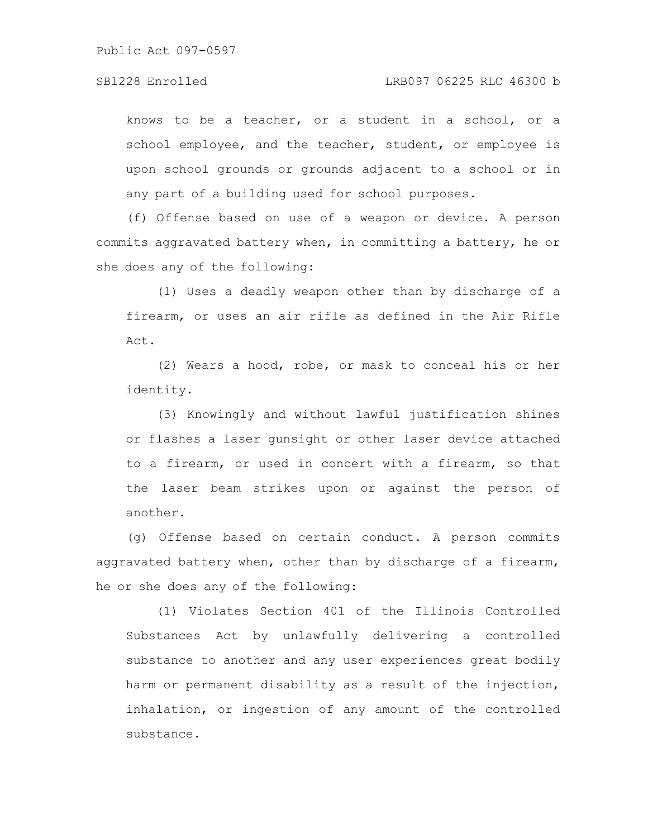knows to be a teacher, or a student in a school, or a school employee, and the teacher, student, or employee is upon school grounds or grounds adjacent to a school or in any part of a building used for school purposes.

(f) Offense based on use of a weapon or device. A person commits aggravated battery when, in committing a battery, he or she does any of the following:

(1) Uses a deadly weapon other than by discharge of a firearm, or uses an air rifle as defined in the Air Rifle Act.

(2) Wears a hood, robe, or mask to conceal his or her identity.

(3) Knowingly and without lawful justification shines or flashes a laser gunsight or other laser device attached to a firearm, or used in concert with a firearm, so that the laser beam strikes upon or against the person of another.

(g) Offense based on certain conduct. A person commits aggravated battery when, other than by discharge of a firearm, he or she does any of the following:

(1) Violates Section 401 of the Illinois Controlled Substances Act by unlawfully delivering a controlled substance to another and any user experiences great bodily harm or permanent disability as a result of the injection, inhalation, or ingestion of any amount of the controlled substance.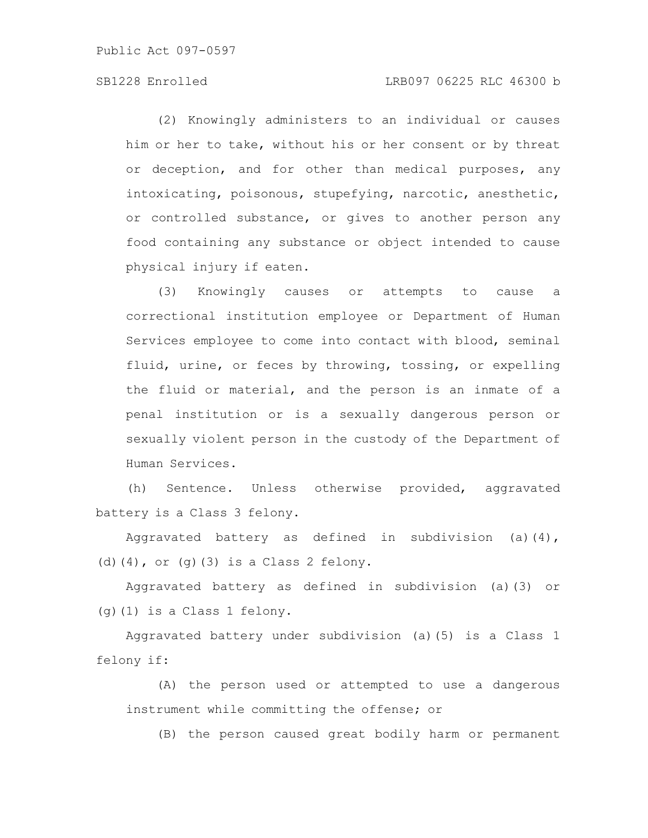### SB1228 Enrolled LRB097 06225 RLC 46300 b

(2) Knowingly administers to an individual or causes him or her to take, without his or her consent or by threat or deception, and for other than medical purposes, any intoxicating, poisonous, stupefying, narcotic, anesthetic, or controlled substance, or gives to another person any food containing any substance or object intended to cause physical injury if eaten.

(3) Knowingly causes or attempts to cause a correctional institution employee or Department of Human Services employee to come into contact with blood, seminal fluid, urine, or feces by throwing, tossing, or expelling the fluid or material, and the person is an inmate of a penal institution or is a sexually dangerous person or sexually violent person in the custody of the Department of Human Services.

(h) Sentence. Unless otherwise provided, aggravated battery is a Class 3 felony.

Aggravated battery as defined in subdivision (a)(4), (d) $(4)$ , or  $(q)$  $(3)$  is a Class 2 felony.

Aggravated battery as defined in subdivision (a)(3) or (g)(1) is a Class 1 felony.

Aggravated battery under subdivision (a)(5) is a Class 1 felony if:

(A) the person used or attempted to use a dangerous instrument while committing the offense; or

(B) the person caused great bodily harm or permanent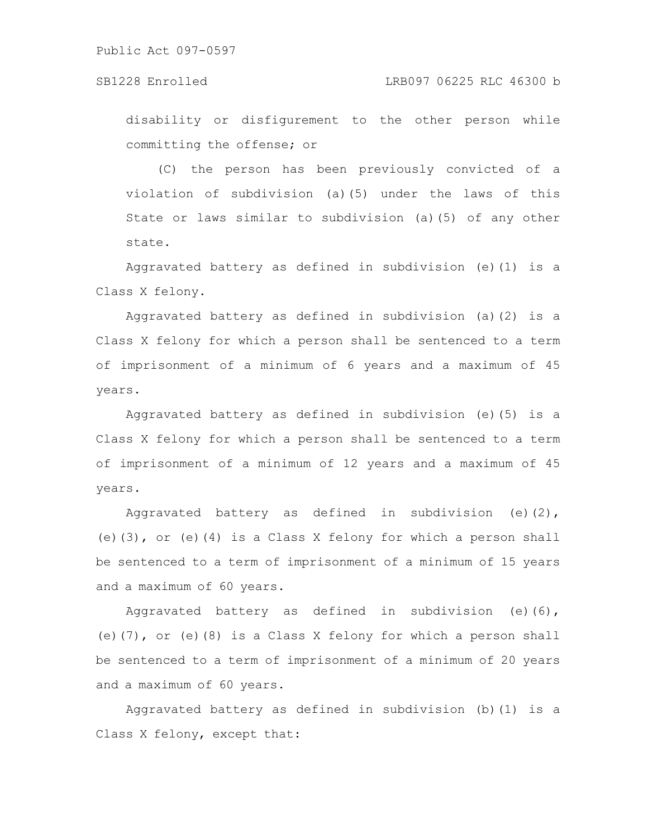### SB1228 Enrolled LRB097 06225 RLC 46300 b

disability or disfigurement to the other person while committing the offense; or

(C) the person has been previously convicted of a violation of subdivision (a)(5) under the laws of this State or laws similar to subdivision (a)(5) of any other state.

Aggravated battery as defined in subdivision (e)(1) is a Class X felony.

Aggravated battery as defined in subdivision (a)(2) is a Class X felony for which a person shall be sentenced to a term of imprisonment of a minimum of 6 years and a maximum of 45 years.

Aggravated battery as defined in subdivision (e)(5) is a Class X felony for which a person shall be sentenced to a term of imprisonment of a minimum of 12 years and a maximum of 45 years.

Aggravated battery as defined in subdivision (e)(2), (e)(3), or (e)(4) is a Class X felony for which a person shall be sentenced to a term of imprisonment of a minimum of 15 years and a maximum of 60 years.

Aggravated battery as defined in subdivision (e)(6), (e)(7), or (e)(8) is a Class X felony for which a person shall be sentenced to a term of imprisonment of a minimum of 20 years and a maximum of 60 years.

Aggravated battery as defined in subdivision (b)(1) is a Class X felony, except that: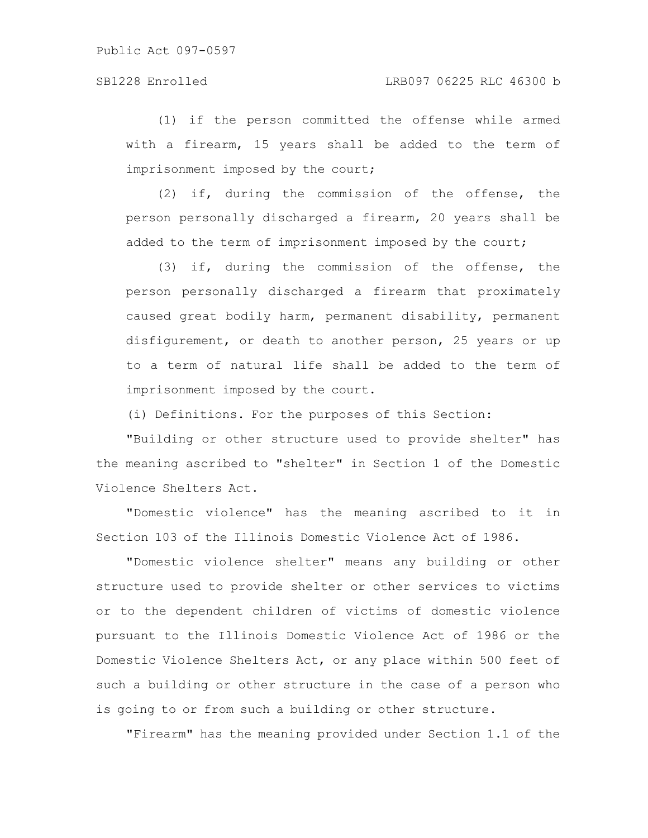(1) if the person committed the offense while armed with a firearm, 15 years shall be added to the term of imprisonment imposed by the court;

(2) if, during the commission of the offense, the person personally discharged a firearm, 20 years shall be added to the term of imprisonment imposed by the court;

(3) if, during the commission of the offense, the person personally discharged a firearm that proximately caused great bodily harm, permanent disability, permanent disfigurement, or death to another person, 25 years or up to a term of natural life shall be added to the term of imprisonment imposed by the court.

(i) Definitions. For the purposes of this Section:

"Building or other structure used to provide shelter" has the meaning ascribed to "shelter" in Section 1 of the Domestic Violence Shelters Act.

"Domestic violence" has the meaning ascribed to it in Section 103 of the Illinois Domestic Violence Act of 1986.

"Domestic violence shelter" means any building or other structure used to provide shelter or other services to victims or to the dependent children of victims of domestic violence pursuant to the Illinois Domestic Violence Act of 1986 or the Domestic Violence Shelters Act, or any place within 500 feet of such a building or other structure in the case of a person who is going to or from such a building or other structure.

"Firearm" has the meaning provided under Section 1.1 of the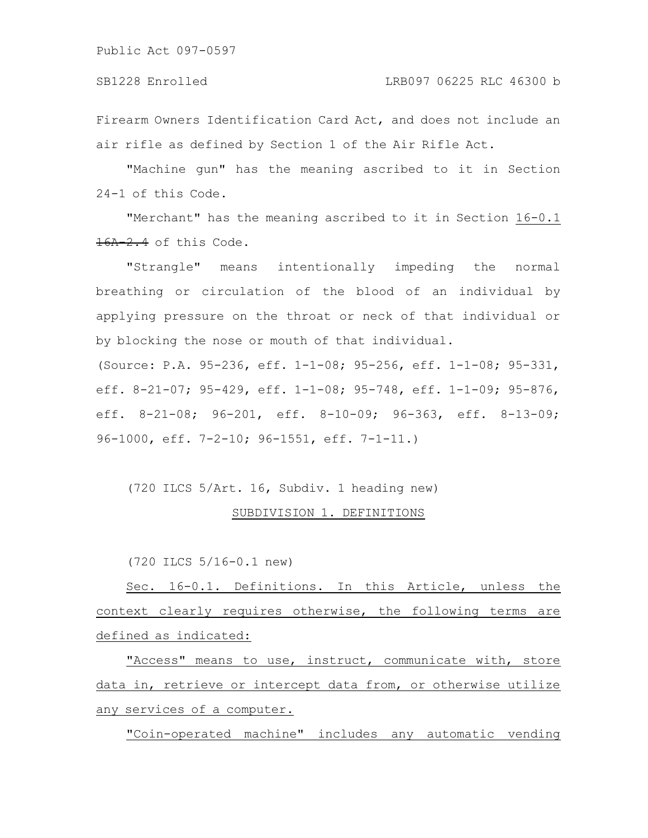Firearm Owners Identification Card Act, and does not include an air rifle as defined by Section 1 of the Air Rifle Act.

"Machine gun" has the meaning ascribed to it in Section 24-1 of this Code.

"Merchant" has the meaning ascribed to it in Section 16-0.1 16A-2.4 of this Code.

"Strangle" means intentionally impeding the normal breathing or circulation of the blood of an individual by applying pressure on the throat or neck of that individual or by blocking the nose or mouth of that individual.

(Source: P.A. 95-236, eff. 1-1-08; 95-256, eff. 1-1-08; 95-331, eff. 8-21-07; 95-429, eff. 1-1-08; 95-748, eff. 1-1-09; 95-876, eff. 8-21-08; 96-201, eff. 8-10-09; 96-363, eff. 8-13-09; 96-1000, eff. 7-2-10; 96-1551, eff. 7-1-11.)

(720 ILCS 5/Art. 16, Subdiv. 1 heading new)

## SUBDIVISION 1. DEFINITIONS

(720 ILCS 5/16-0.1 new)

Sec. 16-0.1. Definitions. In this Article, unless the context clearly requires otherwise, the following terms are defined as indicated:

"Access" means to use, instruct, communicate with, store data in, retrieve or intercept data from, or otherwise utilize any services of a computer.

"Coin-operated machine" includes any automatic vending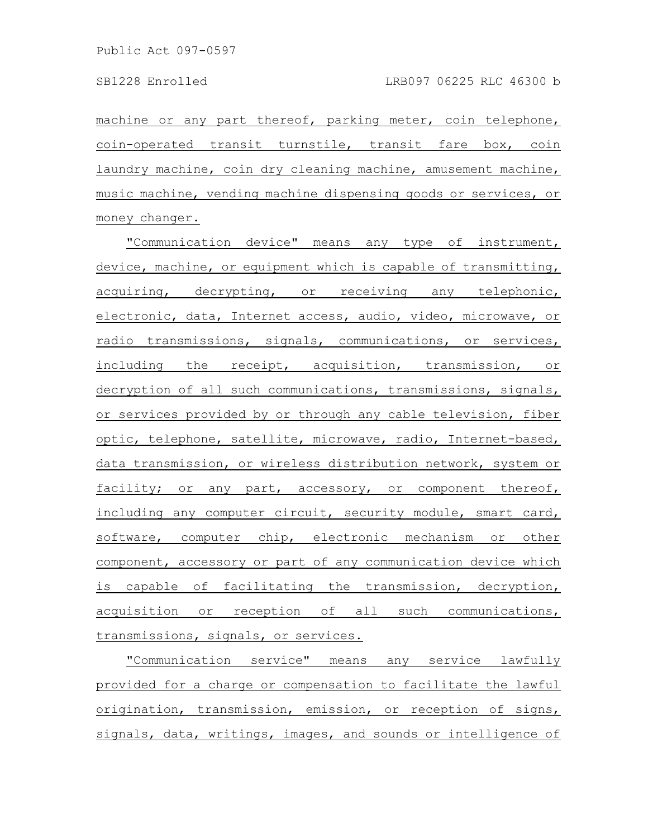machine or any part thereof, parking meter, coin telephone, coin-operated transit turnstile, transit fare box, coin laundry machine, coin dry cleaning machine, amusement machine, music machine, vending machine dispensing goods or services, or money changer.

"Communication device" means any type of instrument, device, machine, or equipment which is capable of transmitting, acquiring, decrypting, or receiving any telephonic, electronic, data, Internet access, audio, video, microwave, or radio transmissions, signals, communications, or services, including the receipt, acquisition, transmission, or decryption of all such communications, transmissions, signals, or services provided by or through any cable television, fiber optic, telephone, satellite, microwave, radio, Internet-based, data transmission, or wireless distribution network, system or facility; or any part, accessory, or component thereof, including any computer circuit, security module, smart card, software, computer chip, electronic mechanism or other component, accessory or part of any communication device which is capable of facilitating the transmission, decryption, acquisition or reception of all such communications, transmissions, signals, or services.

"Communication service" means any service lawfully provided for a charge or compensation to facilitate the lawful origination, transmission, emission, or reception of signs, signals, data, writings, images, and sounds or intelligence of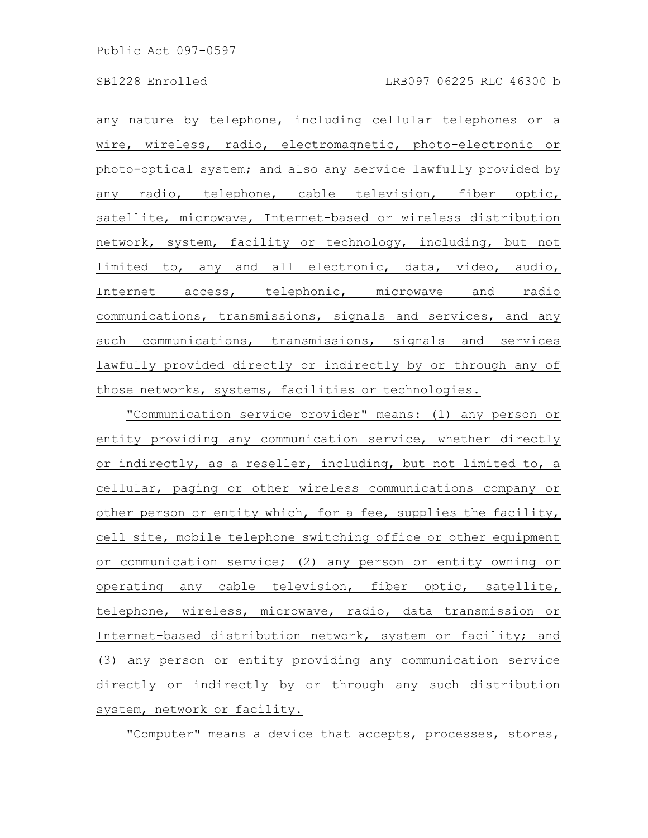any nature by telephone, including cellular telephones or a wire, wireless, radio, electromagnetic, photo-electronic or photo-optical system; and also any service lawfully provided by any radio, telephone, cable television, fiber optic, satellite, microwave, Internet-based or wireless distribution network, system, facility or technology, including, but not limited to, any and all electronic, data, video, audio, Internet access, telephonic, microwave and radio communications, transmissions, signals and services, and any such communications, transmissions, signals and services lawfully provided directly or indirectly by or through any of those networks, systems, facilities or technologies.

"Communication service provider" means: (1) any person or entity providing any communication service, whether directly or indirectly, as a reseller, including, but not limited to, a cellular, paging or other wireless communications company or other person or entity which, for a fee, supplies the facility, cell site, mobile telephone switching office or other equipment or communication service; (2) any person or entity owning or operating any cable television, fiber optic, satellite, telephone, wireless, microwave, radio, data transmission or Internet-based distribution network, system or facility; and (3) any person or entity providing any communication service directly or indirectly by or through any such distribution system, network or facility.

"Computer" means a device that accepts, processes, stores,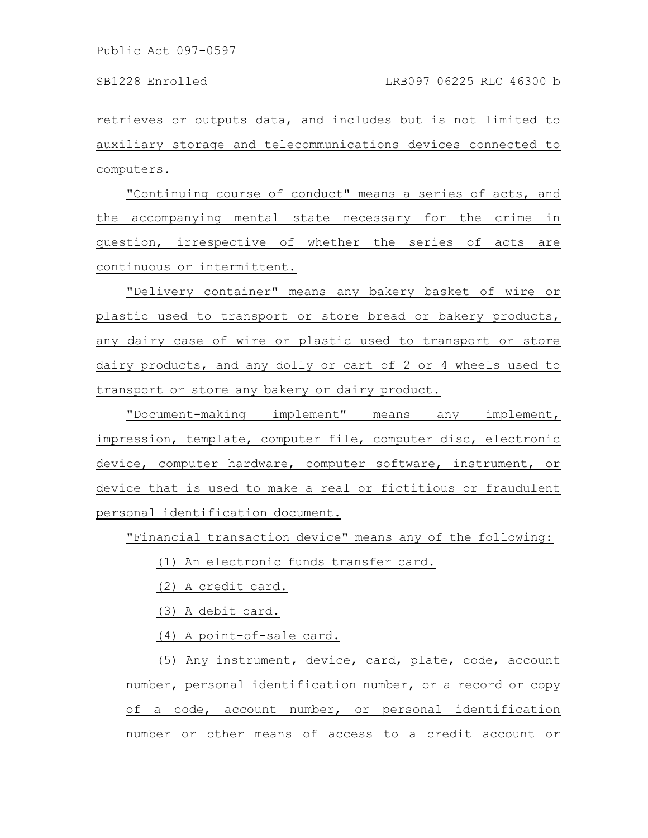retrieves or outputs data, and includes but is not limited to auxiliary storage and telecommunications devices connected to computers.

"Continuing course of conduct" means a series of acts, and the accompanying mental state necessary for the crime in question, irrespective of whether the series of acts are continuous or intermittent.

"Delivery container" means any bakery basket of wire or plastic used to transport or store bread or bakery products, any dairy case of wire or plastic used to transport or store dairy products, and any dolly or cart of 2 or 4 wheels used to transport or store any bakery or dairy product.

"Document-making implement" means any implement, impression, template, computer file, computer disc, electronic device, computer hardware, computer software, instrument, or device that is used to make a real or fictitious or fraudulent personal identification document.

"Financial transaction device" means any of the following:

(1) An electronic funds transfer card.

(2) A credit card.

(3) A debit card.

(4) A point-of-sale card.

(5) Any instrument, device, card, plate, code, account number, personal identification number, or a record or copy of a code, account number, or personal identification number or other means of access to a credit account or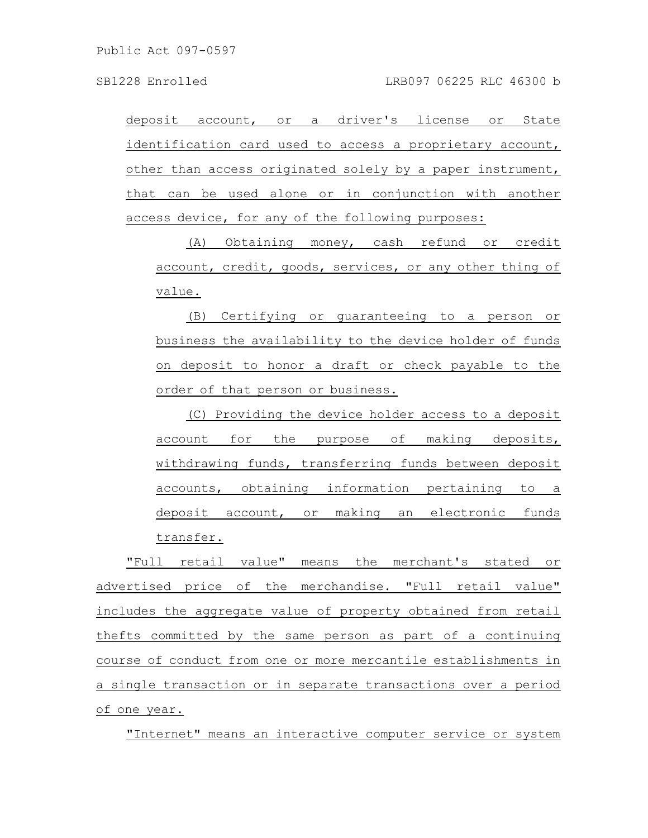deposit account, or a driver's license or State identification card used to access a proprietary account, other than access originated solely by a paper instrument, that can be used alone or in conjunction with another access device, for any of the following purposes:

(A) Obtaining money, cash refund or credit account, credit, goods, services, or any other thing of value.

(B) Certifying or guaranteeing to a person or business the availability to the device holder of funds on deposit to honor a draft or check payable to the order of that person or business.

(C) Providing the device holder access to a deposit account for the purpose of making deposits, withdrawing funds, transferring funds between deposit accounts, obtaining information pertaining to a deposit account, or making an electronic funds transfer.

"Full retail value" means the merchant's stated or advertised price of the merchandise. "Full retail value" includes the aggregate value of property obtained from retail thefts committed by the same person as part of a continuing course of conduct from one or more mercantile establishments in a single transaction or in separate transactions over a period of one year.

"Internet" means an interactive computer service or system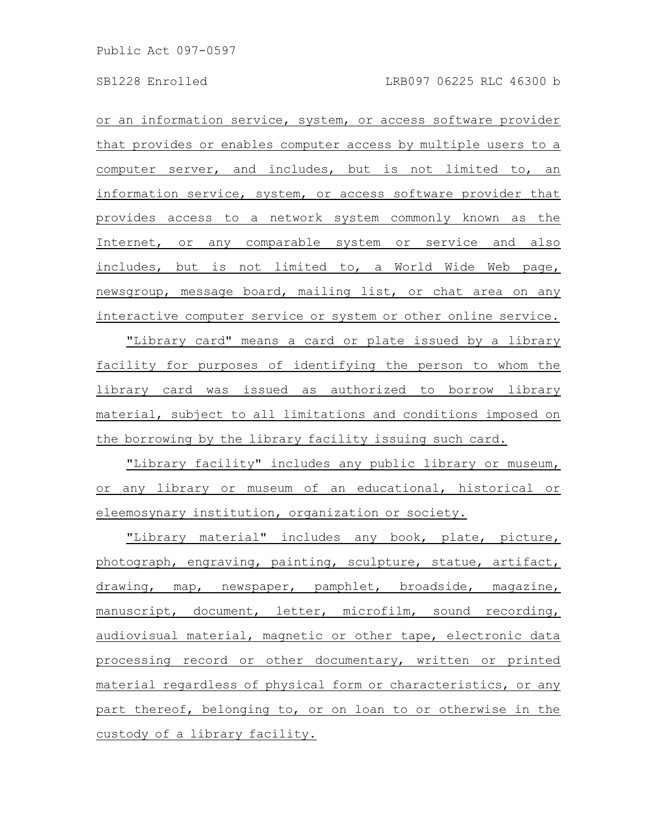or an information service, system, or access software provider that provides or enables computer access by multiple users to a computer server, and includes, but is not limited to, an information service, system, or access software provider that provides access to a network system commonly known as the Internet, or any comparable system or service and also includes, but is not limited to, a World Wide Web page, newsgroup, message board, mailing list, or chat area on any interactive computer service or system or other online service.

"Library card" means a card or plate issued by a library facility for purposes of identifying the person to whom the library card was issued as authorized to borrow library material, subject to all limitations and conditions imposed on the borrowing by the library facility issuing such card.

"Library facility" includes any public library or museum, or any library or museum of an educational, historical or eleemosynary institution, organization or society.

"Library material" includes any book, plate, picture, photograph, engraving, painting, sculpture, statue, artifact, drawing, map, newspaper, pamphlet, broadside, magazine, manuscript, document, letter, microfilm, sound recording, audiovisual material, magnetic or other tape, electronic data processing record or other documentary, written or printed material regardless of physical form or characteristics, or any part thereof, belonging to, or on loan to or otherwise in the custody of a library facility.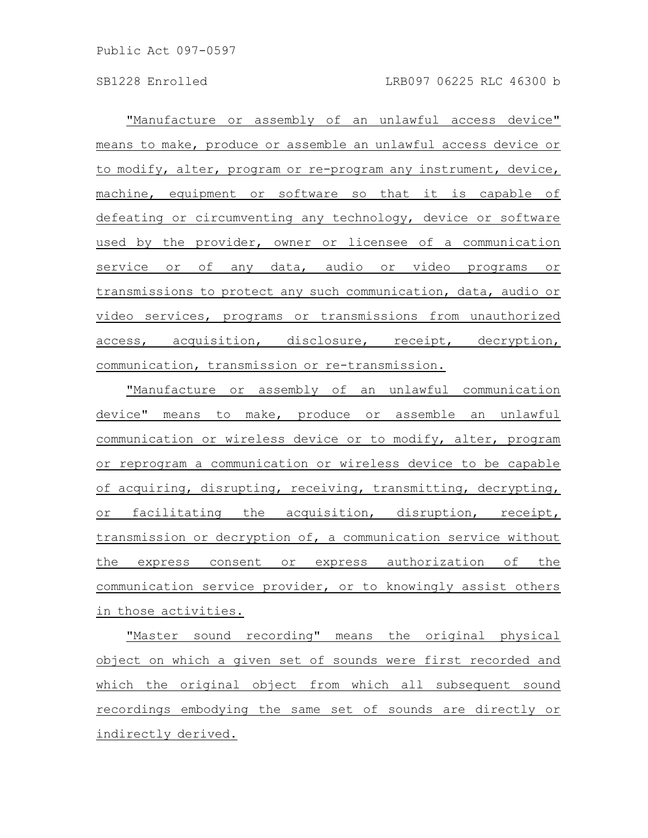"Manufacture or assembly of an unlawful access device" means to make, produce or assemble an unlawful access device or to modify, alter, program or re-program any instrument, device, machine, equipment or software so that it is capable of defeating or circumventing any technology, device or software used by the provider, owner or licensee of a communication service or of any data, audio or video programs or transmissions to protect any such communication, data, audio or video services, programs or transmissions from unauthorized access, acquisition, disclosure, receipt, decryption, communication, transmission or re-transmission.

"Manufacture or assembly of an unlawful communication device" means to make, produce or assemble an unlawful communication or wireless device or to modify, alter, program or reprogram a communication or wireless device to be capable of acquiring, disrupting, receiving, transmitting, decrypting, or facilitating the acquisition, disruption, receipt, transmission or decryption of, a communication service without the express consent or express authorization of the communication service provider, or to knowingly assist others in those activities.

"Master sound recording" means the original physical object on which a given set of sounds were first recorded and which the original object from which all subsequent sound recordings embodying the same set of sounds are directly or indirectly derived.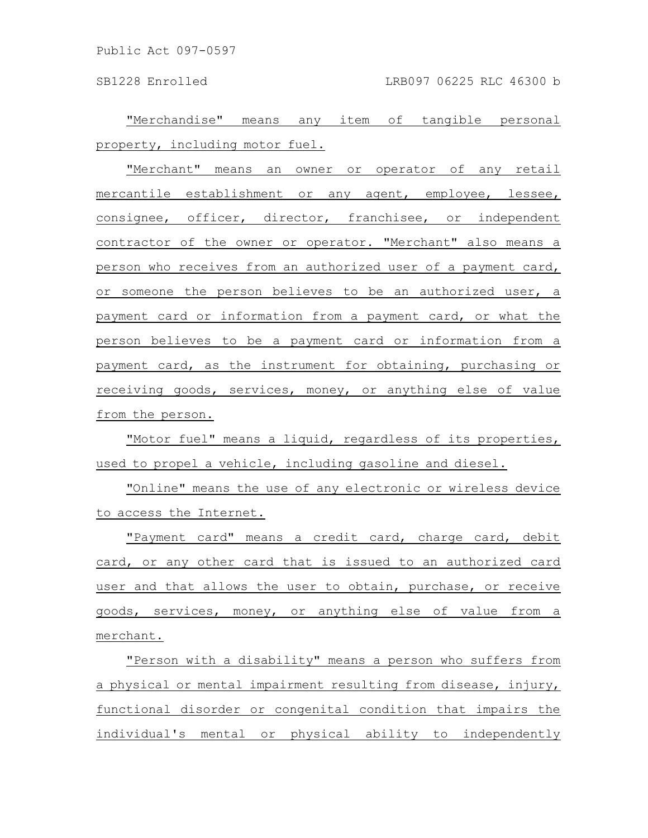SB1228 Enrolled LRB097 06225 RLC 46300 b

"Merchandise" means any item of tangible personal property, including motor fuel.

"Merchant" means an owner or operator of any retail mercantile establishment or any agent, employee, lessee, consignee, officer, director, franchisee, or independent contractor of the owner or operator. "Merchant" also means a person who receives from an authorized user of a payment card, or someone the person believes to be an authorized user, a payment card or information from a payment card, or what the person believes to be a payment card or information from a payment card, as the instrument for obtaining, purchasing or receiving goods, services, money, or anything else of value from the person.

"Motor fuel" means a liquid, regardless of its properties, used to propel a vehicle, including gasoline and diesel.

"Online" means the use of any electronic or wireless device to access the Internet.

"Payment card" means a credit card, charge card, debit card, or any other card that is issued to an authorized card user and that allows the user to obtain, purchase, or receive goods, services, money, or anything else of value from a merchant.

"Person with a disability" means a person who suffers from a physical or mental impairment resulting from disease, injury, functional disorder or congenital condition that impairs the individual's mental or physical ability to independently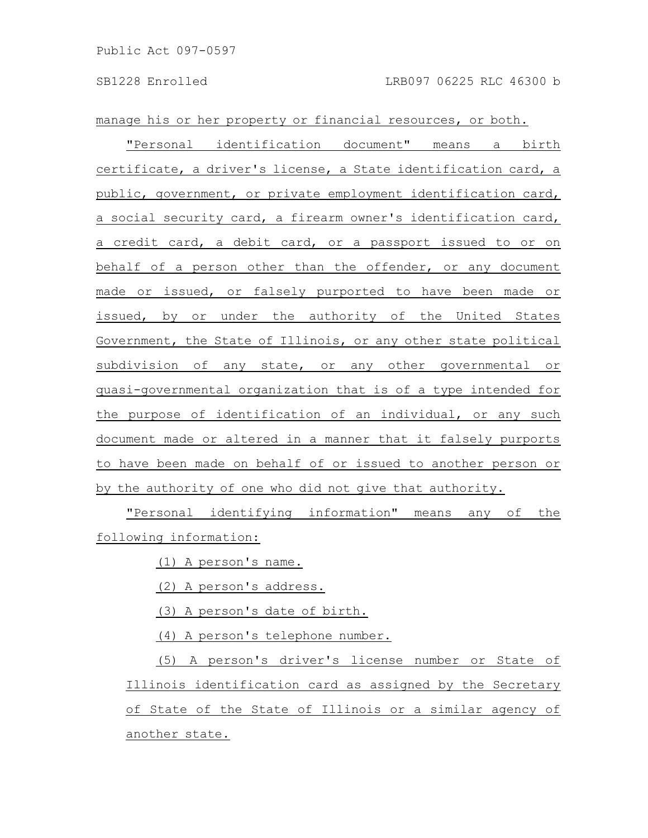manage his or her property or financial resources, or both.

"Personal identification document" means a birth certificate, a driver's license, a State identification card, a public, government, or private employment identification card, a social security card, a firearm owner's identification card, a credit card, a debit card, or a passport issued to or on behalf of a person other than the offender, or any document made or issued, or falsely purported to have been made or issued, by or under the authority of the United States Government, the State of Illinois, or any other state political subdivision of any state, or any other governmental or quasi-governmental organization that is of a type intended for the purpose of identification of an individual, or any such document made or altered in a manner that it falsely purports to have been made on behalf of or issued to another person or by the authority of one who did not give that authority.

"Personal identifying information" means any of the following information:

(1) A person's name.

(2) A person's address.

(3) A person's date of birth.

(4) A person's telephone number.

(5) A person's driver's license number or State of Illinois identification card as assigned by the Secretary of State of the State of Illinois or a similar agency of another state.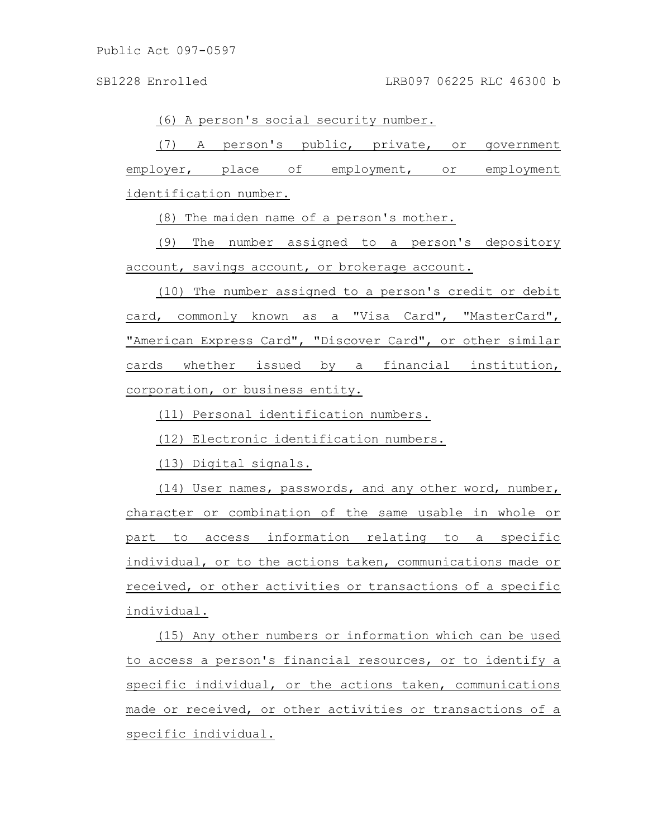(6) A person's social security number.

(7) A person's public, private, or government employer, place of employment, or employment identification number.

(8) The maiden name of a person's mother.

(9) The number assigned to a person's depository account, savings account, or brokerage account.

(10) The number assigned to a person's credit or debit card, commonly known as a "Visa Card", "MasterCard", "American Express Card", "Discover Card", or other similar cards whether issued by a financial institution, corporation, or business entity.

(11) Personal identification numbers.

(12) Electronic identification numbers.

(13) Digital signals.

(14) User names, passwords, and any other word, number, character or combination of the same usable in whole or part to access information relating to a specific individual, or to the actions taken, communications made or received, or other activities or transactions of a specific individual.

(15) Any other numbers or information which can be used to access a person's financial resources, or to identify a specific individual, or the actions taken, communications made or received, or other activities or transactions of a specific individual.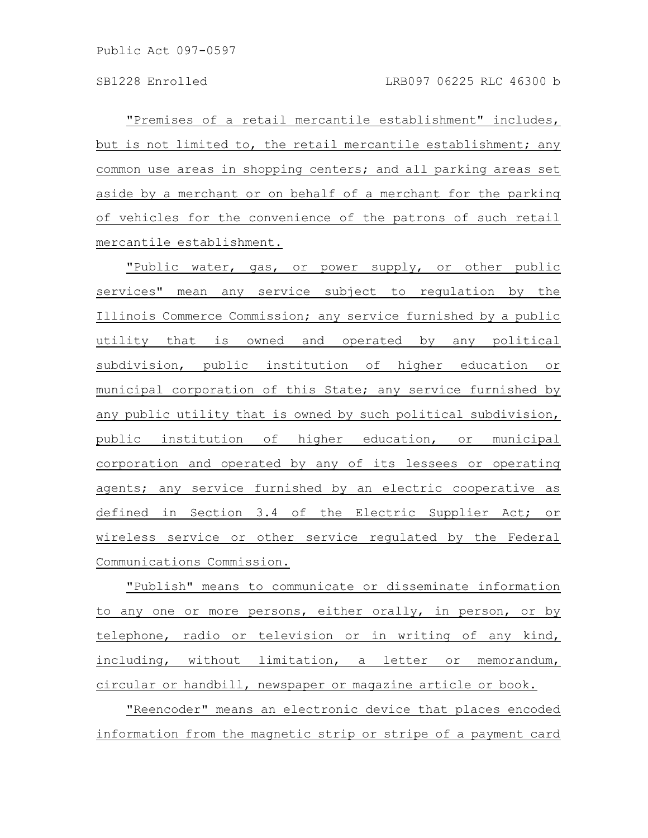"Premises of a retail mercantile establishment" includes, but is not limited to, the retail mercantile establishment; any common use areas in shopping centers; and all parking areas set aside by a merchant or on behalf of a merchant for the parking of vehicles for the convenience of the patrons of such retail mercantile establishment.

"Public water, gas, or power supply, or other public services" mean any service subject to regulation by the Illinois Commerce Commission; any service furnished by a public utility that is owned and operated by any political subdivision, public institution of higher education or municipal corporation of this State; any service furnished by any public utility that is owned by such political subdivision, public institution of higher education, or municipal corporation and operated by any of its lessees or operating agents; any service furnished by an electric cooperative as defined in Section 3.4 of the Electric Supplier Act; or wireless service or other service regulated by the Federal Communications Commission.

"Publish" means to communicate or disseminate information to any one or more persons, either orally, in person, or by telephone, radio or television or in writing of any kind, including, without limitation, a letter or memorandum, circular or handbill, newspaper or magazine article or book.

"Reencoder" means an electronic device that places encoded information from the magnetic strip or stripe of a payment card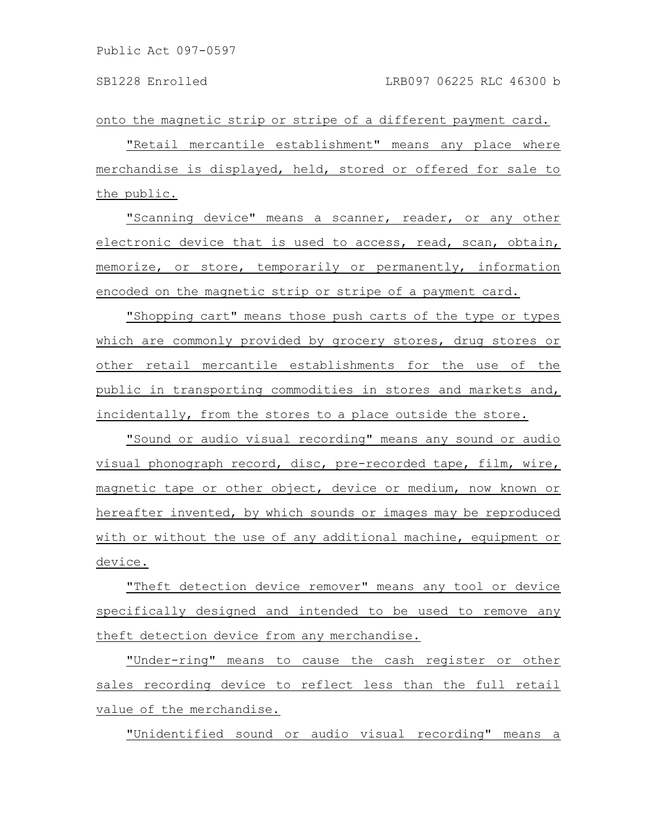onto the magnetic strip or stripe of a different payment card.

"Retail mercantile establishment" means any place where merchandise is displayed, held, stored or offered for sale to the public.

"Scanning device" means a scanner, reader, or any other electronic device that is used to access, read, scan, obtain, memorize, or store, temporarily or permanently, information encoded on the magnetic strip or stripe of a payment card.

"Shopping cart" means those push carts of the type or types which are commonly provided by grocery stores, drug stores or other retail mercantile establishments for the use of the public in transporting commodities in stores and markets and, incidentally, from the stores to a place outside the store.

"Sound or audio visual recording" means any sound or audio visual phonograph record, disc, pre-recorded tape, film, wire, magnetic tape or other object, device or medium, now known or hereafter invented, by which sounds or images may be reproduced with or without the use of any additional machine, equipment or device.

"Theft detection device remover" means any tool or device specifically designed and intended to be used to remove any theft detection device from any merchandise.

"Under-ring" means to cause the cash register or other sales recording device to reflect less than the full retail value of the merchandise.

"Unidentified sound or audio visual recording" means a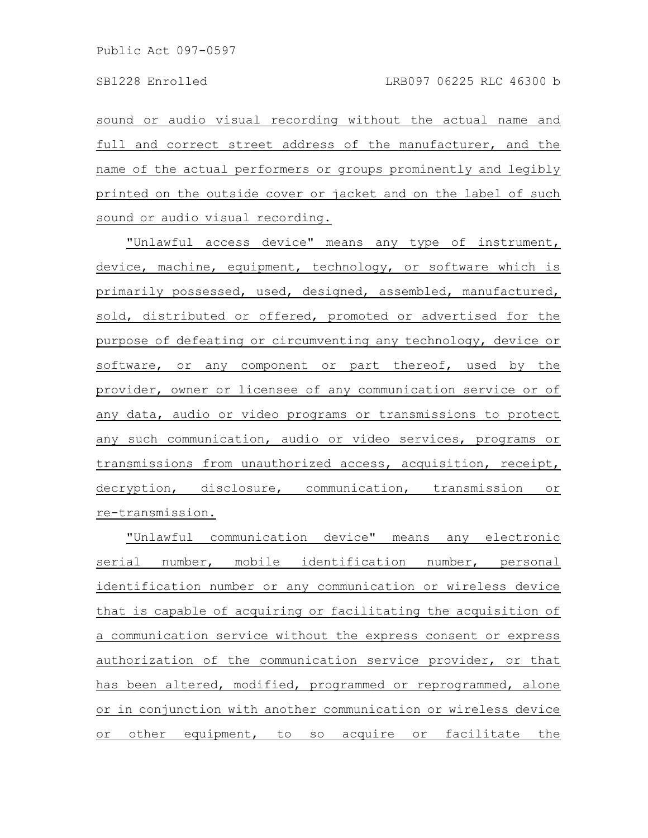sound or audio visual recording without the actual name and full and correct street address of the manufacturer, and the name of the actual performers or groups prominently and legibly printed on the outside cover or jacket and on the label of such sound or audio visual recording.

"Unlawful access device" means any type of instrument, device, machine, equipment, technology, or software which is primarily possessed, used, designed, assembled, manufactured, sold, distributed or offered, promoted or advertised for the purpose of defeating or circumventing any technology, device or software, or any component or part thereof, used by the provider, owner or licensee of any communication service or of any data, audio or video programs or transmissions to protect any such communication, audio or video services, programs or transmissions from unauthorized access, acquisition, receipt, decryption, disclosure, communication, transmission or re-transmission.

"Unlawful communication device" means any electronic serial number, mobile identification number, personal identification number or any communication or wireless device that is capable of acquiring or facilitating the acquisition of a communication service without the express consent or express authorization of the communication service provider, or that has been altered, modified, programmed or reprogrammed, alone or in conjunction with another communication or wireless device or other equipment, to so acquire or facilitate the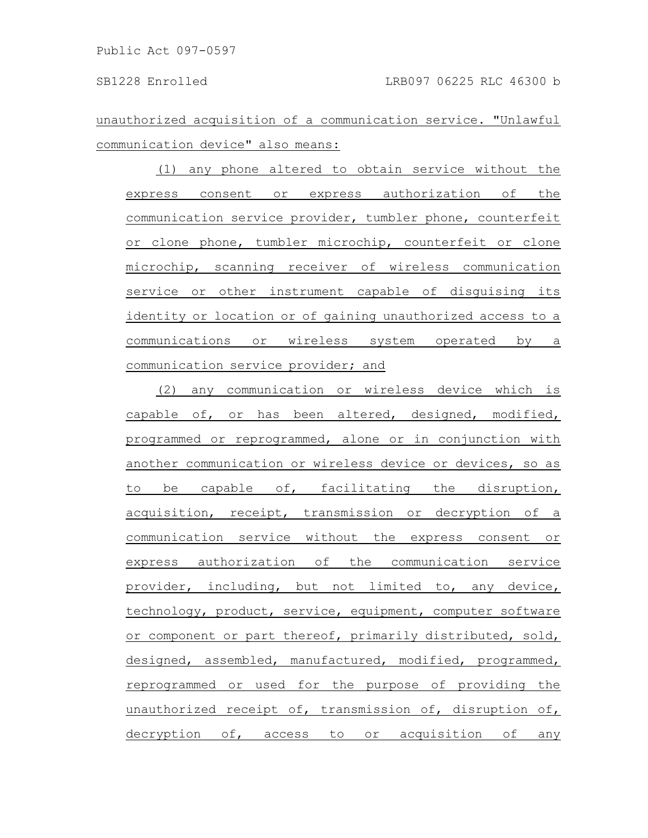unauthorized acquisition of a communication service. "Unlawful communication device" also means:

(1) any phone altered to obtain service without the express consent or express authorization of the communication service provider, tumbler phone, counterfeit or clone phone, tumbler microchip, counterfeit or clone microchip, scanning receiver of wireless communication service or other instrument capable of disguising its identity or location or of gaining unauthorized access to a communications or wireless system operated by a communication service provider; and

(2) any communication or wireless device which is capable of, or has been altered, designed, modified, programmed or reprogrammed, alone or in conjunction with another communication or wireless device or devices, so as to be capable of, facilitating the disruption, acquisition, receipt, transmission or decryption of a communication service without the express consent or express authorization of the communication service provider, including, but not limited to, any device, technology, product, service, equipment, computer software or component or part thereof, primarily distributed, sold, designed, assembled, manufactured, modified, programmed, reprogrammed or used for the purpose of providing the unauthorized receipt of, transmission of, disruption of, decryption of, access to or acquisition of any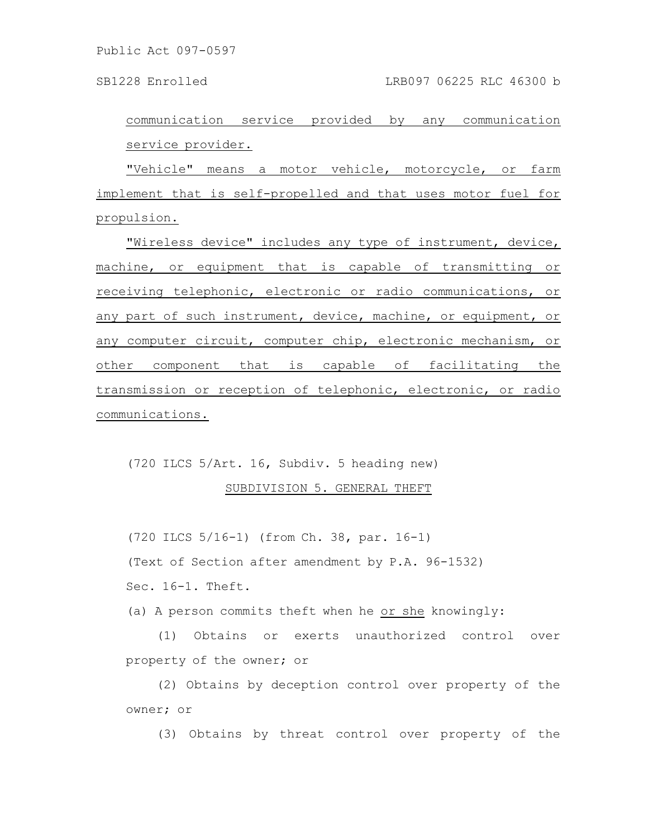SB1228 Enrolled LRB097 06225 RLC 46300 b

communication service provided by any communication service provider.

"Vehicle" means a motor vehicle, motorcycle, or farm implement that is self-propelled and that uses motor fuel for propulsion.

"Wireless device" includes any type of instrument, device, machine, or equipment that is capable of transmitting or receiving telephonic, electronic or radio communications, or any part of such instrument, device, machine, or equipment, or any computer circuit, computer chip, electronic mechanism, or other component that is capable of facilitating the transmission or reception of telephonic, electronic, or radio communications.

(720 ILCS 5/Art. 16, Subdiv. 5 heading new)

SUBDIVISION 5. GENERAL THEFT

(720 ILCS 5/16-1) (from Ch. 38, par. 16-1) (Text of Section after amendment by P.A. 96-1532) Sec. 16-1. Theft.

(a) A person commits theft when he or she knowingly:

(1) Obtains or exerts unauthorized control over property of the owner; or

(2) Obtains by deception control over property of the owner; or

(3) Obtains by threat control over property of the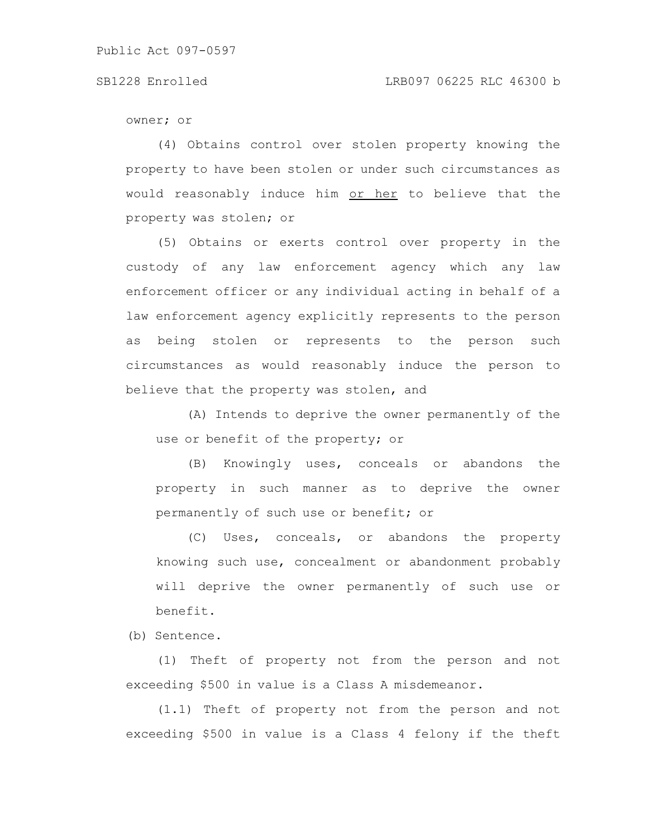owner; or

(4) Obtains control over stolen property knowing the property to have been stolen or under such circumstances as would reasonably induce him or her to believe that the property was stolen; or

(5) Obtains or exerts control over property in the custody of any law enforcement agency which any law enforcement officer or any individual acting in behalf of a law enforcement agency explicitly represents to the person as being stolen or represents to the person such circumstances as would reasonably induce the person to believe that the property was stolen, and

(A) Intends to deprive the owner permanently of the use or benefit of the property; or

(B) Knowingly uses, conceals or abandons the property in such manner as to deprive the owner permanently of such use or benefit; or

(C) Uses, conceals, or abandons the property knowing such use, concealment or abandonment probably will deprive the owner permanently of such use or benefit.

(b) Sentence.

(1) Theft of property not from the person and not exceeding \$500 in value is a Class A misdemeanor.

(1.1) Theft of property not from the person and not exceeding \$500 in value is a Class 4 felony if the theft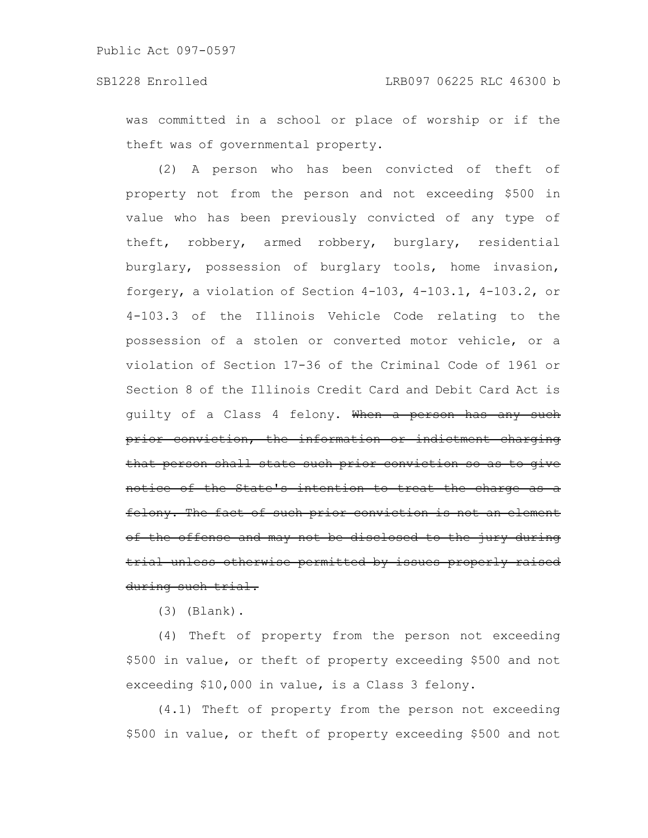was committed in a school or place of worship or if the theft was of governmental property.

(2) A person who has been convicted of theft of property not from the person and not exceeding \$500 in value who has been previously convicted of any type of theft, robbery, armed robbery, burglary, residential burglary, possession of burglary tools, home invasion, forgery, a violation of Section 4-103, 4-103.1, 4-103.2, or 4-103.3 of the Illinois Vehicle Code relating to the possession of a stolen or converted motor vehicle, or a violation of Section 17-36 of the Criminal Code of 1961 or Section 8 of the Illinois Credit Card and Debit Card Act is guilty of a Class 4 felony. When a person has any such prior conviction, the information or indictment charging that person shall state such prior conviction so as to give notice of the State's intention to treat the charge felony. The fact of such prior conviction is not an element of the offense and may not be disclosed to the jury during trial unless otherwise permitted by issues properly raised during such trial.

(3) (Blank).

(4) Theft of property from the person not exceeding \$500 in value, or theft of property exceeding \$500 and not exceeding \$10,000 in value, is a Class 3 felony.

(4.1) Theft of property from the person not exceeding \$500 in value, or theft of property exceeding \$500 and not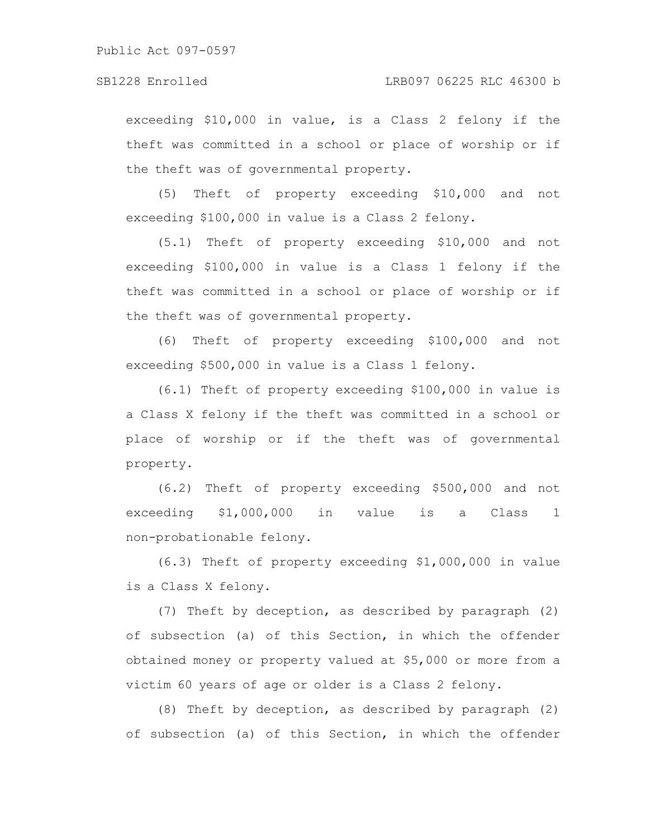exceeding \$10,000 in value, is a Class 2 felony if the theft was committed in a school or place of worship or if the theft was of governmental property.

(5) Theft of property exceeding \$10,000 and not exceeding \$100,000 in value is a Class 2 felony.

(5.1) Theft of property exceeding \$10,000 and not exceeding \$100,000 in value is a Class 1 felony if the theft was committed in a school or place of worship or if the theft was of governmental property.

(6) Theft of property exceeding \$100,000 and not exceeding \$500,000 in value is a Class 1 felony.

(6.1) Theft of property exceeding \$100,000 in value is a Class X felony if the theft was committed in a school or place of worship or if the theft was of governmental property.

(6.2) Theft of property exceeding \$500,000 and not exceeding \$1,000,000 in value is a Class 1 non-probationable felony.

(6.3) Theft of property exceeding \$1,000,000 in value is a Class X felony.

(7) Theft by deception, as described by paragraph (2) of subsection (a) of this Section, in which the offender obtained money or property valued at \$5,000 or more from a victim 60 years of age or older is a Class 2 felony.

(8) Theft by deception, as described by paragraph (2) of subsection (a) of this Section, in which the offender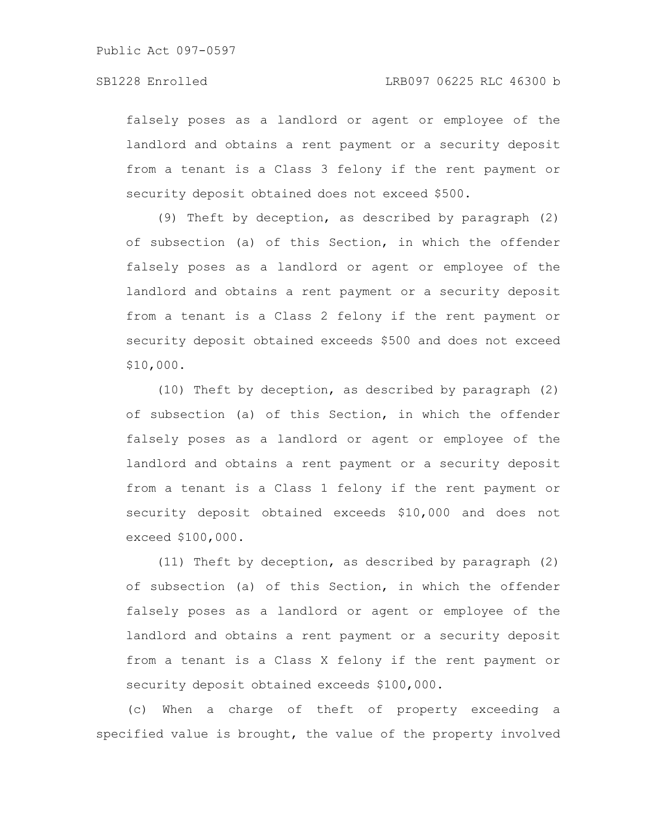falsely poses as a landlord or agent or employee of the landlord and obtains a rent payment or a security deposit from a tenant is a Class 3 felony if the rent payment or security deposit obtained does not exceed \$500.

(9) Theft by deception, as described by paragraph (2) of subsection (a) of this Section, in which the offender falsely poses as a landlord or agent or employee of the landlord and obtains a rent payment or a security deposit from a tenant is a Class 2 felony if the rent payment or security deposit obtained exceeds \$500 and does not exceed \$10,000.

(10) Theft by deception, as described by paragraph (2) of subsection (a) of this Section, in which the offender falsely poses as a landlord or agent or employee of the landlord and obtains a rent payment or a security deposit from a tenant is a Class 1 felony if the rent payment or security deposit obtained exceeds \$10,000 and does not exceed \$100,000.

(11) Theft by deception, as described by paragraph (2) of subsection (a) of this Section, in which the offender falsely poses as a landlord or agent or employee of the landlord and obtains a rent payment or a security deposit from a tenant is a Class X felony if the rent payment or security deposit obtained exceeds \$100,000.

(c) When a charge of theft of property exceeding a specified value is brought, the value of the property involved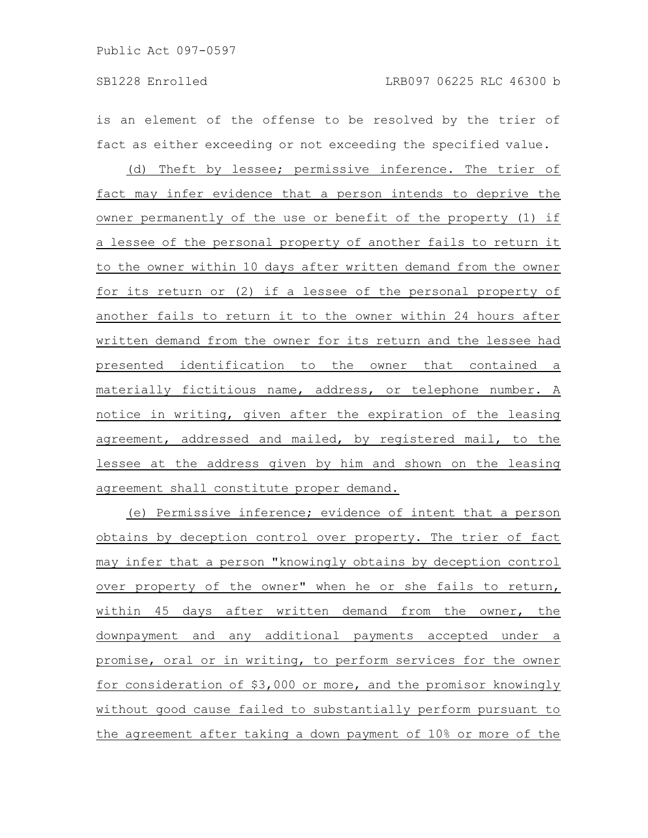is an element of the offense to be resolved by the trier of fact as either exceeding or not exceeding the specified value.

(d) Theft by lessee; permissive inference. The trier of fact may infer evidence that a person intends to deprive the owner permanently of the use or benefit of the property (1) if a lessee of the personal property of another fails to return it to the owner within 10 days after written demand from the owner for its return or (2) if a lessee of the personal property of another fails to return it to the owner within 24 hours after written demand from the owner for its return and the lessee had presented identification to the owner that contained a materially fictitious name, address, or telephone number. A notice in writing, given after the expiration of the leasing agreement, addressed and mailed, by registered mail, to the lessee at the address given by him and shown on the leasing agreement shall constitute proper demand.

(e) Permissive inference; evidence of intent that a person obtains by deception control over property. The trier of fact may infer that a person "knowingly obtains by deception control over property of the owner" when he or she fails to return, within 45 days after written demand from the owner, the downpayment and any additional payments accepted under a promise, oral or in writing, to perform services for the owner for consideration of \$3,000 or more, and the promisor knowingly without good cause failed to substantially perform pursuant to the agreement after taking a down payment of 10% or more of the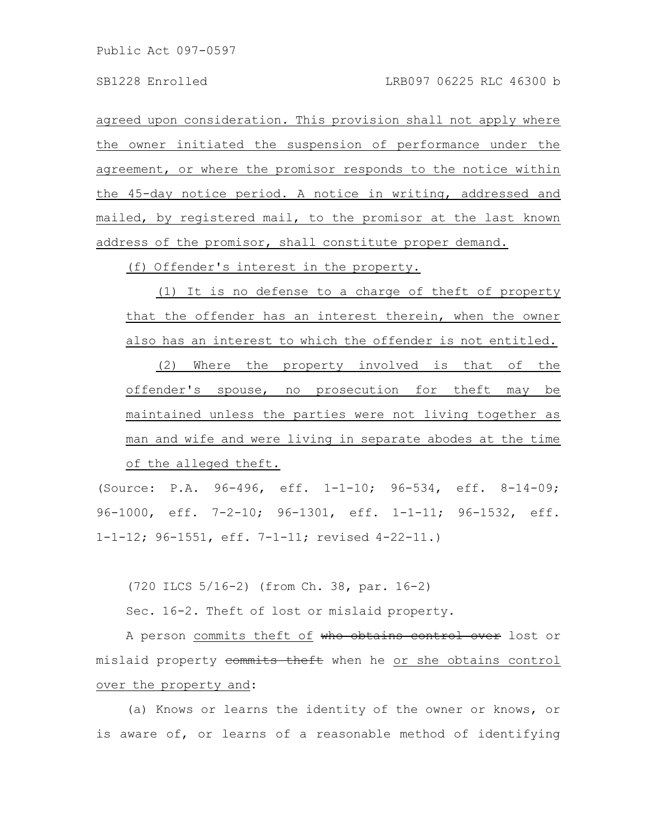agreed upon consideration. This provision shall not apply where the owner initiated the suspension of performance under the agreement, or where the promisor responds to the notice within the 45-day notice period. A notice in writing, addressed and mailed, by registered mail, to the promisor at the last known address of the promisor, shall constitute proper demand.

(f) Offender's interest in the property.

(1) It is no defense to a charge of theft of property that the offender has an interest therein, when the owner also has an interest to which the offender is not entitled.

(2) Where the property involved is that of the offender's spouse, no prosecution for theft may be maintained unless the parties were not living together as man and wife and were living in separate abodes at the time of the alleged theft.

(Source: P.A. 96-496, eff. 1-1-10; 96-534, eff. 8-14-09; 96-1000, eff. 7-2-10; 96-1301, eff. 1-1-11; 96-1532, eff. 1-1-12; 96-1551, eff. 7-1-11; revised 4-22-11.)

(720 ILCS 5/16-2) (from Ch. 38, par. 16-2)

Sec. 16-2. Theft of lost or mislaid property.

A person commits theft of who obtains control over lost or mislaid property commits theft when he or she obtains control over the property and:

(a) Knows or learns the identity of the owner or knows, or is aware of, or learns of a reasonable method of identifying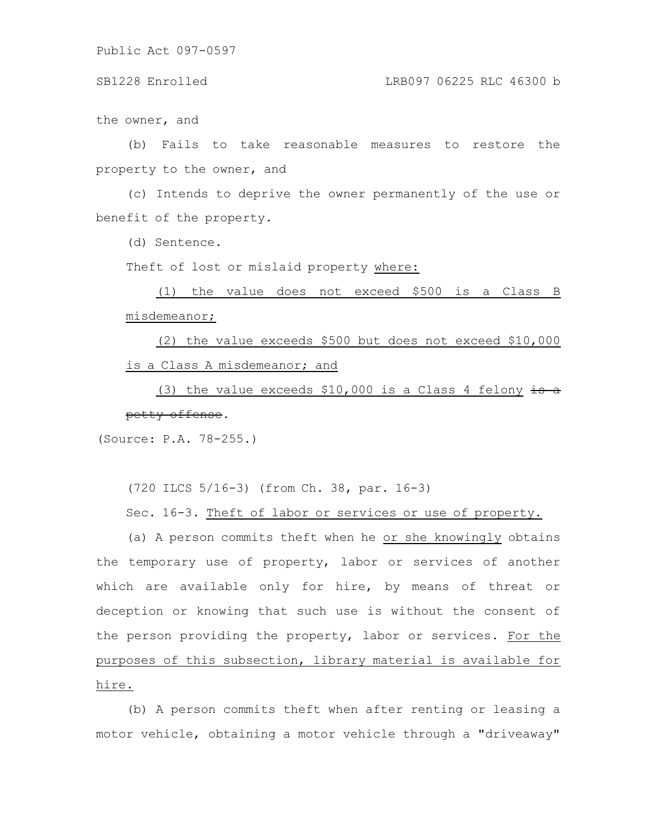### SB1228 Enrolled LRB097 06225 RLC 46300 b

the owner, and

(b) Fails to take reasonable measures to restore the property to the owner, and

(c) Intends to deprive the owner permanently of the use or benefit of the property.

(d) Sentence.

Theft of lost or mislaid property where:

(1) the value does not exceed \$500 is a Class B misdemeanor;

(2) the value exceeds \$500 but does not exceed \$10,000 is a Class A misdemeanor; and

(3) the value exceeds \$10,000 is a Class 4 felony is a petty offense.

(Source: P.A. 78-255.)

(720 ILCS 5/16-3) (from Ch. 38, par. 16-3)

Sec. 16-3. Theft of labor or services or use of property.

(a) A person commits theft when he or she knowingly obtains the temporary use of property, labor or services of another which are available only for hire, by means of threat or deception or knowing that such use is without the consent of the person providing the property, labor or services. For the purposes of this subsection, library material is available for hire.

(b) A person commits theft when after renting or leasing a motor vehicle, obtaining a motor vehicle through a "driveaway"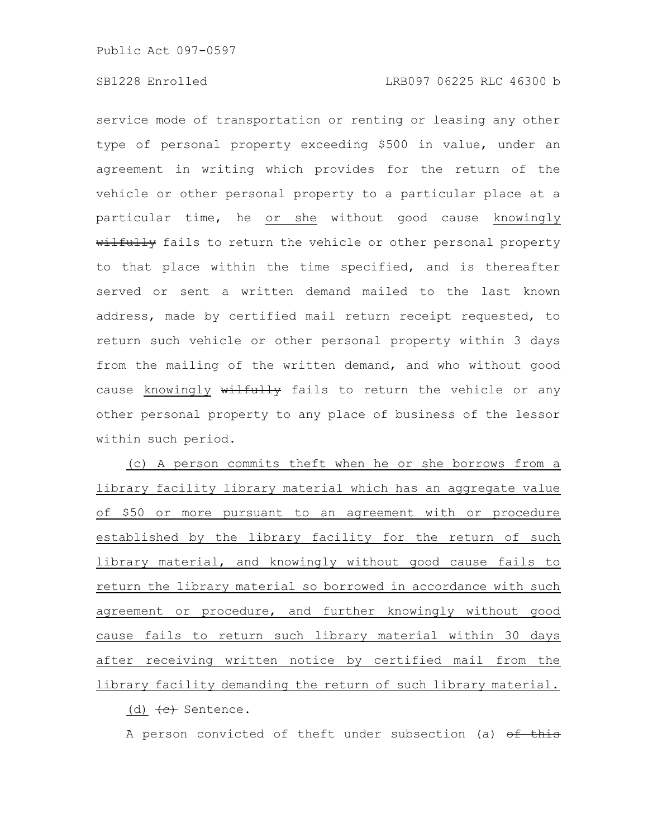service mode of transportation or renting or leasing any other type of personal property exceeding \$500 in value, under an agreement in writing which provides for the return of the vehicle or other personal property to a particular place at a particular time, he or she without good cause knowingly wilfully fails to return the vehicle or other personal property to that place within the time specified, and is thereafter served or sent a written demand mailed to the last known address, made by certified mail return receipt requested, to return such vehicle or other personal property within 3 days from the mailing of the written demand, and who without good cause knowingly wilfully fails to return the vehicle or any other personal property to any place of business of the lessor within such period.

(c) A person commits theft when he or she borrows from a library facility library material which has an aggregate value of \$50 or more pursuant to an agreement with or procedure established by the library facility for the return of such library material, and knowingly without good cause fails to return the library material so borrowed in accordance with such agreement or procedure, and further knowingly without good cause fails to return such library material within 30 days after receiving written notice by certified mail from the library facility demanding the return of such library material.

(d)  $\leftarrow$  Sentence.

A person convicted of theft under subsection (a) of this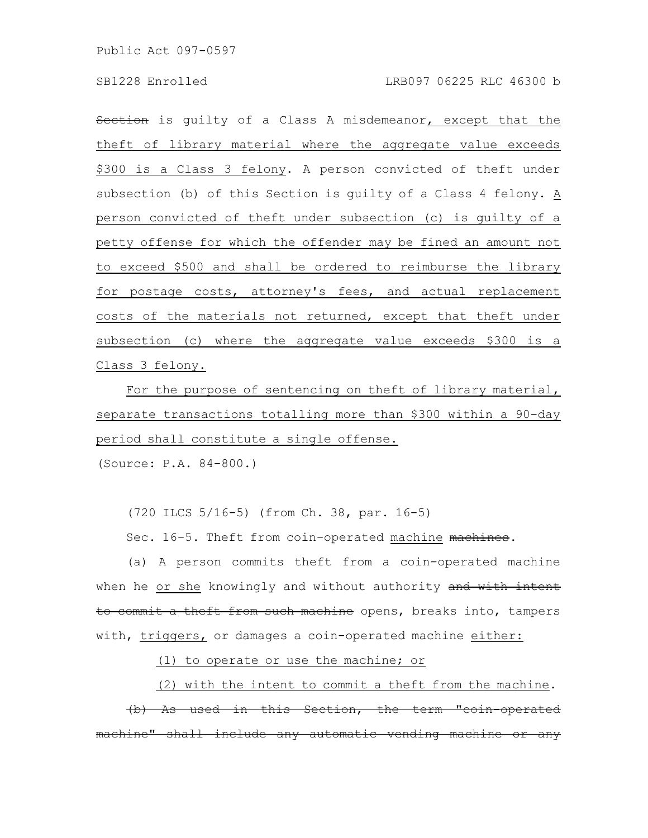## SB1228 Enrolled LRB097 06225 RLC 46300 b

Section is guilty of a Class A misdemeanor, except that the theft of library material where the aggregate value exceeds \$300 is a Class 3 felony. A person convicted of theft under subsection (b) of this Section is guilty of a Class 4 felony. A person convicted of theft under subsection (c) is guilty of a petty offense for which the offender may be fined an amount not to exceed \$500 and shall be ordered to reimburse the library for postage costs, attorney's fees, and actual replacement costs of the materials not returned, except that theft under subsection (c) where the aggregate value exceeds \$300 is a Class 3 felony.

For the purpose of sentencing on theft of library material, separate transactions totalling more than \$300 within a 90-day period shall constitute a single offense.

(Source: P.A. 84-800.)

(720 ILCS 5/16-5) (from Ch. 38, par. 16-5)

Sec. 16-5. Theft from coin-operated machine machines.

(a) A person commits theft from a coin-operated machine when he or she knowingly and without authority and with intent to commit a theft from such machine opens, breaks into, tampers with, triggers, or damages a coin-operated machine either:

(1) to operate or use the machine; or

(2) with the intent to commit a theft from the machine.

(b) As used in this Section, the term "coin-operated nachine" shall include any automatic vending machine or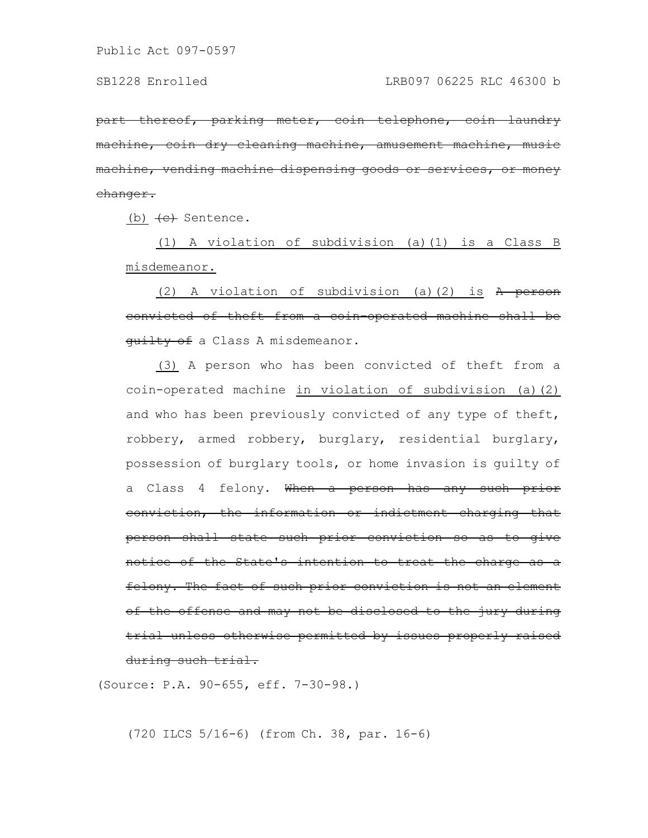part thereof, parking meter, coin telephone, coin laundry machine, coin dry cleaning machine, amusement machine, machine, vending machine dispensing goods or services, changer.

(b)  $\leftarrow$  Sentence.

(1) A violation of subdivision (a)(1) is a Class B misdemeanor.

(2) A violation of subdivision (a)(2) is  $A$  person convicted of theft from a coin-operated machine shall be quilty of a Class A misdemeanor.

(3) A person who has been convicted of theft from a coin-operated machine in violation of subdivision (a)(2) and who has been previously convicted of any type of theft, robbery, armed robbery, burglary, residential burglary, possession of burglary tools, or home invasion is guilty of a Class 4 felony. When a person has any such prior conviction, the information or indictment charging that person shall state such prior conviction so as to give notice of the State's intention to treat the charge as a felony. The fact of such prior conviction is not an element of the offense and may not be disclosed to the jury during trial unless otherwise permitted by issues properly raised during such trial.

(Source: P.A. 90-655, eff. 7-30-98.)

(720 ILCS 5/16-6) (from Ch. 38, par. 16-6)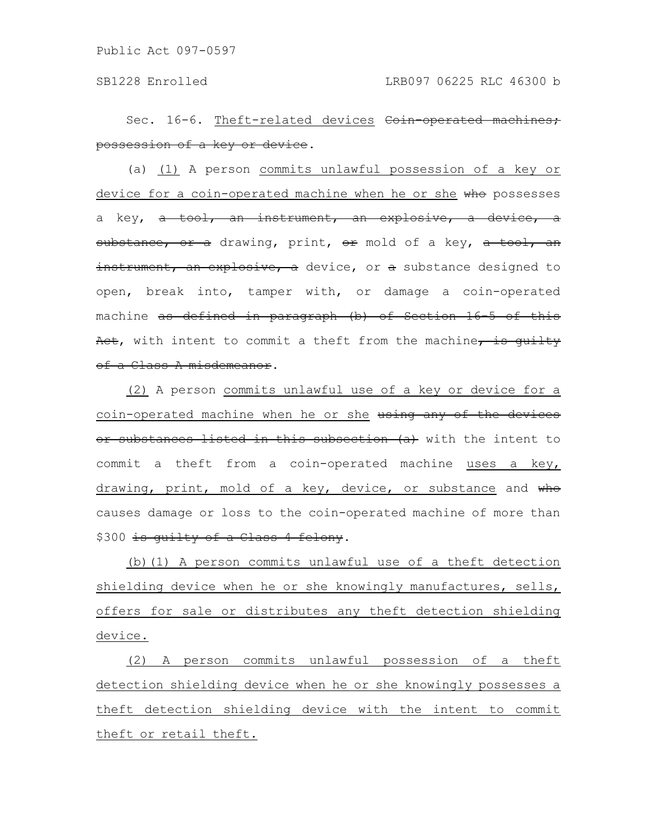Sec. 16-6. Theft-related devices Coin-operated machines; possession of a key or device.

(a) (1) A person commits unlawful possession of a key or device for a coin-operated machine when he or she who possesses a key, a tool, an instrument, an explosive, a device, a substance, or a drawing, print, or mold of a key, a tool, an instrument, an explosive, a device, or a substance designed to open, break into, tamper with, or damage a coin-operated machine as defined in paragraph (b) of Section 16-5 of this Act, with intent to commit a theft from the machine, is quilty of a Class A misdemeanor.

(2) A person commits unlawful use of a key or device for a coin-operated machine when he or she using any of the devices or substances listed in this subsection (a) with the intent to commit a theft from a coin-operated machine uses a key, drawing, print, mold of a key, device, or substance and who causes damage or loss to the coin-operated machine of more than \$300 is quilty of a Class 4 felony.

(b)(1) A person commits unlawful use of a theft detection shielding device when he or she knowingly manufactures, sells, offers for sale or distributes any theft detection shielding device.

(2) A person commits unlawful possession of a theft detection shielding device when he or she knowingly possesses a theft detection shielding device with the intent to commit theft or retail theft.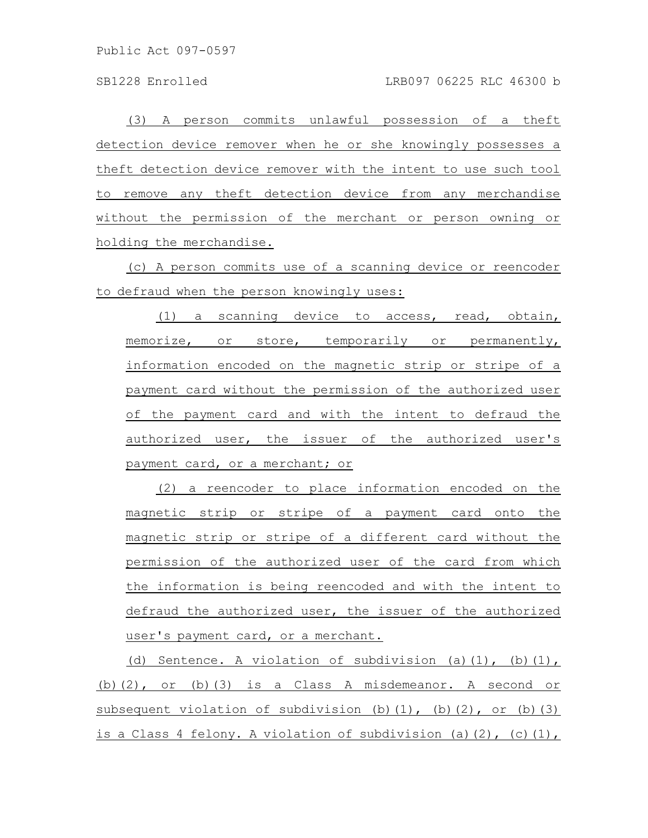(3) A person commits unlawful possession of a theft detection device remover when he or she knowingly possesses a theft detection device remover with the intent to use such tool to remove any theft detection device from any merchandise without the permission of the merchant or person owning or holding the merchandise.

(c) A person commits use of a scanning device or reencoder to defraud when the person knowingly uses:

(1) a scanning device to access, read, obtain, memorize, or store, temporarily or permanently, information encoded on the magnetic strip or stripe of a payment card without the permission of the authorized user of the payment card and with the intent to defraud the authorized user, the issuer of the authorized user's payment card, or a merchant; or

(2) a reencoder to place information encoded on the magnetic strip or stripe of a payment card onto the magnetic strip or stripe of a different card without the permission of the authorized user of the card from which the information is being reencoded and with the intent to defraud the authorized user, the issuer of the authorized user's payment card, or a merchant.

(d) Sentence. A violation of subdivision (a) $(1)$ , (b) $(1)$ , (b)(2), or (b)(3) is a Class A misdemeanor. A second or subsequent violation of subdivision (b)(1), (b)(2), or (b)(3) is a Class 4 felony. A violation of subdivision (a)(2), (c)(1),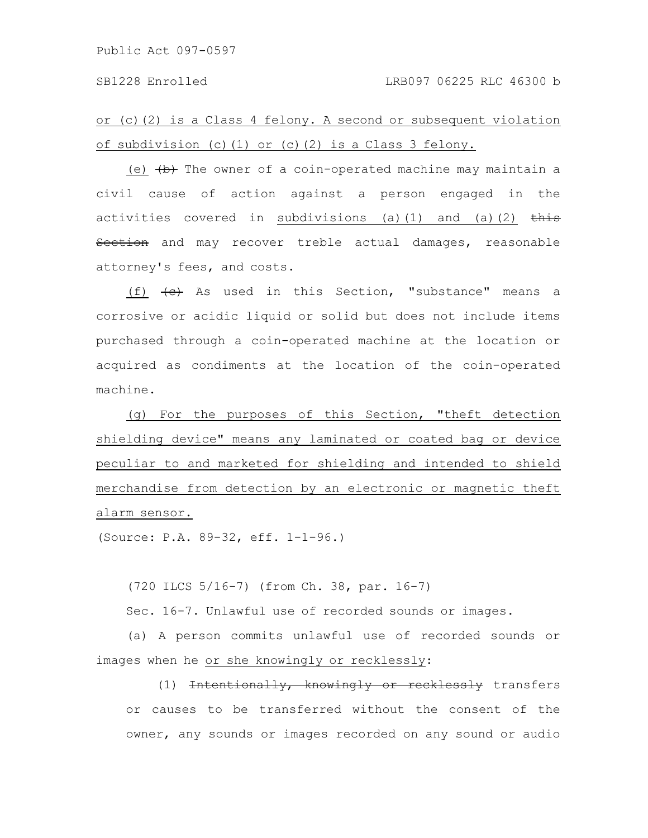or (c)(2) is a Class 4 felony. A second or subsequent violation of subdivision (c)(1) or (c)(2) is a Class 3 felony.

(e)  $\overline{b}$  The owner of a coin-operated machine may maintain a civil cause of action against a person engaged in the activities covered in subdivisions (a)(1) and (a)(2)  $\frac{1}{\text{this}}$ Section and may recover treble actual damages, reasonable attorney's fees, and costs.

(f)  $\leftarrow$  As used in this Section, "substance" means a corrosive or acidic liquid or solid but does not include items purchased through a coin-operated machine at the location or acquired as condiments at the location of the coin-operated machine.

(g) For the purposes of this Section, "theft detection shielding device" means any laminated or coated bag or device peculiar to and marketed for shielding and intended to shield merchandise from detection by an electronic or magnetic theft alarm sensor.

(Source: P.A. 89-32, eff. 1-1-96.)

(720 ILCS 5/16-7) (from Ch. 38, par. 16-7)

Sec. 16-7. Unlawful use of recorded sounds or images.

(a) A person commits unlawful use of recorded sounds or images when he or she knowingly or recklessly:

(1) <del>Intentionally, knowingly or recklessly</del> transfers or causes to be transferred without the consent of the owner, any sounds or images recorded on any sound or audio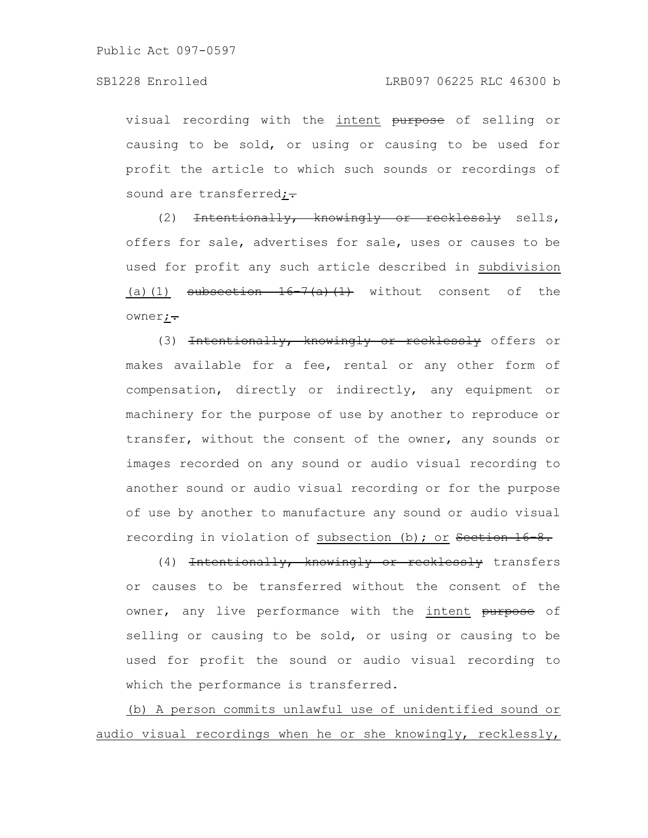visual recording with the intent purpose of selling or causing to be sold, or using or causing to be used for profit the article to which such sounds or recordings of sound are transferred; $\div$ 

(2) <del>Intentionally, knowingly or recklessly</del> sells, offers for sale, advertises for sale, uses or causes to be used for profit any such article described in subdivision (a)(1) subsection  $16-7(a)(1)$  without consent of the owner;.

(3) Intentionally, knowingly or recklessly offers or makes available for a fee, rental or any other form of compensation, directly or indirectly, any equipment or machinery for the purpose of use by another to reproduce or transfer, without the consent of the owner, any sounds or images recorded on any sound or audio visual recording to another sound or audio visual recording or for the purpose of use by another to manufacture any sound or audio visual recording in violation of subsection (b); or Section 16-8.

(4) <del>Intentionally, knowingly or recklessly</del> transfers or causes to be transferred without the consent of the owner, any live performance with the intent purpose of selling or causing to be sold, or using or causing to be used for profit the sound or audio visual recording to which the performance is transferred.

(b) A person commits unlawful use of unidentified sound or audio visual recordings when he or she knowingly, recklessly,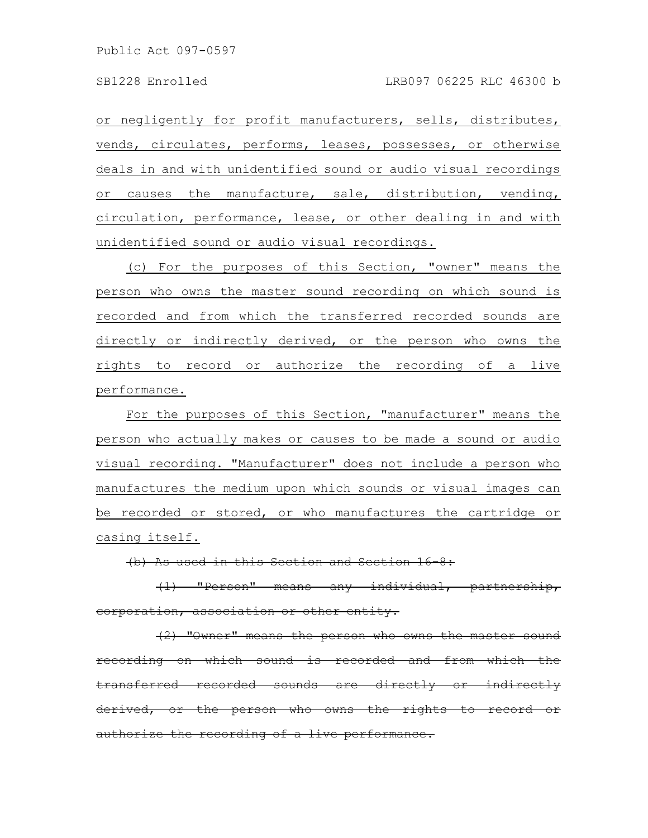or negligently for profit manufacturers, sells, distributes, vends, circulates, performs, leases, possesses, or otherwise deals in and with unidentified sound or audio visual recordings or causes the manufacture, sale, distribution, vending, circulation, performance, lease, or other dealing in and with unidentified sound or audio visual recordings.

(c) For the purposes of this Section, "owner" means the person who owns the master sound recording on which sound is recorded and from which the transferred recorded sounds are directly or indirectly derived, or the person who owns the rights to record or authorize the recording of a live performance.

For the purposes of this Section, "manufacturer" means the person who actually makes or causes to be made a sound or audio visual recording. "Manufacturer" does not include a person who manufactures the medium upon which sounds or visual images can be recorded or stored, or who manufactures the cartridge or casing itself.

(b) As used in this Section and Section 16

(1) "Person" means any individual, partnership, corporation, association or other entity.

 $(2)$  "Owner" means the person who owns the master on which sound is recorded and from which transferred recorded sounds are directly or indire erived, or the person who owns the rights to record authorize the recording of a live performance.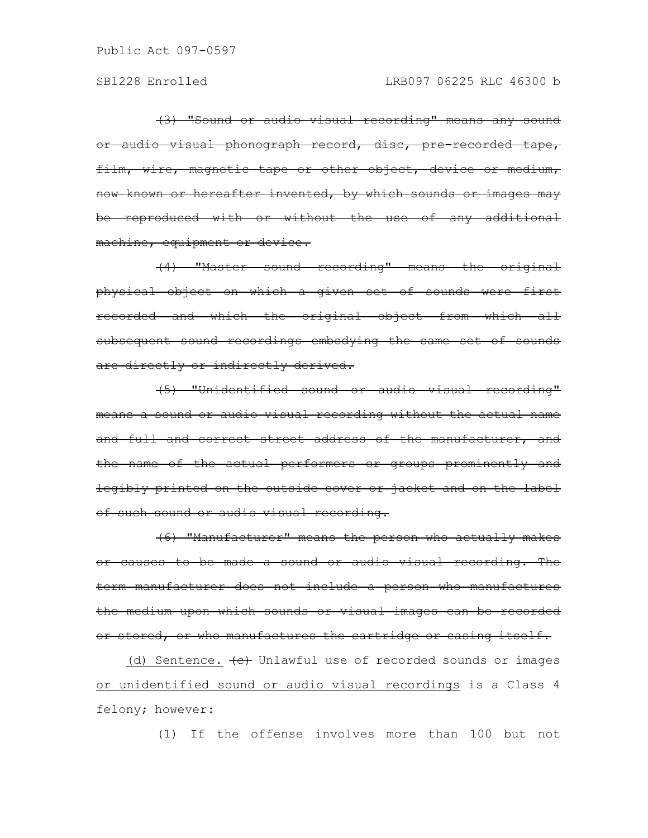(3) "Sound or audio visual recording" means any sound or audio visual phonograph record, disc, pre-recorded tape, film, wire, magnetic tape or other object, device or medium, now known or hereafter invented, by which sounds or images may be reproduced with or without the use of any additional machine, equipment or device.

(4) "Master sound recording" means the original physical object on which a given set of sounds were first recorded and which the original object from which all subsequent sound recordings embodying the same set of sounds are directly or indirectly derived.

(5) "Unidentified sound or audio visual recording" means a sound or audio visual recording without the actual name and full and correct street address of the manufacturer, and the name of the actual performers or groups prominently and legibly printed on the outside cover or jacket and on the label of such sound or audio visual recording.

(6) "Manufacturer" means the person who actually makes or causes to be made a sound or audio visual recording. The term manufacturer does not include a person who manufactures the medium upon which sounds or visual images can be recorded or stored, or who manufactures the cartridge or casing itself.

(d) Sentence.  $\left\lbrace e \right\rbrace$  Unlawful use of recorded sounds or images or unidentified sound or audio visual recordings is a Class 4 felony; however:

(1) If the offense involves more than 100 but not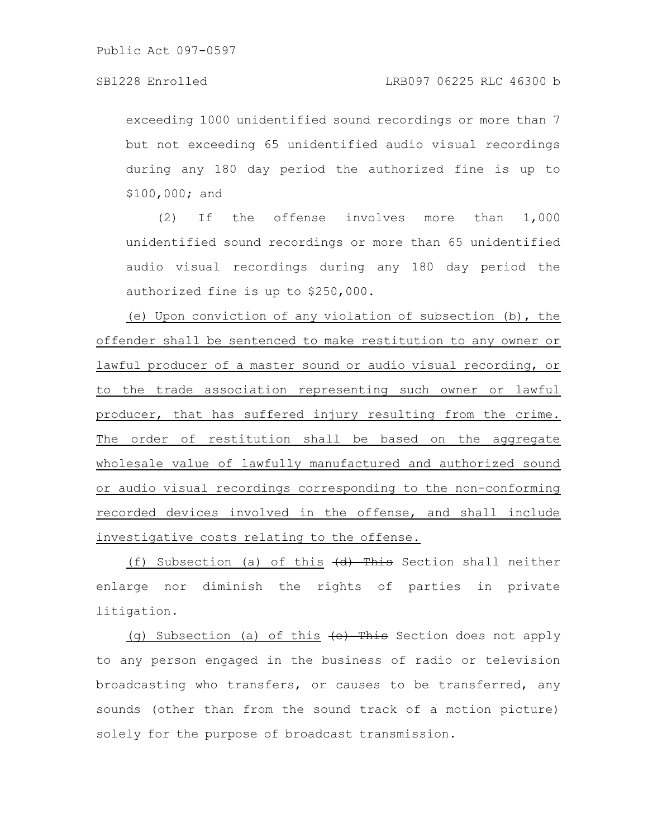exceeding 1000 unidentified sound recordings or more than 7 but not exceeding 65 unidentified audio visual recordings during any 180 day period the authorized fine is up to \$100,000; and

(2) If the offense involves more than 1,000 unidentified sound recordings or more than 65 unidentified audio visual recordings during any 180 day period the authorized fine is up to \$250,000.

(e) Upon conviction of any violation of subsection (b), the offender shall be sentenced to make restitution to any owner or lawful producer of a master sound or audio visual recording, or to the trade association representing such owner or lawful producer, that has suffered injury resulting from the crime. The order of restitution shall be based on the aggregate wholesale value of lawfully manufactured and authorized sound or audio visual recordings corresponding to the non-conforming recorded devices involved in the offense, and shall include investigative costs relating to the offense.

(f) Subsection (a) of this  $\left(\frac{d}{dt}\right)$  This Section shall neither enlarge nor diminish the rights of parties in private litigation.

(g) Subsection (a) of this  $\left\{e\right\}$  This Section does not apply to any person engaged in the business of radio or television broadcasting who transfers, or causes to be transferred, any sounds (other than from the sound track of a motion picture) solely for the purpose of broadcast transmission.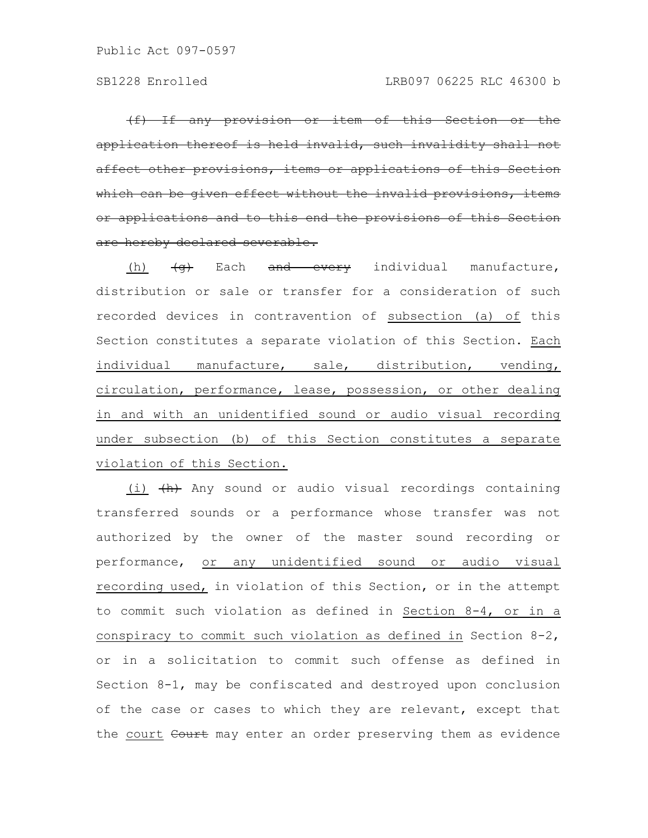(f) If any provision or item of this Section application thereof is held invalid, such invalidity shall not affect other provisions, items or applications of which can be given effect without the invalid or applications and to this end the provisions of are hereby declared severable.

(h)  $\left\langle \Theta \right\rangle$  Each and every individual manufacture, distribution or sale or transfer for a consideration of such recorded devices in contravention of subsection (a) of this Section constitutes a separate violation of this Section. Each individual manufacture, sale, distribution, vending, circulation, performance, lease, possession, or other dealing in and with an unidentified sound or audio visual recording under subsection (b) of this Section constitutes a separate violation of this Section.

(i)  $\{h\}$  Any sound or audio visual recordings containing transferred sounds or a performance whose transfer was not authorized by the owner of the master sound recording or performance, or any unidentified sound or audio visual recording used, in violation of this Section, or in the attempt to commit such violation as defined in Section 8-4, or in a conspiracy to commit such violation as defined in Section 8-2, or in a solicitation to commit such offense as defined in Section 8-1, may be confiscated and destroyed upon conclusion of the case or cases to which they are relevant, except that the court Court may enter an order preserving them as evidence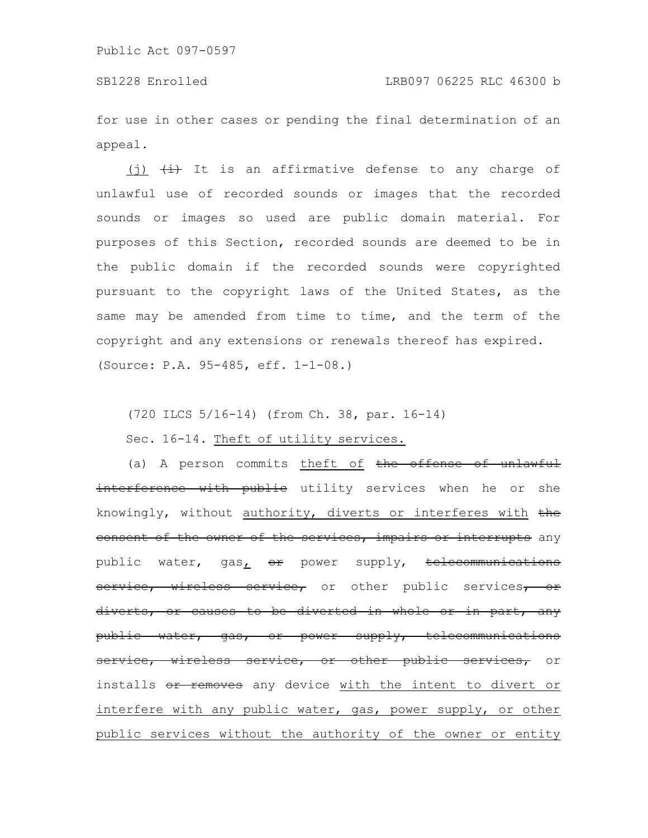for use in other cases or pending the final determination of an appeal.

(j)  $\overline{4}$  It is an affirmative defense to any charge of unlawful use of recorded sounds or images that the recorded sounds or images so used are public domain material. For purposes of this Section, recorded sounds are deemed to be in the public domain if the recorded sounds were copyrighted pursuant to the copyright laws of the United States, as the same may be amended from time to time, and the term of the copyright and any extensions or renewals thereof has expired. (Source: P.A. 95-485, eff. 1-1-08.)

(720 ILCS 5/16-14) (from Ch. 38, par. 16-14)

Sec. 16-14. Theft of utility services.

(a) A person commits theft of the offense of unlawful interference with public utility services when he or she knowingly, without authority, diverts or interferes with the consent of the owner of the services, impairs or interrupts any public water, gas<sub>1</sub> or power supply, telecommunications service, wireless service, or other public services, or diverts, or causes to be diverted in whole or in part, any public water, gas, or power supply, telecommunications service, wireless service, or other public services, or installs or removes any device with the intent to divert or interfere with any public water, gas, power supply, or other public services without the authority of the owner or entity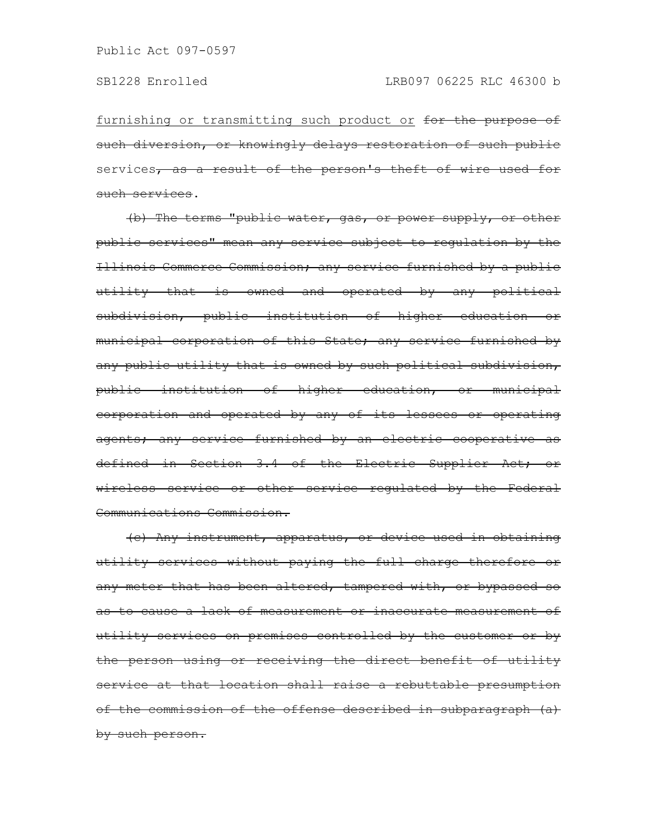furnishing or transmitting such product or for the purpose of such diversion, or knowingly delays restoration of such public services, as a result of the person's theft of wire used for such services.

(b) The terms "public water, gas, or power supply, or other public services" mean any service subject to regulation by the Illinois Commerce Commission; any service furnished by a public utility that is owned and operated by any political subdivision, public institution of higher education or municipal corporation of this State; any service furnished by any public utility that is owned by such political subdivision, public institution of higher education, or municipal corporation and operated by any of its lessees or operating agents; any service furnished by an electric cooperative as defined in Section 3.4 of the Electric Supplier Act; or wireless service or other service regulated by the Federal Communications Commission.

(c) Any instrument, apparatus, or device used in obtaining utility services without paying the full charge therefore or any meter that has been altered, tampered with, or bypassed so as to cause a lack of measurement or inaccurate measurement of utility services on premises controlled by the customer or by the person using or receiving the direct benefit of utility service at that location shall raise a rebuttable presumption of the commission of the offense described in subparagraph (a) by such person.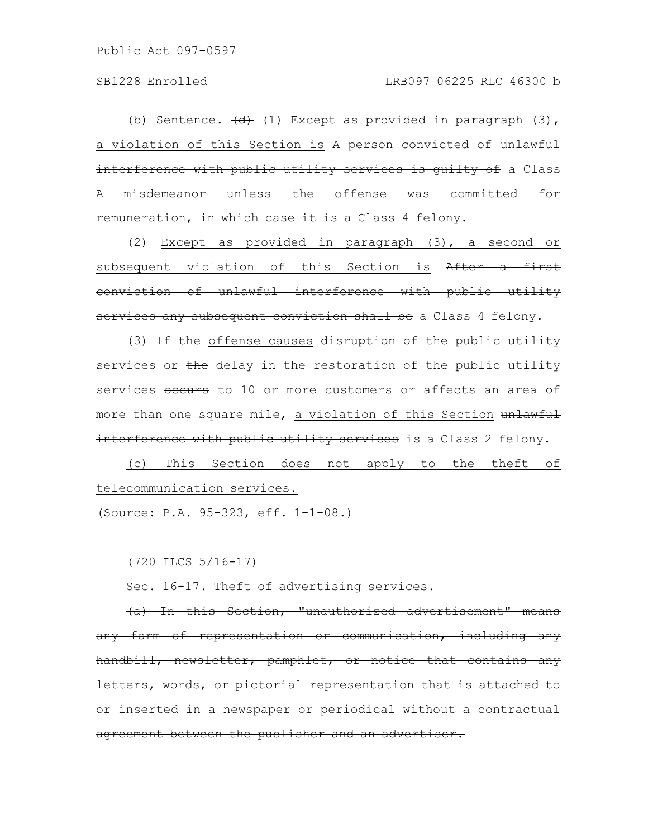(b) Sentence.  $\left(\frac{d}{d}\right)$  (1) Except as provided in paragraph (3), a violation of this Section is A person convicted of unlawful interference with public utility services is guilty of a Class A misdemeanor unless the offense was committed for remuneration, in which case it is a Class 4 felony.

(2) Except as provided in paragraph (3), a second or subsequent violation of this Section is After a first conviction of unlawful interference with public utility services any subsequent conviction shall be a Class 4 felony.

(3) If the offense causes disruption of the public utility services or the delay in the restoration of the public utility services occurs to 10 or more customers or affects an area of more than one square mile, a violation of this Section unlawful interference with public utility services is a Class 2 felony.

(c) This Section does not apply to the theft of telecommunication services.

(Source: P.A. 95-323, eff. 1-1-08.)

(720 ILCS 5/16-17)

Sec. 16-17. Theft of advertising services.

(a) In this Section, "unauthorized advertisement" means any form of representation or communication, including any handbill, newsletter, pamphlet, or notice that contains <del>letters, words, or pictorial representation that is attached</del> or inserted in a newspaper or periodical without a contractual agreement between the publisher and an advertiser.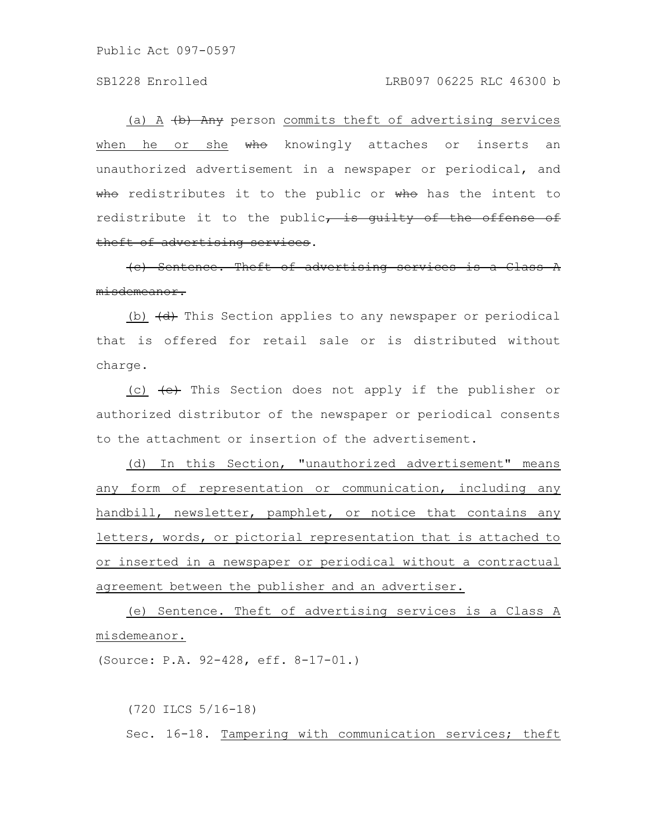## SB1228 Enrolled LRB097 06225 RLC 46300 b

(a) A  $\left\langle b\right\rangle$  Any person commits theft of advertising services when he or she who knowingly attaches or inserts an unauthorized advertisement in a newspaper or periodical, and who redistributes it to the public or who has the intent to redistribute it to the public, is guilty of the offense of theft of advertising services.

(c) Sentence. Theft of advertising services is a misdemeanor.

(b)  $\left\langle d \right\rangle$  This Section applies to any newspaper or periodical that is offered for retail sale or is distributed without charge.

(c)  $\left\lbrace \frac{1}{2} \right\rbrace$  This Section does not apply if the publisher or authorized distributor of the newspaper or periodical consents to the attachment or insertion of the advertisement.

(d) In this Section, "unauthorized advertisement" means any form of representation or communication, including any handbill, newsletter, pamphlet, or notice that contains any letters, words, or pictorial representation that is attached to or inserted in a newspaper or periodical without a contractual agreement between the publisher and an advertiser.

(e) Sentence. Theft of advertising services is a Class A misdemeanor.

(Source: P.A. 92-428, eff. 8-17-01.)

(720 ILCS 5/16-18) Sec. 16-18. Tampering with communication services; theft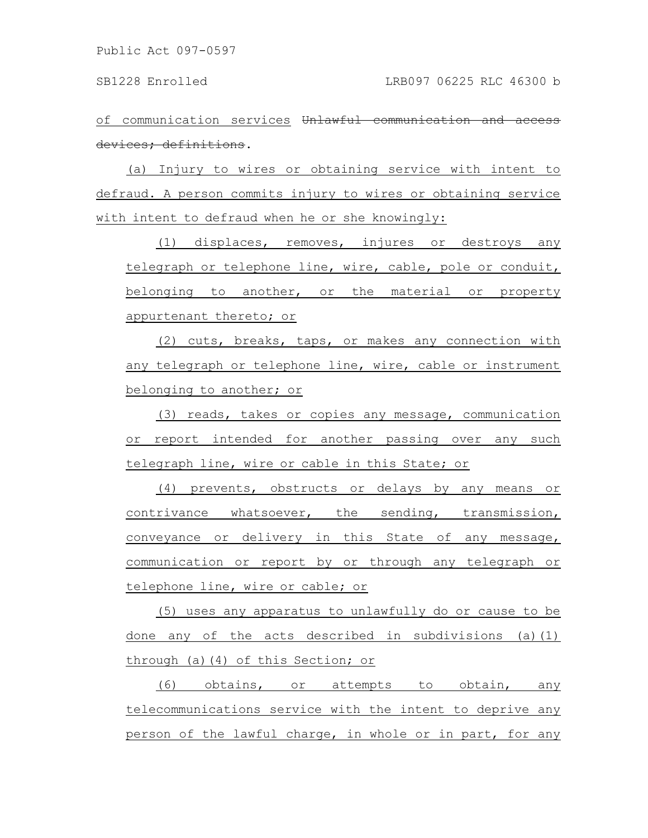of communication services Unlawful communication devices; definitions.

(a) Injury to wires or obtaining service with intent to defraud. A person commits injury to wires or obtaining service with intent to defraud when he or she knowingly:

(1) displaces, removes, injures or destroys any telegraph or telephone line, wire, cable, pole or conduit, belonging to another, or the material or property appurtenant thereto; or

(2) cuts, breaks, taps, or makes any connection with any telegraph or telephone line, wire, cable or instrument belonging to another; or

(3) reads, takes or copies any message, communication or report intended for another passing over any such telegraph line, wire or cable in this State; or

(4) prevents, obstructs or delays by any means or contrivance whatsoever, the sending, transmission, conveyance or delivery in this State of any message, communication or report by or through any telegraph or telephone line, wire or cable; or

(5) uses any apparatus to unlawfully do or cause to be done any of the acts described in subdivisions (a)(1) through (a)(4) of this Section; or

(6) obtains, or attempts to obtain, any telecommunications service with the intent to deprive any person of the lawful charge, in whole or in part, for any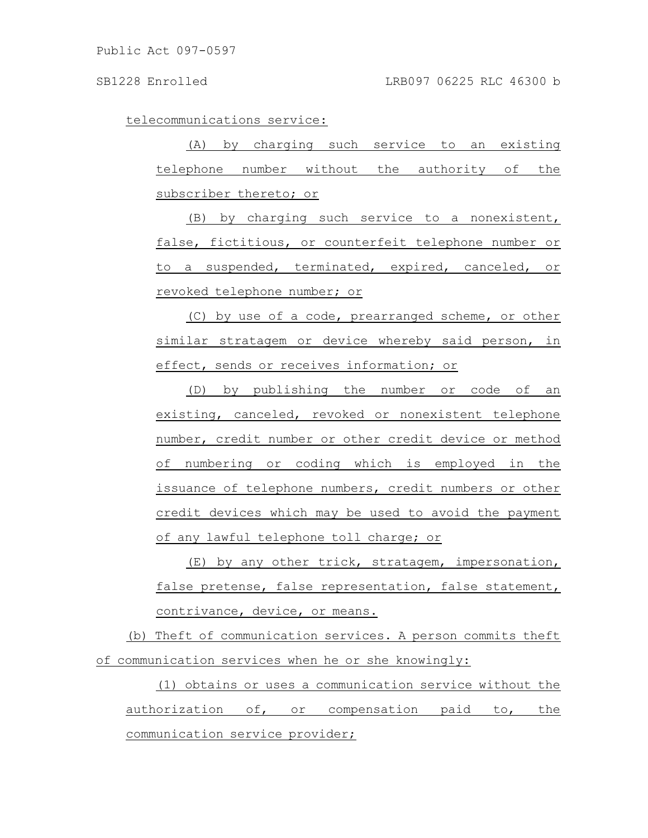telecommunications service:

(A) by charging such service to an existing telephone number without the authority of the subscriber thereto; or

(B) by charging such service to a nonexistent, false, fictitious, or counterfeit telephone number or to a suspended, terminated, expired, canceled, or revoked telephone number; or

(C) by use of a code, prearranged scheme, or other similar stratagem or device whereby said person, in effect, sends or receives information; or

(D) by publishing the number or code of an existing, canceled, revoked or nonexistent telephone number, credit number or other credit device or method of numbering or coding which is employed in the issuance of telephone numbers, credit numbers or other credit devices which may be used to avoid the payment of any lawful telephone toll charge; or

(E) by any other trick, stratagem, impersonation, false pretense, false representation, false statement, contrivance, device, or means.

(b) Theft of communication services. A person commits theft of communication services when he or she knowingly:

(1) obtains or uses a communication service without the authorization of, or compensation paid to, the communication service provider;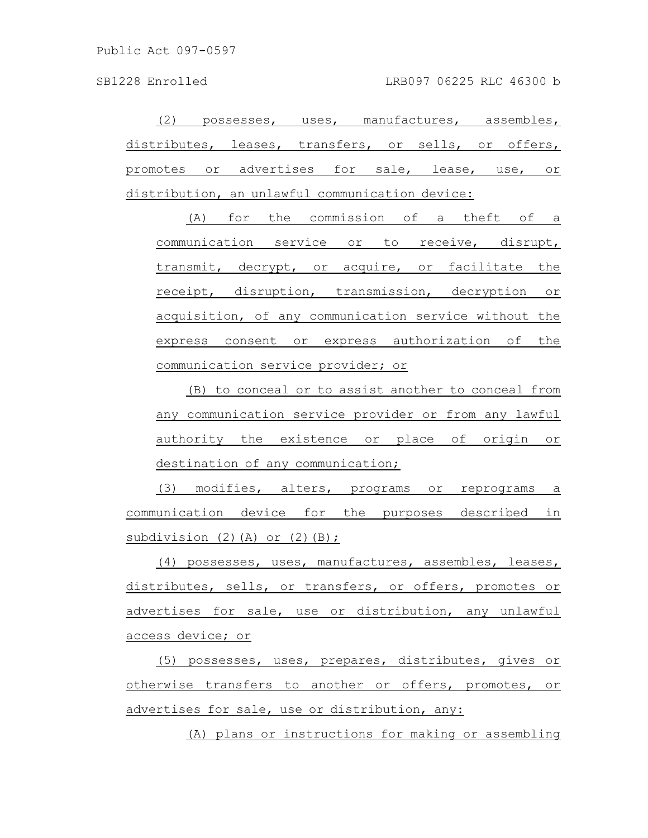(2) possesses, uses, manufactures, assembles, distributes, leases, transfers, or sells, or offers, promotes or advertises for sale, lease, use, or distribution, an unlawful communication device:

(A) for the commission of a theft of a communication service or to receive, disrupt, transmit, decrypt, or acquire, or facilitate the receipt, disruption, transmission, decryption or acquisition, of any communication service without the express consent or express authorization of the communication service provider; or

(B) to conceal or to assist another to conceal from any communication service provider or from any lawful authority the existence or place of origin or destination of any communication;

(3) modifies, alters, programs or reprograms a communication device for the purposes described in subdivision  $(2)$   $(A)$  or  $(2)$   $(B)$ ;

(4) possesses, uses, manufactures, assembles, leases, distributes, sells, or transfers, or offers, promotes or advertises for sale, use or distribution, any unlawful access device; or

(5) possesses, uses, prepares, distributes, gives or otherwise transfers to another or offers, promotes, or advertises for sale, use or distribution, any:

(A) plans or instructions for making or assembling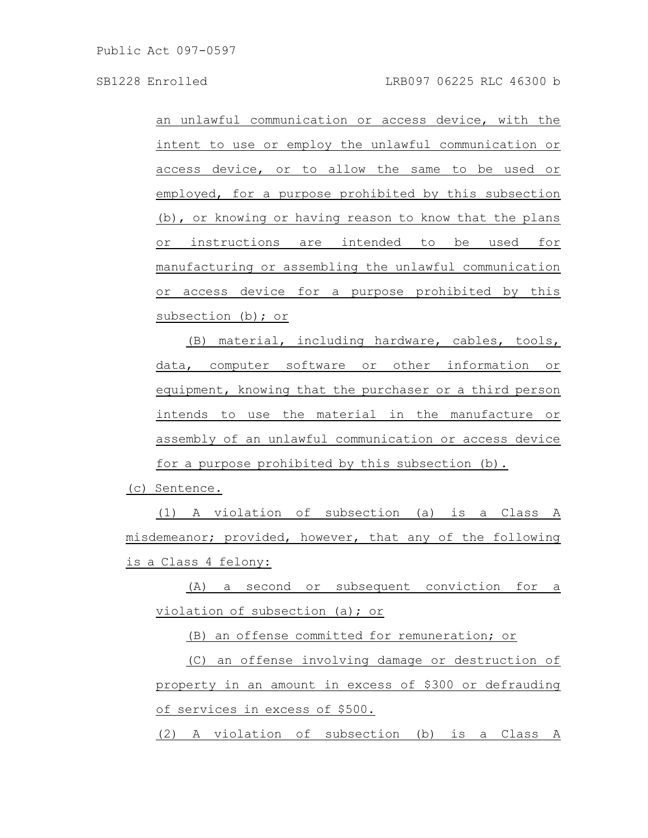an unlawful communication or access device, with the intent to use or employ the unlawful communication or access device, or to allow the same to be used or employed, for a purpose prohibited by this subsection (b), or knowing or having reason to know that the plans or instructions are intended to be used for manufacturing or assembling the unlawful communication or access device for a purpose prohibited by this subsection (b); or

(B) material, including hardware, cables, tools, data, computer software or other information or equipment, knowing that the purchaser or a third person intends to use the material in the manufacture or assembly of an unlawful communication or access device for a purpose prohibited by this subsection (b).

(c) Sentence.

(1) A violation of subsection (a) is a Class A misdemeanor; provided, however, that any of the following is a Class 4 felony:

(A) a second or subsequent conviction for a violation of subsection (a); or

(B) an offense committed for remuneration; or

(C) an offense involving damage or destruction of property in an amount in excess of \$300 or defrauding of services in excess of \$500.

(2) A violation of subsection (b) is a Class A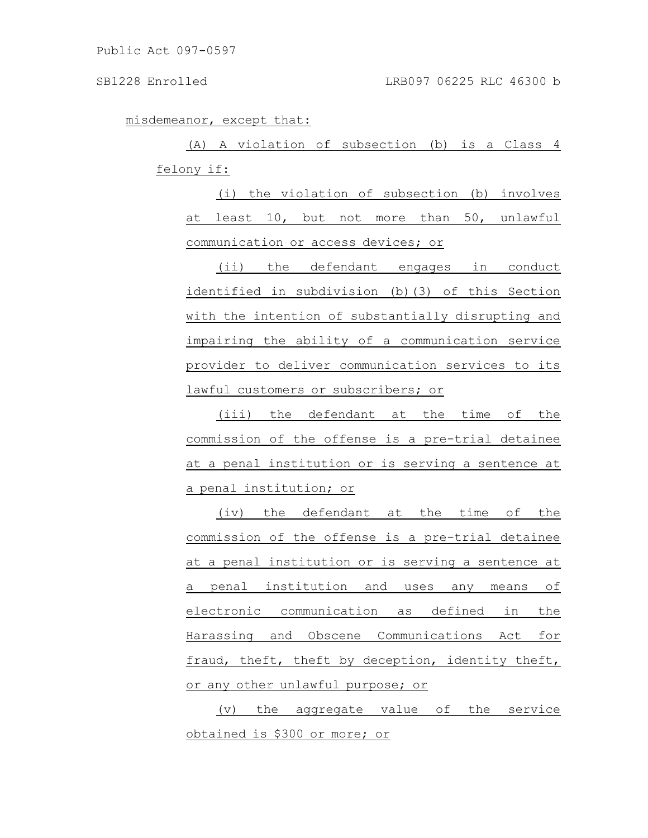misdemeanor, except that:

(A) A violation of subsection (b) is a Class 4 felony if:

(i) the violation of subsection (b) involves at least 10, but not more than 50, unlawful communication or access devices; or

(ii) the defendant engages in conduct identified in subdivision (b)(3) of this Section with the intention of substantially disrupting and impairing the ability of a communication service provider to deliver communication services to its lawful customers or subscribers; or

(iii) the defendant at the time of the commission of the offense is a pre-trial detainee at a penal institution or is serving a sentence at a penal institution; or

(iv) the defendant at the time of the commission of the offense is a pre-trial detainee at a penal institution or is serving a sentence at a penal institution and uses any means of electronic communication as defined in the Harassing and Obscene Communications Act for fraud, theft, theft by deception, identity theft, or any other unlawful purpose; or

(v) the aggregate value of the service obtained is \$300 or more; or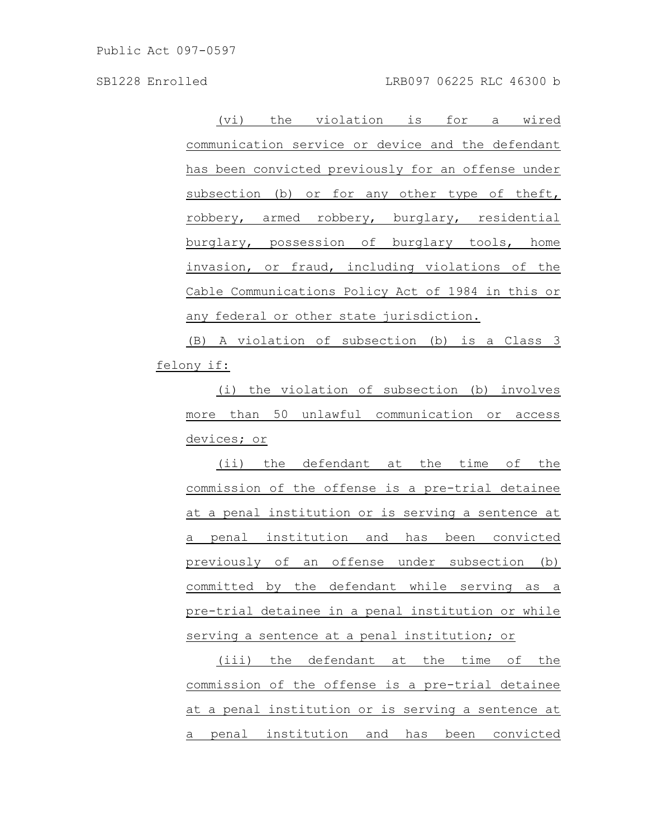(vi) the violation is for a wired communication service or device and the defendant has been convicted previously for an offense under subsection (b) or for any other type of theft, robbery, armed robbery, burglary, residential burglary, possession of burglary tools, home invasion, or fraud, including violations of the Cable Communications Policy Act of 1984 in this or any federal or other state jurisdiction.

(B) A violation of subsection (b) is a Class 3 felony if:

(i) the violation of subsection (b) involves more than 50 unlawful communication or access devices; or

(ii) the defendant at the time of the commission of the offense is a pre-trial detainee at a penal institution or is serving a sentence at a penal institution and has been convicted previously of an offense under subsection (b) committed by the defendant while serving as a pre-trial detainee in a penal institution or while serving a sentence at a penal institution; or

(iii) the defendant at the time of the commission of the offense is a pre-trial detainee at a penal institution or is serving a sentence at a penal institution and has been convicted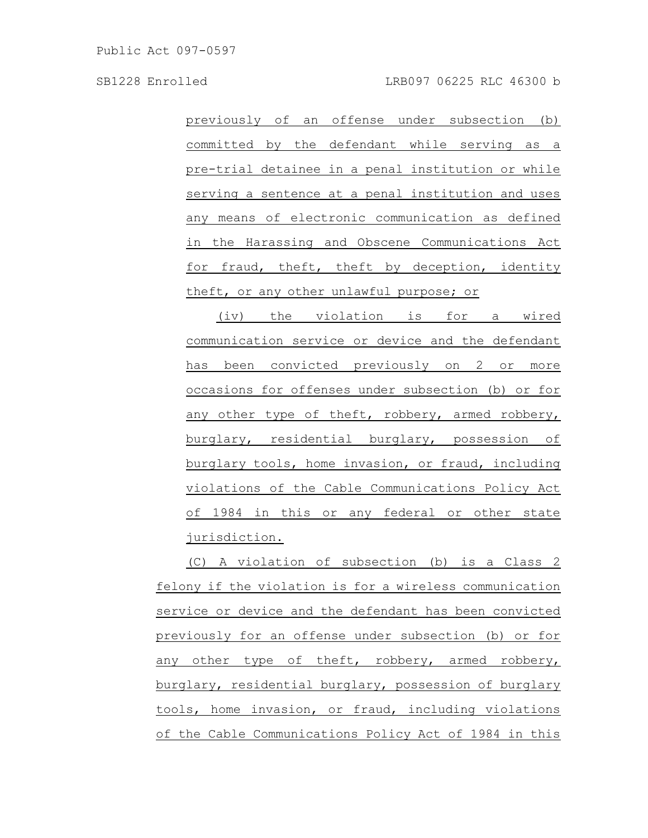SB1228 Enrolled LRB097 06225 RLC 46300 b

previously of an offense under subsection (b) committed by the defendant while serving as a pre-trial detainee in a penal institution or while serving a sentence at a penal institution and uses any means of electronic communication as defined in the Harassing and Obscene Communications Act for fraud, theft, theft by deception, identity theft, or any other unlawful purpose; or

(iv) the violation is for a wired communication service or device and the defendant has been convicted previously on 2 or more occasions for offenses under subsection (b) or for any other type of theft, robbery, armed robbery, burglary, residential burglary, possession of burglary tools, home invasion, or fraud, including violations of the Cable Communications Policy Act of 1984 in this or any federal or other state jurisdiction.

(C) A violation of subsection (b) is a Class 2 felony if the violation is for a wireless communication service or device and the defendant has been convicted previously for an offense under subsection (b) or for any other type of theft, robbery, armed robbery, burglary, residential burglary, possession of burglary tools, home invasion, or fraud, including violations of the Cable Communications Policy Act of 1984 in this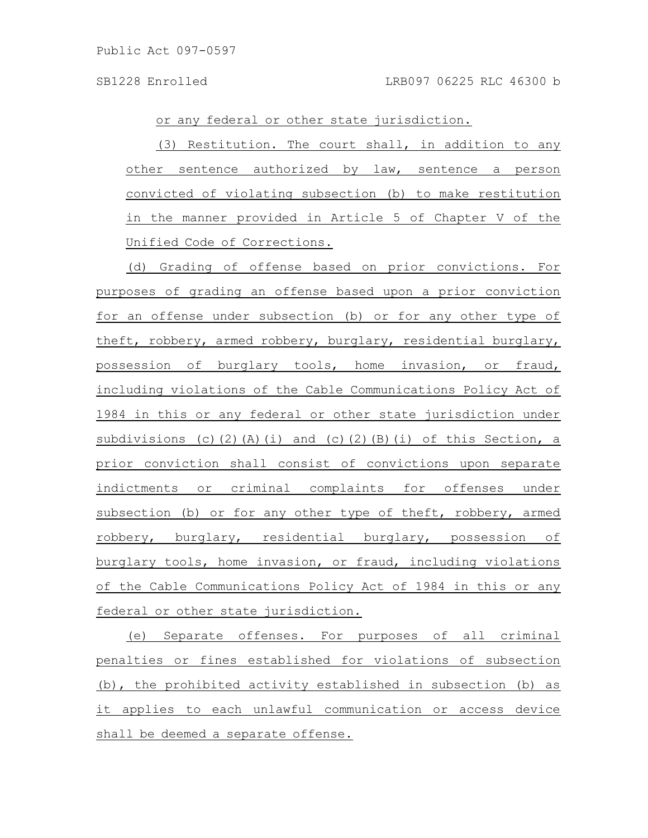or any federal or other state jurisdiction.

(3) Restitution. The court shall, in addition to any other sentence authorized by law, sentence a person convicted of violating subsection (b) to make restitution in the manner provided in Article 5 of Chapter V of the Unified Code of Corrections.

(d) Grading of offense based on prior convictions. For purposes of grading an offense based upon a prior conviction for an offense under subsection (b) or for any other type of theft, robbery, armed robbery, burglary, residential burglary, possession of burglary tools, home invasion, or fraud, including violations of the Cable Communications Policy Act of 1984 in this or any federal or other state jurisdiction under subdivisions (c)(2)(A)(i) and (c)(2)(B)(i) of this Section, a prior conviction shall consist of convictions upon separate indictments or criminal complaints for offenses under subsection (b) or for any other type of theft, robbery, armed robbery, burglary, residential burglary, possession of burglary tools, home invasion, or fraud, including violations of the Cable Communications Policy Act of 1984 in this or any federal or other state jurisdiction.

(e) Separate offenses. For purposes of all criminal penalties or fines established for violations of subsection (b), the prohibited activity established in subsection (b) as it applies to each unlawful communication or access device shall be deemed a separate offense.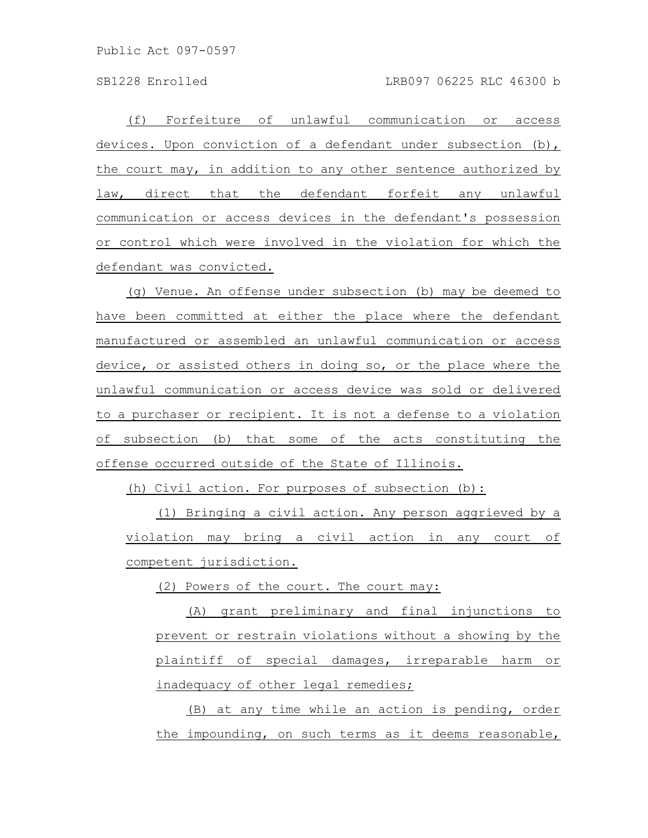(f) Forfeiture of unlawful communication or access devices. Upon conviction of a defendant under subsection (b), the court may, in addition to any other sentence authorized by law, direct that the defendant forfeit any unlawful communication or access devices in the defendant's possession or control which were involved in the violation for which the defendant was convicted.

(g) Venue. An offense under subsection (b) may be deemed to have been committed at either the place where the defendant manufactured or assembled an unlawful communication or access device, or assisted others in doing so, or the place where the unlawful communication or access device was sold or delivered to a purchaser or recipient. It is not a defense to a violation of subsection (b) that some of the acts constituting the offense occurred outside of the State of Illinois.

(h) Civil action. For purposes of subsection (b):

(1) Bringing a civil action. Any person aggrieved by a violation may bring a civil action in any court of competent jurisdiction.

(2) Powers of the court. The court may:

(A) grant preliminary and final injunctions to prevent or restrain violations without a showing by the plaintiff of special damages, irreparable harm or inadequacy of other legal remedies;

(B) at any time while an action is pending, order the impounding, on such terms as it deems reasonable,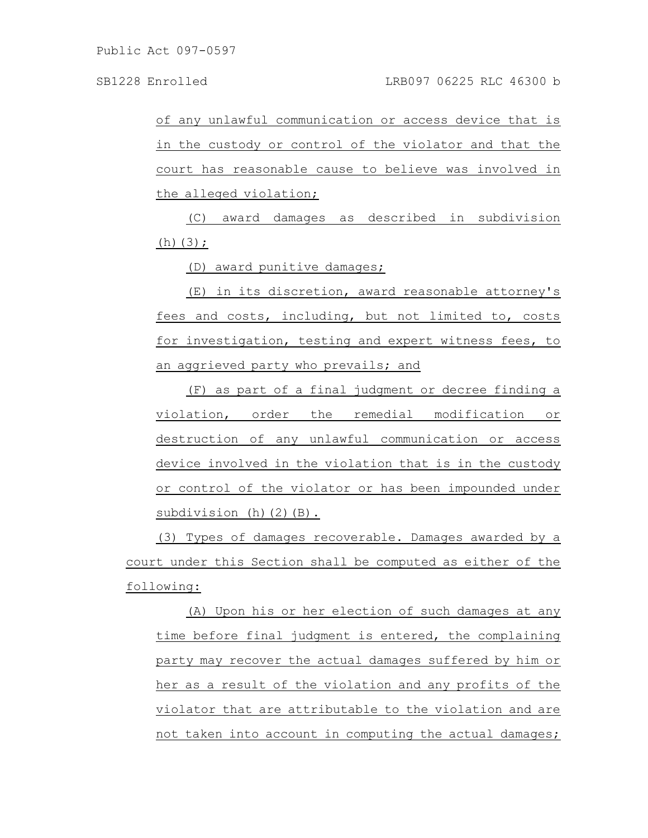of any unlawful communication or access device that is in the custody or control of the violator and that the court has reasonable cause to believe was involved in the alleged violation;

(C) award damages as described in subdivision  $(h)(3)$ ;

(D) award punitive damages;

(E) in its discretion, award reasonable attorney's fees and costs, including, but not limited to, costs for investigation, testing and expert witness fees, to an aggrieved party who prevails; and

(F) as part of a final judgment or decree finding a violation, order the remedial modification or destruction of any unlawful communication or access device involved in the violation that is in the custody or control of the violator or has been impounded under subdivision (h)(2)(B).

(3) Types of damages recoverable. Damages awarded by a court under this Section shall be computed as either of the following:

(A) Upon his or her election of such damages at any time before final judgment is entered, the complaining party may recover the actual damages suffered by him or her as a result of the violation and any profits of the violator that are attributable to the violation and are not taken into account in computing the actual damages;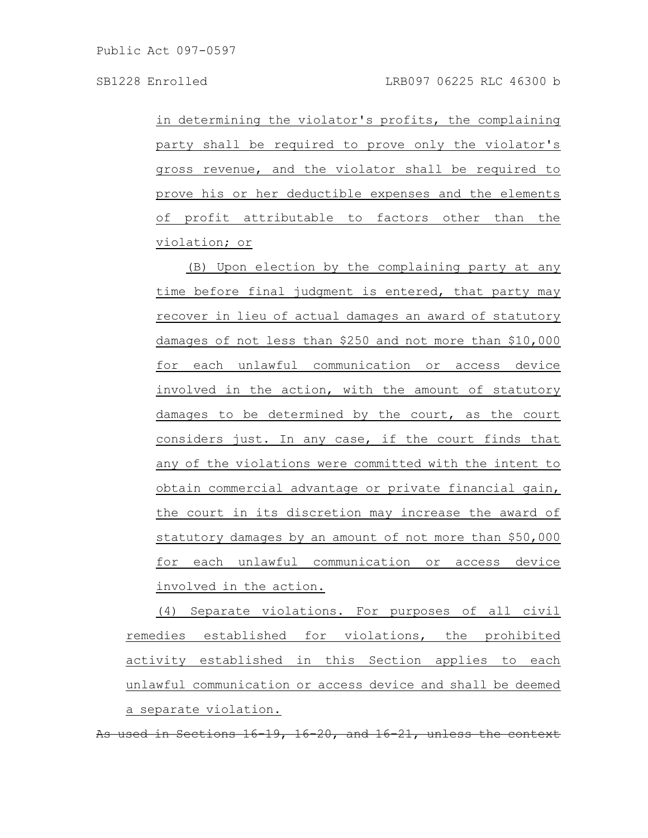in determining the violator's profits, the complaining party shall be required to prove only the violator's gross revenue, and the violator shall be required to prove his or her deductible expenses and the elements of profit attributable to factors other than the violation; or

(B) Upon election by the complaining party at any time before final judgment is entered, that party may recover in lieu of actual damages an award of statutory damages of not less than \$250 and not more than \$10,000 for each unlawful communication or access device involved in the action, with the amount of statutory damages to be determined by the court, as the court considers just. In any case, if the court finds that any of the violations were committed with the intent to obtain commercial advantage or private financial gain, the court in its discretion may increase the award of statutory damages by an amount of not more than \$50,000 for each unlawful communication or access device involved in the action.

(4) Separate violations. For purposes of all civil remedies established for violations, the prohibited activity established in this Section applies to each unlawful communication or access device and shall be deemed a separate violation.

Sections 16-19, 16-20, and 16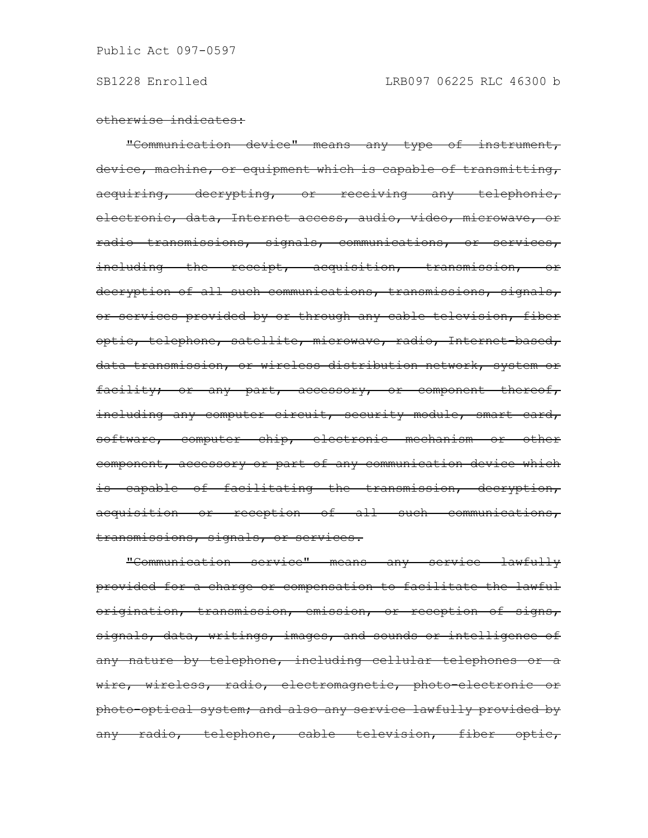otherwise indicates:

"Communication device" means any type of instrument, device, machine, or equipment which is capable of transmitting, acquiring, decrypting, or receiving any telephonic, electronic, data, Internet access, audio, video, microwave, or radio transmissions, signals, communications, or services, including the receipt, acquisition, transmission, or decryption of all such communications, transmissions, signals, or services provided by or through any cable television, fiber optic, telephone, satellite, microwave, radio, Internet based, data transmission, or wireless distribution network, system or facility; or any part, accessory, or component thereof, including any computer circuit, security module, smart card, software, computer chip, electronic mechanism or other component, accessory or part of any communication device which is capable of facilitating the transmission, decryption, acquisition or reception of all such communications, transmissions, signals, or services.

"Communication service" means any service lawfully provided for a charge or compensation to facilitate the lawful origination, transmission, emission, or reception of signs, signals, data, writings, images, and sounds or intelligence of any nature by telephone, including cellular telephones or a wire, wireless, radio, electromagnetic, photo-electronic or photo-optical system; and also any service lawfully provided by any radio, telephone, cable television, fiber optic,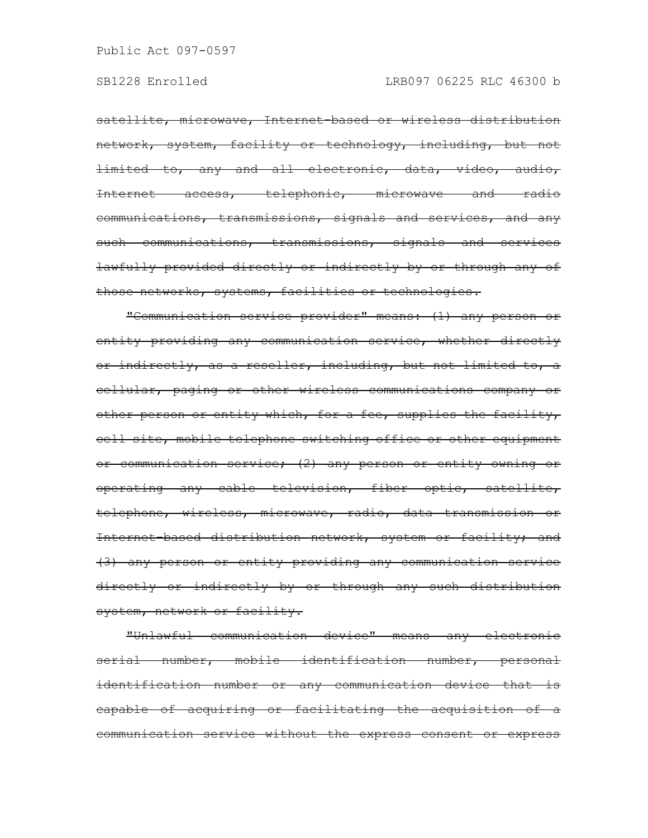satellite, microwave, Internet-based or wireless distribution network, system, facility or technology, including, but not limited to, any and all electronic, data, video, audio, Internet access, telephonic, microwave and radio communications, transmissions, signals and services, and any such communications, transmissions, signals and services lawfully provided directly or indirectly by or through any of those networks, systems, facilities or technologies.

"Communication service provider" means: (1) any person or entity providing any communication service, whether directly or indirectly, as a reseller, including, but not limited to, a cellular, paging or other wireless communications company or other person or entity which, for a fee, supplies the facility, cell site, mobile telephone switching office or other equipment or communication service; (2) any person or entity owning or operating any cable television, fiber optic, satellite, telephone, wireless, microwave, radio, data transmission or Internet based distribution network, system or facility; and (3) any person or entity providing any communication service directly or indirectly by or through any such distribution system, network or facility.

"Unlawful communication device" means any electronic serial number, mobile identification number, personal identification number or any communication device that is capable of acquiring or facilitating the acquisition of a communication service without the express consent or express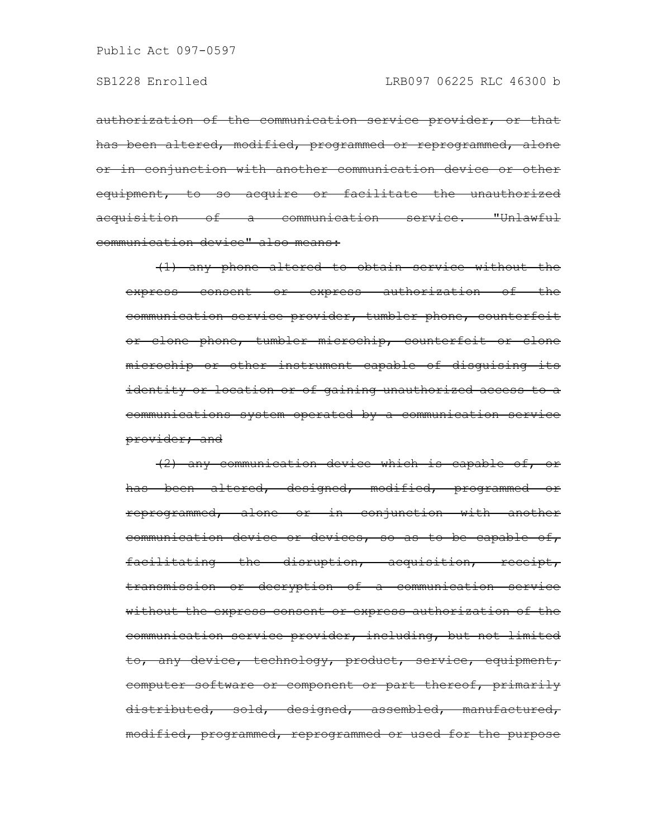authorization of the communication service provider, or that has been altered, modified, programmed or reprogrammed, alone or in conjunction with another communication device or other equipment, to so acquire or facilitate the unauthorized acquisition of a communication service. "Unlawful communication device" also means:

(1) any phone altered to obtain service without the express consent or express authorization of the communication service provider, tumbler phone, counterfeit or clone phone, tumbler microchip, counterfeit or clone microchip or other instrument capable of disguising its identity or location or of gaining unauthorized access to a communications system operated by a communication service provider; and

(2) any communication device which is capable of, or has been altered, designed, modified, programmed or reprogrammed, alone or in conjunction with another communication device or devices, so as to be capable of, facilitating the disruption, acquisition, receipt, transmission or decryption of a communication service without the express consent or express authorization of the communication service provider, including, but not limited to, any device, technology, product, service, equipment, computer software or component or part thereof, primarily distributed, sold, designed, assembled, manufactured, modified, programmed, reprogrammed or used for the purpose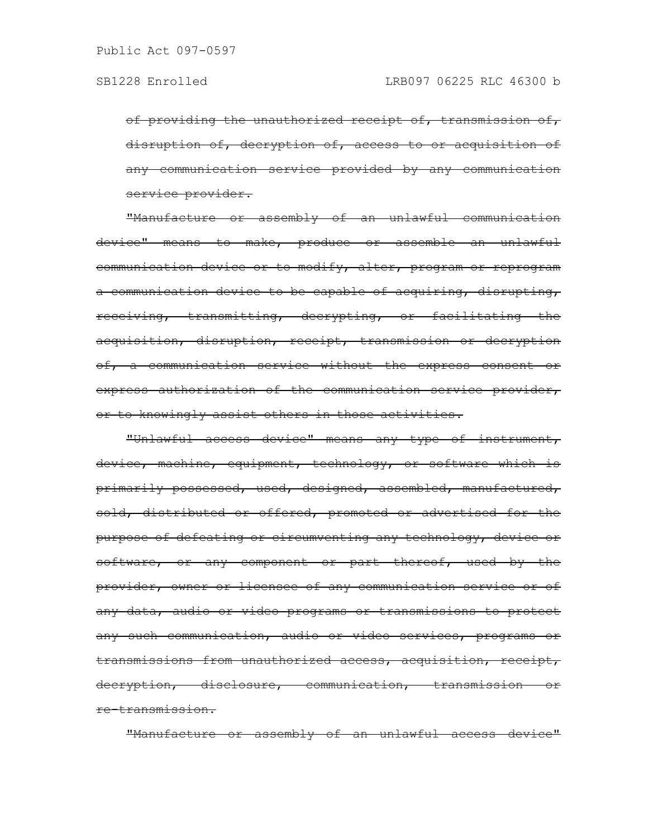of providing the unauthorized receipt of, transmission of, disruption of, decryption of, access to or acquisition of any communication service provided by any communication service provider.

"Manufacture or assembly of an unlawful communication device" means to make, produce or assemble an unlawful communication device or to modify, alter, program or reprogram a communication device to be capable of acquiring, disrupting, receiving, transmitting, decrypting, or facilitating the acquisition, disruption, receipt, transmission or decryption of, a communication service without the express consent or express authorization of the communication service provider, or to knowingly assist others in those activities.

"Unlawful access device" means any type of instrument, device, machine, equipment, technology, or software which is primarily possessed, used, designed, assembled, manufactured, sold, distributed or offered, promoted or advertised for the purpose of defeating or circumventing any technology, device or software, or any component or part thereof, used by the provider, owner or licensee of any communication service or of any data, audio or video programs or transmissions to protect any such communication, audio or video services, programs or transmissions from unauthorized access, acquisition, receipt, decryption, disclosure, communication, transmission or re-transmission.

"Manufacture or assembly of an unlawful access device"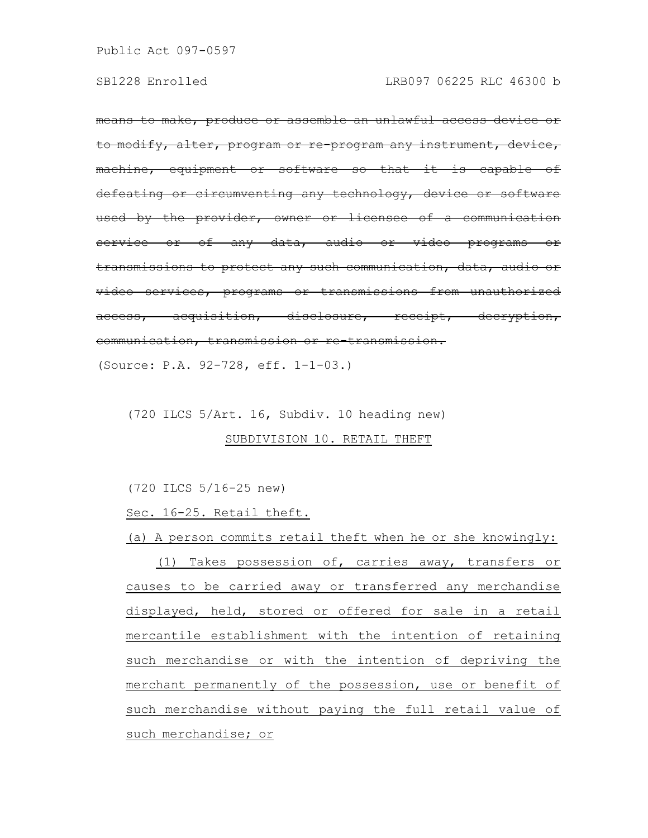means to make, produce or assemble an unlawful access device or to modify, alter, program or re-program any instrument, machine, equipment or software so that defeating or circumventing any technology, device used by the provider, owner or licensee of a communication service or of any data, audio or video programs transmissions to protect any such communication, data, audio or video services, programs or transmissions from unauthorized access, acquisition, disclosure, receipt, decryption, communication, transmission or re-transmission. (Source: P.A. 92-728, eff. 1-1-03.)

(720 ILCS 5/Art. 16, Subdiv. 10 heading new)

## SUBDIVISION 10. RETAIL THEFT

(720 ILCS 5/16-25 new)

Sec. 16-25. Retail theft.

(a) A person commits retail theft when he or she knowingly:

(1) Takes possession of, carries away, transfers or causes to be carried away or transferred any merchandise displayed, held, stored or offered for sale in a retail mercantile establishment with the intention of retaining such merchandise or with the intention of depriving the merchant permanently of the possession, use or benefit of such merchandise without paying the full retail value of such merchandise; or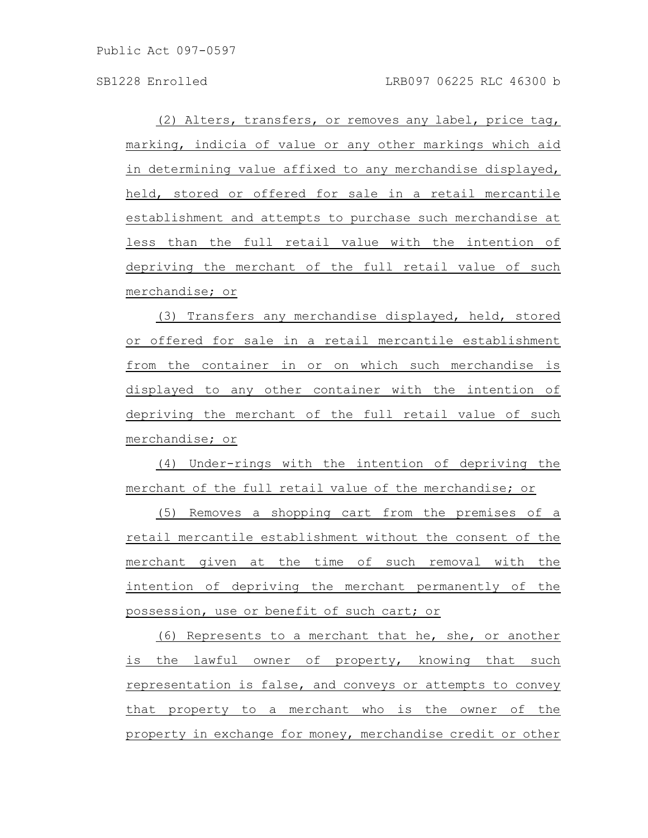(2) Alters, transfers, or removes any label, price tag, marking, indicia of value or any other markings which aid in determining value affixed to any merchandise displayed, held, stored or offered for sale in a retail mercantile establishment and attempts to purchase such merchandise at less than the full retail value with the intention of depriving the merchant of the full retail value of such merchandise; or

(3) Transfers any merchandise displayed, held, stored or offered for sale in a retail mercantile establishment from the container in or on which such merchandise is displayed to any other container with the intention of depriving the merchant of the full retail value of such merchandise; or

(4) Under-rings with the intention of depriving the merchant of the full retail value of the merchandise; or

(5) Removes a shopping cart from the premises of a retail mercantile establishment without the consent of the merchant given at the time of such removal with the intention of depriving the merchant permanently of the possession, use or benefit of such cart; or

(6) Represents to a merchant that he, she, or another is the lawful owner of property, knowing that such representation is false, and conveys or attempts to convey that property to a merchant who is the owner of the property in exchange for money, merchandise credit or other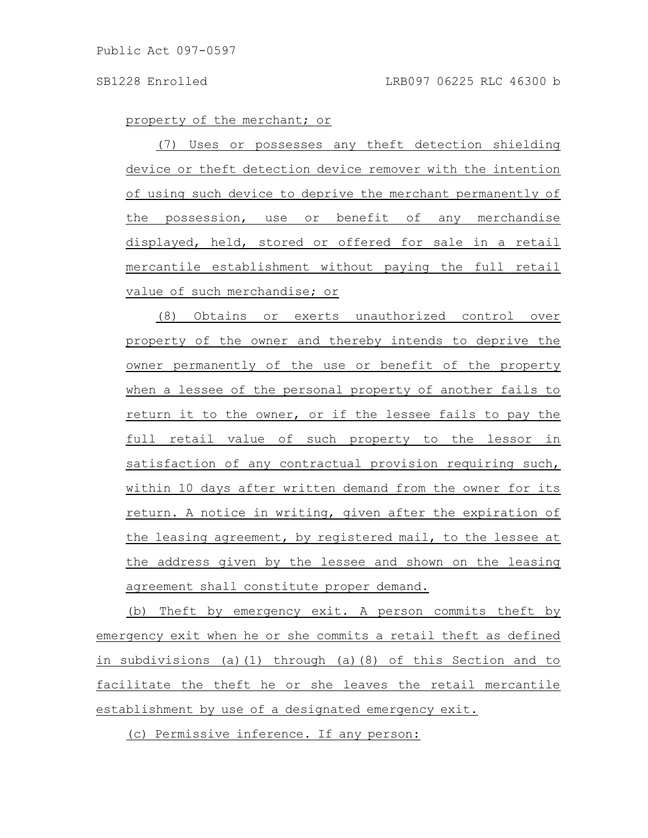property of the merchant; or

(7) Uses or possesses any theft detection shielding device or theft detection device remover with the intention of using such device to deprive the merchant permanently of the possession, use or benefit of any merchandise displayed, held, stored or offered for sale in a retail mercantile establishment without paying the full retail value of such merchandise; or

(8) Obtains or exerts unauthorized control over property of the owner and thereby intends to deprive the owner permanently of the use or benefit of the property when a lessee of the personal property of another fails to return it to the owner, or if the lessee fails to pay the full retail value of such property to the lessor in satisfaction of any contractual provision requiring such, within 10 days after written demand from the owner for its return. A notice in writing, given after the expiration of the leasing agreement, by registered mail, to the lessee at the address given by the lessee and shown on the leasing agreement shall constitute proper demand.

(b) Theft by emergency exit. A person commits theft by emergency exit when he or she commits a retail theft as defined in subdivisions (a)(1) through (a)(8) of this Section and to facilitate the theft he or she leaves the retail mercantile establishment by use of a designated emergency exit.

(c) Permissive inference. If any person: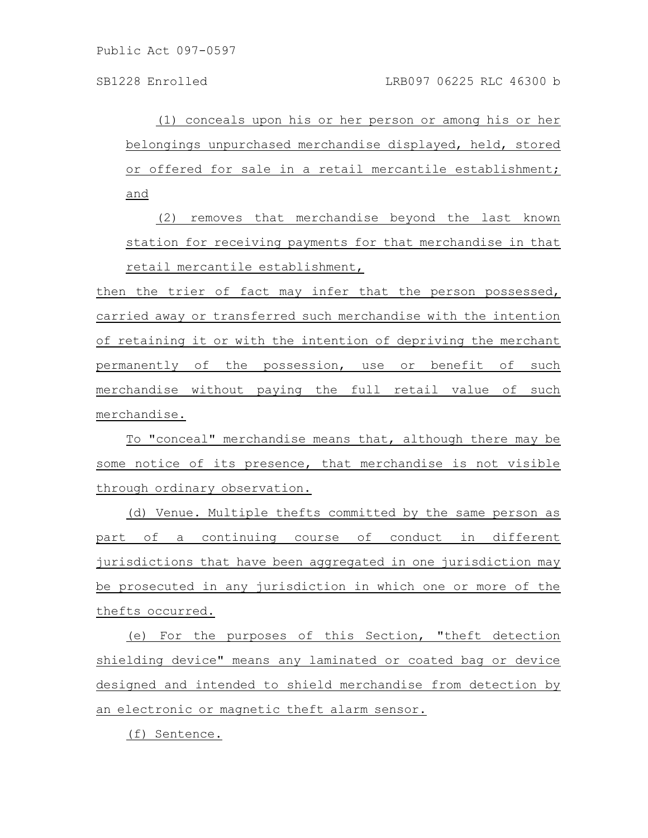(1) conceals upon his or her person or among his or her belongings unpurchased merchandise displayed, held, stored or offered for sale in a retail mercantile establishment; and

(2) removes that merchandise beyond the last known station for receiving payments for that merchandise in that retail mercantile establishment,

then the trier of fact may infer that the person possessed, carried away or transferred such merchandise with the intention of retaining it or with the intention of depriving the merchant permanently of the possession, use or benefit of such merchandise without paying the full retail value of such merchandise.

To "conceal" merchandise means that, although there may be some notice of its presence, that merchandise is not visible through ordinary observation.

(d) Venue. Multiple thefts committed by the same person as part of a continuing course of conduct in different jurisdictions that have been aggregated in one jurisdiction may be prosecuted in any jurisdiction in which one or more of the thefts occurred.

(e) For the purposes of this Section, "theft detection shielding device" means any laminated or coated bag or device designed and intended to shield merchandise from detection by an electronic or magnetic theft alarm sensor.

(f) Sentence.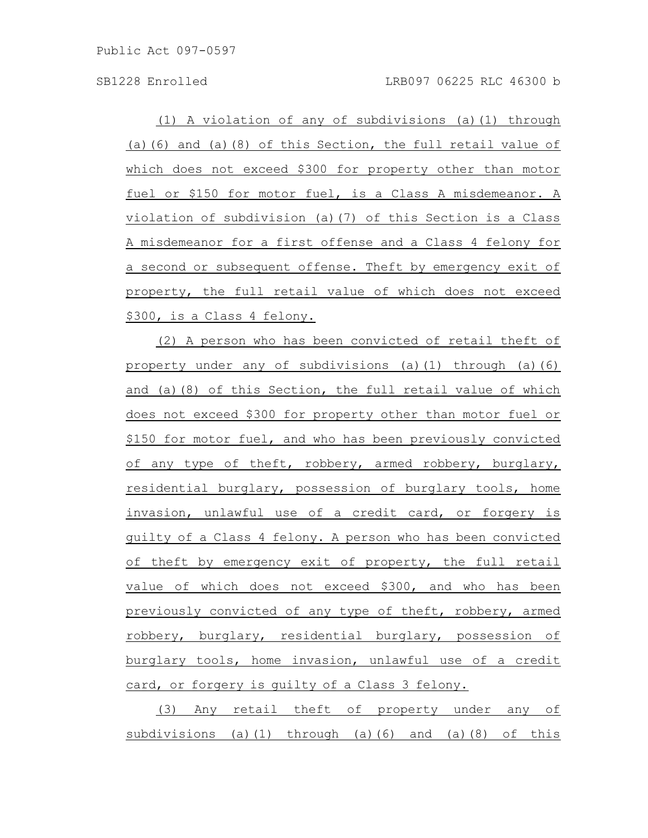(1) A violation of any of subdivisions (a)(1) through (a)(6) and (a)(8) of this Section, the full retail value of which does not exceed \$300 for property other than motor fuel or \$150 for motor fuel, is a Class A misdemeanor. A violation of subdivision (a)(7) of this Section is a Class A misdemeanor for a first offense and a Class 4 felony for a second or subsequent offense. Theft by emergency exit of property, the full retail value of which does not exceed \$300, is a Class 4 felony.

(2) A person who has been convicted of retail theft of property under any of subdivisions (a)(1) through (a)(6) and (a)(8) of this Section, the full retail value of which does not exceed \$300 for property other than motor fuel or \$150 for motor fuel, and who has been previously convicted of any type of theft, robbery, armed robbery, burglary, residential burglary, possession of burglary tools, home invasion, unlawful use of a credit card, or forgery is guilty of a Class 4 felony. A person who has been convicted of theft by emergency exit of property, the full retail value of which does not exceed \$300, and who has been previously convicted of any type of theft, robbery, armed robbery, burglary, residential burglary, possession of burglary tools, home invasion, unlawful use of a credit card, or forgery is guilty of a Class 3 felony.

(3) Any retail theft of property under any of subdivisions (a)(1) through (a)(6) and (a)(8) of this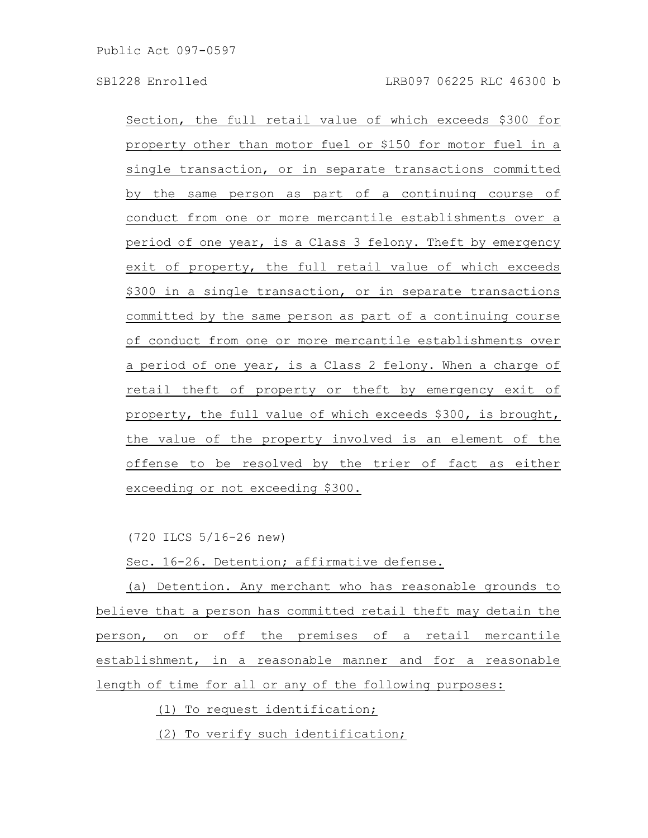Section, the full retail value of which exceeds \$300 for property other than motor fuel or \$150 for motor fuel in a single transaction, or in separate transactions committed by the same person as part of a continuing course of conduct from one or more mercantile establishments over a period of one year, is a Class 3 felony. Theft by emergency exit of property, the full retail value of which exceeds \$300 in a single transaction, or in separate transactions committed by the same person as part of a continuing course of conduct from one or more mercantile establishments over a period of one year, is a Class 2 felony. When a charge of retail theft of property or theft by emergency exit of property, the full value of which exceeds \$300, is brought, the value of the property involved is an element of the offense to be resolved by the trier of fact as either exceeding or not exceeding \$300.

(720 ILCS 5/16-26 new)

Sec. 16-26. Detention; affirmative defense.

(a) Detention. Any merchant who has reasonable grounds to believe that a person has committed retail theft may detain the person, on or off the premises of a retail mercantile establishment, in a reasonable manner and for a reasonable length of time for all or any of the following purposes:

(1) To request identification;

(2) To verify such identification;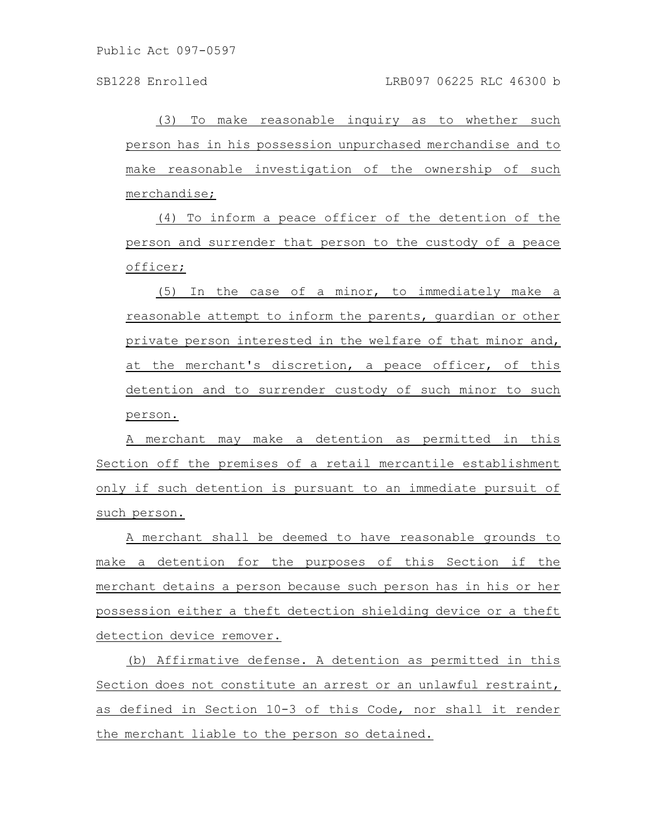(3) To make reasonable inquiry as to whether such person has in his possession unpurchased merchandise and to make reasonable investigation of the ownership of such merchandise;

(4) To inform a peace officer of the detention of the person and surrender that person to the custody of a peace officer;

(5) In the case of a minor, to immediately make a reasonable attempt to inform the parents, guardian or other private person interested in the welfare of that minor and, at the merchant's discretion, a peace officer, of this detention and to surrender custody of such minor to such person.

A merchant may make a detention as permitted in this Section off the premises of a retail mercantile establishment only if such detention is pursuant to an immediate pursuit of such person.

A merchant shall be deemed to have reasonable grounds to make a detention for the purposes of this Section if the merchant detains a person because such person has in his or her possession either a theft detection shielding device or a theft detection device remover.

(b) Affirmative defense. A detention as permitted in this Section does not constitute an arrest or an unlawful restraint, as defined in Section 10-3 of this Code, nor shall it render the merchant liable to the person so detained.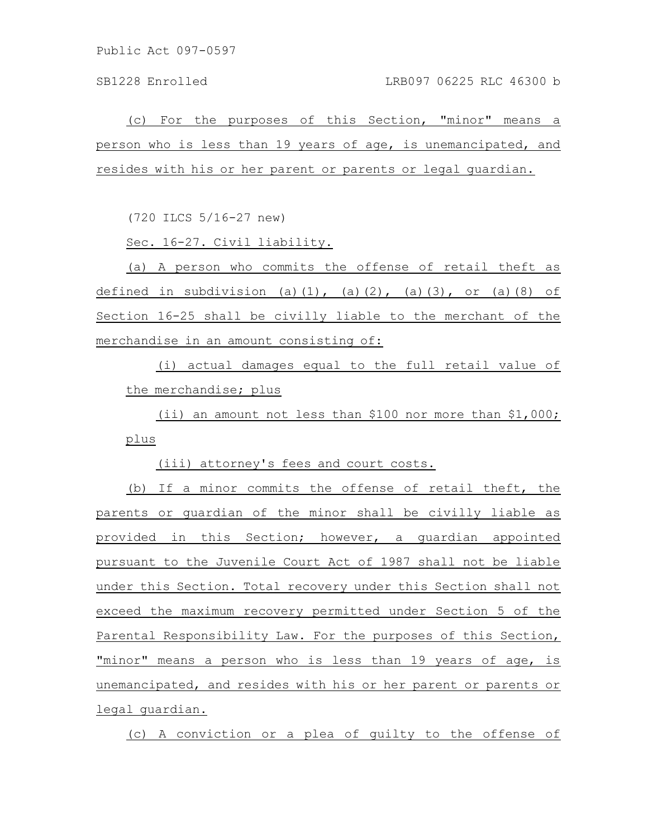(c) For the purposes of this Section, "minor" means a person who is less than 19 years of age, is unemancipated, and resides with his or her parent or parents or legal guardian.

(720 ILCS 5/16-27 new)

Sec. 16-27. Civil liability.

(a) A person who commits the offense of retail theft as defined in subdivision (a)(1), (a)(2), (a)(3), or (a)(8) of Section 16-25 shall be civilly liable to the merchant of the merchandise in an amount consisting of:

(i) actual damages equal to the full retail value of the merchandise; plus

(ii) an amount not less than \$100 nor more than \$1,000; plus

(iii) attorney's fees and court costs.

(b) If a minor commits the offense of retail theft, the parents or guardian of the minor shall be civilly liable as provided in this Section; however, a quardian appointed pursuant to the Juvenile Court Act of 1987 shall not be liable under this Section. Total recovery under this Section shall not exceed the maximum recovery permitted under Section 5 of the Parental Responsibility Law. For the purposes of this Section, "minor" means a person who is less than 19 years of age, is unemancipated, and resides with his or her parent or parents or legal guardian.

(c) A conviction or a plea of guilty to the offense of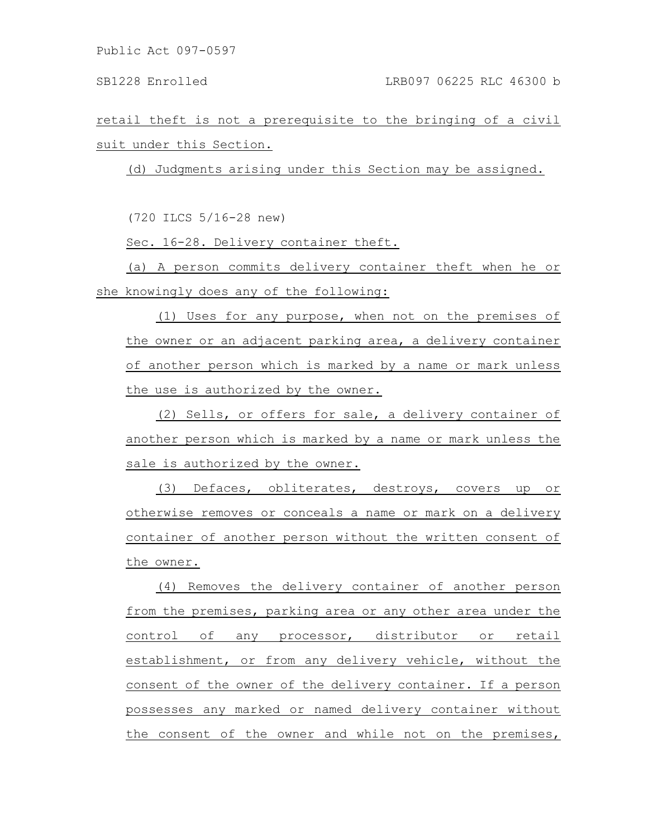retail theft is not a prerequisite to the bringing of a civil suit under this Section.

(d) Judgments arising under this Section may be assigned.

(720 ILCS 5/16-28 new)

Sec. 16-28. Delivery container theft.

(a) A person commits delivery container theft when he or she knowingly does any of the following:

(1) Uses for any purpose, when not on the premises of the owner or an adjacent parking area, a delivery container of another person which is marked by a name or mark unless the use is authorized by the owner.

(2) Sells, or offers for sale, a delivery container of another person which is marked by a name or mark unless the sale is authorized by the owner.

(3) Defaces, obliterates, destroys, covers up or otherwise removes or conceals a name or mark on a delivery container of another person without the written consent of the owner.

(4) Removes the delivery container of another person from the premises, parking area or any other area under the control of any processor, distributor or retail establishment, or from any delivery vehicle, without the consent of the owner of the delivery container. If a person possesses any marked or named delivery container without the consent of the owner and while not on the premises,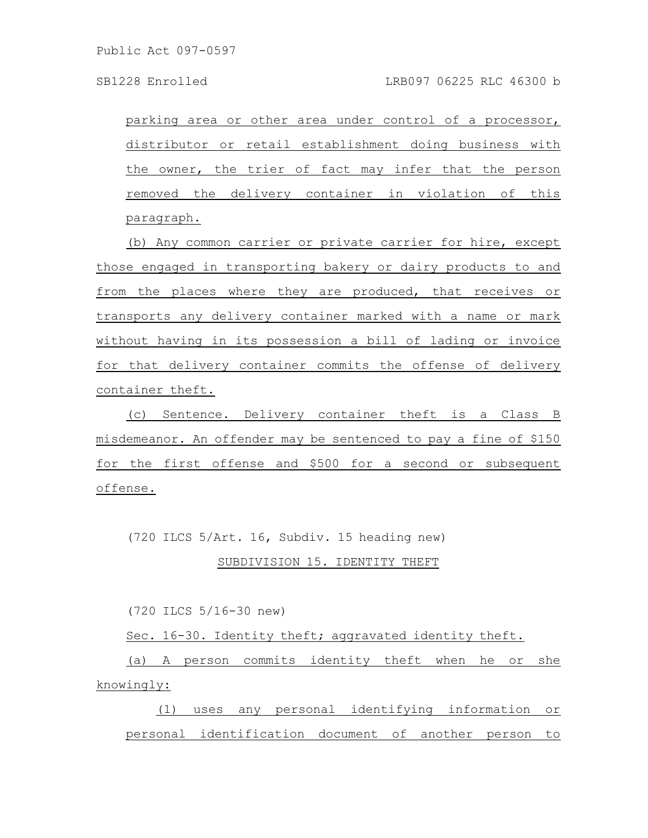parking area or other area under control of a processor, distributor or retail establishment doing business with the owner, the trier of fact may infer that the person removed the delivery container in violation of this paragraph.

(b) Any common carrier or private carrier for hire, except those engaged in transporting bakery or dairy products to and from the places where they are produced, that receives or transports any delivery container marked with a name or mark without having in its possession a bill of lading or invoice for that delivery container commits the offense of delivery container theft.

(c) Sentence. Delivery container theft is a Class B misdemeanor. An offender may be sentenced to pay a fine of \$150 for the first offense and \$500 for a second or subsequent offense.

(720 ILCS 5/Art. 16, Subdiv. 15 heading new)

# SUBDIVISION 15. IDENTITY THEFT

(720 ILCS 5/16-30 new)

Sec. 16-30. Identity theft; aggravated identity theft.

(a) A person commits identity theft when he or she knowingly:

(1) uses any personal identifying information or personal identification document of another person to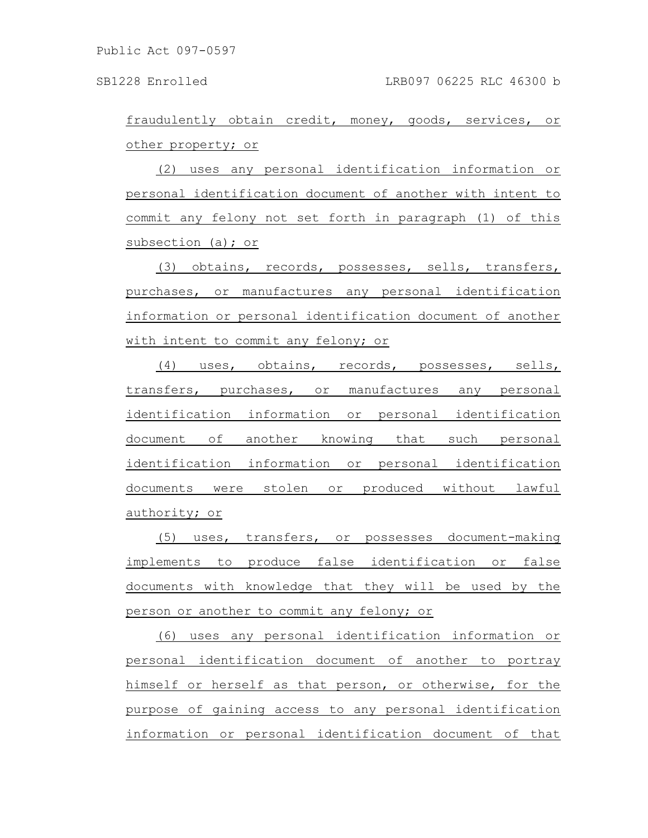fraudulently obtain credit, money, goods, services, or other property; or

(2) uses any personal identification information or personal identification document of another with intent to commit any felony not set forth in paragraph (1) of this subsection (a); or

(3) obtains, records, possesses, sells, transfers, purchases, or manufactures any personal identification information or personal identification document of another with intent to commit any felony; or

(4) uses, obtains, records, possesses, sells, transfers, purchases, or manufactures any personal identification information or personal identification document of another knowing that such personal identification information or personal identification documents were stolen or produced without lawful authority; or

(5) uses, transfers, or possesses document-making implements to produce false identification or false documents with knowledge that they will be used by the person or another to commit any felony; or

(6) uses any personal identification information or personal identification document of another to portray himself or herself as that person, or otherwise, for the purpose of gaining access to any personal identification information or personal identification document of that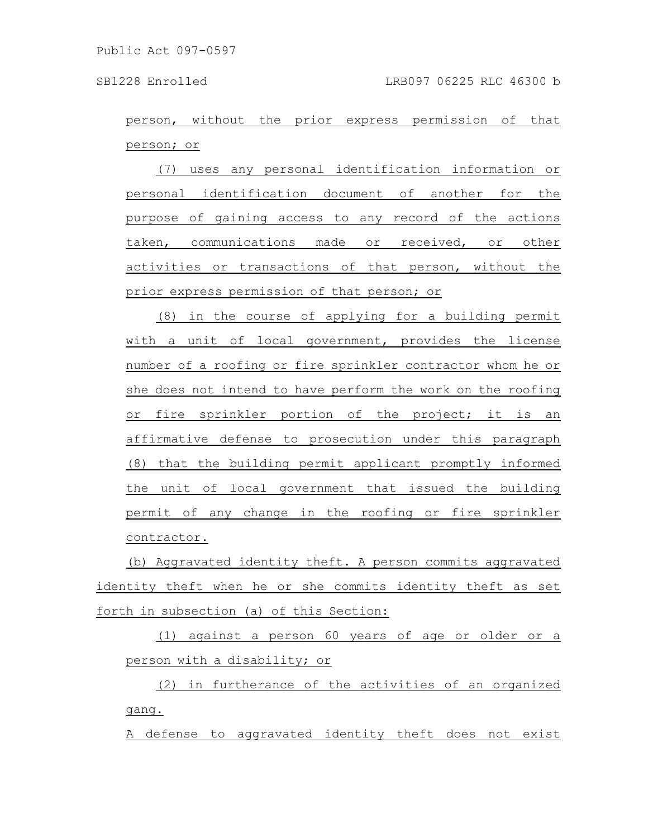person, without the prior express permission of that person; or

(7) uses any personal identification information or personal identification document of another for the purpose of gaining access to any record of the actions taken, communications made or received, or other activities or transactions of that person, without the prior express permission of that person; or

(8) in the course of applying for a building permit with a unit of local government, provides the license number of a roofing or fire sprinkler contractor whom he or she does not intend to have perform the work on the roofing or fire sprinkler portion of the project; it is an affirmative defense to prosecution under this paragraph (8) that the building permit applicant promptly informed the unit of local government that issued the building permit of any change in the roofing or fire sprinkler contractor.

(b) Aggravated identity theft. A person commits aggravated identity theft when he or she commits identity theft as set forth in subsection (a) of this Section:

(1) against a person 60 years of age or older or a person with a disability; or

(2) in furtherance of the activities of an organized gang.

A defense to aggravated identity theft does not exist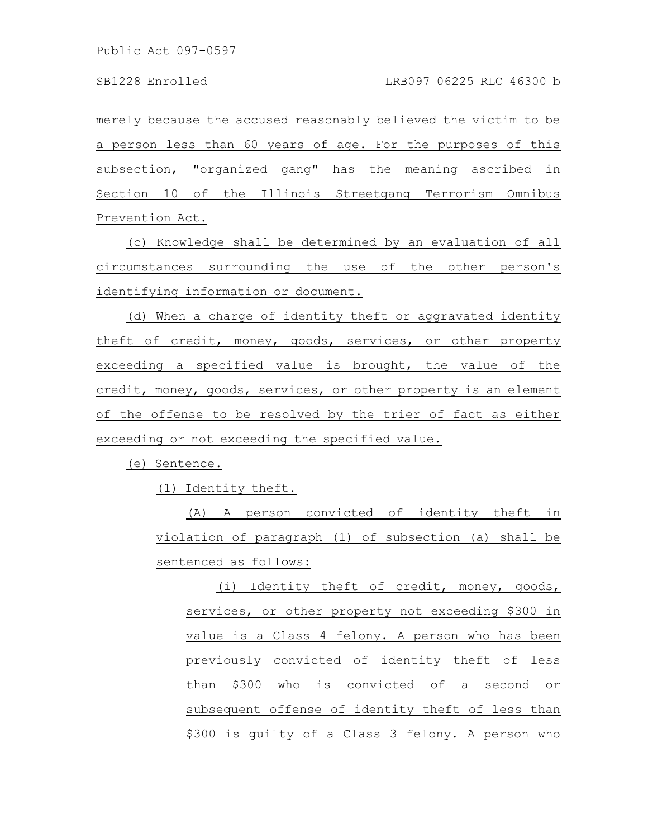merely because the accused reasonably believed the victim to be a person less than 60 years of age. For the purposes of this subsection, "organized gang" has the meaning ascribed in Section 10 of the Illinois Streetgang Terrorism Omnibus Prevention Act.

(c) Knowledge shall be determined by an evaluation of all circumstances surrounding the use of the other person's identifying information or document.

(d) When a charge of identity theft or aggravated identity theft of credit, money, goods, services, or other property exceeding a specified value is brought, the value of the credit, money, goods, services, or other property is an element of the offense to be resolved by the trier of fact as either exceeding or not exceeding the specified value.

(e) Sentence.

(1) Identity theft.

(A) A person convicted of identity theft in violation of paragraph (1) of subsection (a) shall be sentenced as follows:

(i) Identity theft of credit, money, goods, services, or other property not exceeding \$300 in value is a Class 4 felony. A person who has been previously convicted of identity theft of less than \$300 who is convicted of a second or subsequent offense of identity theft of less than \$300 is guilty of a Class 3 felony. A person who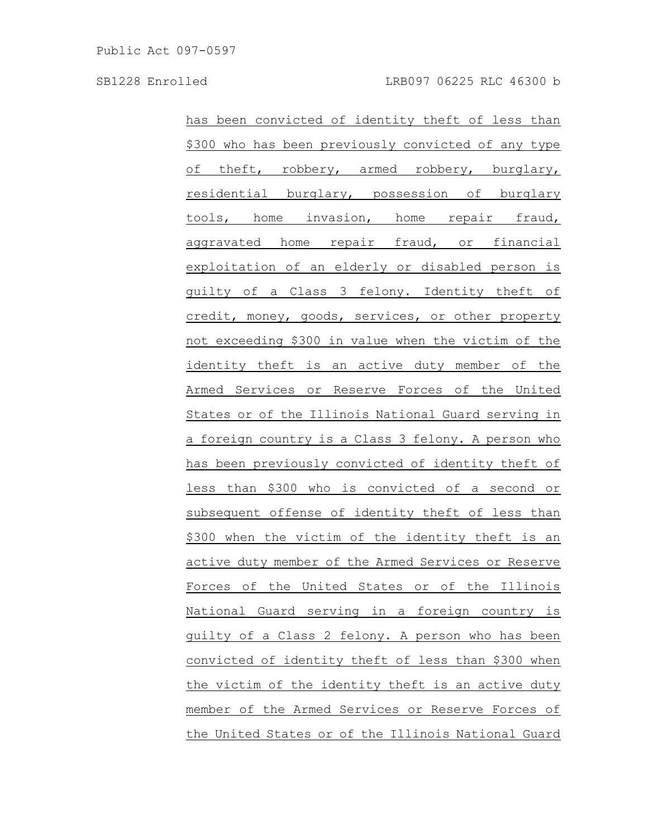has been convicted of identity theft of less than \$300 who has been previously convicted of any type of theft, robbery, armed robbery, burglary, residential burglary, possession of burglary tools, home invasion, home repair fraud, aggravated home repair fraud, or financial exploitation of an elderly or disabled person is guilty of a Class 3 felony. Identity theft of credit, money, goods, services, or other property not exceeding \$300 in value when the victim of the identity theft is an active duty member of the Armed Services or Reserve Forces of the United States or of the Illinois National Guard serving in a foreign country is a Class 3 felony. A person who has been previously convicted of identity theft of less than \$300 who is convicted of a second or subsequent offense of identity theft of less than \$300 when the victim of the identity theft is an active duty member of the Armed Services or Reserve Forces of the United States or of the Illinois National Guard serving in a foreign country is guilty of a Class 2 felony. A person who has been convicted of identity theft of less than \$300 when the victim of the identity theft is an active duty member of the Armed Services or Reserve Forces of the United States or of the Illinois National Guard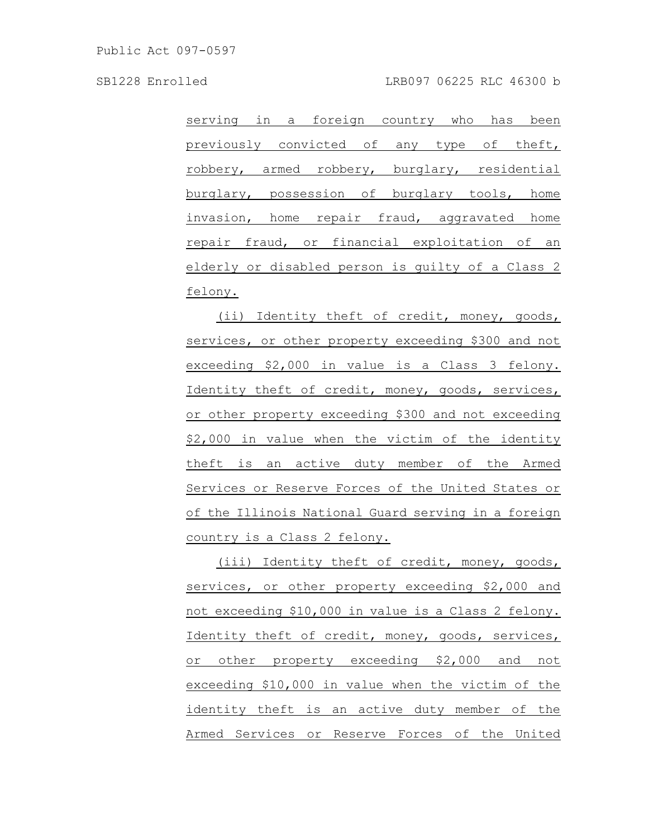serving in a foreign country who has been previously convicted of any type of theft, robbery, armed robbery, burglary, residential burglary, possession of burglary tools, home invasion, home repair fraud, aggravated home repair fraud, or financial exploitation of an elderly or disabled person is guilty of a Class 2 felony.

(ii) Identity theft of credit, money, goods, services, or other property exceeding \$300 and not exceeding \$2,000 in value is a Class 3 felony. Identity theft of credit, money, goods, services, or other property exceeding \$300 and not exceeding \$2,000 in value when the victim of the identity theft is an active duty member of the Armed Services or Reserve Forces of the United States or of the Illinois National Guard serving in a foreign country is a Class 2 felony.

(iii) Identity theft of credit, money, goods, services, or other property exceeding \$2,000 and not exceeding \$10,000 in value is a Class 2 felony. Identity theft of credit, money, goods, services, or other property exceeding \$2,000 and not exceeding \$10,000 in value when the victim of the identity theft is an active duty member of the Armed Services or Reserve Forces of the United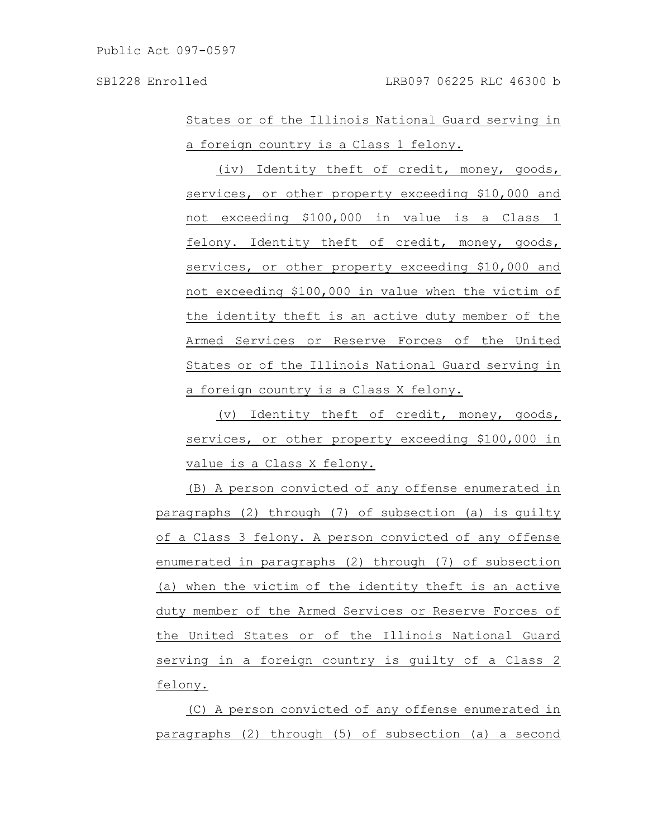States or of the Illinois National Guard serving in a foreign country is a Class 1 felony.

(iv) Identity theft of credit, money, goods, services, or other property exceeding \$10,000 and not exceeding \$100,000 in value is a Class 1 felony. Identity theft of credit, money, goods, services, or other property exceeding \$10,000 and not exceeding \$100,000 in value when the victim of the identity theft is an active duty member of the Armed Services or Reserve Forces of the United States or of the Illinois National Guard serving in a foreign country is a Class X felony.

(v) Identity theft of credit, money, goods, services, or other property exceeding \$100,000 in value is a Class X felony.

(B) A person convicted of any offense enumerated in paragraphs (2) through (7) of subsection (a) is guilty of a Class 3 felony. A person convicted of any offense enumerated in paragraphs (2) through (7) of subsection (a) when the victim of the identity theft is an active duty member of the Armed Services or Reserve Forces of the United States or of the Illinois National Guard serving in a foreign country is guilty of a Class 2 felony.

(C) A person convicted of any offense enumerated in paragraphs (2) through (5) of subsection (a) a second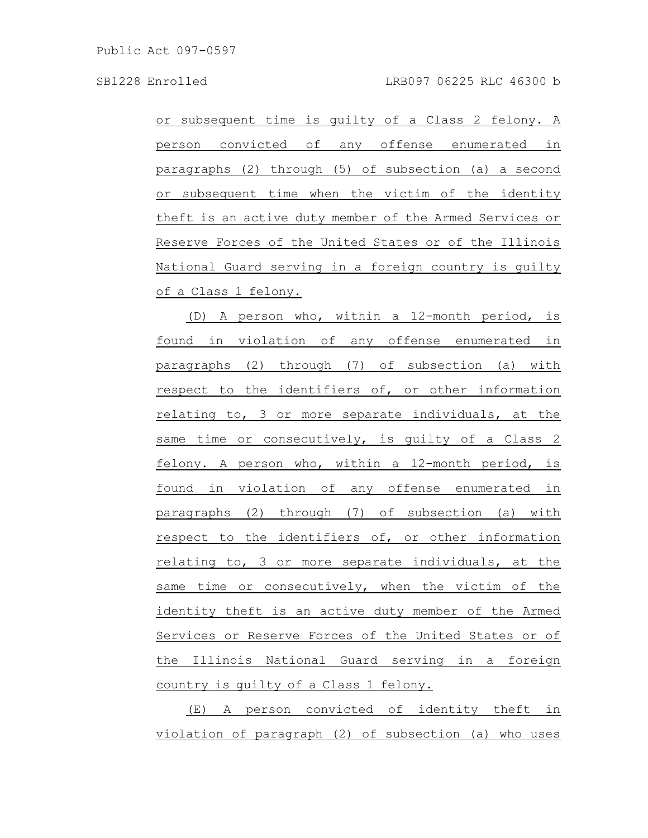or subsequent time is guilty of a Class 2 felony. A person convicted of any offense enumerated in paragraphs (2) through (5) of subsection (a) a second or subsequent time when the victim of the identity theft is an active duty member of the Armed Services or Reserve Forces of the United States or of the Illinois National Guard serving in a foreign country is guilty of a Class 1 felony.

(D) A person who, within a 12-month period, is found in violation of any offense enumerated in paragraphs (2) through (7) of subsection (a) with respect to the identifiers of, or other information relating to, 3 or more separate individuals, at the same time or consecutively, is guilty of a Class 2 felony. A person who, within a 12-month period, is found in violation of any offense enumerated in paragraphs (2) through (7) of subsection (a) with respect to the identifiers of, or other information relating to, 3 or more separate individuals, at the same time or consecutively, when the victim of the identity theft is an active duty member of the Armed Services or Reserve Forces of the United States or of the Illinois National Guard serving in a foreign country is guilty of a Class 1 felony.

(E) A person convicted of identity theft in violation of paragraph (2) of subsection (a) who uses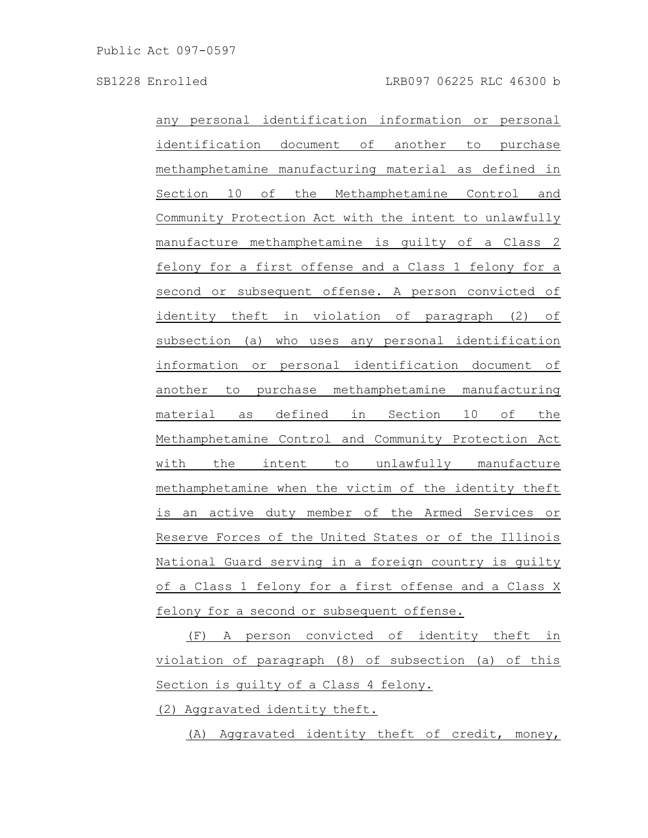any personal identification information or personal identification document of another to purchase methamphetamine manufacturing material as defined in Section 10 of the Methamphetamine Control and Community Protection Act with the intent to unlawfully manufacture methamphetamine is guilty of a Class 2 felony for a first offense and a Class 1 felony for a second or subsequent offense. A person convicted of identity theft in violation of paragraph (2) of subsection (a) who uses any personal identification information or personal identification document of another to purchase methamphetamine manufacturing material as defined in Section 10 of the Methamphetamine Control and Community Protection Act with the intent to unlawfully manufacture methamphetamine when the victim of the identity theft is an active duty member of the Armed Services or Reserve Forces of the United States or of the Illinois National Guard serving in a foreign country is guilty of a Class 1 felony for a first offense and a Class X felony for a second or subsequent offense.

(F) A person convicted of identity theft in violation of paragraph (8) of subsection (a) of this Section is guilty of a Class 4 felony.

(2) Aggravated identity theft.

(A) Aggravated identity theft of credit, money,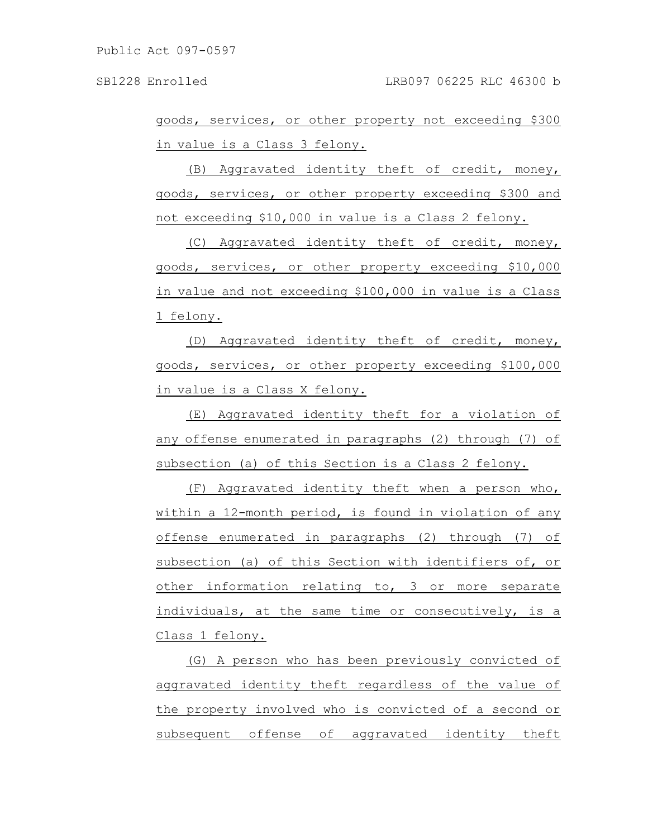goods, services, or other property not exceeding \$300 in value is a Class 3 felony.

(B) Aggravated identity theft of credit, money, goods, services, or other property exceeding \$300 and not exceeding \$10,000 in value is a Class 2 felony.

(C) Aggravated identity theft of credit, money, goods, services, or other property exceeding \$10,000 in value and not exceeding \$100,000 in value is a Class 1 felony.

(D) Aggravated identity theft of credit, money, goods, services, or other property exceeding \$100,000 in value is a Class X felony.

(E) Aggravated identity theft for a violation of any offense enumerated in paragraphs (2) through (7) of subsection (a) of this Section is a Class 2 felony.

(F) Aggravated identity theft when a person who, within a 12-month period, is found in violation of any offense enumerated in paragraphs (2) through (7) of subsection (a) of this Section with identifiers of, or other information relating to, 3 or more separate individuals, at the same time or consecutively, is a Class 1 felony.

(G) A person who has been previously convicted of aggravated identity theft regardless of the value of the property involved who is convicted of a second or subsequent offense of aggravated identity theft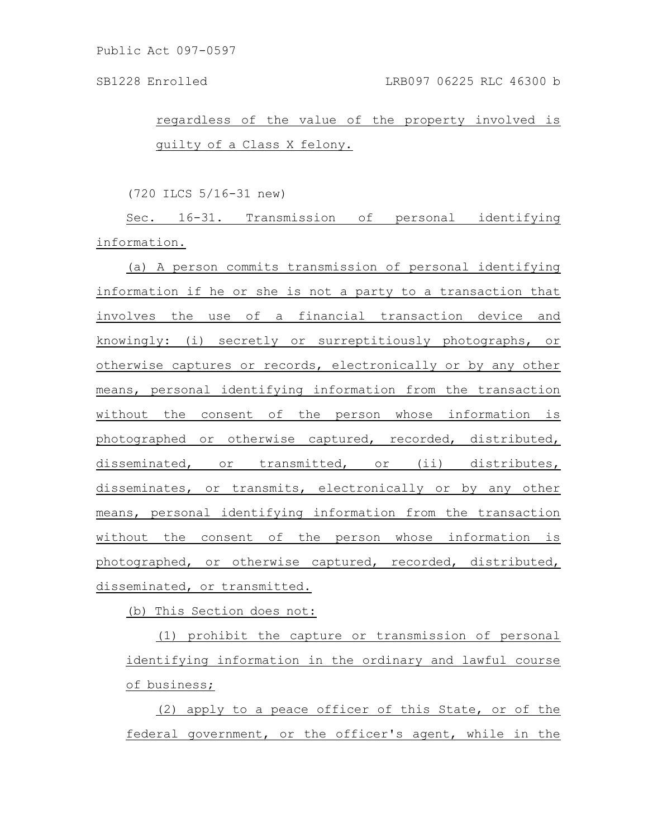regardless of the value of the property involved is guilty of a Class X felony.

(720 ILCS 5/16-31 new)

Sec. 16-31. Transmission of personal identifying information.

(a) A person commits transmission of personal identifying information if he or she is not a party to a transaction that involves the use of a financial transaction device and knowingly: (i) secretly or surreptitiously photographs, or otherwise captures or records, electronically or by any other means, personal identifying information from the transaction without the consent of the person whose information is photographed or otherwise captured, recorded, distributed, disseminated, or transmitted, or (ii) distributes, disseminates, or transmits, electronically or by any other means, personal identifying information from the transaction without the consent of the person whose information is photographed, or otherwise captured, recorded, distributed, disseminated, or transmitted.

(b) This Section does not:

(1) prohibit the capture or transmission of personal identifying information in the ordinary and lawful course of business;

(2) apply to a peace officer of this State, or of the federal government, or the officer's agent, while in the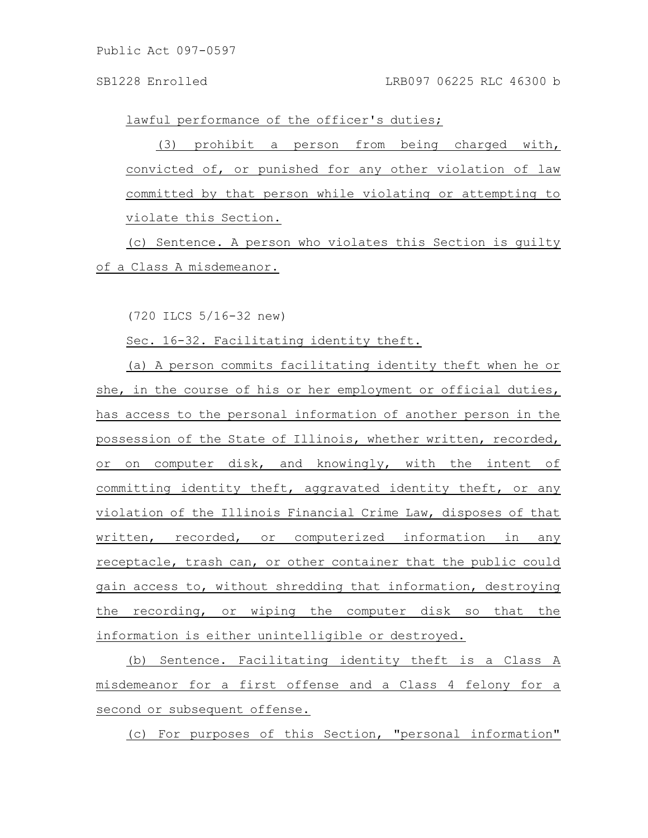lawful performance of the officer's duties;

(3) prohibit a person from being charged with, convicted of, or punished for any other violation of law committed by that person while violating or attempting to violate this Section.

(c) Sentence. A person who violates this Section is guilty of a Class A misdemeanor.

(720 ILCS 5/16-32 new)

Sec. 16-32. Facilitating identity theft.

(a) A person commits facilitating identity theft when he or she, in the course of his or her employment or official duties, has access to the personal information of another person in the possession of the State of Illinois, whether written, recorded, or on computer disk, and knowingly, with the intent of committing identity theft, aggravated identity theft, or any violation of the Illinois Financial Crime Law, disposes of that written, recorded, or computerized information in any receptacle, trash can, or other container that the public could gain access to, without shredding that information, destroying the recording, or wiping the computer disk so that the information is either unintelligible or destroyed.

(b) Sentence. Facilitating identity theft is a Class A misdemeanor for a first offense and a Class 4 felony for a second or subsequent offense.

(c) For purposes of this Section, "personal information"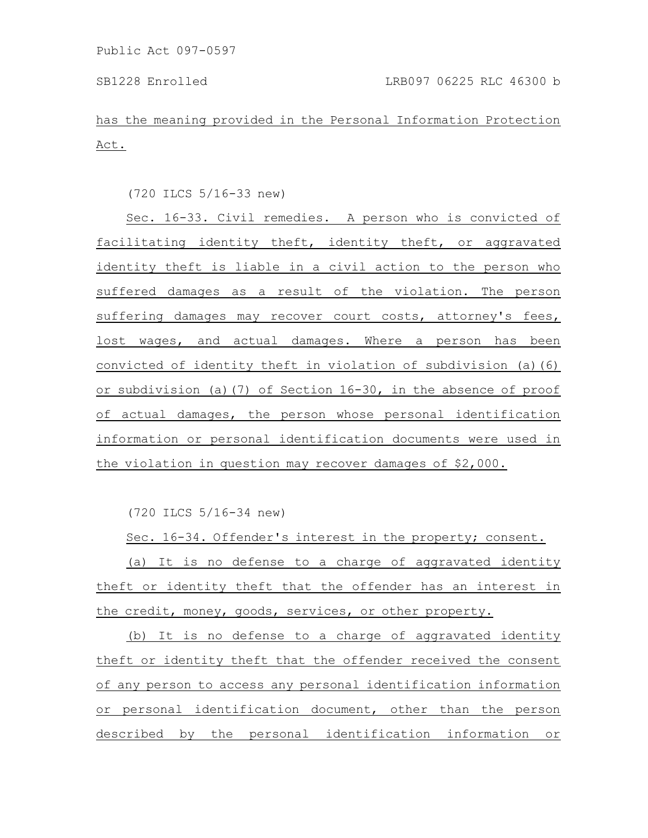has the meaning provided in the Personal Information Protection Act.

(720 ILCS 5/16-33 new)

Sec. 16-33. Civil remedies. A person who is convicted of facilitating identity theft, identity theft, or aggravated identity theft is liable in a civil action to the person who suffered damages as a result of the violation. The person suffering damages may recover court costs, attorney's fees, lost wages, and actual damages. Where a person has been convicted of identity theft in violation of subdivision (a)(6) or subdivision (a)(7) of Section 16-30, in the absence of proof of actual damages, the person whose personal identification information or personal identification documents were used in the violation in question may recover damages of \$2,000.

(720 ILCS 5/16-34 new)

Sec. 16-34. Offender's interest in the property; consent.

(a) It is no defense to a charge of aggravated identity theft or identity theft that the offender has an interest in the credit, money, goods, services, or other property.

(b) It is no defense to a charge of aggravated identity theft or identity theft that the offender received the consent of any person to access any personal identification information or personal identification document, other than the person described by the personal identification information or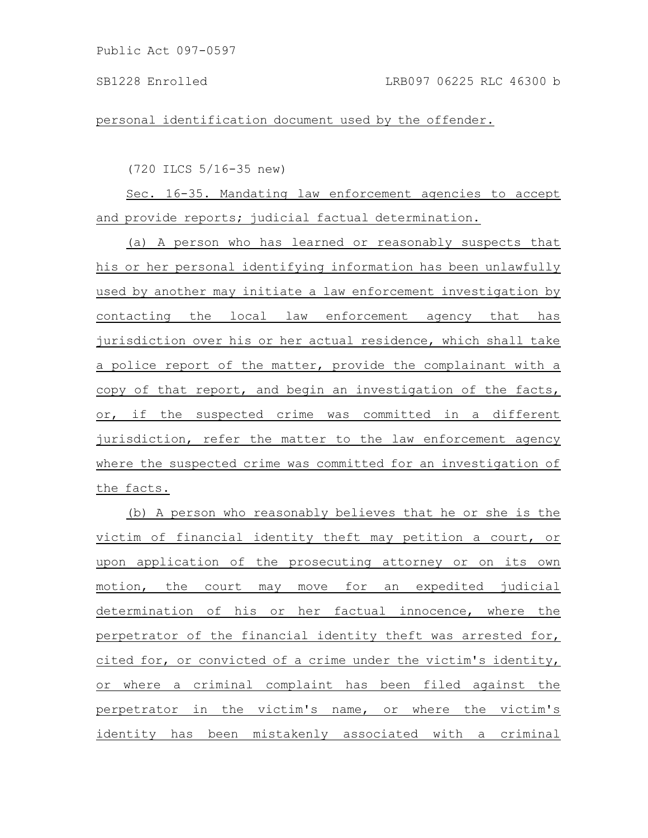personal identification document used by the offender.

(720 ILCS 5/16-35 new)

Sec. 16-35. Mandating law enforcement agencies to accept and provide reports; judicial factual determination.

(a) A person who has learned or reasonably suspects that his or her personal identifying information has been unlawfully used by another may initiate a law enforcement investigation by contacting the local law enforcement agency that has jurisdiction over his or her actual residence, which shall take a police report of the matter, provide the complainant with a copy of that report, and begin an investigation of the facts, or, if the suspected crime was committed in a different jurisdiction, refer the matter to the law enforcement agency where the suspected crime was committed for an investigation of the facts.

(b) A person who reasonably believes that he or she is the victim of financial identity theft may petition a court, or upon application of the prosecuting attorney or on its own motion, the court may move for an expedited judicial determination of his or her factual innocence, where the perpetrator of the financial identity theft was arrested for, cited for, or convicted of a crime under the victim's identity, or where a criminal complaint has been filed against the perpetrator in the victim's name, or where the victim's identity has been mistakenly associated with a criminal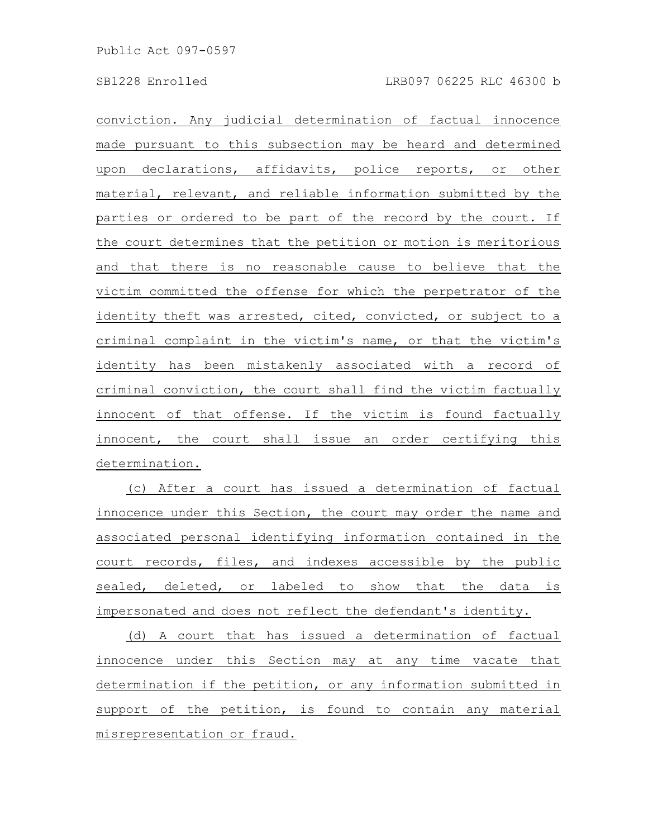conviction. Any judicial determination of factual innocence made pursuant to this subsection may be heard and determined upon declarations, affidavits, police reports, or other material, relevant, and reliable information submitted by the parties or ordered to be part of the record by the court. If the court determines that the petition or motion is meritorious and that there is no reasonable cause to believe that the victim committed the offense for which the perpetrator of the identity theft was arrested, cited, convicted, or subject to a criminal complaint in the victim's name, or that the victim's identity has been mistakenly associated with a record of criminal conviction, the court shall find the victim factually innocent of that offense. If the victim is found factually innocent, the court shall issue an order certifying this determination.

(c) After a court has issued a determination of factual innocence under this Section, the court may order the name and associated personal identifying information contained in the court records, files, and indexes accessible by the public sealed, deleted, or labeled to show that the data is impersonated and does not reflect the defendant's identity.

(d) A court that has issued a determination of factual innocence under this Section may at any time vacate that determination if the petition, or any information submitted in support of the petition, is found to contain any material misrepresentation or fraud.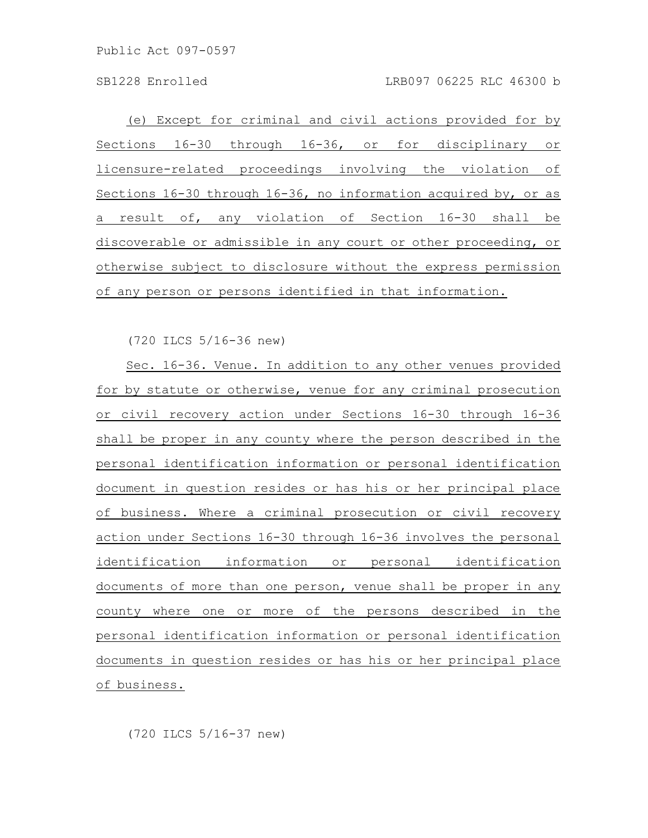(e) Except for criminal and civil actions provided for by Sections 16-30 through 16-36, or for disciplinary or licensure-related proceedings involving the violation of Sections 16-30 through 16-36, no information acquired by, or as a result of, any violation of Section 16-30 shall be discoverable or admissible in any court or other proceeding, or otherwise subject to disclosure without the express permission of any person or persons identified in that information.

(720 ILCS 5/16-36 new)

Sec. 16-36. Venue. In addition to any other venues provided for by statute or otherwise, venue for any criminal prosecution or civil recovery action under Sections 16-30 through 16-36 shall be proper in any county where the person described in the personal identification information or personal identification document in question resides or has his or her principal place of business. Where a criminal prosecution or civil recovery action under Sections 16-30 through 16-36 involves the personal identification information or personal identification documents of more than one person, venue shall be proper in any county where one or more of the persons described in the personal identification information or personal identification documents in question resides or has his or her principal place of business.

(720 ILCS 5/16-37 new)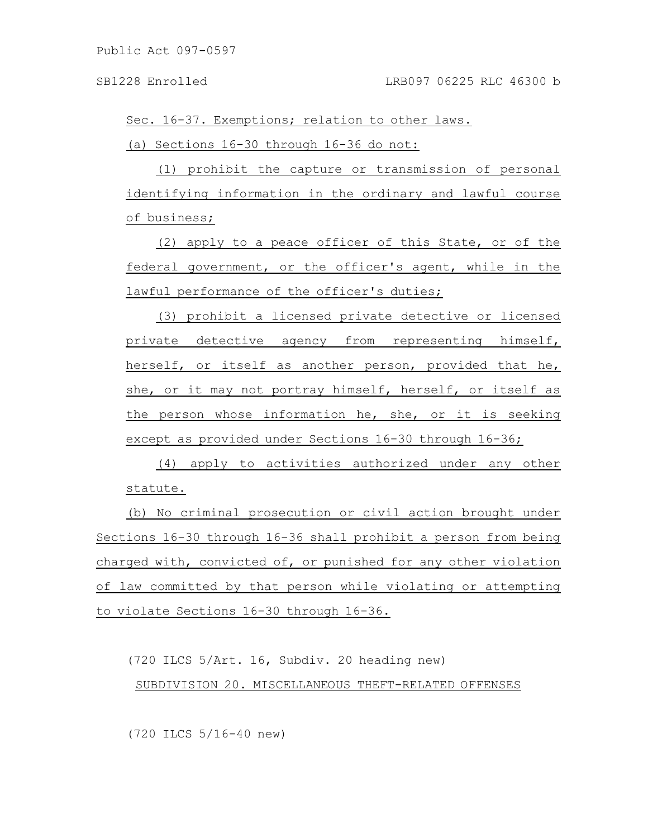Sec. 16-37. Exemptions; relation to other laws.

(a) Sections 16-30 through 16-36 do not:

(1) prohibit the capture or transmission of personal identifying information in the ordinary and lawful course of business;

(2) apply to a peace officer of this State, or of the federal government, or the officer's agent, while in the lawful performance of the officer's duties;

(3) prohibit a licensed private detective or licensed private detective agency from representing himself, herself, or itself as another person, provided that he, she, or it may not portray himself, herself, or itself as the person whose information he, she, or it is seeking except as provided under Sections 16-30 through 16-36;

(4) apply to activities authorized under any other statute.

(b) No criminal prosecution or civil action brought under Sections 16-30 through 16-36 shall prohibit a person from being charged with, convicted of, or punished for any other violation of law committed by that person while violating or attempting to violate Sections 16-30 through 16-36.

(720 ILCS 5/Art. 16, Subdiv. 20 heading new) SUBDIVISION 20. MISCELLANEOUS THEFT-RELATED OFFENSES

(720 ILCS 5/16-40 new)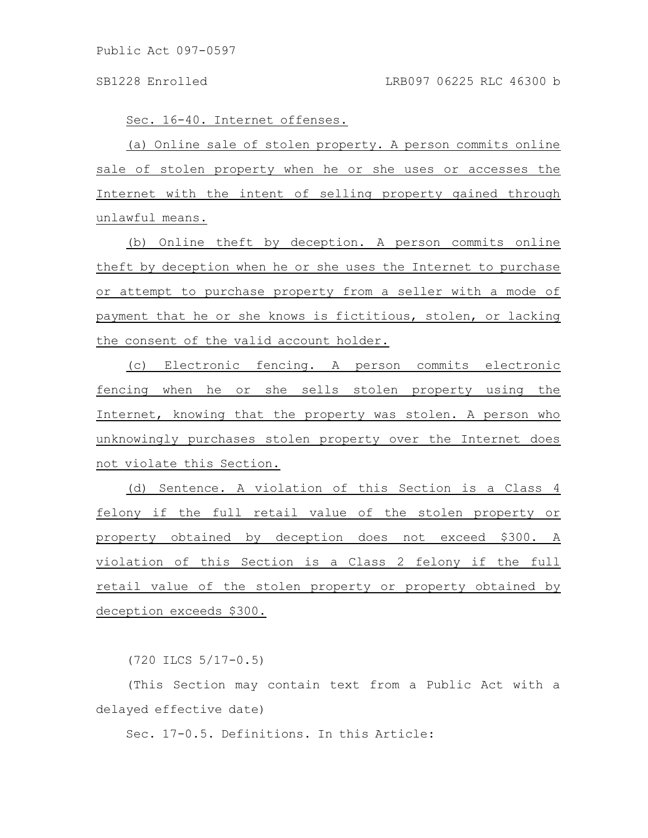Sec. 16-40. Internet offenses.

(a) Online sale of stolen property. A person commits online sale of stolen property when he or she uses or accesses the Internet with the intent of selling property gained through unlawful means.

(b) Online theft by deception. A person commits online theft by deception when he or she uses the Internet to purchase or attempt to purchase property from a seller with a mode of payment that he or she knows is fictitious, stolen, or lacking the consent of the valid account holder.

(c) Electronic fencing. A person commits electronic fencing when he or she sells stolen property using the Internet, knowing that the property was stolen. A person who unknowingly purchases stolen property over the Internet does not violate this Section.

(d) Sentence. A violation of this Section is a Class 4 felony if the full retail value of the stolen property or property obtained by deception does not exceed \$300. A violation of this Section is a Class 2 felony if the full retail value of the stolen property or property obtained by deception exceeds \$300.

(720 ILCS 5/17-0.5)

(This Section may contain text from a Public Act with a delayed effective date)

Sec. 17-0.5. Definitions. In this Article: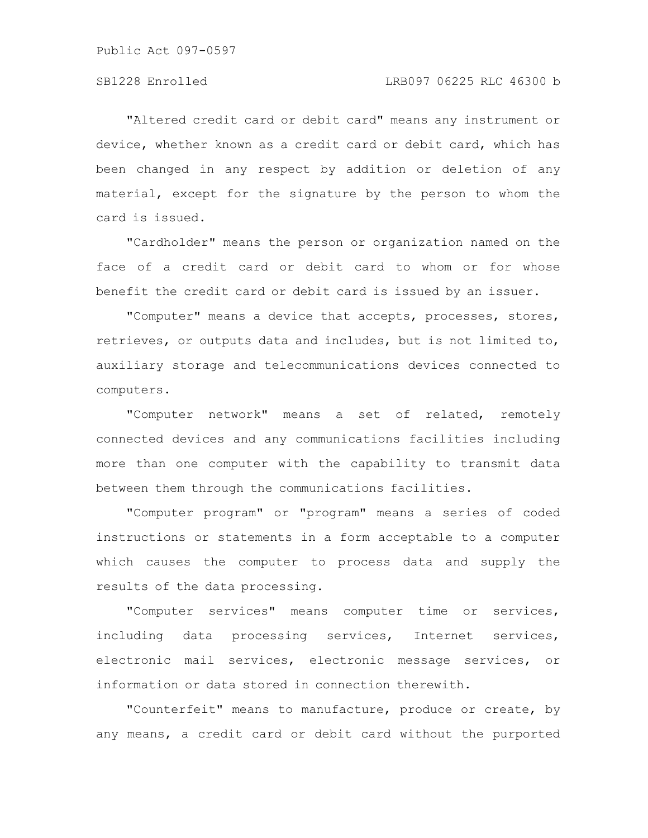"Altered credit card or debit card" means any instrument or device, whether known as a credit card or debit card, which has been changed in any respect by addition or deletion of any material, except for the signature by the person to whom the card is issued.

"Cardholder" means the person or organization named on the face of a credit card or debit card to whom or for whose benefit the credit card or debit card is issued by an issuer.

"Computer" means a device that accepts, processes, stores, retrieves, or outputs data and includes, but is not limited to, auxiliary storage and telecommunications devices connected to computers.

"Computer network" means a set of related, remotely connected devices and any communications facilities including more than one computer with the capability to transmit data between them through the communications facilities.

"Computer program" or "program" means a series of coded instructions or statements in a form acceptable to a computer which causes the computer to process data and supply the results of the data processing.

"Computer services" means computer time or services, including data processing services, Internet services, electronic mail services, electronic message services, or information or data stored in connection therewith.

"Counterfeit" means to manufacture, produce or create, by any means, a credit card or debit card without the purported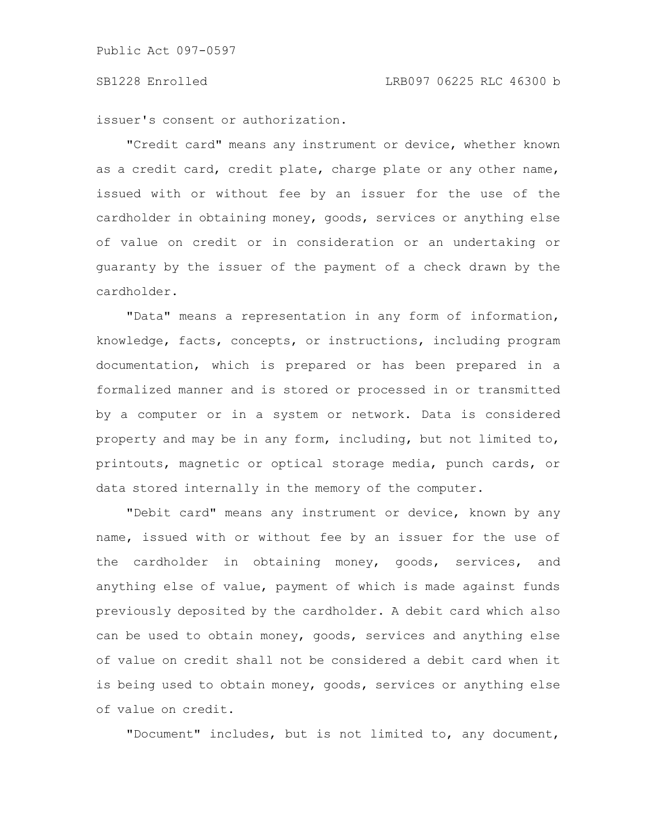issuer's consent or authorization.

"Credit card" means any instrument or device, whether known as a credit card, credit plate, charge plate or any other name, issued with or without fee by an issuer for the use of the cardholder in obtaining money, goods, services or anything else of value on credit or in consideration or an undertaking or guaranty by the issuer of the payment of a check drawn by the cardholder.

"Data" means a representation in any form of information, knowledge, facts, concepts, or instructions, including program documentation, which is prepared or has been prepared in a formalized manner and is stored or processed in or transmitted by a computer or in a system or network. Data is considered property and may be in any form, including, but not limited to, printouts, magnetic or optical storage media, punch cards, or data stored internally in the memory of the computer.

"Debit card" means any instrument or device, known by any name, issued with or without fee by an issuer for the use of the cardholder in obtaining money, goods, services, and anything else of value, payment of which is made against funds previously deposited by the cardholder. A debit card which also can be used to obtain money, goods, services and anything else of value on credit shall not be considered a debit card when it is being used to obtain money, goods, services or anything else of value on credit.

"Document" includes, but is not limited to, any document,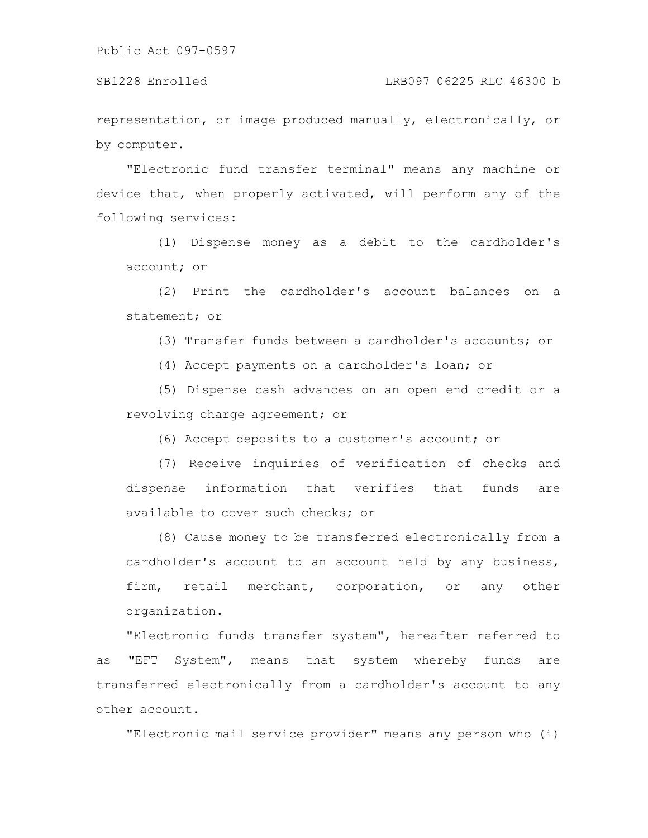representation, or image produced manually, electronically, or by computer.

"Electronic fund transfer terminal" means any machine or device that, when properly activated, will perform any of the following services:

(1) Dispense money as a debit to the cardholder's account; or

(2) Print the cardholder's account balances on a statement; or

(3) Transfer funds between a cardholder's accounts; or

(4) Accept payments on a cardholder's loan; or

(5) Dispense cash advances on an open end credit or a revolving charge agreement; or

(6) Accept deposits to a customer's account; or

(7) Receive inquiries of verification of checks and dispense information that verifies that funds are available to cover such checks; or

(8) Cause money to be transferred electronically from a cardholder's account to an account held by any business, firm, retail merchant, corporation, or any other organization.

"Electronic funds transfer system", hereafter referred to as "EFT System", means that system whereby funds are transferred electronically from a cardholder's account to any other account.

"Electronic mail service provider" means any person who (i)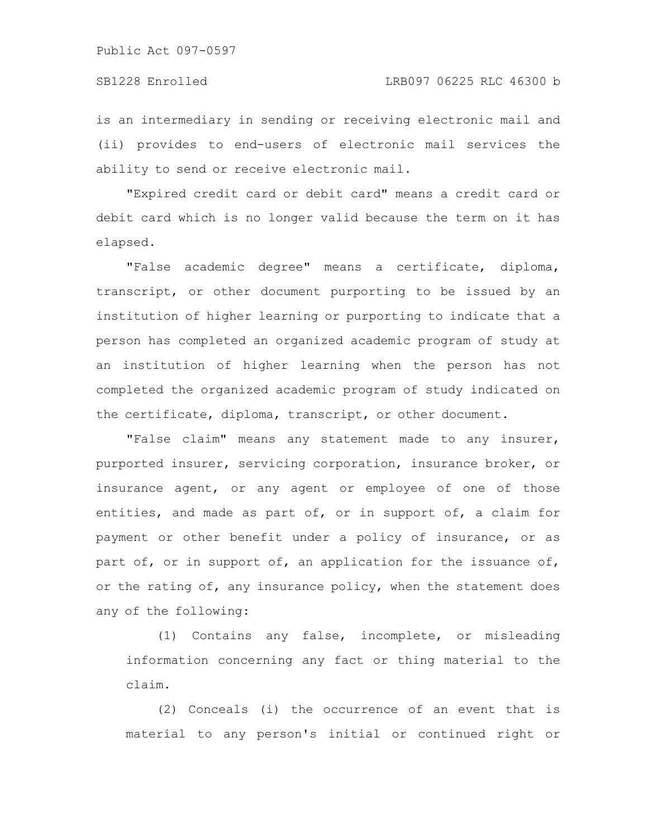is an intermediary in sending or receiving electronic mail and (ii) provides to end-users of electronic mail services the ability to send or receive electronic mail.

"Expired credit card or debit card" means a credit card or debit card which is no longer valid because the term on it has elapsed.

"False academic degree" means a certificate, diploma, transcript, or other document purporting to be issued by an institution of higher learning or purporting to indicate that a person has completed an organized academic program of study at an institution of higher learning when the person has not completed the organized academic program of study indicated on the certificate, diploma, transcript, or other document.

"False claim" means any statement made to any insurer, purported insurer, servicing corporation, insurance broker, or insurance agent, or any agent or employee of one of those entities, and made as part of, or in support of, a claim for payment or other benefit under a policy of insurance, or as part of, or in support of, an application for the issuance of, or the rating of, any insurance policy, when the statement does any of the following:

(1) Contains any false, incomplete, or misleading information concerning any fact or thing material to the claim.

(2) Conceals (i) the occurrence of an event that is material to any person's initial or continued right or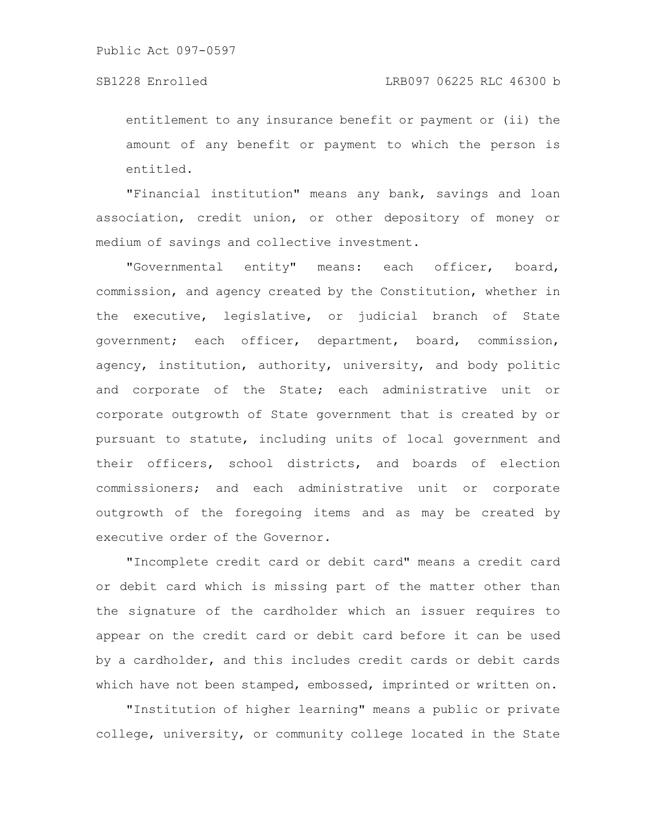entitlement to any insurance benefit or payment or (ii) the amount of any benefit or payment to which the person is entitled.

"Financial institution" means any bank, savings and loan association, credit union, or other depository of money or medium of savings and collective investment.

"Governmental entity" means: each officer, board, commission, and agency created by the Constitution, whether in the executive, legislative, or judicial branch of State government; each officer, department, board, commission, agency, institution, authority, university, and body politic and corporate of the State; each administrative unit or corporate outgrowth of State government that is created by or pursuant to statute, including units of local government and their officers, school districts, and boards of election commissioners; and each administrative unit or corporate outgrowth of the foregoing items and as may be created by executive order of the Governor.

"Incomplete credit card or debit card" means a credit card or debit card which is missing part of the matter other than the signature of the cardholder which an issuer requires to appear on the credit card or debit card before it can be used by a cardholder, and this includes credit cards or debit cards which have not been stamped, embossed, imprinted or written on.

"Institution of higher learning" means a public or private college, university, or community college located in the State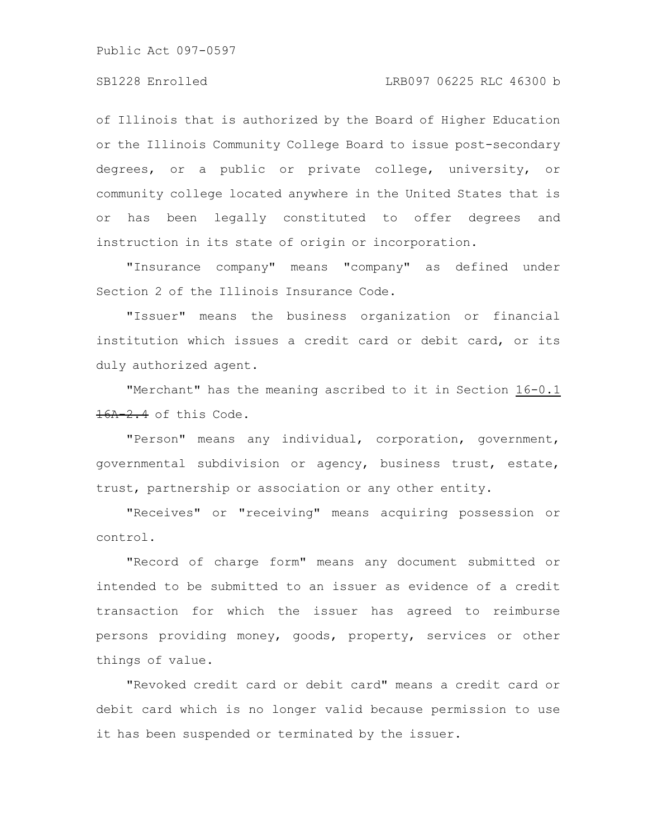of Illinois that is authorized by the Board of Higher Education or the Illinois Community College Board to issue post-secondary degrees, or a public or private college, university, or community college located anywhere in the United States that is or has been legally constituted to offer degrees and instruction in its state of origin or incorporation.

"Insurance company" means "company" as defined under Section 2 of the Illinois Insurance Code.

"Issuer" means the business organization or financial institution which issues a credit card or debit card, or its duly authorized agent.

"Merchant" has the meaning ascribed to it in Section 16-0.1 16A-2.4 of this Code.

"Person" means any individual, corporation, government, governmental subdivision or agency, business trust, estate, trust, partnership or association or any other entity.

"Receives" or "receiving" means acquiring possession or control.

"Record of charge form" means any document submitted or intended to be submitted to an issuer as evidence of a credit transaction for which the issuer has agreed to reimburse persons providing money, goods, property, services or other things of value.

"Revoked credit card or debit card" means a credit card or debit card which is no longer valid because permission to use it has been suspended or terminated by the issuer.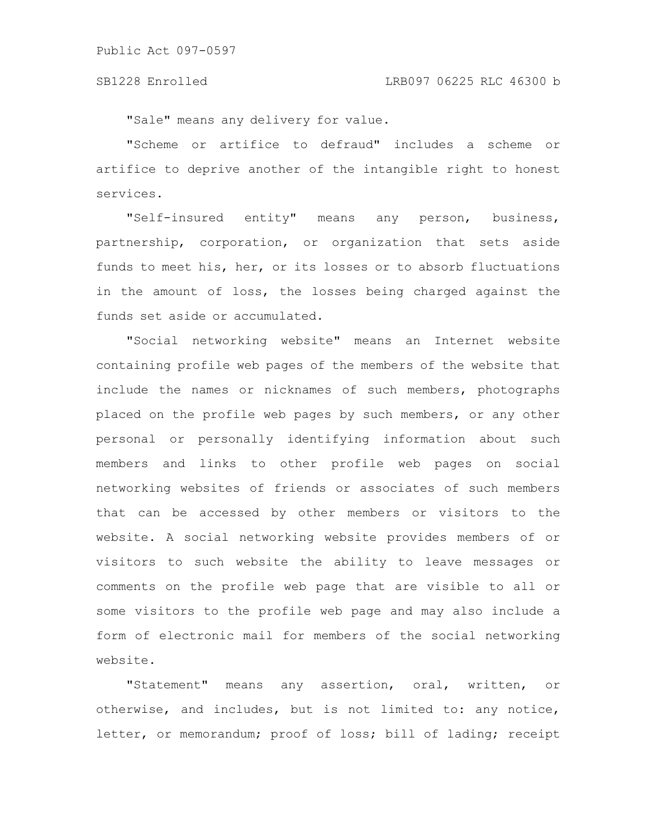"Sale" means any delivery for value.

"Scheme or artifice to defraud" includes a scheme or artifice to deprive another of the intangible right to honest services.

"Self-insured entity" means any person, business, partnership, corporation, or organization that sets aside funds to meet his, her, or its losses or to absorb fluctuations in the amount of loss, the losses being charged against the funds set aside or accumulated.

"Social networking website" means an Internet website containing profile web pages of the members of the website that include the names or nicknames of such members, photographs placed on the profile web pages by such members, or any other personal or personally identifying information about such members and links to other profile web pages on social networking websites of friends or associates of such members that can be accessed by other members or visitors to the website. A social networking website provides members of or visitors to such website the ability to leave messages or comments on the profile web page that are visible to all or some visitors to the profile web page and may also include a form of electronic mail for members of the social networking website.

"Statement" means any assertion, oral, written, or otherwise, and includes, but is not limited to: any notice, letter, or memorandum; proof of loss; bill of lading; receipt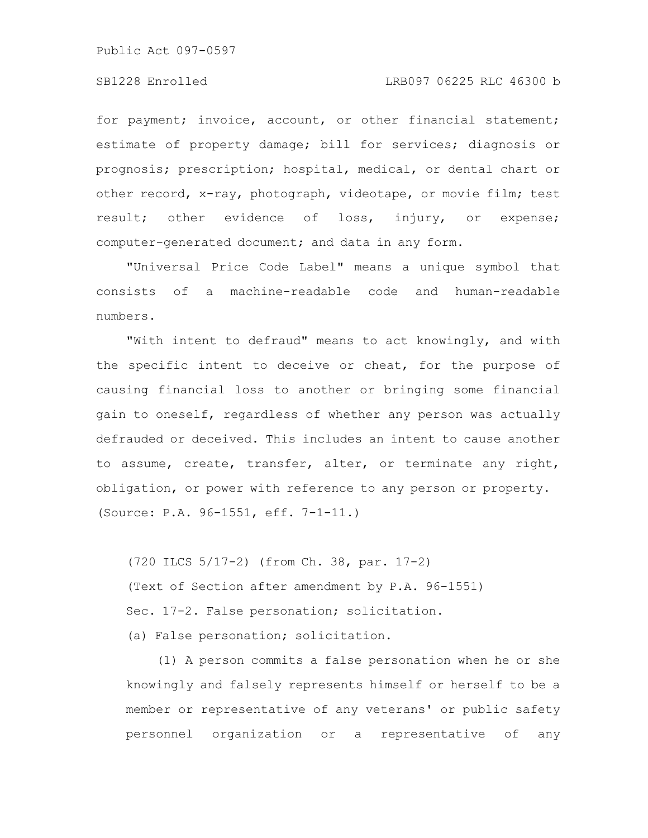for payment; invoice, account, or other financial statement; estimate of property damage; bill for services; diagnosis or prognosis; prescription; hospital, medical, or dental chart or other record, x-ray, photograph, videotape, or movie film; test result; other evidence of loss, injury, or expense; computer-generated document; and data in any form.

"Universal Price Code Label" means a unique symbol that consists of a machine-readable code and human-readable numbers.

"With intent to defraud" means to act knowingly, and with the specific intent to deceive or cheat, for the purpose of causing financial loss to another or bringing some financial gain to oneself, regardless of whether any person was actually defrauded or deceived. This includes an intent to cause another to assume, create, transfer, alter, or terminate any right, obligation, or power with reference to any person or property. (Source: P.A. 96-1551, eff. 7-1-11.)

(720 ILCS 5/17-2) (from Ch. 38, par. 17-2) (Text of Section after amendment by P.A. 96-1551) Sec. 17-2. False personation; solicitation. (a) False personation; solicitation.

(1) A person commits a false personation when he or she knowingly and falsely represents himself or herself to be a member or representative of any veterans' or public safety personnel organization or a representative of any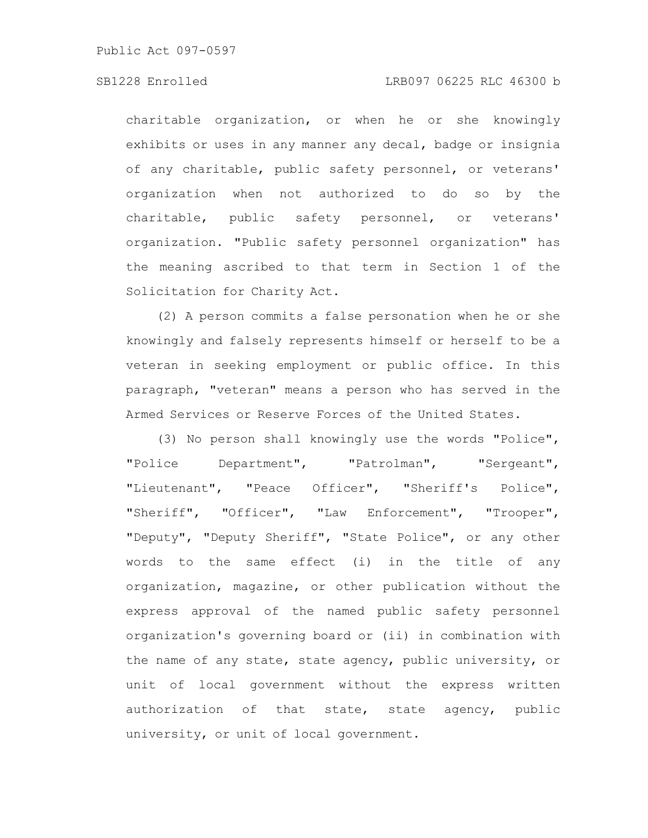## SB1228 Enrolled LRB097 06225 RLC 46300 b

charitable organization, or when he or she knowingly exhibits or uses in any manner any decal, badge or insignia of any charitable, public safety personnel, or veterans' organization when not authorized to do so by the charitable, public safety personnel, or veterans' organization. "Public safety personnel organization" has the meaning ascribed to that term in Section 1 of the Solicitation for Charity Act.

(2) A person commits a false personation when he or she knowingly and falsely represents himself or herself to be a veteran in seeking employment or public office. In this paragraph, "veteran" means a person who has served in the Armed Services or Reserve Forces of the United States.

(3) No person shall knowingly use the words "Police", "Police Department", "Patrolman", "Sergeant", "Lieutenant", "Peace Officer", "Sheriff's Police", "Sheriff", "Officer", "Law Enforcement", "Trooper", "Deputy", "Deputy Sheriff", "State Police", or any other words to the same effect (i) in the title of any organization, magazine, or other publication without the express approval of the named public safety personnel organization's governing board or (ii) in combination with the name of any state, state agency, public university, or unit of local government without the express written authorization of that state, state agency, public university, or unit of local government.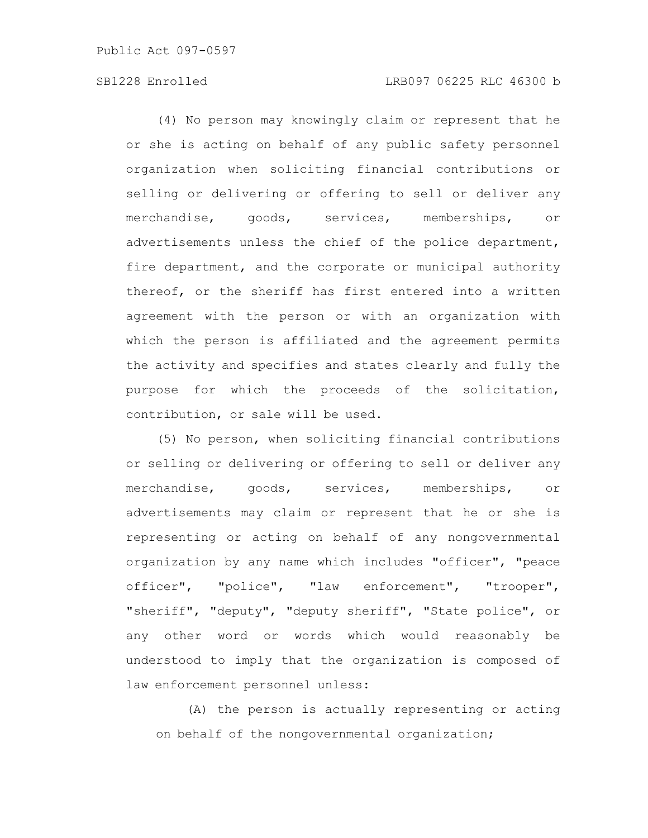(4) No person may knowingly claim or represent that he or she is acting on behalf of any public safety personnel organization when soliciting financial contributions or selling or delivering or offering to sell or deliver any merchandise, goods, services, memberships, or advertisements unless the chief of the police department, fire department, and the corporate or municipal authority thereof, or the sheriff has first entered into a written agreement with the person or with an organization with which the person is affiliated and the agreement permits the activity and specifies and states clearly and fully the purpose for which the proceeds of the solicitation, contribution, or sale will be used.

(5) No person, when soliciting financial contributions or selling or delivering or offering to sell or deliver any merchandise, goods, services, memberships, or advertisements may claim or represent that he or she is representing or acting on behalf of any nongovernmental organization by any name which includes "officer", "peace officer", "police", "law enforcement", "trooper", "sheriff", "deputy", "deputy sheriff", "State police", or any other word or words which would reasonably be understood to imply that the organization is composed of law enforcement personnel unless:

(A) the person is actually representing or acting on behalf of the nongovernmental organization;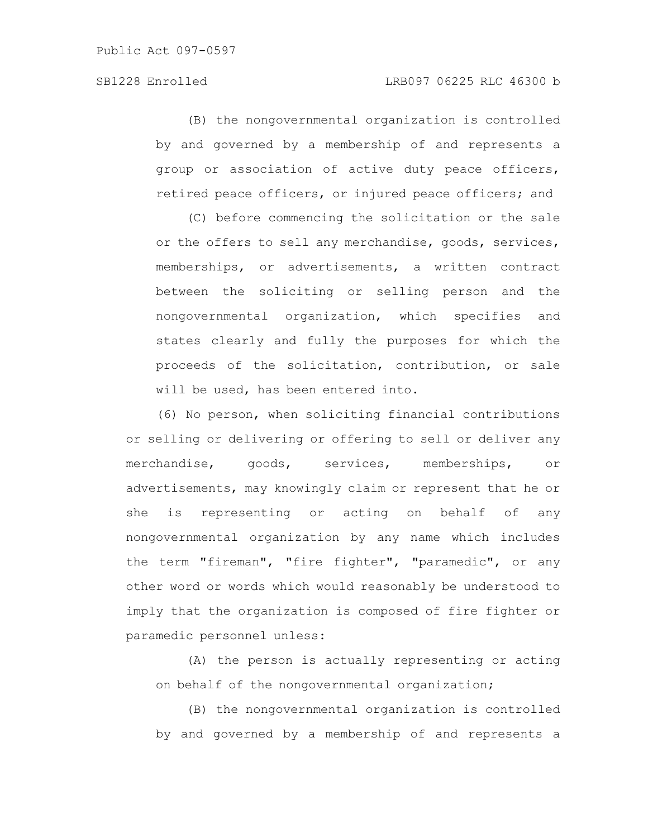(B) the nongovernmental organization is controlled by and governed by a membership of and represents a group or association of active duty peace officers, retired peace officers, or injured peace officers; and

(C) before commencing the solicitation or the sale or the offers to sell any merchandise, goods, services, memberships, or advertisements, a written contract between the soliciting or selling person and the nongovernmental organization, which specifies and states clearly and fully the purposes for which the proceeds of the solicitation, contribution, or sale will be used, has been entered into.

(6) No person, when soliciting financial contributions or selling or delivering or offering to sell or deliver any merchandise, goods, services, memberships, or advertisements, may knowingly claim or represent that he or she is representing or acting on behalf of any nongovernmental organization by any name which includes the term "fireman", "fire fighter", "paramedic", or any other word or words which would reasonably be understood to imply that the organization is composed of fire fighter or paramedic personnel unless:

(A) the person is actually representing or acting on behalf of the nongovernmental organization;

(B) the nongovernmental organization is controlled by and governed by a membership of and represents a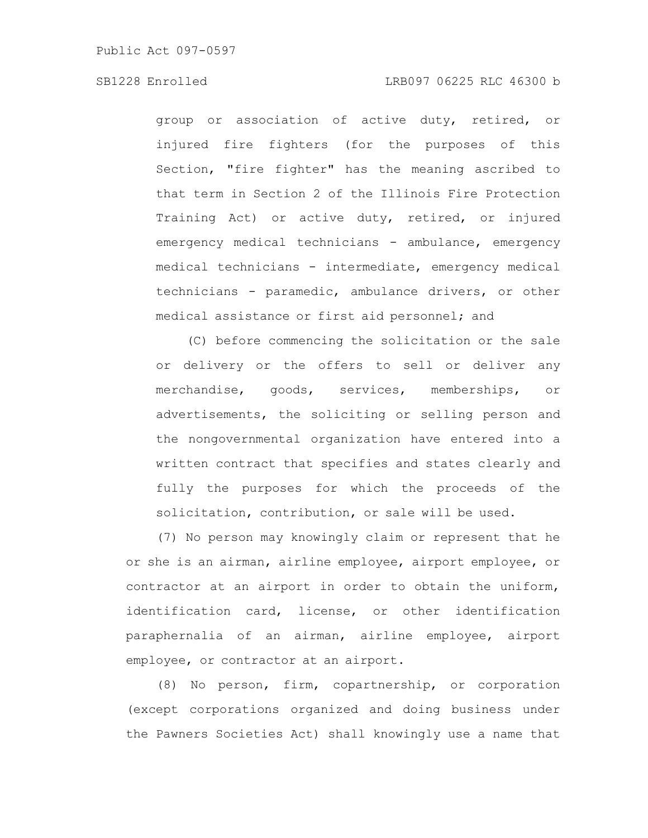group or association of active duty, retired, or injured fire fighters (for the purposes of this Section, "fire fighter" has the meaning ascribed to that term in Section 2 of the Illinois Fire Protection Training Act) or active duty, retired, or injured emergency medical technicians - ambulance, emergency medical technicians - intermediate, emergency medical technicians - paramedic, ambulance drivers, or other medical assistance or first aid personnel; and

(C) before commencing the solicitation or the sale or delivery or the offers to sell or deliver any merchandise, goods, services, memberships, or advertisements, the soliciting or selling person and the nongovernmental organization have entered into a written contract that specifies and states clearly and fully the purposes for which the proceeds of the solicitation, contribution, or sale will be used.

(7) No person may knowingly claim or represent that he or she is an airman, airline employee, airport employee, or contractor at an airport in order to obtain the uniform, identification card, license, or other identification paraphernalia of an airman, airline employee, airport employee, or contractor at an airport.

(8) No person, firm, copartnership, or corporation (except corporations organized and doing business under the Pawners Societies Act) shall knowingly use a name that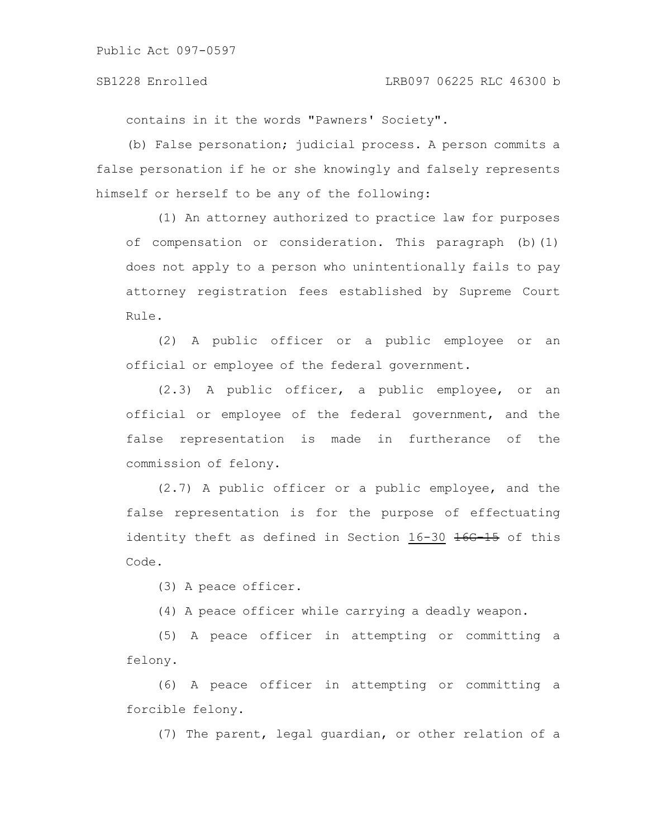contains in it the words "Pawners' Society".

(b) False personation; judicial process. A person commits a false personation if he or she knowingly and falsely represents himself or herself to be any of the following:

(1) An attorney authorized to practice law for purposes of compensation or consideration. This paragraph (b)(1) does not apply to a person who unintentionally fails to pay attorney registration fees established by Supreme Court Rule.

(2) A public officer or a public employee or an official or employee of the federal government.

(2.3) A public officer, a public employee, or an official or employee of the federal government, and the false representation is made in furtherance of the commission of felony.

(2.7) A public officer or a public employee, and the false representation is for the purpose of effectuating identity theft as defined in Section 16-30 16G 15 of this Code.

(3) A peace officer.

(4) A peace officer while carrying a deadly weapon.

(5) A peace officer in attempting or committing a felony.

(6) A peace officer in attempting or committing a forcible felony.

(7) The parent, legal guardian, or other relation of a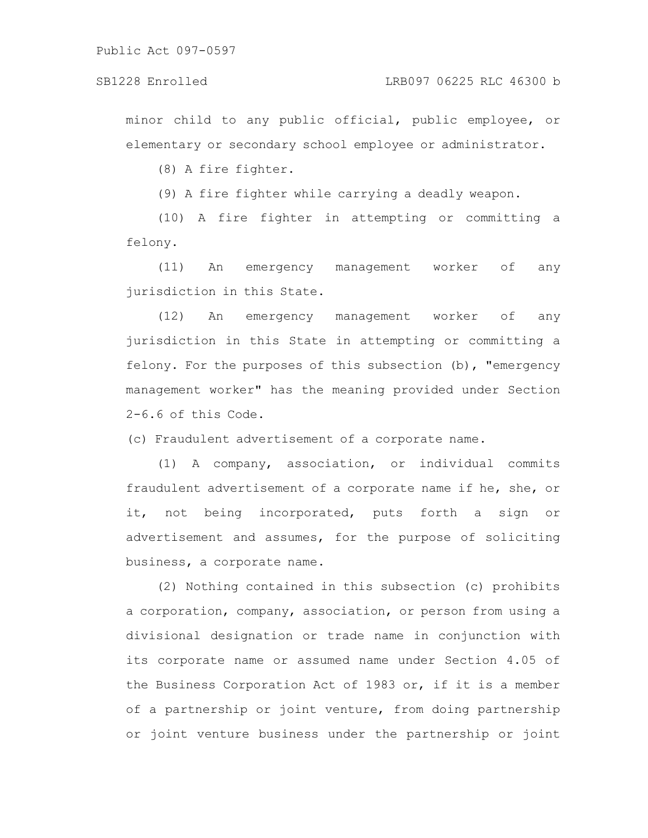minor child to any public official, public employee, or elementary or secondary school employee or administrator.

(8) A fire fighter.

(9) A fire fighter while carrying a deadly weapon.

(10) A fire fighter in attempting or committing a felony.

(11) An emergency management worker of any jurisdiction in this State.

(12) An emergency management worker of any jurisdiction in this State in attempting or committing a felony. For the purposes of this subsection (b), "emergency management worker" has the meaning provided under Section 2-6.6 of this Code.

(c) Fraudulent advertisement of a corporate name.

(1) A company, association, or individual commits fraudulent advertisement of a corporate name if he, she, or it, not being incorporated, puts forth a sign or advertisement and assumes, for the purpose of soliciting business, a corporate name.

(2) Nothing contained in this subsection (c) prohibits a corporation, company, association, or person from using a divisional designation or trade name in conjunction with its corporate name or assumed name under Section 4.05 of the Business Corporation Act of 1983 or, if it is a member of a partnership or joint venture, from doing partnership or joint venture business under the partnership or joint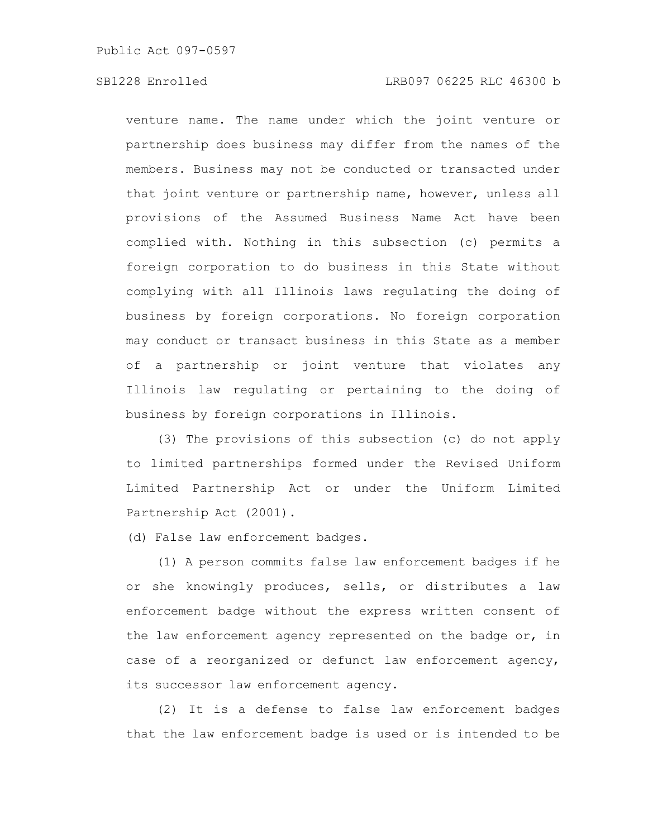venture name. The name under which the joint venture or partnership does business may differ from the names of the members. Business may not be conducted or transacted under that joint venture or partnership name, however, unless all provisions of the Assumed Business Name Act have been complied with. Nothing in this subsection (c) permits a foreign corporation to do business in this State without complying with all Illinois laws regulating the doing of business by foreign corporations. No foreign corporation may conduct or transact business in this State as a member of a partnership or joint venture that violates any Illinois law regulating or pertaining to the doing of business by foreign corporations in Illinois.

(3) The provisions of this subsection (c) do not apply to limited partnerships formed under the Revised Uniform Limited Partnership Act or under the Uniform Limited Partnership Act (2001).

(d) False law enforcement badges.

(1) A person commits false law enforcement badges if he or she knowingly produces, sells, or distributes a law enforcement badge without the express written consent of the law enforcement agency represented on the badge or, in case of a reorganized or defunct law enforcement agency, its successor law enforcement agency.

(2) It is a defense to false law enforcement badges that the law enforcement badge is used or is intended to be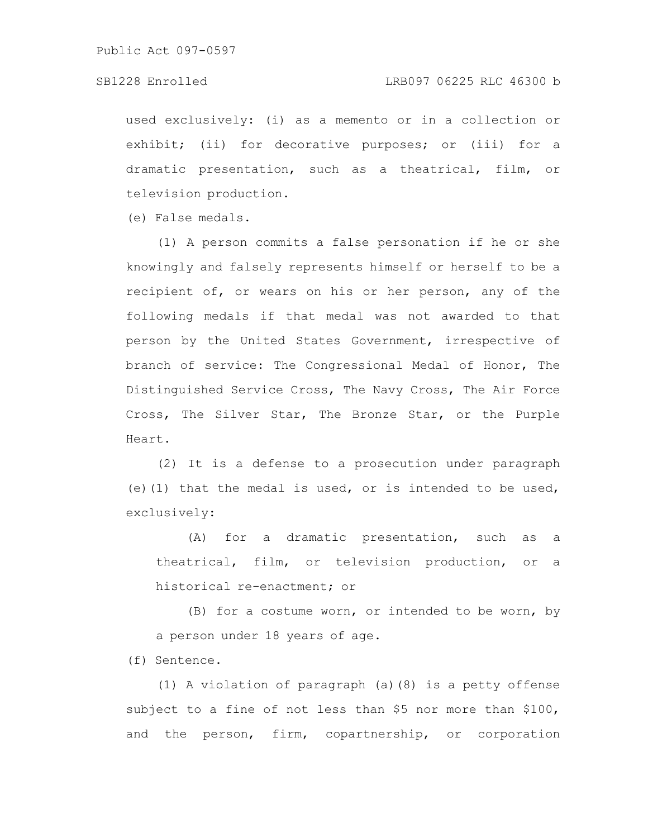used exclusively: (i) as a memento or in a collection or exhibit; (ii) for decorative purposes; or (iii) for a dramatic presentation, such as a theatrical, film, or television production.

(e) False medals.

(1) A person commits a false personation if he or she knowingly and falsely represents himself or herself to be a recipient of, or wears on his or her person, any of the following medals if that medal was not awarded to that person by the United States Government, irrespective of branch of service: The Congressional Medal of Honor, The Distinguished Service Cross, The Navy Cross, The Air Force Cross, The Silver Star, The Bronze Star, or the Purple Heart.

(2) It is a defense to a prosecution under paragraph (e)(1) that the medal is used, or is intended to be used, exclusively:

(A) for a dramatic presentation, such as a theatrical, film, or television production, or a historical re-enactment; or

(B) for a costume worn, or intended to be worn, by a person under 18 years of age.

(f) Sentence.

(1) A violation of paragraph (a)(8) is a petty offense subject to a fine of not less than \$5 nor more than \$100, and the person, firm, copartnership, or corporation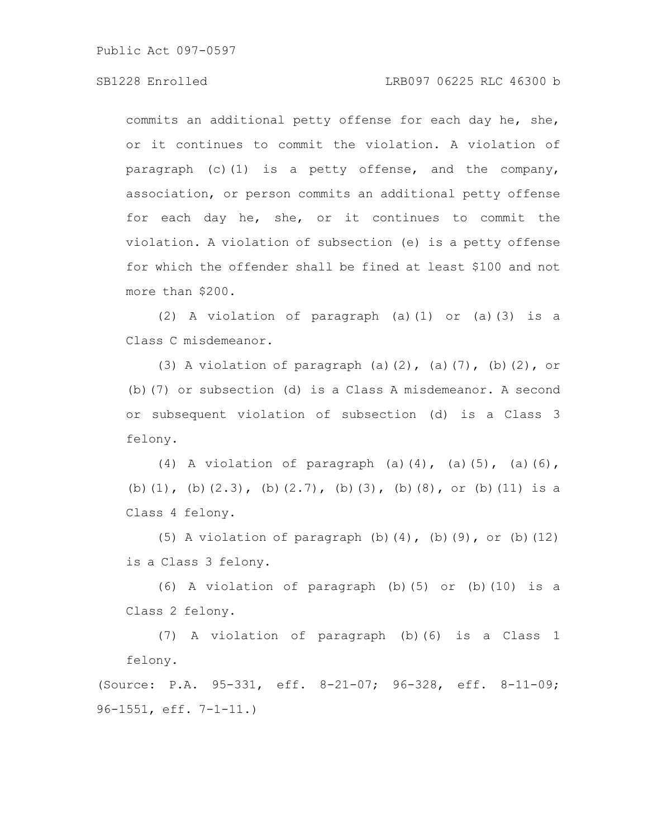# SB1228 Enrolled LRB097 06225 RLC 46300 b

commits an additional petty offense for each day he, she, or it continues to commit the violation. A violation of paragraph (c)(1) is a petty offense, and the company, association, or person commits an additional petty offense for each day he, she, or it continues to commit the violation. A violation of subsection (e) is a petty offense for which the offender shall be fined at least \$100 and not more than \$200.

(2) A violation of paragraph (a)(1) or (a)(3) is a Class C misdemeanor.

(3) A violation of paragraph (a) $(2)$ , (a) $(7)$ , (b) $(2)$ , or (b)(7) or subsection (d) is a Class A misdemeanor. A second or subsequent violation of subsection (d) is a Class 3 felony.

(4) A violation of paragraph (a)(4), (a)(5), (a)(6), (b)(1), (b)(2.3), (b)(2.7), (b)(3), (b)(8), or (b)(11) is a Class 4 felony.

(5) A violation of paragraph  $(b)$   $(4)$ ,  $(b)$   $(9)$ , or  $(b)$   $(12)$ is a Class 3 felony.

(6) A violation of paragraph (b)(5) or (b)(10) is a Class 2 felony.

(7) A violation of paragraph (b)(6) is a Class 1 felony.

(Source: P.A. 95-331, eff. 8-21-07; 96-328, eff. 8-11-09; 96-1551, eff. 7-1-11.)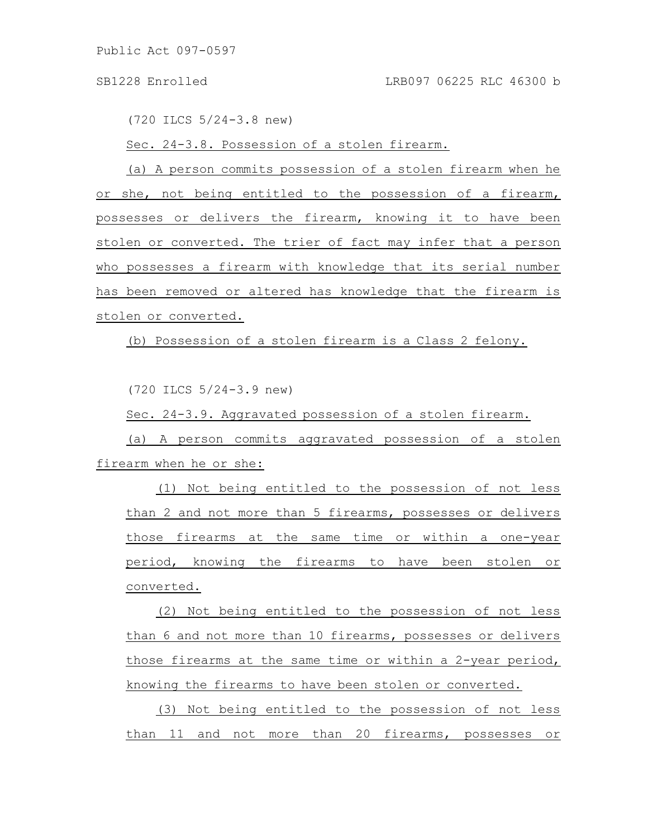(720 ILCS 5/24-3.8 new)

Sec. 24-3.8. Possession of a stolen firearm.

(a) A person commits possession of a stolen firearm when he or she, not being entitled to the possession of a firearm, possesses or delivers the firearm, knowing it to have been stolen or converted. The trier of fact may infer that a person who possesses a firearm with knowledge that its serial number has been removed or altered has knowledge that the firearm is stolen or converted.

(b) Possession of a stolen firearm is a Class 2 felony.

(720 ILCS 5/24-3.9 new)

Sec. 24-3.9. Aggravated possession of a stolen firearm.

(a) A person commits aggravated possession of a stolen firearm when he or she:

(1) Not being entitled to the possession of not less than 2 and not more than 5 firearms, possesses or delivers those firearms at the same time or within a one-year period, knowing the firearms to have been stolen or converted.

(2) Not being entitled to the possession of not less than 6 and not more than 10 firearms, possesses or delivers those firearms at the same time or within a 2-year period, knowing the firearms to have been stolen or converted.

(3) Not being entitled to the possession of not less than 11 and not more than 20 firearms, possesses or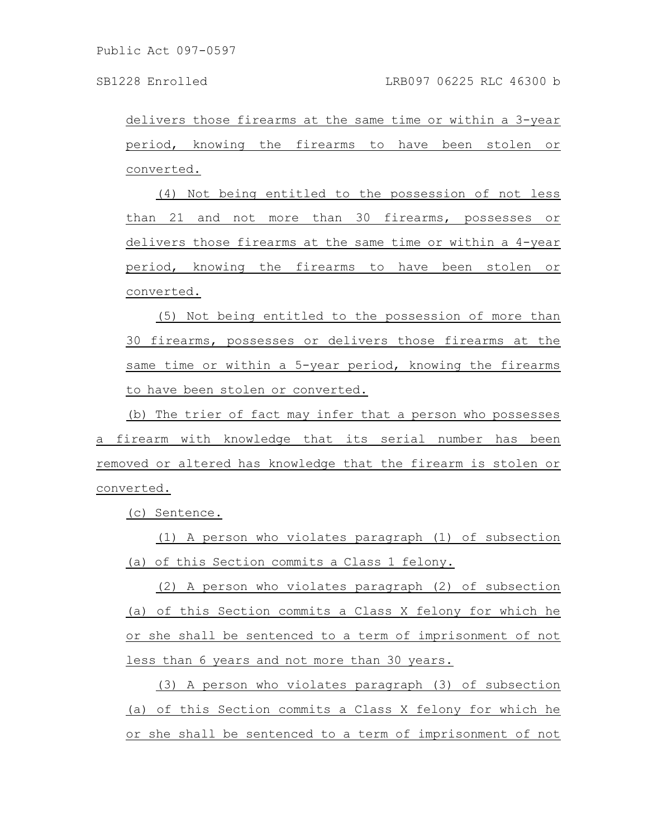delivers those firearms at the same time or within a 3-year period, knowing the firearms to have been stolen or converted.

(4) Not being entitled to the possession of not less than 21 and not more than 30 firearms, possesses or delivers those firearms at the same time or within a 4-year period, knowing the firearms to have been stolen or converted.

(5) Not being entitled to the possession of more than 30 firearms, possesses or delivers those firearms at the same time or within a 5-year period, knowing the firearms to have been stolen or converted.

(b) The trier of fact may infer that a person who possesses a firearm with knowledge that its serial number has been removed or altered has knowledge that the firearm is stolen or converted.

(c) Sentence.

(1) A person who violates paragraph (1) of subsection (a) of this Section commits a Class 1 felony.

(2) A person who violates paragraph (2) of subsection (a) of this Section commits a Class X felony for which he or she shall be sentenced to a term of imprisonment of not less than 6 years and not more than 30 years.

(3) A person who violates paragraph (3) of subsection (a) of this Section commits a Class X felony for which he or she shall be sentenced to a term of imprisonment of not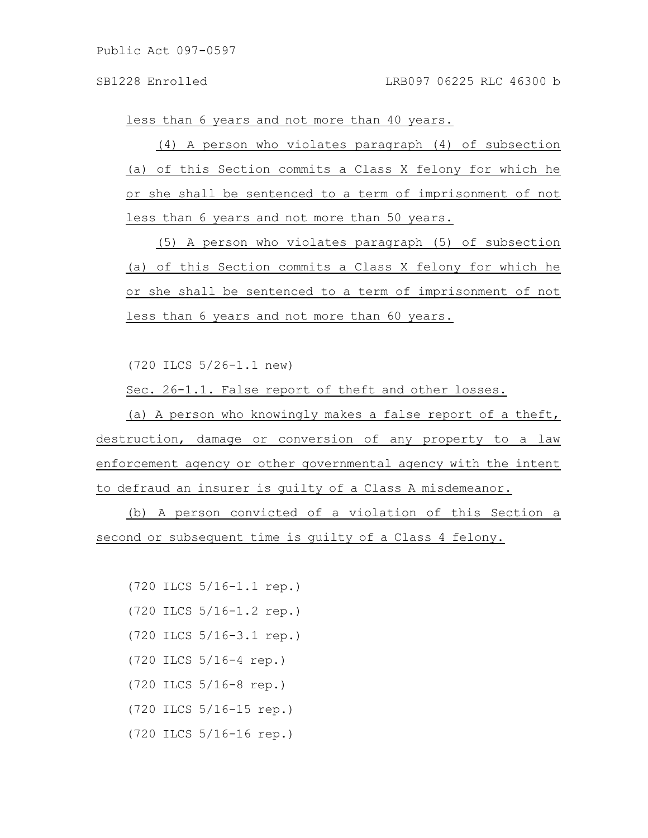less than 6 years and not more than 40 years.

(4) A person who violates paragraph (4) of subsection (a) of this Section commits a Class X felony for which he or she shall be sentenced to a term of imprisonment of not less than 6 years and not more than 50 years.

(5) A person who violates paragraph (5) of subsection (a) of this Section commits a Class X felony for which he or she shall be sentenced to a term of imprisonment of not less than 6 years and not more than 60 years.

(720 ILCS 5/26-1.1 new)

Sec. 26-1.1. False report of theft and other losses.

(a) A person who knowingly makes a false report of a theft, destruction, damage or conversion of any property to a law enforcement agency or other governmental agency with the intent to defraud an insurer is guilty of a Class A misdemeanor.

(b) A person convicted of a violation of this Section a second or subsequent time is guilty of a Class 4 felony.

(720 ILCS 5/16-1.1 rep.) (720 ILCS 5/16-1.2 rep.) (720 ILCS 5/16-3.1 rep.) (720 ILCS 5/16-4 rep.) (720 ILCS 5/16-8 rep.) (720 ILCS 5/16-15 rep.) (720 ILCS 5/16-16 rep.)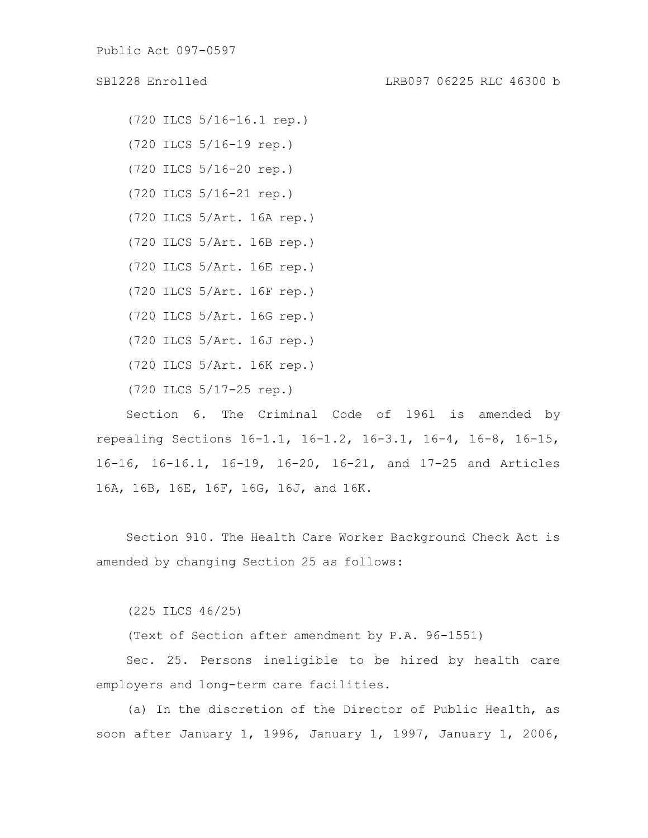(720 ILCS 5/16-16.1 rep.) (720 ILCS 5/16-19 rep.) (720 ILCS 5/16-20 rep.) (720 ILCS 5/16-21 rep.) (720 ILCS 5/Art. 16A rep.) (720 ILCS 5/Art. 16B rep.) (720 ILCS 5/Art. 16E rep.) (720 ILCS 5/Art. 16F rep.) (720 ILCS 5/Art. 16G rep.) (720 ILCS 5/Art. 16J rep.) (720 ILCS 5/Art. 16K rep.) (720 ILCS 5/17-25 rep.)

Section 6. The Criminal Code of 1961 is amended by repealing Sections 16-1.1, 16-1.2, 16-3.1, 16-4, 16-8, 16-15, 16-16, 16-16.1, 16-19, 16-20, 16-21, and 17-25 and Articles 16A, 16B, 16E, 16F, 16G, 16J, and 16K.

Section 910. The Health Care Worker Background Check Act is amended by changing Section 25 as follows:

(225 ILCS 46/25)

(Text of Section after amendment by P.A. 96-1551)

Sec. 25. Persons ineligible to be hired by health care employers and long-term care facilities.

(a) In the discretion of the Director of Public Health, as soon after January 1, 1996, January 1, 1997, January 1, 2006,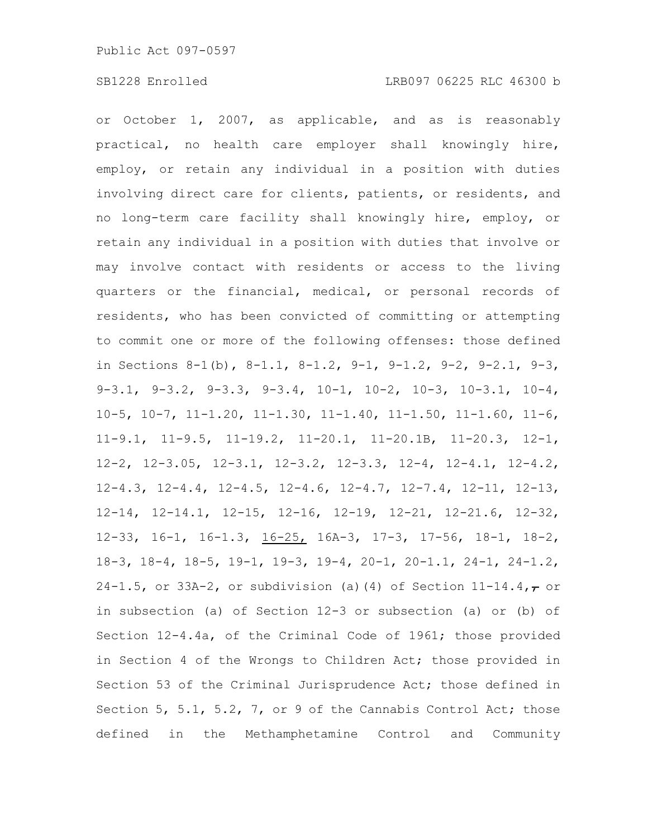or October 1, 2007, as applicable, and as is reasonably practical, no health care employer shall knowingly hire, employ, or retain any individual in a position with duties involving direct care for clients, patients, or residents, and no long-term care facility shall knowingly hire, employ, or retain any individual in a position with duties that involve or may involve contact with residents or access to the living quarters or the financial, medical, or personal records of residents, who has been convicted of committing or attempting to commit one or more of the following offenses: those defined in Sections 8-1(b), 8-1.1, 8-1.2, 9-1, 9-1.2, 9-2, 9-2.1, 9-3, 9-3.1, 9-3.2, 9-3.3, 9-3.4, 10-1, 10-2, 10-3, 10-3.1, 10-4, 10-5, 10-7, 11-1.20, 11-1.30, 11-1.40, 11-1.50, 11-1.60, 11-6, 11-9.1, 11-9.5, 11-19.2, 11-20.1, 11-20.1B, 11-20.3, 12-1, 12-2, 12-3.05, 12-3.1, 12-3.2, 12-3.3, 12-4, 12-4.1, 12-4.2, 12-4.3, 12-4.4, 12-4.5, 12-4.6, 12-4.7, 12-7.4, 12-11, 12-13, 12-14, 12-14.1, 12-15, 12-16, 12-19, 12-21, 12-21.6, 12-32, 12-33, 16-1, 16-1.3, 16-25, 16A-3, 17-3, 17-56, 18-1, 18-2, 18-3, 18-4, 18-5, 19-1, 19-3, 19-4, 20-1, 20-1.1, 24-1, 24-1.2, 24-1.5, or 33A-2, or subdivision (a)(4) of Section  $11-14.4,7$  or in subsection (a) of Section 12-3 or subsection (a) or (b) of Section 12-4.4a, of the Criminal Code of 1961; those provided in Section 4 of the Wrongs to Children Act; those provided in Section 53 of the Criminal Jurisprudence Act; those defined in Section 5, 5.1, 5.2, 7, or 9 of the Cannabis Control Act; those defined in the Methamphetamine Control and Community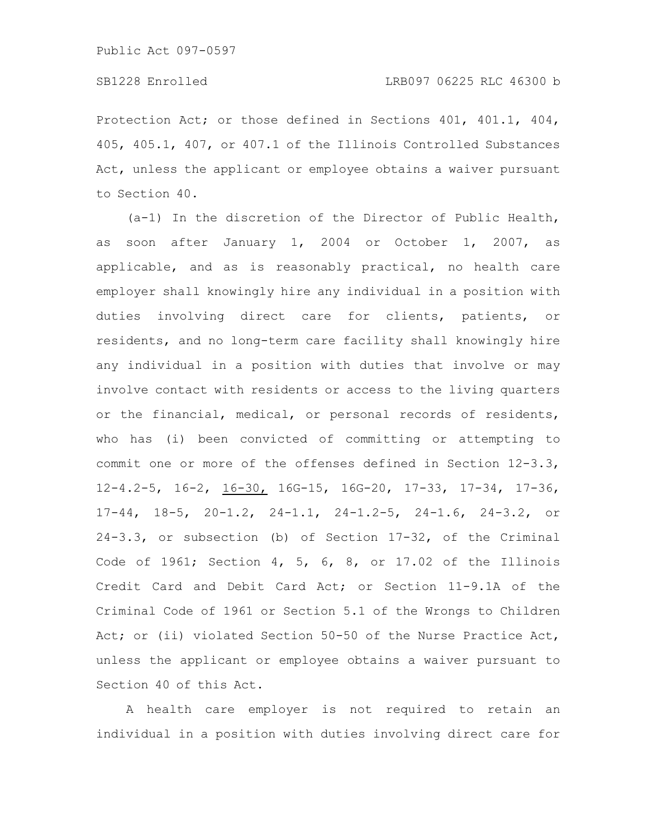Protection Act; or those defined in Sections 401, 401.1, 404, 405, 405.1, 407, or 407.1 of the Illinois Controlled Substances Act, unless the applicant or employee obtains a waiver pursuant to Section 40.

(a-1) In the discretion of the Director of Public Health, as soon after January 1, 2004 or October 1, 2007, as applicable, and as is reasonably practical, no health care employer shall knowingly hire any individual in a position with duties involving direct care for clients, patients, or residents, and no long-term care facility shall knowingly hire any individual in a position with duties that involve or may involve contact with residents or access to the living quarters or the financial, medical, or personal records of residents, who has (i) been convicted of committing or attempting to commit one or more of the offenses defined in Section 12-3.3, 12-4.2-5, 16-2, 16-30, 16G-15, 16G-20, 17-33, 17-34, 17-36, 17-44, 18-5, 20-1.2, 24-1.1, 24-1.2-5, 24-1.6, 24-3.2, or 24-3.3, or subsection (b) of Section 17-32, of the Criminal Code of 1961; Section 4, 5, 6, 8, or 17.02 of the Illinois Credit Card and Debit Card Act; or Section 11-9.1A of the Criminal Code of 1961 or Section 5.1 of the Wrongs to Children Act; or (ii) violated Section 50-50 of the Nurse Practice Act, unless the applicant or employee obtains a waiver pursuant to Section 40 of this Act.

A health care employer is not required to retain an individual in a position with duties involving direct care for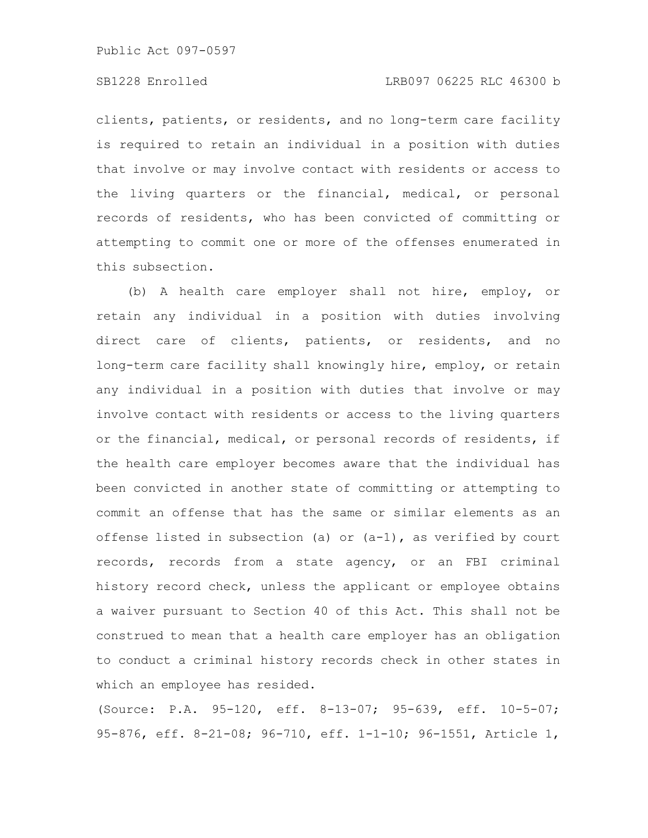clients, patients, or residents, and no long-term care facility is required to retain an individual in a position with duties that involve or may involve contact with residents or access to the living quarters or the financial, medical, or personal records of residents, who has been convicted of committing or attempting to commit one or more of the offenses enumerated in this subsection.

(b) A health care employer shall not hire, employ, or retain any individual in a position with duties involving direct care of clients, patients, or residents, and no long-term care facility shall knowingly hire, employ, or retain any individual in a position with duties that involve or may involve contact with residents or access to the living quarters or the financial, medical, or personal records of residents, if the health care employer becomes aware that the individual has been convicted in another state of committing or attempting to commit an offense that has the same or similar elements as an offense listed in subsection (a) or  $(a-1)$ , as verified by court records, records from a state agency, or an FBI criminal history record check, unless the applicant or employee obtains a waiver pursuant to Section 40 of this Act. This shall not be construed to mean that a health care employer has an obligation to conduct a criminal history records check in other states in which an employee has resided.

(Source: P.A. 95-120, eff. 8-13-07; 95-639, eff. 10-5-07; 95-876, eff. 8-21-08; 96-710, eff. 1-1-10; 96-1551, Article 1,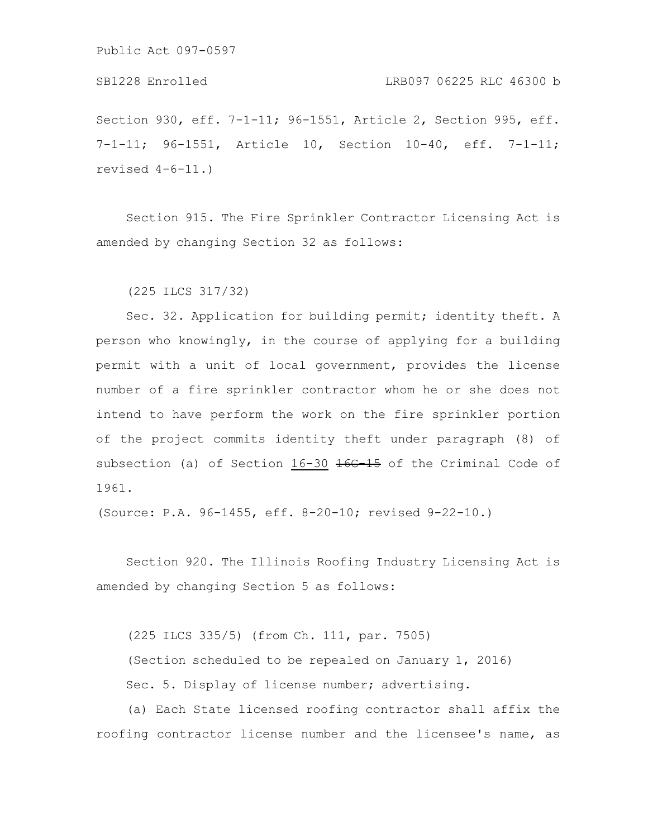## SB1228 Enrolled LRB097 06225 RLC 46300 b

Section 930, eff. 7-1-11; 96-1551, Article 2, Section 995, eff. 7-1-11; 96-1551, Article 10, Section 10-40, eff. 7-1-11; revised 4-6-11.)

Section 915. The Fire Sprinkler Contractor Licensing Act is amended by changing Section 32 as follows:

(225 ILCS 317/32)

Sec. 32. Application for building permit; identity theft. A person who knowingly, in the course of applying for a building permit with a unit of local government, provides the license number of a fire sprinkler contractor whom he or she does not intend to have perform the work on the fire sprinkler portion of the project commits identity theft under paragraph (8) of subsection (a) of Section  $16-30$   $\overline{466-15}$  of the Criminal Code of 1961.

(Source: P.A. 96-1455, eff. 8-20-10; revised 9-22-10.)

Section 920. The Illinois Roofing Industry Licensing Act is amended by changing Section 5 as follows:

(225 ILCS 335/5) (from Ch. 111, par. 7505) (Section scheduled to be repealed on January 1, 2016) Sec. 5. Display of license number; advertising.

(a) Each State licensed roofing contractor shall affix the roofing contractor license number and the licensee's name, as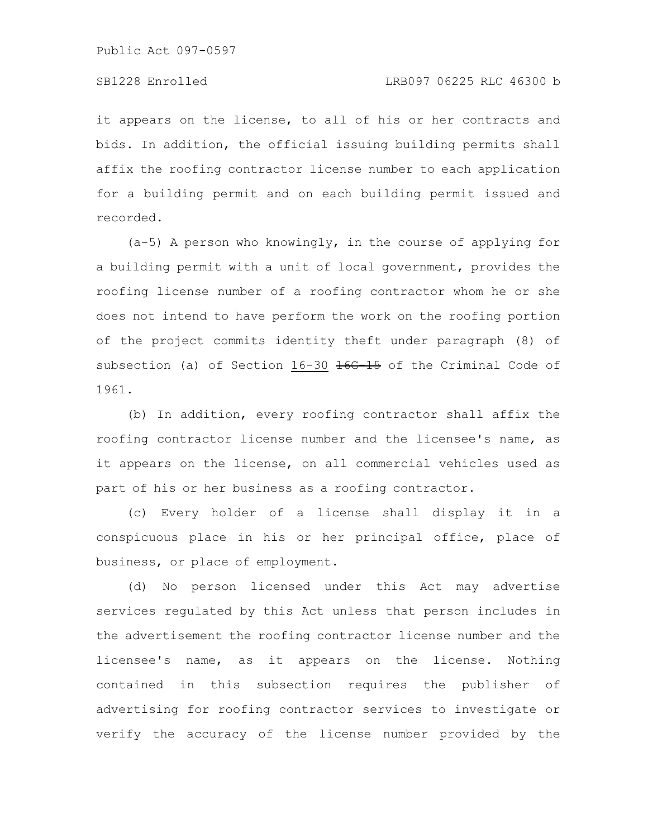it appears on the license, to all of his or her contracts and bids. In addition, the official issuing building permits shall affix the roofing contractor license number to each application for a building permit and on each building permit issued and recorded.

(a-5) A person who knowingly, in the course of applying for a building permit with a unit of local government, provides the roofing license number of a roofing contractor whom he or she does not intend to have perform the work on the roofing portion of the project commits identity theft under paragraph (8) of subsection (a) of Section 16-30 <del>16G-15</del> of the Criminal Code of 1961.

(b) In addition, every roofing contractor shall affix the roofing contractor license number and the licensee's name, as it appears on the license, on all commercial vehicles used as part of his or her business as a roofing contractor.

(c) Every holder of a license shall display it in a conspicuous place in his or her principal office, place of business, or place of employment.

(d) No person licensed under this Act may advertise services regulated by this Act unless that person includes in the advertisement the roofing contractor license number and the licensee's name, as it appears on the license. Nothing contained in this subsection requires the publisher of advertising for roofing contractor services to investigate or verify the accuracy of the license number provided by the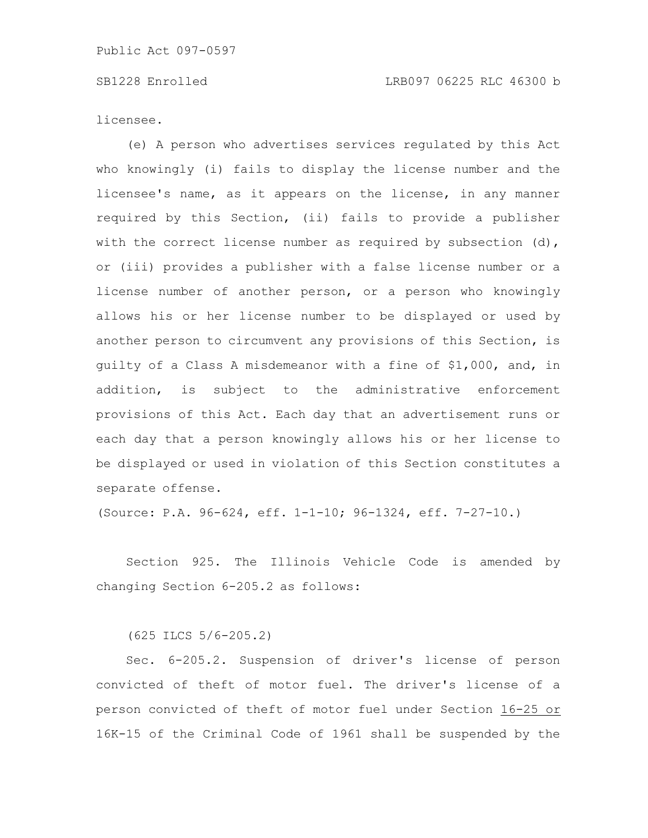licensee.

(e) A person who advertises services regulated by this Act who knowingly (i) fails to display the license number and the licensee's name, as it appears on the license, in any manner required by this Section, (ii) fails to provide a publisher with the correct license number as required by subsection  $(d)$ , or (iii) provides a publisher with a false license number or a license number of another person, or a person who knowingly allows his or her license number to be displayed or used by another person to circumvent any provisions of this Section, is guilty of a Class A misdemeanor with a fine of \$1,000, and, in addition, is subject to the administrative enforcement provisions of this Act. Each day that an advertisement runs or each day that a person knowingly allows his or her license to be displayed or used in violation of this Section constitutes a separate offense.

(Source: P.A. 96-624, eff. 1-1-10; 96-1324, eff. 7-27-10.)

Section 925. The Illinois Vehicle Code is amended by changing Section 6-205.2 as follows:

(625 ILCS 5/6-205.2)

Sec. 6-205.2. Suspension of driver's license of person convicted of theft of motor fuel. The driver's license of a person convicted of theft of motor fuel under Section 16-25 or 16K-15 of the Criminal Code of 1961 shall be suspended by the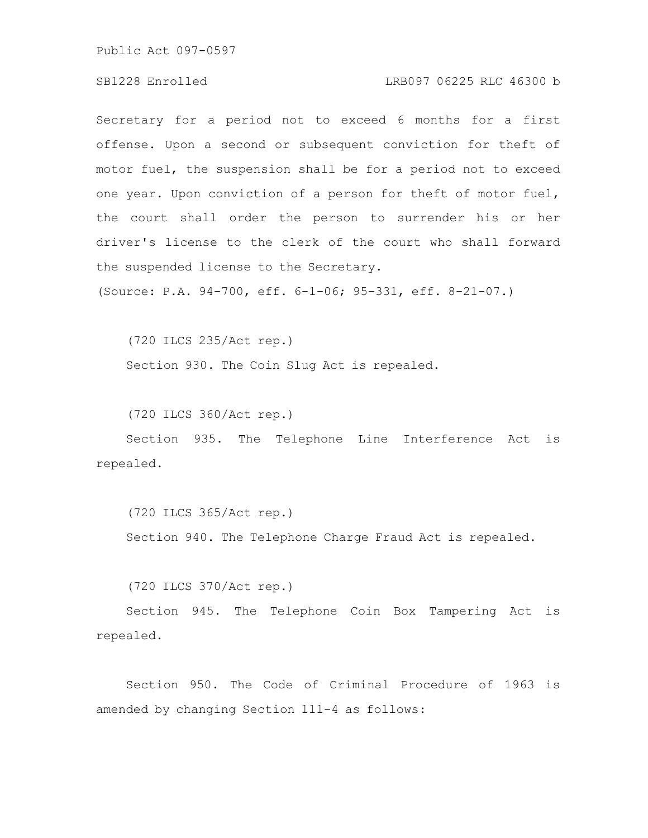## SB1228 Enrolled LRB097 06225 RLC 46300 b

Secretary for a period not to exceed 6 months for a first offense. Upon a second or subsequent conviction for theft of motor fuel, the suspension shall be for a period not to exceed one year. Upon conviction of a person for theft of motor fuel, the court shall order the person to surrender his or her driver's license to the clerk of the court who shall forward the suspended license to the Secretary.

(Source: P.A. 94-700, eff. 6-1-06; 95-331, eff. 8-21-07.)

(720 ILCS 235/Act rep.) Section 930. The Coin Slug Act is repealed.

(720 ILCS 360/Act rep.)

Section 935. The Telephone Line Interference Act is repealed.

(720 ILCS 365/Act rep.) Section 940. The Telephone Charge Fraud Act is repealed.

(720 ILCS 370/Act rep.)

Section 945. The Telephone Coin Box Tampering Act is repealed.

Section 950. The Code of Criminal Procedure of 1963 is amended by changing Section 111-4 as follows: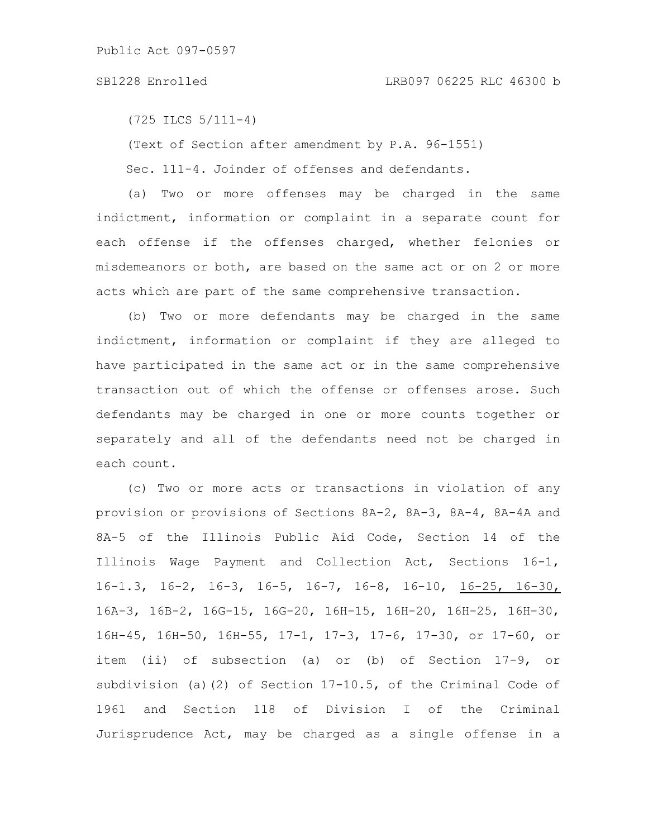## SB1228 Enrolled LRB097 06225 RLC 46300 b

(725 ILCS 5/111-4)

(Text of Section after amendment by P.A. 96-1551)

Sec. 111-4. Joinder of offenses and defendants.

(a) Two or more offenses may be charged in the same indictment, information or complaint in a separate count for each offense if the offenses charged, whether felonies or misdemeanors or both, are based on the same act or on 2 or more acts which are part of the same comprehensive transaction.

(b) Two or more defendants may be charged in the same indictment, information or complaint if they are alleged to have participated in the same act or in the same comprehensive transaction out of which the offense or offenses arose. Such defendants may be charged in one or more counts together or separately and all of the defendants need not be charged in each count.

(c) Two or more acts or transactions in violation of any provision or provisions of Sections 8A-2, 8A-3, 8A-4, 8A-4A and 8A-5 of the Illinois Public Aid Code, Section 14 of the Illinois Wage Payment and Collection Act, Sections 16-1, 16-1.3, 16-2, 16-3, 16-5, 16-7, 16-8, 16-10, 16-25, 16-30, 16A-3, 16B-2, 16G-15, 16G-20, 16H-15, 16H-20, 16H-25, 16H-30, 16H-45, 16H-50, 16H-55, 17-1, 17-3, 17-6, 17-30, or 17-60, or item (ii) of subsection (a) or (b) of Section 17-9, or subdivision (a)(2) of Section 17-10.5, of the Criminal Code of 1961 and Section 118 of Division I of the Criminal Jurisprudence Act, may be charged as a single offense in a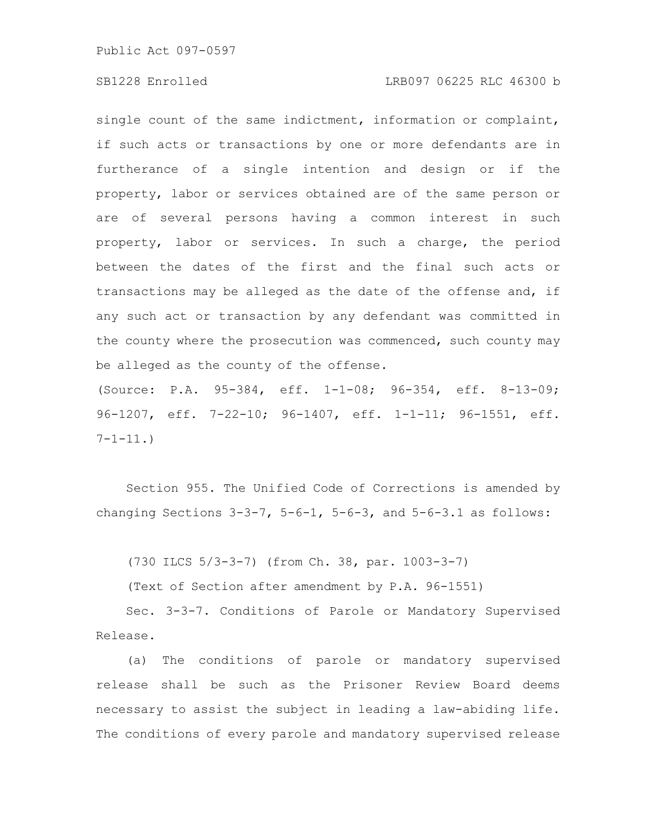# SB1228 Enrolled LRB097 06225 RLC 46300 b

single count of the same indictment, information or complaint, if such acts or transactions by one or more defendants are in furtherance of a single intention and design or if the property, labor or services obtained are of the same person or are of several persons having a common interest in such property, labor or services. In such a charge, the period between the dates of the first and the final such acts or transactions may be alleged as the date of the offense and, if any such act or transaction by any defendant was committed in the county where the prosecution was commenced, such county may be alleged as the county of the offense.

(Source: P.A. 95-384, eff. 1-1-08; 96-354, eff. 8-13-09; 96-1207, eff. 7-22-10; 96-1407, eff. 1-1-11; 96-1551, eff.  $7 - 1 - 11.$ 

Section 955. The Unified Code of Corrections is amended by changing Sections  $3-3-7$ ,  $5-6-1$ ,  $5-6-3$ , and  $5-6-3.1$  as follows:

(730 ILCS 5/3-3-7) (from Ch. 38, par. 1003-3-7)

(Text of Section after amendment by P.A. 96-1551)

Sec. 3-3-7. Conditions of Parole or Mandatory Supervised Release.

(a) The conditions of parole or mandatory supervised release shall be such as the Prisoner Review Board deems necessary to assist the subject in leading a law-abiding life. The conditions of every parole and mandatory supervised release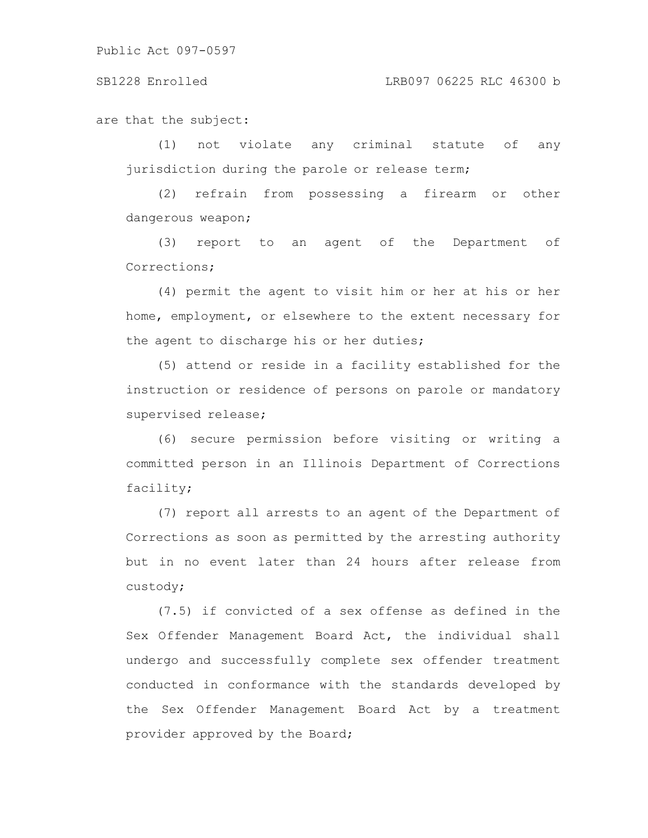SB1228 Enrolled LRB097 06225 RLC 46300 b

are that the subject:

(1) not violate any criminal statute of any jurisdiction during the parole or release term;

(2) refrain from possessing a firearm or other dangerous weapon;

(3) report to an agent of the Department of Corrections;

(4) permit the agent to visit him or her at his or her home, employment, or elsewhere to the extent necessary for the agent to discharge his or her duties;

(5) attend or reside in a facility established for the instruction or residence of persons on parole or mandatory supervised release;

(6) secure permission before visiting or writing a committed person in an Illinois Department of Corrections facility;

(7) report all arrests to an agent of the Department of Corrections as soon as permitted by the arresting authority but in no event later than 24 hours after release from custody;

(7.5) if convicted of a sex offense as defined in the Sex Offender Management Board Act, the individual shall undergo and successfully complete sex offender treatment conducted in conformance with the standards developed by the Sex Offender Management Board Act by a treatment provider approved by the Board;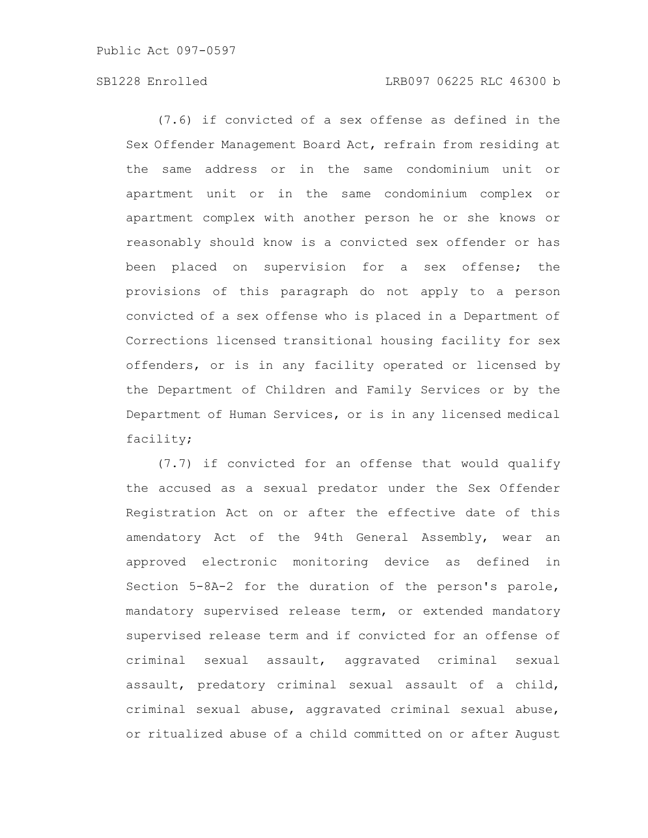# SB1228 Enrolled LRB097 06225 RLC 46300 b

(7.6) if convicted of a sex offense as defined in the Sex Offender Management Board Act, refrain from residing at the same address or in the same condominium unit or apartment unit or in the same condominium complex or apartment complex with another person he or she knows or reasonably should know is a convicted sex offender or has been placed on supervision for a sex offense; the provisions of this paragraph do not apply to a person convicted of a sex offense who is placed in a Department of Corrections licensed transitional housing facility for sex offenders, or is in any facility operated or licensed by the Department of Children and Family Services or by the Department of Human Services, or is in any licensed medical facility;

(7.7) if convicted for an offense that would qualify the accused as a sexual predator under the Sex Offender Registration Act on or after the effective date of this amendatory Act of the 94th General Assembly, wear an approved electronic monitoring device as defined in Section 5-8A-2 for the duration of the person's parole, mandatory supervised release term, or extended mandatory supervised release term and if convicted for an offense of criminal sexual assault, aggravated criminal sexual assault, predatory criminal sexual assault of a child, criminal sexual abuse, aggravated criminal sexual abuse, or ritualized abuse of a child committed on or after August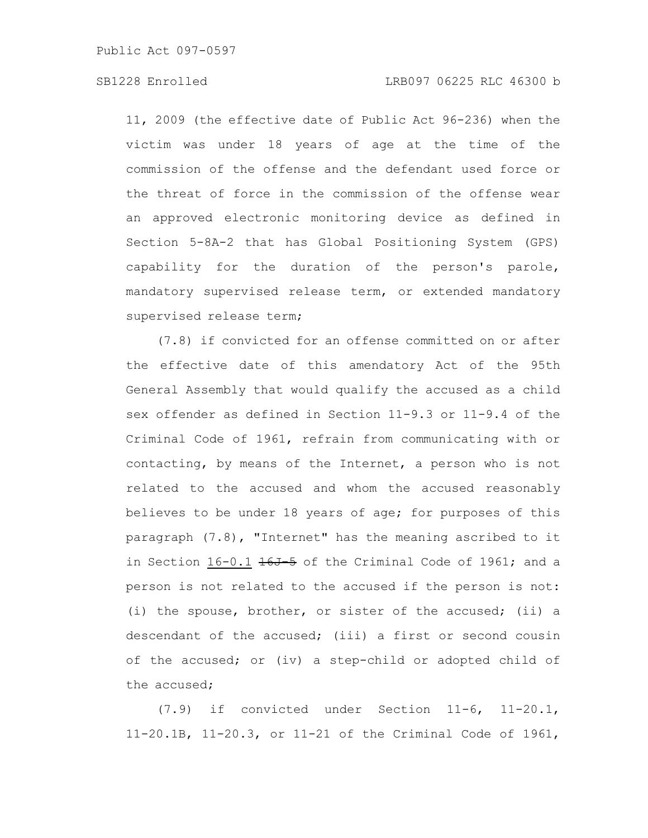11, 2009 (the effective date of Public Act 96-236) when the victim was under 18 years of age at the time of the commission of the offense and the defendant used force or the threat of force in the commission of the offense wear an approved electronic monitoring device as defined in Section 5-8A-2 that has Global Positioning System (GPS) capability for the duration of the person's parole, mandatory supervised release term, or extended mandatory supervised release term;

(7.8) if convicted for an offense committed on or after the effective date of this amendatory Act of the 95th General Assembly that would qualify the accused as a child sex offender as defined in Section 11-9.3 or 11-9.4 of the Criminal Code of 1961, refrain from communicating with or contacting, by means of the Internet, a person who is not related to the accused and whom the accused reasonably believes to be under 18 years of age; for purposes of this paragraph (7.8), "Internet" has the meaning ascribed to it in Section  $16-0.1$   $16J-5$  of the Criminal Code of 1961; and a person is not related to the accused if the person is not: (i) the spouse, brother, or sister of the accused; (ii) a descendant of the accused; (iii) a first or second cousin of the accused; or (iv) a step-child or adopted child of the accused;

(7.9) if convicted under Section 11-6, 11-20.1, 11-20.1B, 11-20.3, or 11-21 of the Criminal Code of 1961,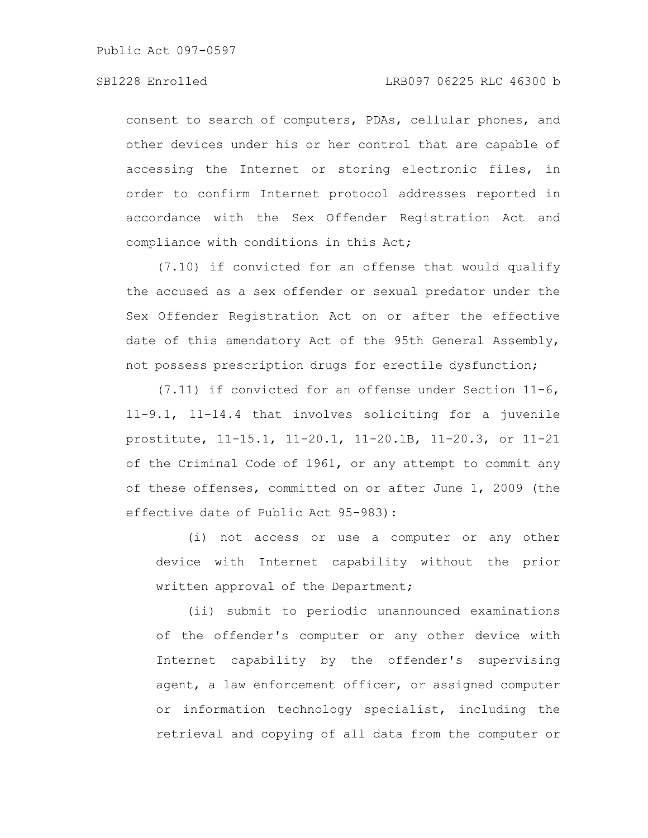consent to search of computers, PDAs, cellular phones, and other devices under his or her control that are capable of accessing the Internet or storing electronic files, in order to confirm Internet protocol addresses reported in accordance with the Sex Offender Registration Act and compliance with conditions in this Act;

(7.10) if convicted for an offense that would qualify the accused as a sex offender or sexual predator under the Sex Offender Registration Act on or after the effective date of this amendatory Act of the 95th General Assembly, not possess prescription drugs for erectile dysfunction;

(7.11) if convicted for an offense under Section 11-6, 11-9.1, 11-14.4 that involves soliciting for a juvenile prostitute, 11-15.1, 11-20.1, 11-20.1B, 11-20.3, or 11-21 of the Criminal Code of 1961, or any attempt to commit any of these offenses, committed on or after June 1, 2009 (the effective date of Public Act 95-983):

(i) not access or use a computer or any other device with Internet capability without the prior written approval of the Department;

(ii) submit to periodic unannounced examinations of the offender's computer or any other device with Internet capability by the offender's supervising agent, a law enforcement officer, or assigned computer or information technology specialist, including the retrieval and copying of all data from the computer or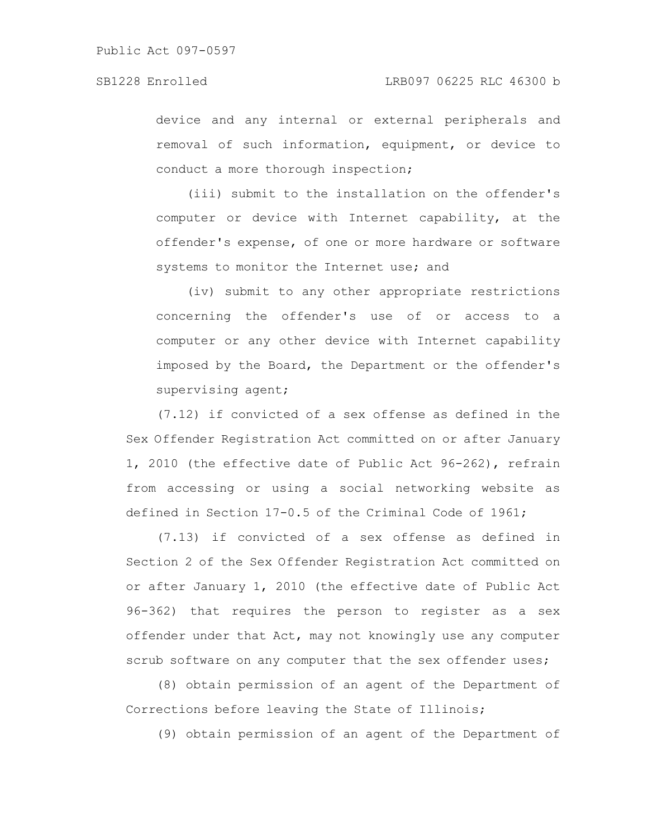device and any internal or external peripherals and removal of such information, equipment, or device to conduct a more thorough inspection;

(iii) submit to the installation on the offender's computer or device with Internet capability, at the offender's expense, of one or more hardware or software systems to monitor the Internet use; and

(iv) submit to any other appropriate restrictions concerning the offender's use of or access to a computer or any other device with Internet capability imposed by the Board, the Department or the offender's supervising agent;

(7.12) if convicted of a sex offense as defined in the Sex Offender Registration Act committed on or after January 1, 2010 (the effective date of Public Act 96-262), refrain from accessing or using a social networking website as defined in Section 17-0.5 of the Criminal Code of 1961;

(7.13) if convicted of a sex offense as defined in Section 2 of the Sex Offender Registration Act committed on or after January 1, 2010 (the effective date of Public Act 96-362) that requires the person to register as a sex offender under that Act, may not knowingly use any computer scrub software on any computer that the sex offender uses;

(8) obtain permission of an agent of the Department of Corrections before leaving the State of Illinois;

(9) obtain permission of an agent of the Department of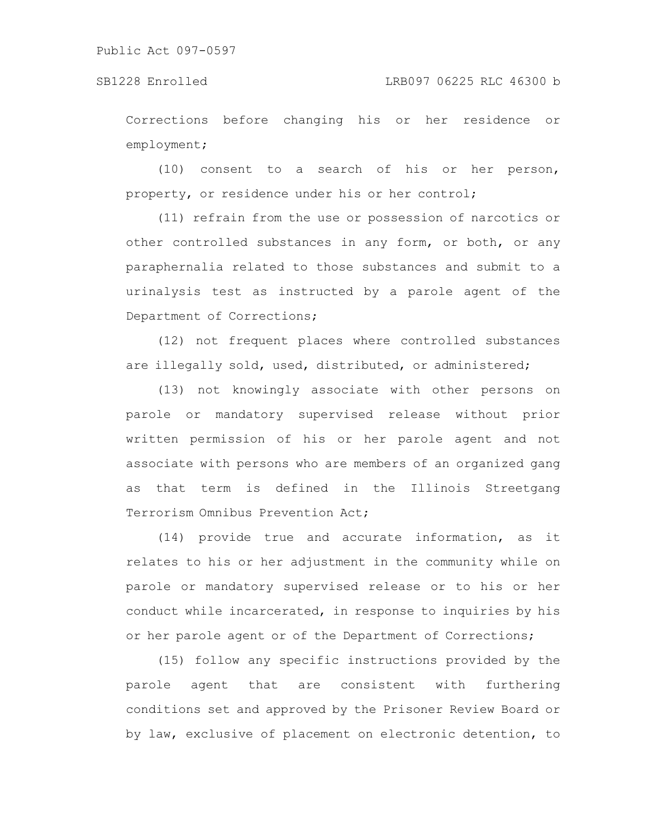Corrections before changing his or her residence or employment;

(10) consent to a search of his or her person, property, or residence under his or her control;

(11) refrain from the use or possession of narcotics or other controlled substances in any form, or both, or any paraphernalia related to those substances and submit to a urinalysis test as instructed by a parole agent of the Department of Corrections;

(12) not frequent places where controlled substances are illegally sold, used, distributed, or administered;

(13) not knowingly associate with other persons on parole or mandatory supervised release without prior written permission of his or her parole agent and not associate with persons who are members of an organized gang as that term is defined in the Illinois Streetgang Terrorism Omnibus Prevention Act;

(14) provide true and accurate information, as it relates to his or her adjustment in the community while on parole or mandatory supervised release or to his or her conduct while incarcerated, in response to inquiries by his or her parole agent or of the Department of Corrections;

(15) follow any specific instructions provided by the parole agent that are consistent with furthering conditions set and approved by the Prisoner Review Board or by law, exclusive of placement on electronic detention, to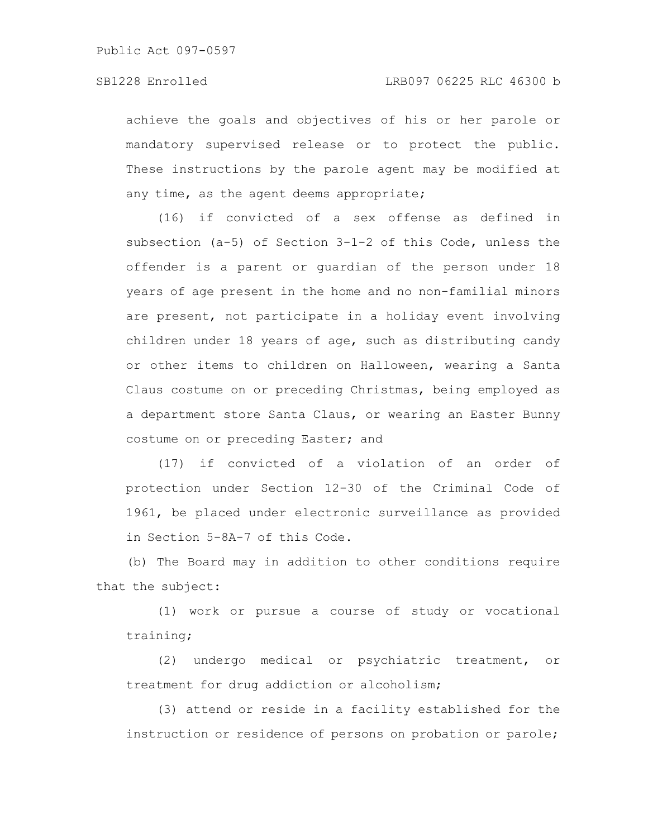achieve the goals and objectives of his or her parole or mandatory supervised release or to protect the public. These instructions by the parole agent may be modified at any time, as the agent deems appropriate;

(16) if convicted of a sex offense as defined in subsection (a-5) of Section 3-1-2 of this Code, unless the offender is a parent or guardian of the person under 18 years of age present in the home and no non-familial minors are present, not participate in a holiday event involving children under 18 years of age, such as distributing candy or other items to children on Halloween, wearing a Santa Claus costume on or preceding Christmas, being employed as a department store Santa Claus, or wearing an Easter Bunny costume on or preceding Easter; and

(17) if convicted of a violation of an order of protection under Section 12-30 of the Criminal Code of 1961, be placed under electronic surveillance as provided in Section 5-8A-7 of this Code.

(b) The Board may in addition to other conditions require that the subject:

(1) work or pursue a course of study or vocational training;

(2) undergo medical or psychiatric treatment, or treatment for drug addiction or alcoholism;

(3) attend or reside in a facility established for the instruction or residence of persons on probation or parole;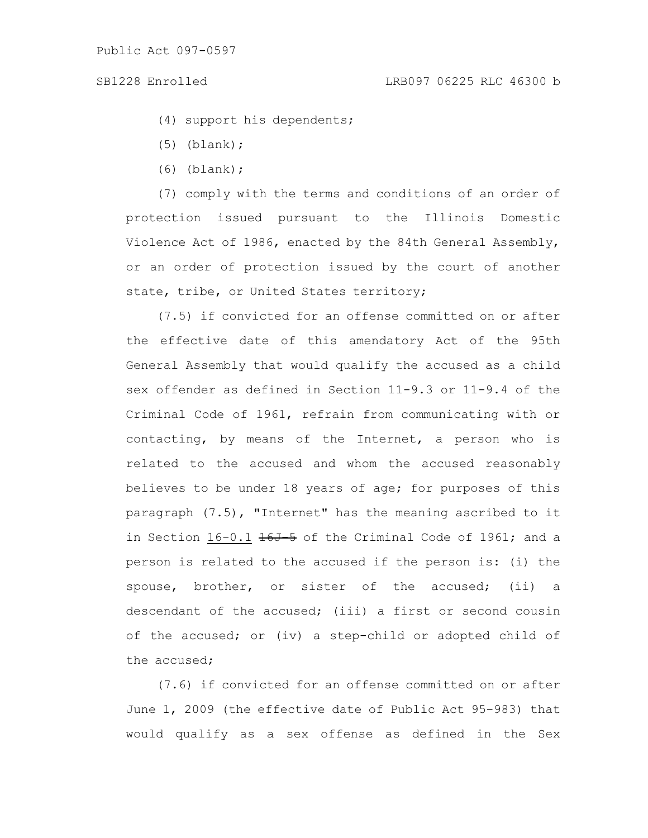(4) support his dependents;

- (5) (blank);
- (6) (blank);

(7) comply with the terms and conditions of an order of protection issued pursuant to the Illinois Domestic Violence Act of 1986, enacted by the 84th General Assembly, or an order of protection issued by the court of another state, tribe, or United States territory;

(7.5) if convicted for an offense committed on or after the effective date of this amendatory Act of the 95th General Assembly that would qualify the accused as a child sex offender as defined in Section 11-9.3 or 11-9.4 of the Criminal Code of 1961, refrain from communicating with or contacting, by means of the Internet, a person who is related to the accused and whom the accused reasonably believes to be under 18 years of age; for purposes of this paragraph (7.5), "Internet" has the meaning ascribed to it in Section  $16-0.1$   $16J-5$  of the Criminal Code of 1961; and a person is related to the accused if the person is: (i) the spouse, brother, or sister of the accused; (ii) a descendant of the accused; (iii) a first or second cousin of the accused; or (iv) a step-child or adopted child of the accused;

(7.6) if convicted for an offense committed on or after June 1, 2009 (the effective date of Public Act 95-983) that would qualify as a sex offense as defined in the Sex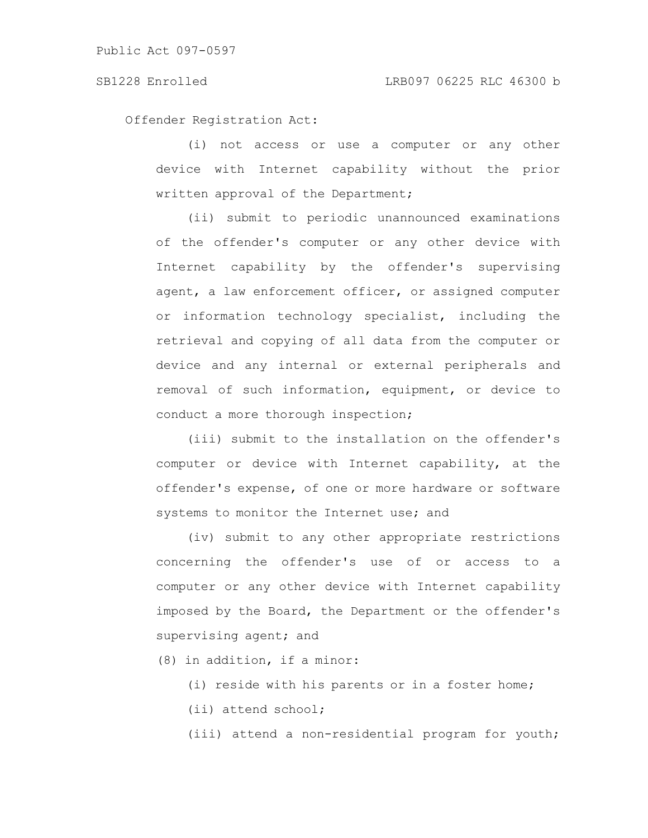Offender Registration Act:

(i) not access or use a computer or any other device with Internet capability without the prior written approval of the Department;

(ii) submit to periodic unannounced examinations of the offender's computer or any other device with Internet capability by the offender's supervising agent, a law enforcement officer, or assigned computer or information technology specialist, including the retrieval and copying of all data from the computer or device and any internal or external peripherals and removal of such information, equipment, or device to conduct a more thorough inspection;

(iii) submit to the installation on the offender's computer or device with Internet capability, at the offender's expense, of one or more hardware or software systems to monitor the Internet use; and

(iv) submit to any other appropriate restrictions concerning the offender's use of or access to a computer or any other device with Internet capability imposed by the Board, the Department or the offender's supervising agent; and

(8) in addition, if a minor:

(i) reside with his parents or in a foster home;

(ii) attend school;

(iii) attend a non-residential program for youth;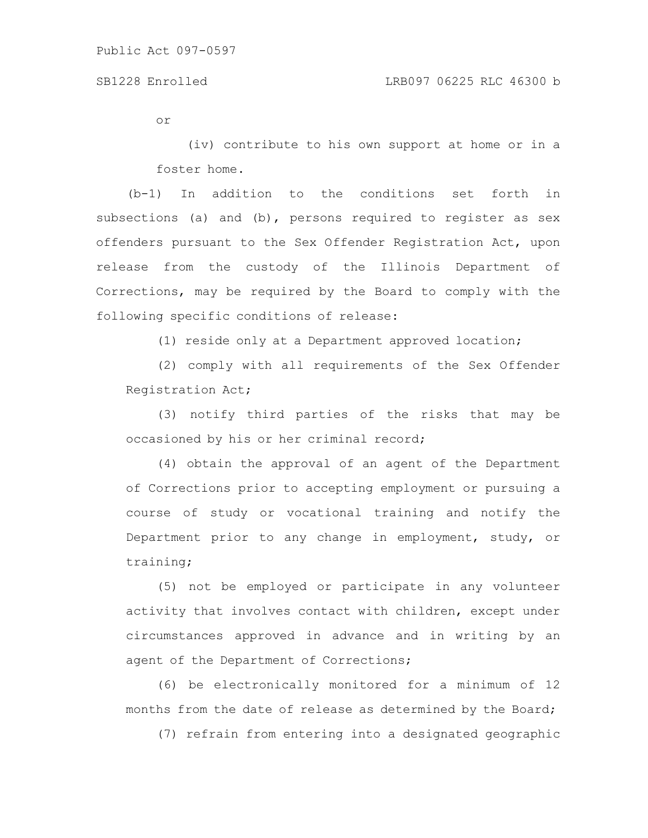or

(iv) contribute to his own support at home or in a foster home.

(b-1) In addition to the conditions set forth in subsections (a) and (b), persons required to reqister as sex offenders pursuant to the Sex Offender Registration Act, upon release from the custody of the Illinois Department of Corrections, may be required by the Board to comply with the following specific conditions of release:

(1) reside only at a Department approved location;

(2) comply with all requirements of the Sex Offender Registration Act;

(3) notify third parties of the risks that may be occasioned by his or her criminal record;

(4) obtain the approval of an agent of the Department of Corrections prior to accepting employment or pursuing a course of study or vocational training and notify the Department prior to any change in employment, study, or training;

(5) not be employed or participate in any volunteer activity that involves contact with children, except under circumstances approved in advance and in writing by an agent of the Department of Corrections;

(6) be electronically monitored for a minimum of 12 months from the date of release as determined by the Board;

(7) refrain from entering into a designated geographic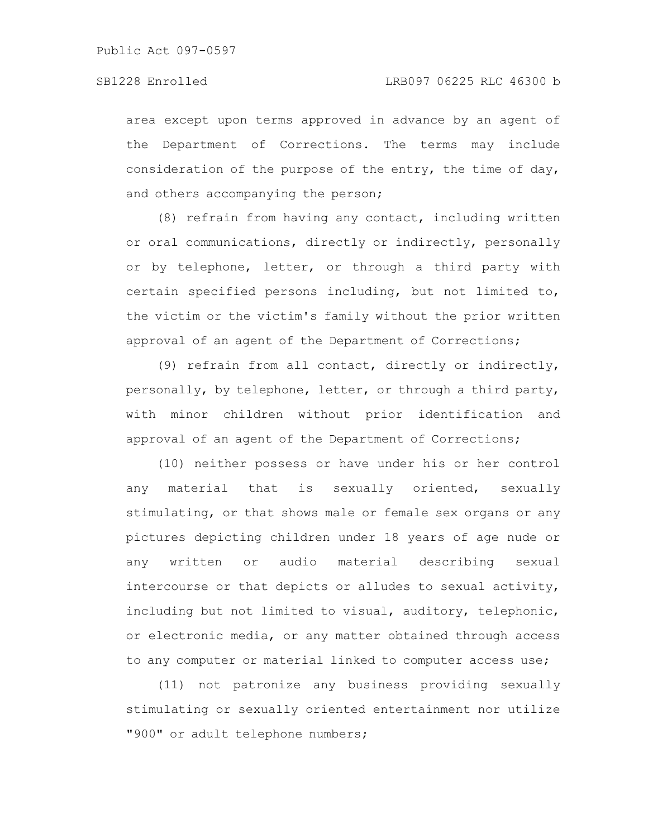area except upon terms approved in advance by an agent of the Department of Corrections. The terms may include consideration of the purpose of the entry, the time of day, and others accompanying the person;

(8) refrain from having any contact, including written or oral communications, directly or indirectly, personally or by telephone, letter, or through a third party with certain specified persons including, but not limited to, the victim or the victim's family without the prior written approval of an agent of the Department of Corrections;

(9) refrain from all contact, directly or indirectly, personally, by telephone, letter, or through a third party, with minor children without prior identification and approval of an agent of the Department of Corrections;

(10) neither possess or have under his or her control any material that is sexually oriented, sexually stimulating, or that shows male or female sex organs or any pictures depicting children under 18 years of age nude or any written or audio material describing sexual intercourse or that depicts or alludes to sexual activity, including but not limited to visual, auditory, telephonic, or electronic media, or any matter obtained through access to any computer or material linked to computer access use;

(11) not patronize any business providing sexually stimulating or sexually oriented entertainment nor utilize "900" or adult telephone numbers;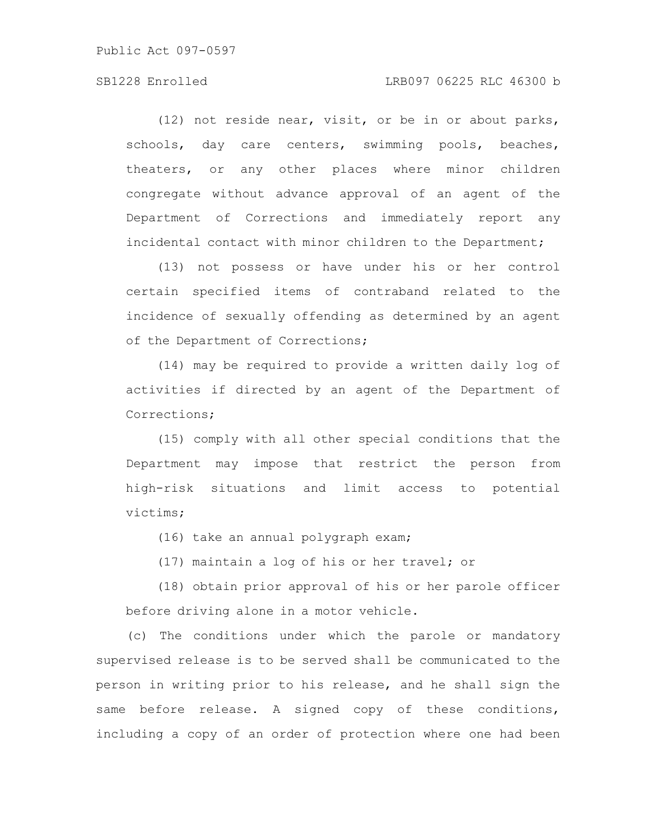# SB1228 Enrolled LRB097 06225 RLC 46300 b

(12) not reside near, visit, or be in or about parks, schools, day care centers, swimming pools, beaches, theaters, or any other places where minor children congregate without advance approval of an agent of the Department of Corrections and immediately report any incidental contact with minor children to the Department;

(13) not possess or have under his or her control certain specified items of contraband related to the incidence of sexually offending as determined by an agent of the Department of Corrections;

(14) may be required to provide a written daily log of activities if directed by an agent of the Department of Corrections;

(15) comply with all other special conditions that the Department may impose that restrict the person from high-risk situations and limit access to potential victims;

(16) take an annual polygraph exam;

(17) maintain a log of his or her travel; or

(18) obtain prior approval of his or her parole officer before driving alone in a motor vehicle.

(c) The conditions under which the parole or mandatory supervised release is to be served shall be communicated to the person in writing prior to his release, and he shall sign the same before release. A signed copy of these conditions, including a copy of an order of protection where one had been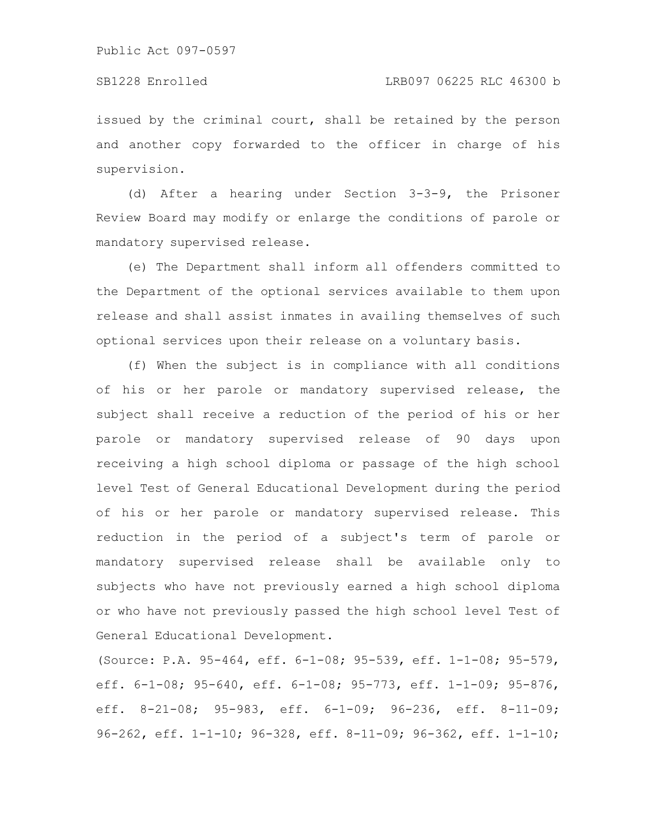## SB1228 Enrolled LRB097 06225 RLC 46300 b

issued by the criminal court, shall be retained by the person and another copy forwarded to the officer in charge of his supervision.

(d) After a hearing under Section 3-3-9, the Prisoner Review Board may modify or enlarge the conditions of parole or mandatory supervised release.

(e) The Department shall inform all offenders committed to the Department of the optional services available to them upon release and shall assist inmates in availing themselves of such optional services upon their release on a voluntary basis.

(f) When the subject is in compliance with all conditions of his or her parole or mandatory supervised release, the subject shall receive a reduction of the period of his or her parole or mandatory supervised release of 90 days upon receiving a high school diploma or passage of the high school level Test of General Educational Development during the period of his or her parole or mandatory supervised release. This reduction in the period of a subject's term of parole or mandatory supervised release shall be available only to subjects who have not previously earned a high school diploma or who have not previously passed the high school level Test of General Educational Development.

(Source: P.A. 95-464, eff. 6-1-08; 95-539, eff. 1-1-08; 95-579, eff. 6-1-08; 95-640, eff. 6-1-08; 95-773, eff. 1-1-09; 95-876, eff. 8-21-08; 95-983, eff. 6-1-09; 96-236, eff. 8-11-09; 96-262, eff. 1-1-10; 96-328, eff. 8-11-09; 96-362, eff. 1-1-10;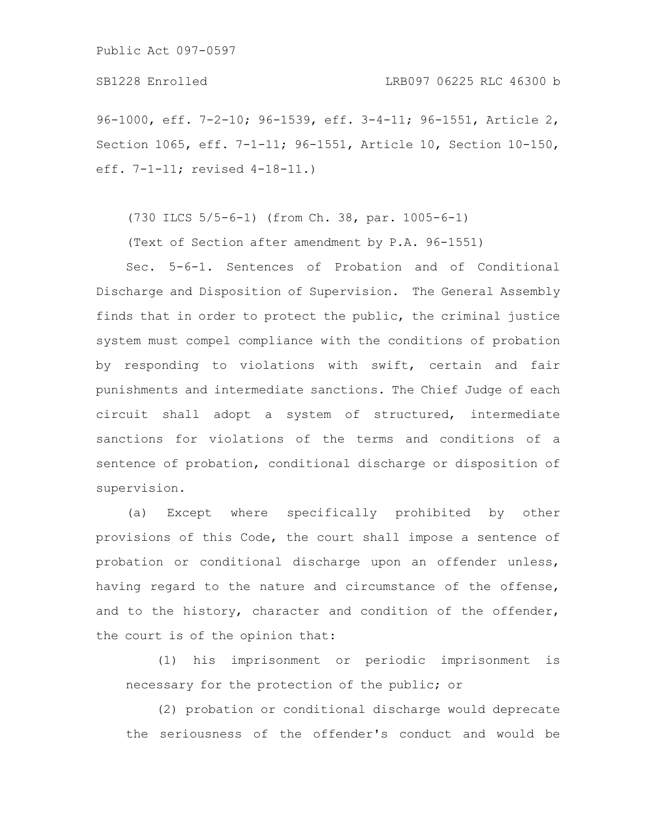96-1000, eff. 7-2-10; 96-1539, eff. 3-4-11; 96-1551, Article 2, Section 1065, eff. 7-1-11; 96-1551, Article 10, Section 10-150, eff. 7-1-11; revised 4-18-11.)

(730 ILCS 5/5-6-1) (from Ch. 38, par. 1005-6-1)

(Text of Section after amendment by P.A. 96-1551)

Sec. 5-6-1. Sentences of Probation and of Conditional Discharge and Disposition of Supervision. The General Assembly finds that in order to protect the public, the criminal justice system must compel compliance with the conditions of probation by responding to violations with swift, certain and fair punishments and intermediate sanctions. The Chief Judge of each circuit shall adopt a system of structured, intermediate sanctions for violations of the terms and conditions of a sentence of probation, conditional discharge or disposition of supervision.

(a) Except where specifically prohibited by other provisions of this Code, the court shall impose a sentence of probation or conditional discharge upon an offender unless, having regard to the nature and circumstance of the offense, and to the history, character and condition of the offender, the court is of the opinion that:

(1) his imprisonment or periodic imprisonment is necessary for the protection of the public; or

(2) probation or conditional discharge would deprecate the seriousness of the offender's conduct and would be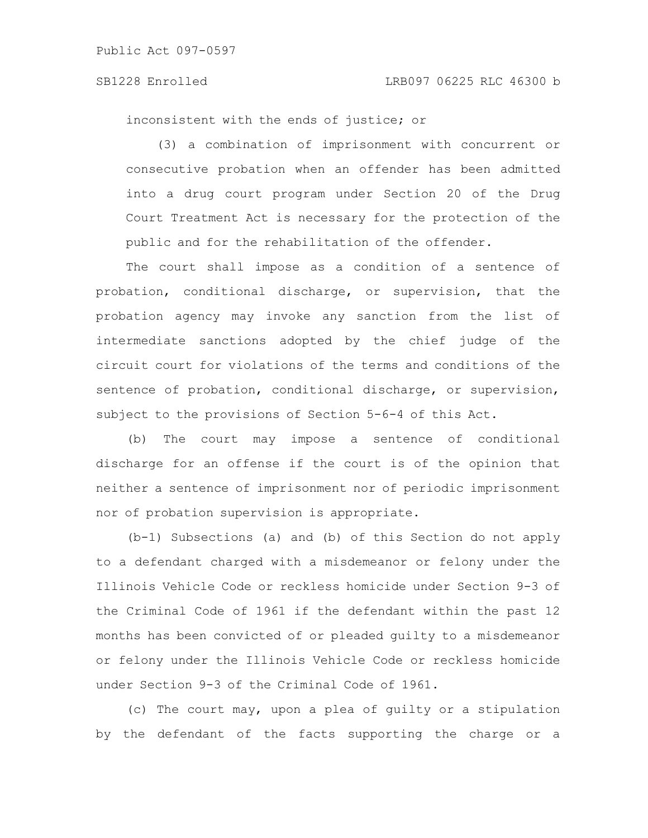inconsistent with the ends of justice; or

(3) a combination of imprisonment with concurrent or consecutive probation when an offender has been admitted into a drug court program under Section 20 of the Drug Court Treatment Act is necessary for the protection of the public and for the rehabilitation of the offender.

The court shall impose as a condition of a sentence of probation, conditional discharge, or supervision, that the probation agency may invoke any sanction from the list of intermediate sanctions adopted by the chief judge of the circuit court for violations of the terms and conditions of the sentence of probation, conditional discharge, or supervision, subject to the provisions of Section 5-6-4 of this Act.

(b) The court may impose a sentence of conditional discharge for an offense if the court is of the opinion that neither a sentence of imprisonment nor of periodic imprisonment nor of probation supervision is appropriate.

(b-1) Subsections (a) and (b) of this Section do not apply to a defendant charged with a misdemeanor or felony under the Illinois Vehicle Code or reckless homicide under Section 9-3 of the Criminal Code of 1961 if the defendant within the past 12 months has been convicted of or pleaded guilty to a misdemeanor or felony under the Illinois Vehicle Code or reckless homicide under Section 9-3 of the Criminal Code of 1961.

(c) The court may, upon a plea of guilty or a stipulation by the defendant of the facts supporting the charge or a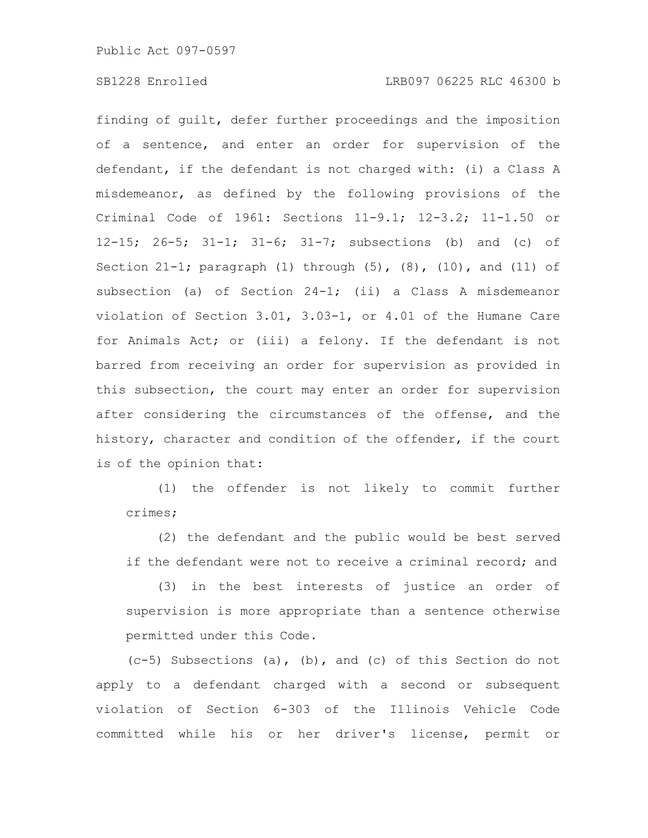finding of guilt, defer further proceedings and the imposition of a sentence, and enter an order for supervision of the defendant, if the defendant is not charged with: (i) a Class A misdemeanor, as defined by the following provisions of the Criminal Code of 1961: Sections 11-9.1; 12-3.2; 11-1.50 or 12-15; 26-5; 31-1; 31-6; 31-7; subsections (b) and (c) of Section 21-1; paragraph (1) through (5), (8), (10), and (11) of subsection (a) of Section 24-1; (ii) a Class A misdemeanor violation of Section 3.01, 3.03-1, or 4.01 of the Humane Care for Animals Act; or (iii) a felony. If the defendant is not barred from receiving an order for supervision as provided in this subsection, the court may enter an order for supervision after considering the circumstances of the offense, and the history, character and condition of the offender, if the court is of the opinion that:

(1) the offender is not likely to commit further crimes;

(2) the defendant and the public would be best served if the defendant were not to receive a criminal record; and

(3) in the best interests of justice an order of supervision is more appropriate than a sentence otherwise permitted under this Code.

(c-5) Subsections (a), (b), and (c) of this Section do not apply to a defendant charged with a second or subsequent violation of Section 6-303 of the Illinois Vehicle Code committed while his or her driver's license, permit or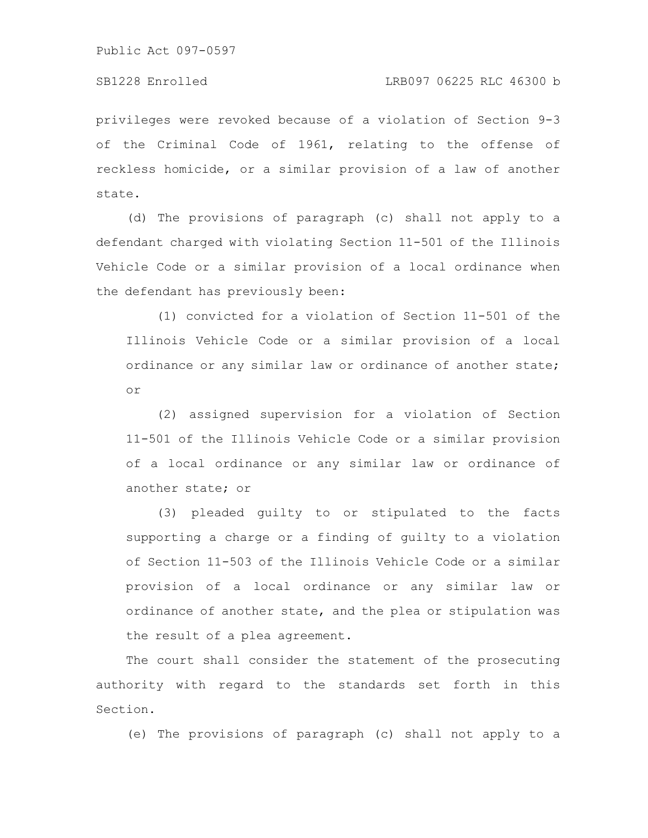# SB1228 Enrolled LRB097 06225 RLC 46300 b

privileges were revoked because of a violation of Section 9-3 of the Criminal Code of 1961, relating to the offense of reckless homicide, or a similar provision of a law of another state.

(d) The provisions of paragraph (c) shall not apply to a defendant charged with violating Section 11-501 of the Illinois Vehicle Code or a similar provision of a local ordinance when the defendant has previously been:

(1) convicted for a violation of Section 11-501 of the Illinois Vehicle Code or a similar provision of a local ordinance or any similar law or ordinance of another state; or

(2) assigned supervision for a violation of Section 11-501 of the Illinois Vehicle Code or a similar provision of a local ordinance or any similar law or ordinance of another state; or

(3) pleaded guilty to or stipulated to the facts supporting a charge or a finding of guilty to a violation of Section 11-503 of the Illinois Vehicle Code or a similar provision of a local ordinance or any similar law or ordinance of another state, and the plea or stipulation was the result of a plea agreement.

The court shall consider the statement of the prosecuting authority with regard to the standards set forth in this Section.

(e) The provisions of paragraph (c) shall not apply to a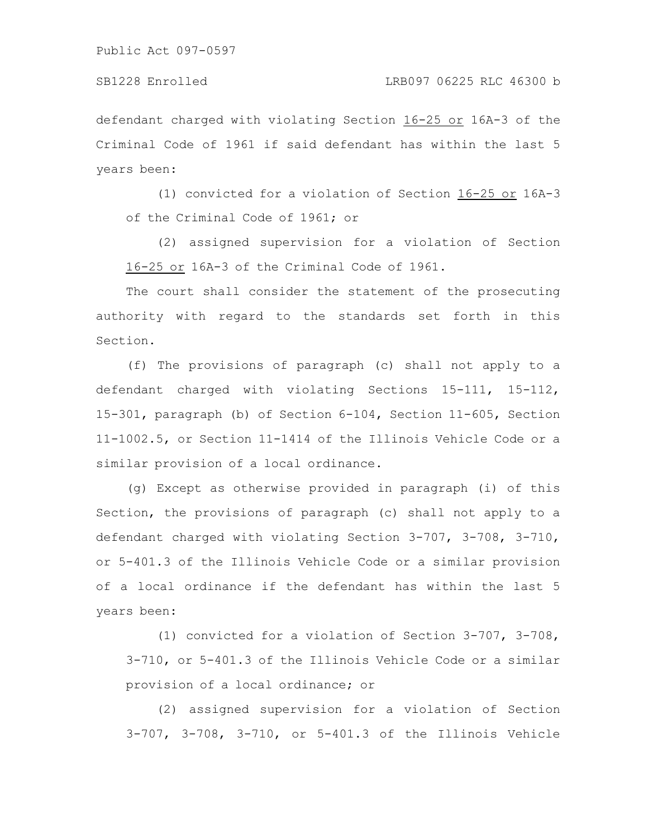defendant charged with violating Section 16-25 or 16A-3 of the Criminal Code of 1961 if said defendant has within the last 5 years been:

(1) convicted for a violation of Section 16-25 or 16A-3 of the Criminal Code of 1961; or

(2) assigned supervision for a violation of Section 16-25 or 16A-3 of the Criminal Code of 1961.

The court shall consider the statement of the prosecuting authority with regard to the standards set forth in this Section.

(f) The provisions of paragraph (c) shall not apply to a defendant charged with violating Sections 15-111, 15-112, 15-301, paragraph (b) of Section 6-104, Section 11-605, Section 11-1002.5, or Section 11-1414 of the Illinois Vehicle Code or a similar provision of a local ordinance.

(g) Except as otherwise provided in paragraph (i) of this Section, the provisions of paragraph (c) shall not apply to a defendant charged with violating Section 3-707, 3-708, 3-710, or 5-401.3 of the Illinois Vehicle Code or a similar provision of a local ordinance if the defendant has within the last 5 years been:

(1) convicted for a violation of Section 3-707, 3-708, 3-710, or 5-401.3 of the Illinois Vehicle Code or a similar provision of a local ordinance; or

(2) assigned supervision for a violation of Section 3-707, 3-708, 3-710, or 5-401.3 of the Illinois Vehicle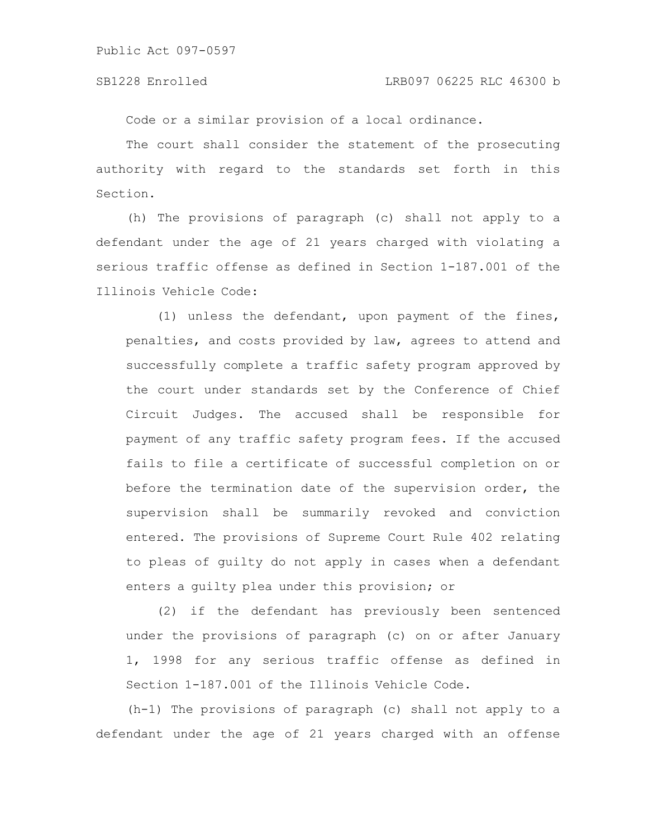Code or a similar provision of a local ordinance.

The court shall consider the statement of the prosecuting authority with regard to the standards set forth in this Section.

(h) The provisions of paragraph (c) shall not apply to a defendant under the age of 21 years charged with violating a serious traffic offense as defined in Section 1-187.001 of the Illinois Vehicle Code:

(1) unless the defendant, upon payment of the fines, penalties, and costs provided by law, agrees to attend and successfully complete a traffic safety program approved by the court under standards set by the Conference of Chief Circuit Judges. The accused shall be responsible for payment of any traffic safety program fees. If the accused fails to file a certificate of successful completion on or before the termination date of the supervision order, the supervision shall be summarily revoked and conviction entered. The provisions of Supreme Court Rule 402 relating to pleas of guilty do not apply in cases when a defendant enters a guilty plea under this provision; or

(2) if the defendant has previously been sentenced under the provisions of paragraph (c) on or after January 1, 1998 for any serious traffic offense as defined in Section 1-187.001 of the Illinois Vehicle Code.

(h-1) The provisions of paragraph (c) shall not apply to a defendant under the age of 21 years charged with an offense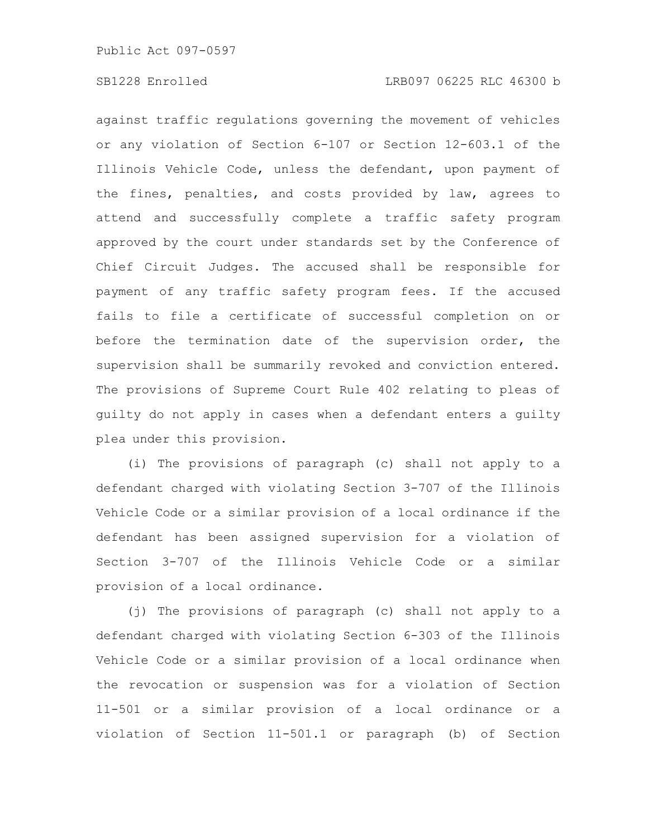against traffic regulations governing the movement of vehicles or any violation of Section 6-107 or Section 12-603.1 of the Illinois Vehicle Code, unless the defendant, upon payment of the fines, penalties, and costs provided by law, agrees to attend and successfully complete a traffic safety program approved by the court under standards set by the Conference of Chief Circuit Judges. The accused shall be responsible for payment of any traffic safety program fees. If the accused fails to file a certificate of successful completion on or before the termination date of the supervision order, the supervision shall be summarily revoked and conviction entered. The provisions of Supreme Court Rule 402 relating to pleas of guilty do not apply in cases when a defendant enters a guilty plea under this provision.

(i) The provisions of paragraph (c) shall not apply to a defendant charged with violating Section 3-707 of the Illinois Vehicle Code or a similar provision of a local ordinance if the defendant has been assigned supervision for a violation of Section 3-707 of the Illinois Vehicle Code or a similar provision of a local ordinance.

(j) The provisions of paragraph (c) shall not apply to a defendant charged with violating Section 6-303 of the Illinois Vehicle Code or a similar provision of a local ordinance when the revocation or suspension was for a violation of Section 11-501 or a similar provision of a local ordinance or a violation of Section 11-501.1 or paragraph (b) of Section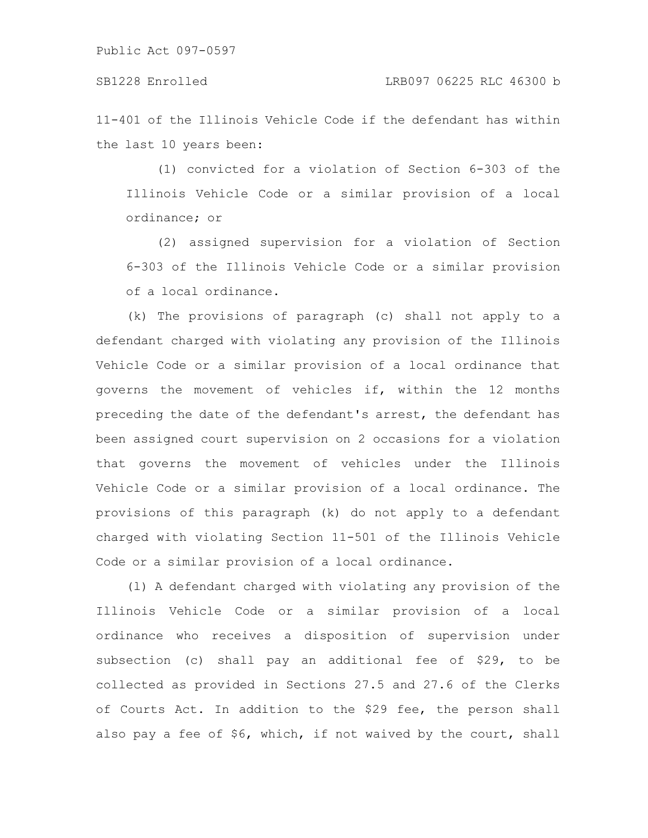11-401 of the Illinois Vehicle Code if the defendant has within the last 10 years been:

(1) convicted for a violation of Section 6-303 of the Illinois Vehicle Code or a similar provision of a local ordinance; or

(2) assigned supervision for a violation of Section 6-303 of the Illinois Vehicle Code or a similar provision of a local ordinance.

(k) The provisions of paragraph (c) shall not apply to a defendant charged with violating any provision of the Illinois Vehicle Code or a similar provision of a local ordinance that governs the movement of vehicles if, within the 12 months preceding the date of the defendant's arrest, the defendant has been assigned court supervision on 2 occasions for a violation that governs the movement of vehicles under the Illinois Vehicle Code or a similar provision of a local ordinance. The provisions of this paragraph (k) do not apply to a defendant charged with violating Section 11-501 of the Illinois Vehicle Code or a similar provision of a local ordinance.

(l) A defendant charged with violating any provision of the Illinois Vehicle Code or a similar provision of a local ordinance who receives a disposition of supervision under subsection (c) shall pay an additional fee of \$29, to be collected as provided in Sections 27.5 and 27.6 of the Clerks of Courts Act. In addition to the \$29 fee, the person shall also pay a fee of \$6, which, if not waived by the court, shall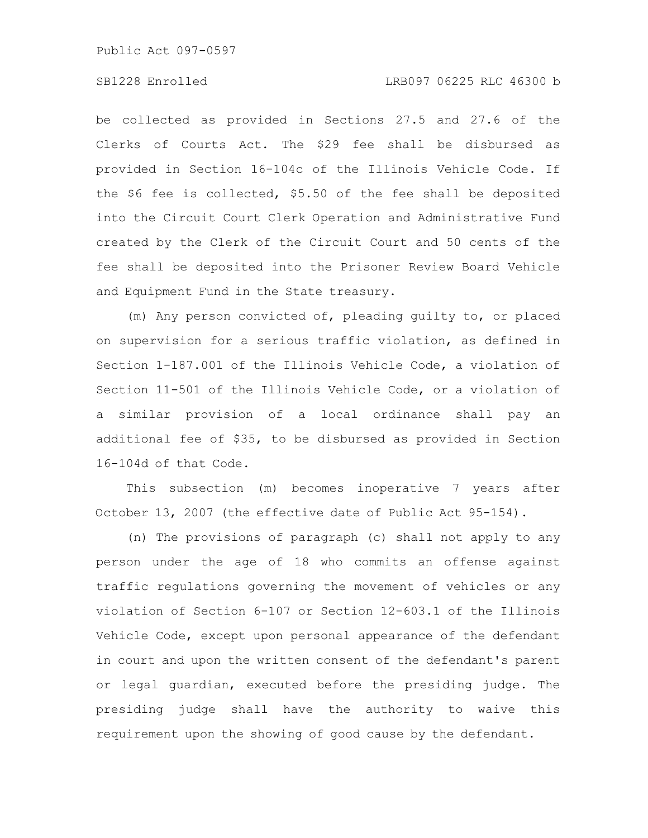### SB1228 Enrolled LRB097 06225 RLC 46300 b

be collected as provided in Sections 27.5 and 27.6 of the Clerks of Courts Act. The \$29 fee shall be disbursed as provided in Section 16-104c of the Illinois Vehicle Code. If the \$6 fee is collected, \$5.50 of the fee shall be deposited into the Circuit Court Clerk Operation and Administrative Fund created by the Clerk of the Circuit Court and 50 cents of the fee shall be deposited into the Prisoner Review Board Vehicle and Equipment Fund in the State treasury.

(m) Any person convicted of, pleading guilty to, or placed on supervision for a serious traffic violation, as defined in Section 1-187.001 of the Illinois Vehicle Code, a violation of Section 11-501 of the Illinois Vehicle Code, or a violation of a similar provision of a local ordinance shall pay an additional fee of \$35, to be disbursed as provided in Section 16-104d of that Code.

This subsection (m) becomes inoperative 7 years after October 13, 2007 (the effective date of Public Act 95-154).

(n) The provisions of paragraph (c) shall not apply to any person under the age of 18 who commits an offense against traffic regulations governing the movement of vehicles or any violation of Section 6-107 or Section 12-603.1 of the Illinois Vehicle Code, except upon personal appearance of the defendant in court and upon the written consent of the defendant's parent or legal guardian, executed before the presiding judge. The presiding judge shall have the authority to waive this requirement upon the showing of good cause by the defendant.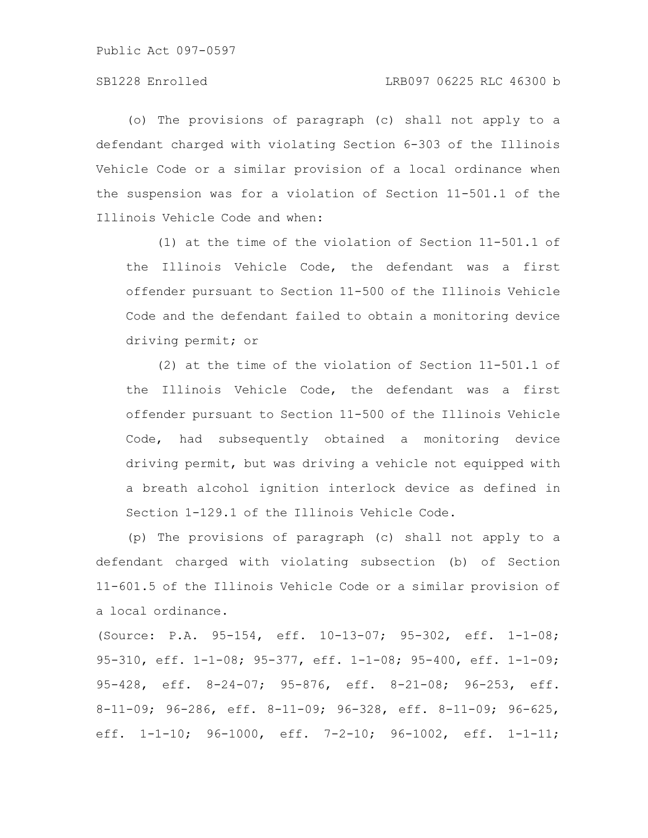(o) The provisions of paragraph (c) shall not apply to a defendant charged with violating Section 6-303 of the Illinois Vehicle Code or a similar provision of a local ordinance when the suspension was for a violation of Section 11-501.1 of the Illinois Vehicle Code and when:

(1) at the time of the violation of Section 11-501.1 of the Illinois Vehicle Code, the defendant was a first offender pursuant to Section 11-500 of the Illinois Vehicle Code and the defendant failed to obtain a monitoring device driving permit; or

(2) at the time of the violation of Section 11-501.1 of the Illinois Vehicle Code, the defendant was a first offender pursuant to Section 11-500 of the Illinois Vehicle Code, had subsequently obtained a monitoring device driving permit, but was driving a vehicle not equipped with a breath alcohol ignition interlock device as defined in Section 1-129.1 of the Illinois Vehicle Code.

(p) The provisions of paragraph (c) shall not apply to a defendant charged with violating subsection (b) of Section 11-601.5 of the Illinois Vehicle Code or a similar provision of a local ordinance.

(Source: P.A. 95-154, eff. 10-13-07; 95-302, eff. 1-1-08; 95-310, eff. 1-1-08; 95-377, eff. 1-1-08; 95-400, eff. 1-1-09; 95-428, eff. 8-24-07; 95-876, eff. 8-21-08; 96-253, eff. 8-11-09; 96-286, eff. 8-11-09; 96-328, eff. 8-11-09; 96-625, eff. 1-1-10; 96-1000, eff. 7-2-10; 96-1002, eff. 1-1-11;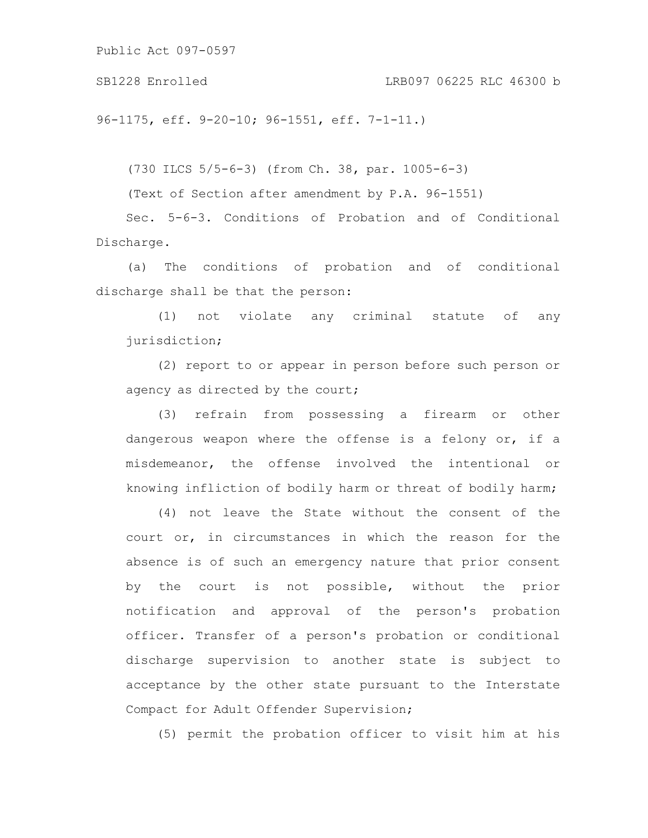96-1175, eff. 9-20-10; 96-1551, eff. 7-1-11.)

(730 ILCS 5/5-6-3) (from Ch. 38, par. 1005-6-3)

(Text of Section after amendment by P.A. 96-1551)

Sec. 5-6-3. Conditions of Probation and of Conditional Discharge.

(a) The conditions of probation and of conditional discharge shall be that the person:

(1) not violate any criminal statute of any jurisdiction;

(2) report to or appear in person before such person or agency as directed by the court;

(3) refrain from possessing a firearm or other dangerous weapon where the offense is a felony or, if a misdemeanor, the offense involved the intentional or knowing infliction of bodily harm or threat of bodily harm;

(4) not leave the State without the consent of the court or, in circumstances in which the reason for the absence is of such an emergency nature that prior consent by the court is not possible, without the prior notification and approval of the person's probation officer. Transfer of a person's probation or conditional discharge supervision to another state is subject to acceptance by the other state pursuant to the Interstate Compact for Adult Offender Supervision;

(5) permit the probation officer to visit him at his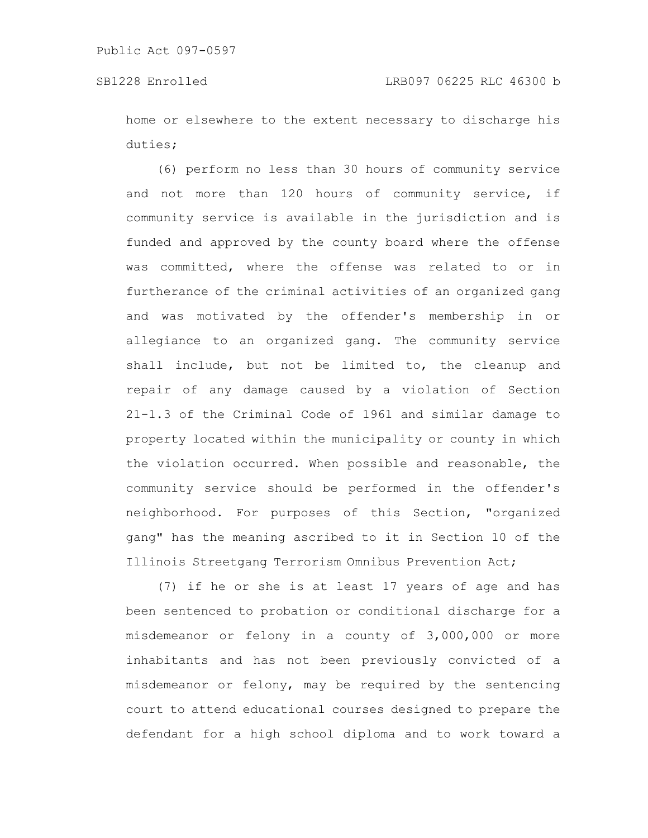home or elsewhere to the extent necessary to discharge his duties;

(6) perform no less than 30 hours of community service and not more than 120 hours of community service, if community service is available in the jurisdiction and is funded and approved by the county board where the offense was committed, where the offense was related to or in furtherance of the criminal activities of an organized gang and was motivated by the offender's membership in or allegiance to an organized gang. The community service shall include, but not be limited to, the cleanup and repair of any damage caused by a violation of Section 21-1.3 of the Criminal Code of 1961 and similar damage to property located within the municipality or county in which the violation occurred. When possible and reasonable, the community service should be performed in the offender's neighborhood. For purposes of this Section, "organized gang" has the meaning ascribed to it in Section 10 of the Illinois Streetgang Terrorism Omnibus Prevention Act;

(7) if he or she is at least 17 years of age and has been sentenced to probation or conditional discharge for a misdemeanor or felony in a county of 3,000,000 or more inhabitants and has not been previously convicted of a misdemeanor or felony, may be required by the sentencing court to attend educational courses designed to prepare the defendant for a high school diploma and to work toward a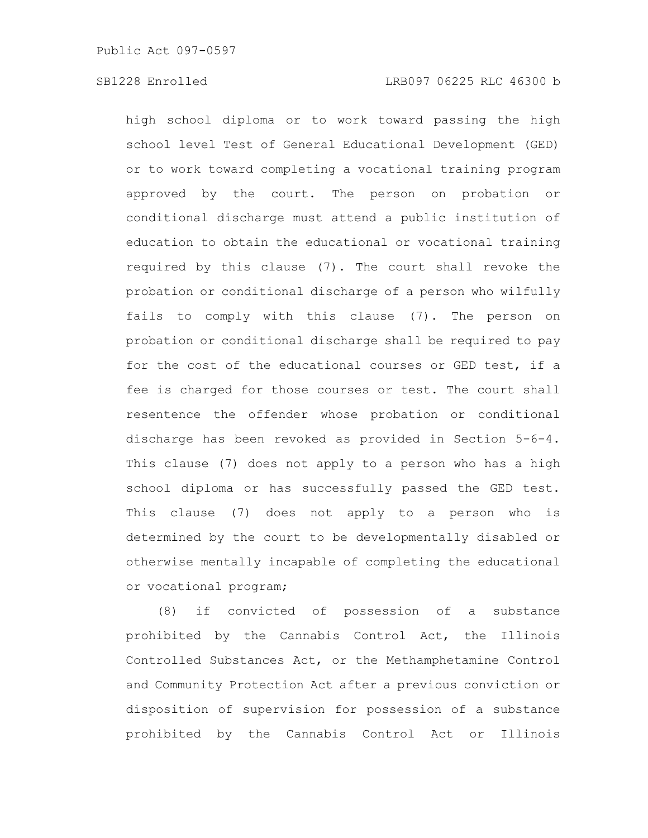high school diploma or to work toward passing the high school level Test of General Educational Development (GED) or to work toward completing a vocational training program approved by the court. The person on probation or conditional discharge must attend a public institution of education to obtain the educational or vocational training required by this clause (7). The court shall revoke the probation or conditional discharge of a person who wilfully fails to comply with this clause (7). The person on probation or conditional discharge shall be required to pay for the cost of the educational courses or GED test, if a fee is charged for those courses or test. The court shall resentence the offender whose probation or conditional discharge has been revoked as provided in Section 5-6-4. This clause (7) does not apply to a person who has a high school diploma or has successfully passed the GED test. This clause (7) does not apply to a person who is determined by the court to be developmentally disabled or otherwise mentally incapable of completing the educational or vocational program;

(8) if convicted of possession of a substance prohibited by the Cannabis Control Act, the Illinois Controlled Substances Act, or the Methamphetamine Control and Community Protection Act after a previous conviction or disposition of supervision for possession of a substance prohibited by the Cannabis Control Act or Illinois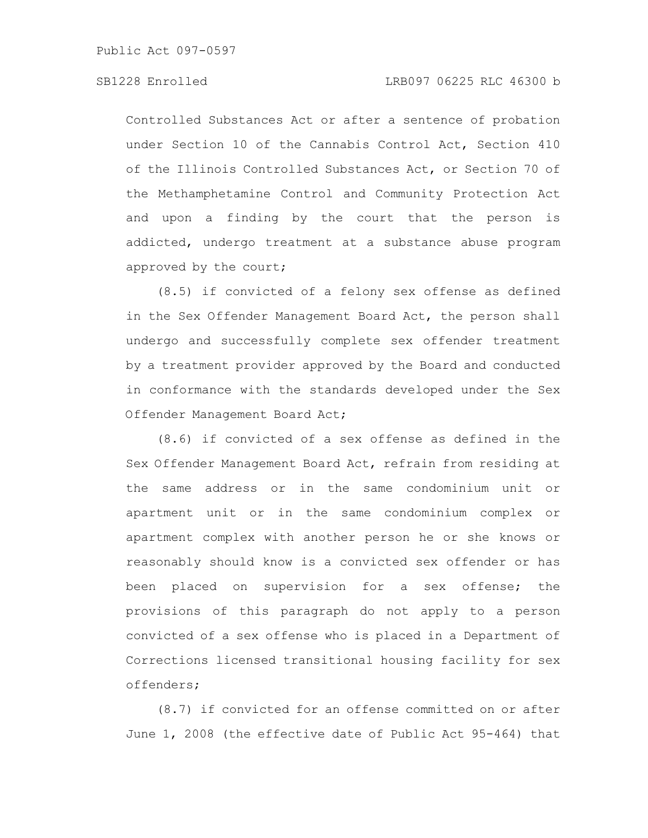Controlled Substances Act or after a sentence of probation under Section 10 of the Cannabis Control Act, Section 410 of the Illinois Controlled Substances Act, or Section 70 of the Methamphetamine Control and Community Protection Act and upon a finding by the court that the person is addicted, undergo treatment at a substance abuse program approved by the court;

(8.5) if convicted of a felony sex offense as defined in the Sex Offender Management Board Act, the person shall undergo and successfully complete sex offender treatment by a treatment provider approved by the Board and conducted in conformance with the standards developed under the Sex Offender Management Board Act;

(8.6) if convicted of a sex offense as defined in the Sex Offender Management Board Act, refrain from residing at the same address or in the same condominium unit or apartment unit or in the same condominium complex or apartment complex with another person he or she knows or reasonably should know is a convicted sex offender or has been placed on supervision for a sex offense; the provisions of this paragraph do not apply to a person convicted of a sex offense who is placed in a Department of Corrections licensed transitional housing facility for sex offenders;

(8.7) if convicted for an offense committed on or after June 1, 2008 (the effective date of Public Act 95-464) that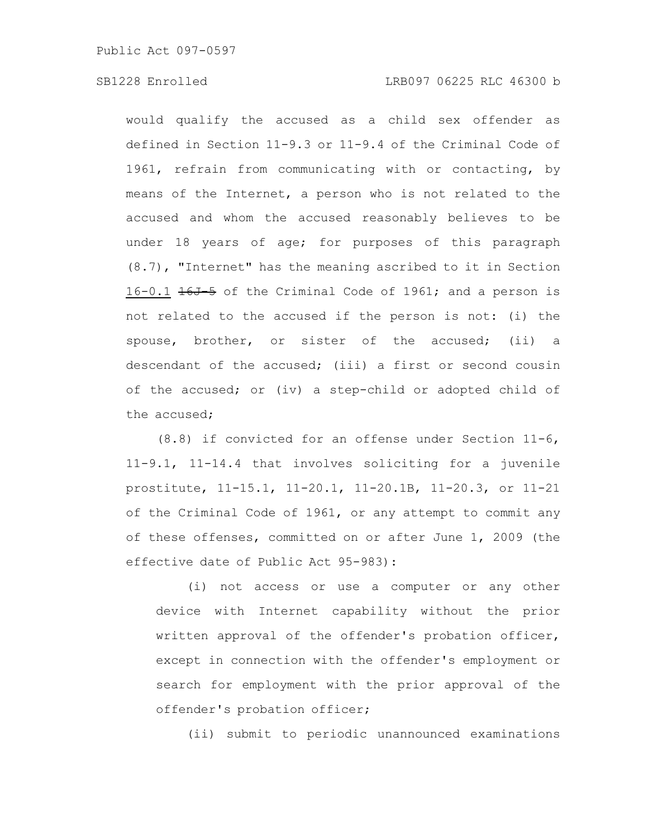# SB1228 Enrolled LRB097 06225 RLC 46300 b

would qualify the accused as a child sex offender as defined in Section 11-9.3 or 11-9.4 of the Criminal Code of 1961, refrain from communicating with or contacting, by means of the Internet, a person who is not related to the accused and whom the accused reasonably believes to be under 18 years of age; for purposes of this paragraph (8.7), "Internet" has the meaning ascribed to it in Section 16-0.1 16J 5 of the Criminal Code of 1961; and a person is not related to the accused if the person is not: (i) the spouse, brother, or sister of the accused; (ii) a descendant of the accused; (iii) a first or second cousin of the accused; or (iv) a step-child or adopted child of the accused;

(8.8) if convicted for an offense under Section 11-6, 11-9.1, 11-14.4 that involves soliciting for a juvenile prostitute, 11-15.1, 11-20.1, 11-20.1B, 11-20.3, or 11-21 of the Criminal Code of 1961, or any attempt to commit any of these offenses, committed on or after June 1, 2009 (the effective date of Public Act 95-983):

(i) not access or use a computer or any other device with Internet capability without the prior written approval of the offender's probation officer, except in connection with the offender's employment or search for employment with the prior approval of the offender's probation officer;

(ii) submit to periodic unannounced examinations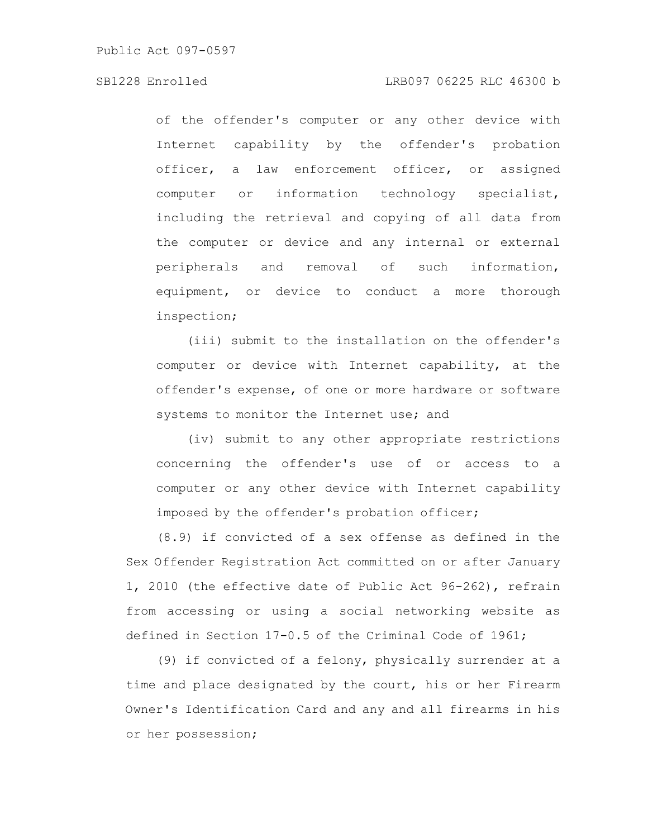# SB1228 Enrolled LRB097 06225 RLC 46300 b

of the offender's computer or any other device with Internet capability by the offender's probation officer, a law enforcement officer, or assigned computer or information technology specialist, including the retrieval and copying of all data from the computer or device and any internal or external peripherals and removal of such information, equipment, or device to conduct a more thorough inspection;

(iii) submit to the installation on the offender's computer or device with Internet capability, at the offender's expense, of one or more hardware or software systems to monitor the Internet use; and

(iv) submit to any other appropriate restrictions concerning the offender's use of or access to a computer or any other device with Internet capability imposed by the offender's probation officer;

(8.9) if convicted of a sex offense as defined in the Sex Offender Registration Act committed on or after January 1, 2010 (the effective date of Public Act 96-262), refrain from accessing or using a social networking website as defined in Section 17-0.5 of the Criminal Code of 1961;

(9) if convicted of a felony, physically surrender at a time and place designated by the court, his or her Firearm Owner's Identification Card and any and all firearms in his or her possession;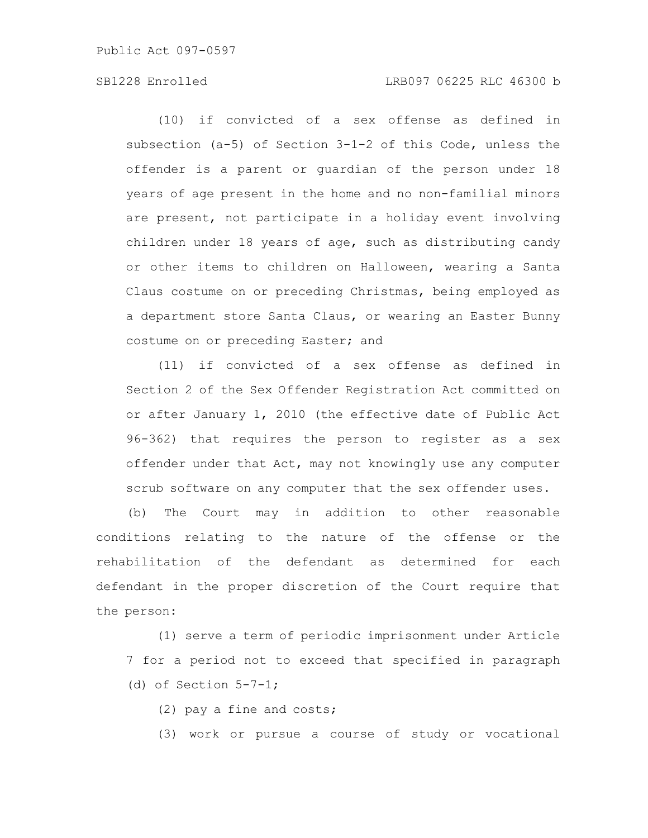# SB1228 Enrolled LRB097 06225 RLC 46300 b

(10) if convicted of a sex offense as defined in subsection (a-5) of Section 3-1-2 of this Code, unless the offender is a parent or guardian of the person under 18 years of age present in the home and no non-familial minors are present, not participate in a holiday event involving children under 18 years of age, such as distributing candy or other items to children on Halloween, wearing a Santa Claus costume on or preceding Christmas, being employed as a department store Santa Claus, or wearing an Easter Bunny costume on or preceding Easter; and

(11) if convicted of a sex offense as defined in Section 2 of the Sex Offender Registration Act committed on or after January 1, 2010 (the effective date of Public Act 96-362) that requires the person to register as a sex offender under that Act, may not knowingly use any computer scrub software on any computer that the sex offender uses.

(b) The Court may in addition to other reasonable conditions relating to the nature of the offense or the rehabilitation of the defendant as determined for each defendant in the proper discretion of the Court require that the person:

(1) serve a term of periodic imprisonment under Article 7 for a period not to exceed that specified in paragraph (d) of Section  $5-7-1$ ;

(2) pay a fine and costs;

(3) work or pursue a course of study or vocational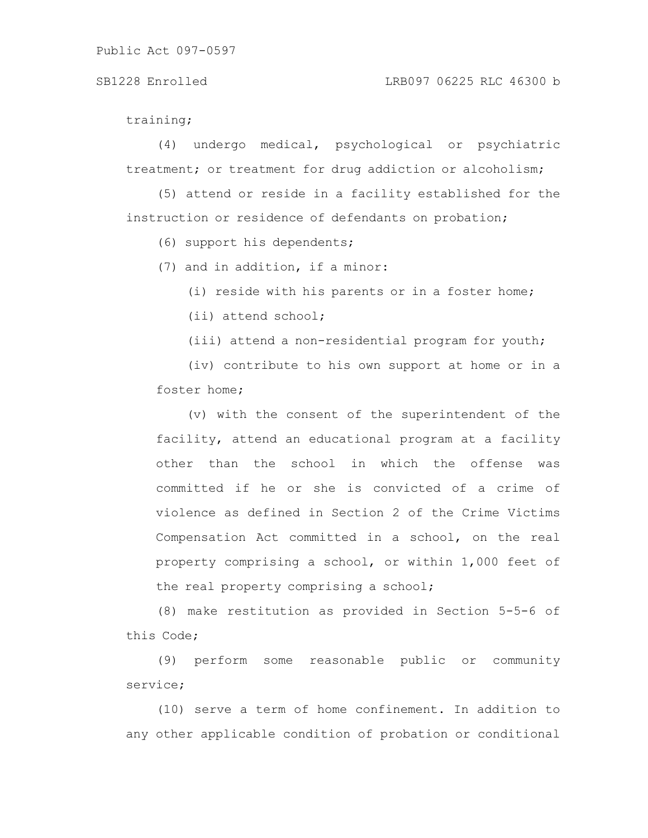#### SB1228 Enrolled LRB097 06225 RLC 46300 b

training;

(4) undergo medical, psychological or psychiatric treatment; or treatment for drug addiction or alcoholism;

(5) attend or reside in a facility established for the instruction or residence of defendants on probation;

(6) support his dependents;

(7) and in addition, if a minor:

(i) reside with his parents or in a foster home;

(ii) attend school;

(iii) attend a non-residential program for youth;

(iv) contribute to his own support at home or in a foster home;

(v) with the consent of the superintendent of the facility, attend an educational program at a facility other than the school in which the offense was committed if he or she is convicted of a crime of violence as defined in Section 2 of the Crime Victims Compensation Act committed in a school, on the real property comprising a school, or within 1,000 feet of the real property comprising a school;

(8) make restitution as provided in Section 5-5-6 of this Code;

(9) perform some reasonable public or community service;

(10) serve a term of home confinement. In addition to any other applicable condition of probation or conditional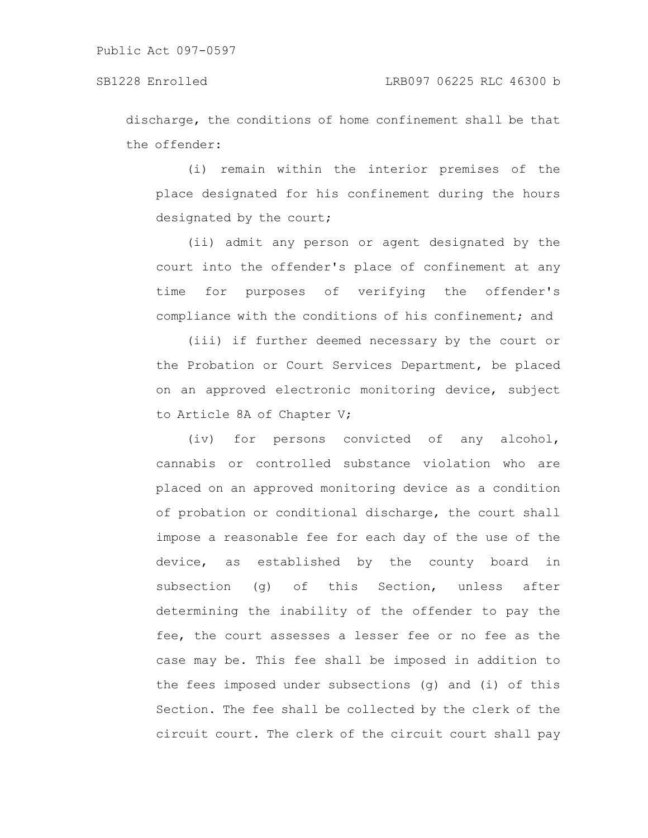discharge, the conditions of home confinement shall be that the offender:

(i) remain within the interior premises of the place designated for his confinement during the hours designated by the court;

(ii) admit any person or agent designated by the court into the offender's place of confinement at any time for purposes of verifying the offender's compliance with the conditions of his confinement; and

(iii) if further deemed necessary by the court or the Probation or Court Services Department, be placed on an approved electronic monitoring device, subject to Article 8A of Chapter V;

(iv) for persons convicted of any alcohol, cannabis or controlled substance violation who are placed on an approved monitoring device as a condition of probation or conditional discharge, the court shall impose a reasonable fee for each day of the use of the device, as established by the county board in subsection (g) of this Section, unless after determining the inability of the offender to pay the fee, the court assesses a lesser fee or no fee as the case may be. This fee shall be imposed in addition to the fees imposed under subsections (g) and (i) of this Section. The fee shall be collected by the clerk of the circuit court. The clerk of the circuit court shall pay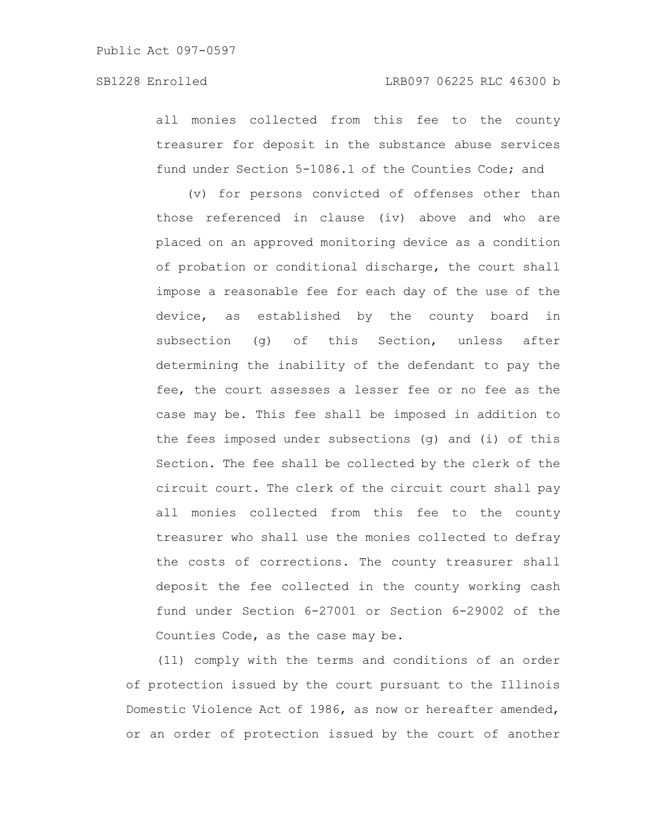all monies collected from this fee to the county treasurer for deposit in the substance abuse services fund under Section 5-1086.1 of the Counties Code; and

(v) for persons convicted of offenses other than those referenced in clause (iv) above and who are placed on an approved monitoring device as a condition of probation or conditional discharge, the court shall impose a reasonable fee for each day of the use of the device, as established by the county board in subsection (g) of this Section, unless after determining the inability of the defendant to pay the fee, the court assesses a lesser fee or no fee as the case may be. This fee shall be imposed in addition to the fees imposed under subsections (g) and (i) of this Section. The fee shall be collected by the clerk of the circuit court. The clerk of the circuit court shall pay all monies collected from this fee to the county treasurer who shall use the monies collected to defray the costs of corrections. The county treasurer shall deposit the fee collected in the county working cash fund under Section 6-27001 or Section 6-29002 of the Counties Code, as the case may be.

(11) comply with the terms and conditions of an order of protection issued by the court pursuant to the Illinois Domestic Violence Act of 1986, as now or hereafter amended, or an order of protection issued by the court of another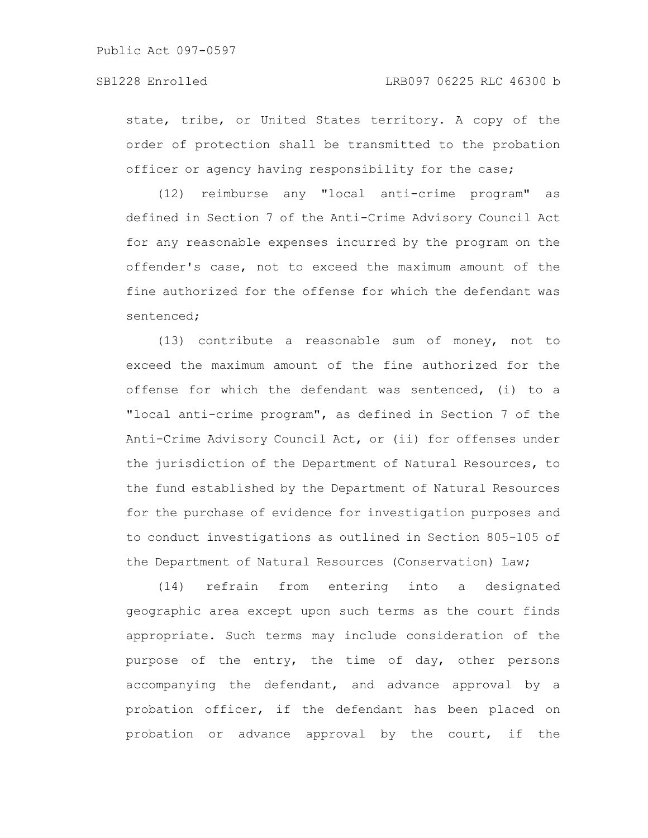state, tribe, or United States territory. A copy of the order of protection shall be transmitted to the probation officer or agency having responsibility for the case;

(12) reimburse any "local anti-crime program" as defined in Section 7 of the Anti-Crime Advisory Council Act for any reasonable expenses incurred by the program on the offender's case, not to exceed the maximum amount of the fine authorized for the offense for which the defendant was sentenced;

(13) contribute a reasonable sum of money, not to exceed the maximum amount of the fine authorized for the offense for which the defendant was sentenced, (i) to a "local anti-crime program", as defined in Section 7 of the Anti-Crime Advisory Council Act, or (ii) for offenses under the jurisdiction of the Department of Natural Resources, to the fund established by the Department of Natural Resources for the purchase of evidence for investigation purposes and to conduct investigations as outlined in Section 805-105 of the Department of Natural Resources (Conservation) Law;

(14) refrain from entering into a designated geographic area except upon such terms as the court finds appropriate. Such terms may include consideration of the purpose of the entry, the time of day, other persons accompanying the defendant, and advance approval by a probation officer, if the defendant has been placed on probation or advance approval by the court, if the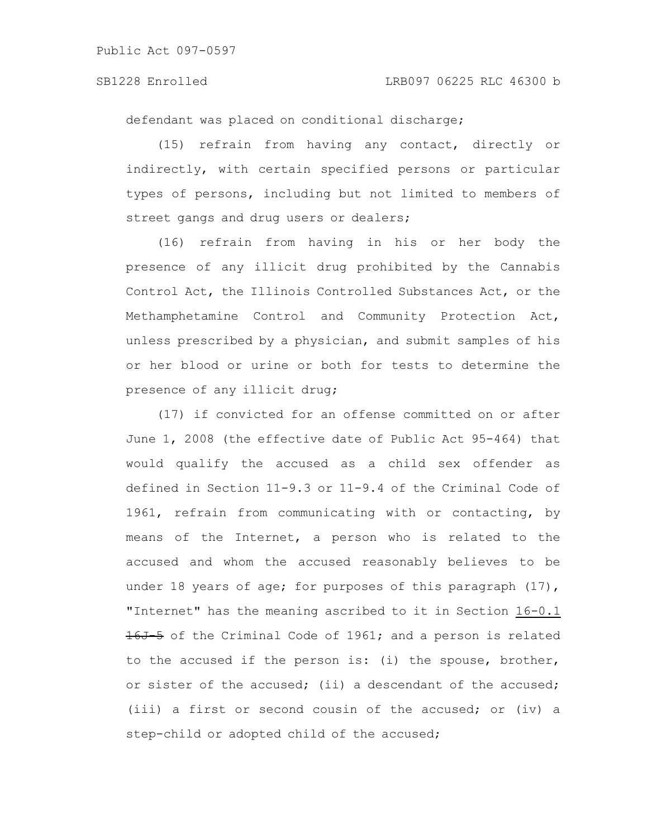defendant was placed on conditional discharge;

(15) refrain from having any contact, directly or indirectly, with certain specified persons or particular types of persons, including but not limited to members of street gangs and drug users or dealers;

(16) refrain from having in his or her body the presence of any illicit drug prohibited by the Cannabis Control Act, the Illinois Controlled Substances Act, or the Methamphetamine Control and Community Protection Act, unless prescribed by a physician, and submit samples of his or her blood or urine or both for tests to determine the presence of any illicit drug;

(17) if convicted for an offense committed on or after June 1, 2008 (the effective date of Public Act 95-464) that would qualify the accused as a child sex offender as defined in Section 11-9.3 or 11-9.4 of the Criminal Code of 1961, refrain from communicating with or contacting, by means of the Internet, a person who is related to the accused and whom the accused reasonably believes to be under 18 years of age; for purposes of this paragraph (17), "Internet" has the meaning ascribed to it in Section 16-0.1 16J-5 of the Criminal Code of 1961; and a person is related to the accused if the person is: (i) the spouse, brother, or sister of the accused; (ii) a descendant of the accused; (iii) a first or second cousin of the accused; or (iv) a step-child or adopted child of the accused;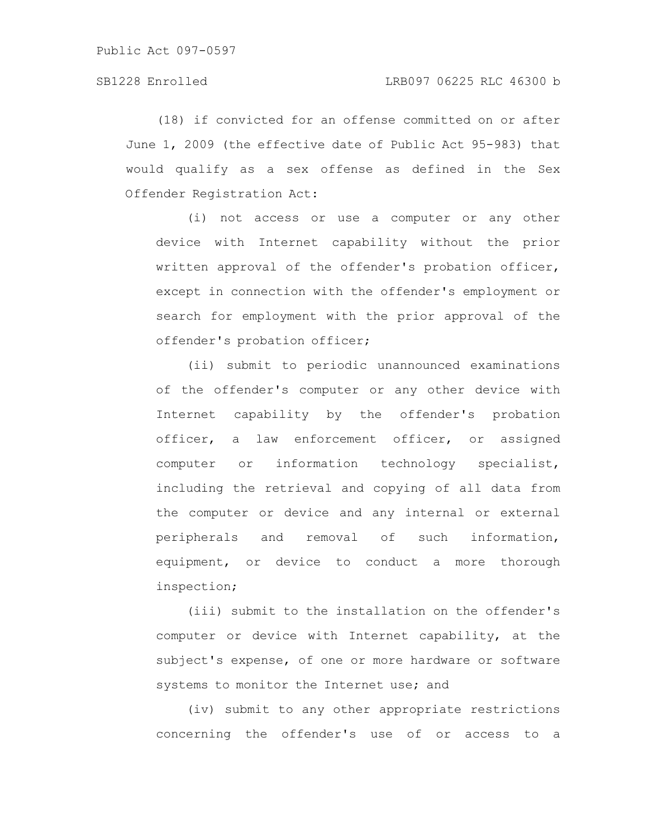(18) if convicted for an offense committed on or after June 1, 2009 (the effective date of Public Act 95-983) that would qualify as a sex offense as defined in the Sex Offender Registration Act:

(i) not access or use a computer or any other device with Internet capability without the prior written approval of the offender's probation officer, except in connection with the offender's employment or search for employment with the prior approval of the offender's probation officer;

(ii) submit to periodic unannounced examinations of the offender's computer or any other device with Internet capability by the offender's probation officer, a law enforcement officer, or assigned computer or information technology specialist, including the retrieval and copying of all data from the computer or device and any internal or external peripherals and removal of such information, equipment, or device to conduct a more thorough inspection;

(iii) submit to the installation on the offender's computer or device with Internet capability, at the subject's expense, of one or more hardware or software systems to monitor the Internet use; and

(iv) submit to any other appropriate restrictions concerning the offender's use of or access to a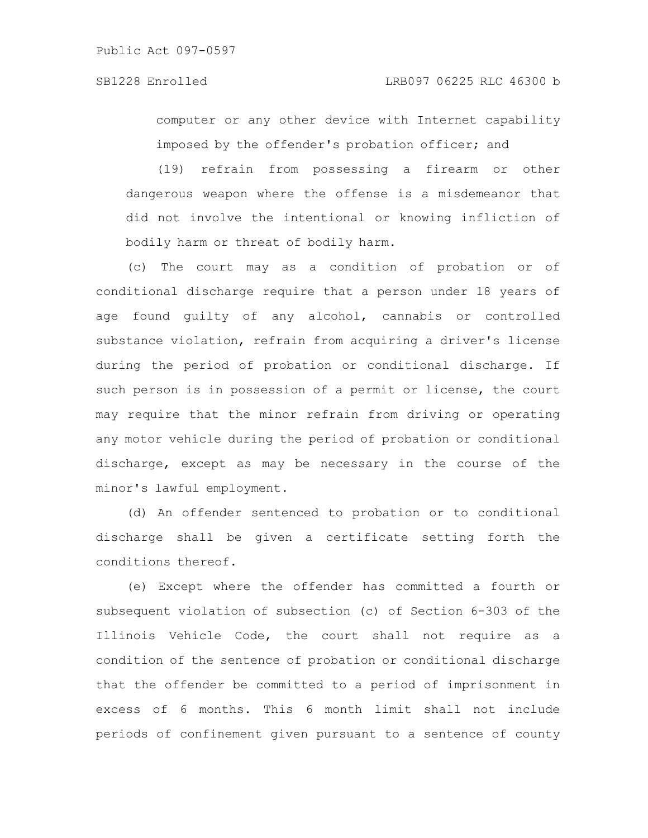computer or any other device with Internet capability imposed by the offender's probation officer; and

(19) refrain from possessing a firearm or other dangerous weapon where the offense is a misdemeanor that did not involve the intentional or knowing infliction of bodily harm or threat of bodily harm.

(c) The court may as a condition of probation or of conditional discharge require that a person under 18 years of age found guilty of any alcohol, cannabis or controlled substance violation, refrain from acquiring a driver's license during the period of probation or conditional discharge. If such person is in possession of a permit or license, the court may require that the minor refrain from driving or operating any motor vehicle during the period of probation or conditional discharge, except as may be necessary in the course of the minor's lawful employment.

(d) An offender sentenced to probation or to conditional discharge shall be given a certificate setting forth the conditions thereof.

(e) Except where the offender has committed a fourth or subsequent violation of subsection (c) of Section 6-303 of the Illinois Vehicle Code, the court shall not require as a condition of the sentence of probation or conditional discharge that the offender be committed to a period of imprisonment in excess of 6 months. This 6 month limit shall not include periods of confinement given pursuant to a sentence of county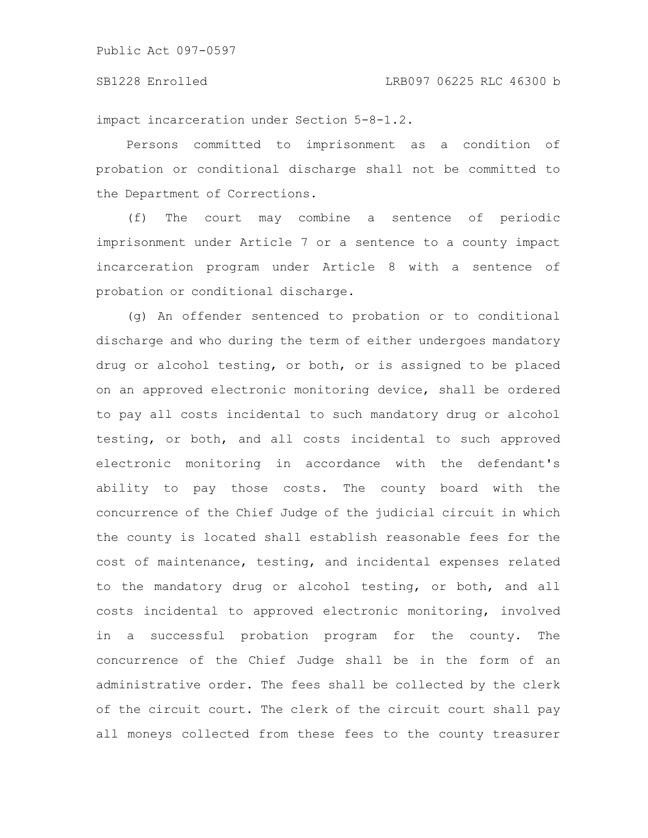#### SB1228 Enrolled LRB097 06225 RLC 46300 b

impact incarceration under Section 5-8-1.2.

Persons committed to imprisonment as a condition of probation or conditional discharge shall not be committed to the Department of Corrections.

(f) The court may combine a sentence of periodic imprisonment under Article 7 or a sentence to a county impact incarceration program under Article 8 with a sentence of probation or conditional discharge.

(g) An offender sentenced to probation or to conditional discharge and who during the term of either undergoes mandatory drug or alcohol testing, or both, or is assigned to be placed on an approved electronic monitoring device, shall be ordered to pay all costs incidental to such mandatory drug or alcohol testing, or both, and all costs incidental to such approved electronic monitoring in accordance with the defendant's ability to pay those costs. The county board with the concurrence of the Chief Judge of the judicial circuit in which the county is located shall establish reasonable fees for the cost of maintenance, testing, and incidental expenses related to the mandatory drug or alcohol testing, or both, and all costs incidental to approved electronic monitoring, involved in a successful probation program for the county. The concurrence of the Chief Judge shall be in the form of an administrative order. The fees shall be collected by the clerk of the circuit court. The clerk of the circuit court shall pay all moneys collected from these fees to the county treasurer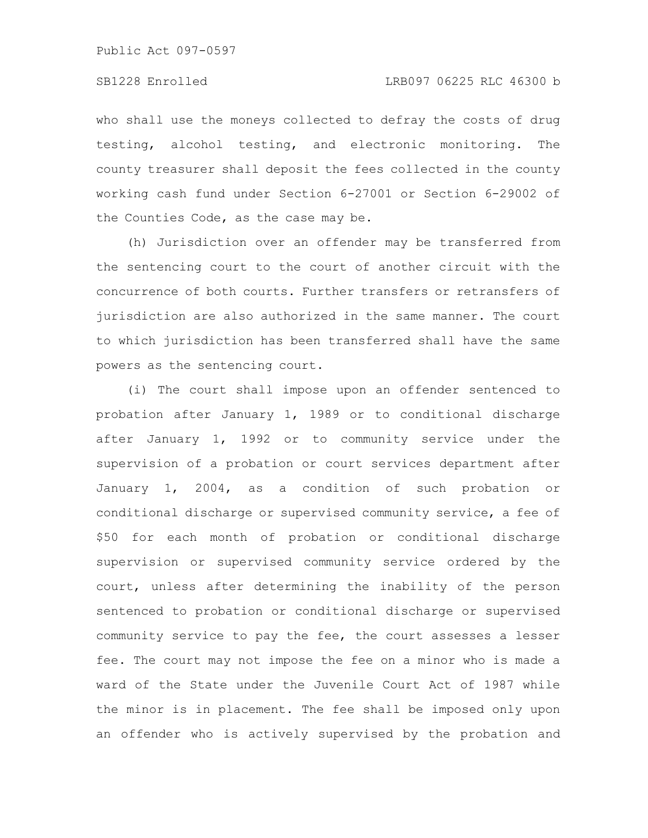who shall use the moneys collected to defray the costs of drug testing, alcohol testing, and electronic monitoring. The county treasurer shall deposit the fees collected in the county working cash fund under Section 6-27001 or Section 6-29002 of the Counties Code, as the case may be.

(h) Jurisdiction over an offender may be transferred from the sentencing court to the court of another circuit with the concurrence of both courts. Further transfers or retransfers of jurisdiction are also authorized in the same manner. The court to which jurisdiction has been transferred shall have the same powers as the sentencing court.

(i) The court shall impose upon an offender sentenced to probation after January 1, 1989 or to conditional discharge after January 1, 1992 or to community service under the supervision of a probation or court services department after January 1, 2004, as a condition of such probation or conditional discharge or supervised community service, a fee of \$50 for each month of probation or conditional discharge supervision or supervised community service ordered by the court, unless after determining the inability of the person sentenced to probation or conditional discharge or supervised community service to pay the fee, the court assesses a lesser fee. The court may not impose the fee on a minor who is made a ward of the State under the Juvenile Court Act of 1987 while the minor is in placement. The fee shall be imposed only upon an offender who is actively supervised by the probation and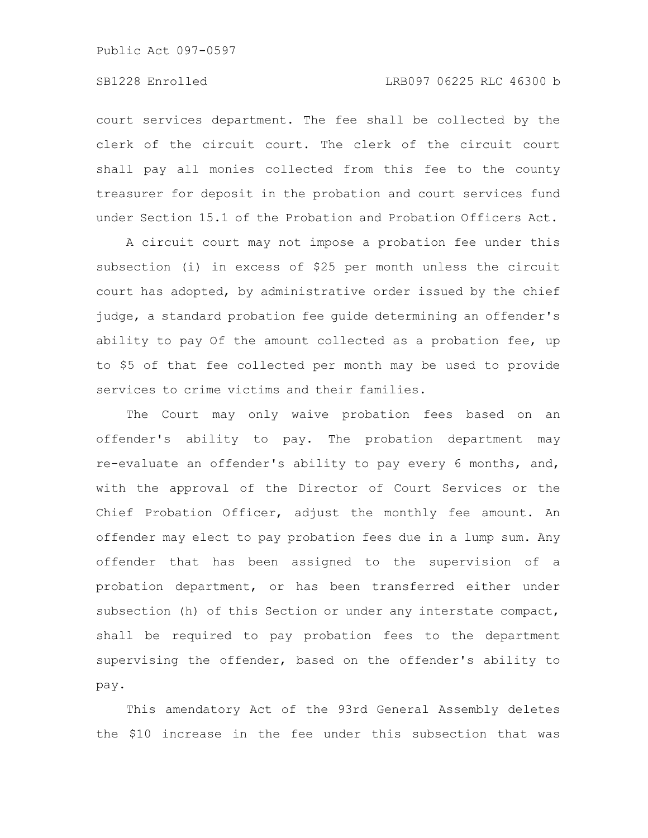# SB1228 Enrolled LRB097 06225 RLC 46300 b

court services department. The fee shall be collected by the clerk of the circuit court. The clerk of the circuit court shall pay all monies collected from this fee to the county treasurer for deposit in the probation and court services fund under Section 15.1 of the Probation and Probation Officers Act.

A circuit court may not impose a probation fee under this subsection (i) in excess of \$25 per month unless the circuit court has adopted, by administrative order issued by the chief judge, a standard probation fee guide determining an offender's ability to pay Of the amount collected as a probation fee, up to \$5 of that fee collected per month may be used to provide services to crime victims and their families.

The Court may only waive probation fees based on an offender's ability to pay. The probation department may re-evaluate an offender's ability to pay every 6 months, and, with the approval of the Director of Court Services or the Chief Probation Officer, adjust the monthly fee amount. An offender may elect to pay probation fees due in a lump sum. Any offender that has been assigned to the supervision of a probation department, or has been transferred either under subsection (h) of this Section or under any interstate compact, shall be required to pay probation fees to the department supervising the offender, based on the offender's ability to pay.

This amendatory Act of the 93rd General Assembly deletes the \$10 increase in the fee under this subsection that was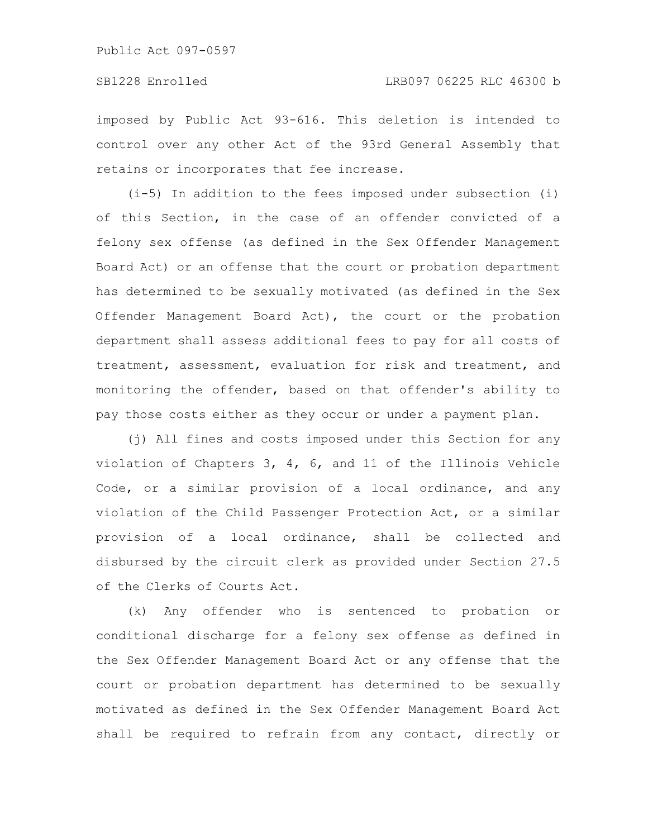imposed by Public Act 93-616. This deletion is intended to control over any other Act of the 93rd General Assembly that retains or incorporates that fee increase.

(i-5) In addition to the fees imposed under subsection (i) of this Section, in the case of an offender convicted of a felony sex offense (as defined in the Sex Offender Management Board Act) or an offense that the court or probation department has determined to be sexually motivated (as defined in the Sex Offender Management Board Act), the court or the probation department shall assess additional fees to pay for all costs of treatment, assessment, evaluation for risk and treatment, and monitoring the offender, based on that offender's ability to pay those costs either as they occur or under a payment plan.

(j) All fines and costs imposed under this Section for any violation of Chapters 3, 4, 6, and 11 of the Illinois Vehicle Code, or a similar provision of a local ordinance, and any violation of the Child Passenger Protection Act, or a similar provision of a local ordinance, shall be collected and disbursed by the circuit clerk as provided under Section 27.5 of the Clerks of Courts Act.

(k) Any offender who is sentenced to probation or conditional discharge for a felony sex offense as defined in the Sex Offender Management Board Act or any offense that the court or probation department has determined to be sexually motivated as defined in the Sex Offender Management Board Act shall be required to refrain from any contact, directly or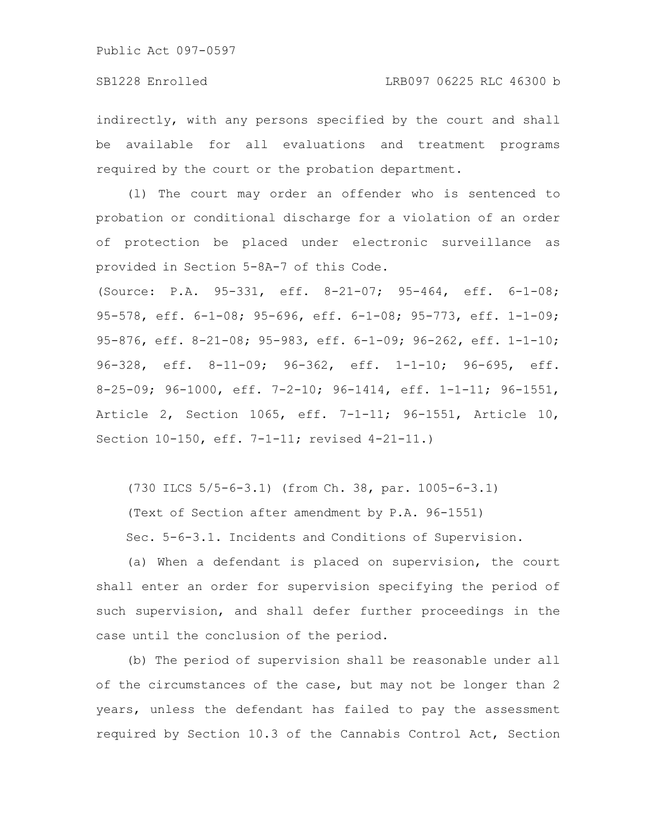indirectly, with any persons specified by the court and shall be available for all evaluations and treatment programs required by the court or the probation department.

(l) The court may order an offender who is sentenced to probation or conditional discharge for a violation of an order of protection be placed under electronic surveillance as provided in Section 5-8A-7 of this Code.

(Source: P.A. 95-331, eff. 8-21-07; 95-464, eff. 6-1-08; 95-578, eff. 6-1-08; 95-696, eff. 6-1-08; 95-773, eff. 1-1-09; 95-876, eff. 8-21-08; 95-983, eff. 6-1-09; 96-262, eff. 1-1-10; 96-328, eff. 8-11-09; 96-362, eff. 1-1-10; 96-695, eff. 8-25-09; 96-1000, eff. 7-2-10; 96-1414, eff. 1-1-11; 96-1551, Article 2, Section 1065, eff. 7-1-11; 96-1551, Article 10, Section 10-150, eff. 7-1-11; revised 4-21-11.)

(730 ILCS 5/5-6-3.1) (from Ch. 38, par. 1005-6-3.1) (Text of Section after amendment by P.A. 96-1551) Sec. 5-6-3.1. Incidents and Conditions of Supervision.

(a) When a defendant is placed on supervision, the court shall enter an order for supervision specifying the period of such supervision, and shall defer further proceedings in the case until the conclusion of the period.

(b) The period of supervision shall be reasonable under all of the circumstances of the case, but may not be longer than 2 years, unless the defendant has failed to pay the assessment required by Section 10.3 of the Cannabis Control Act, Section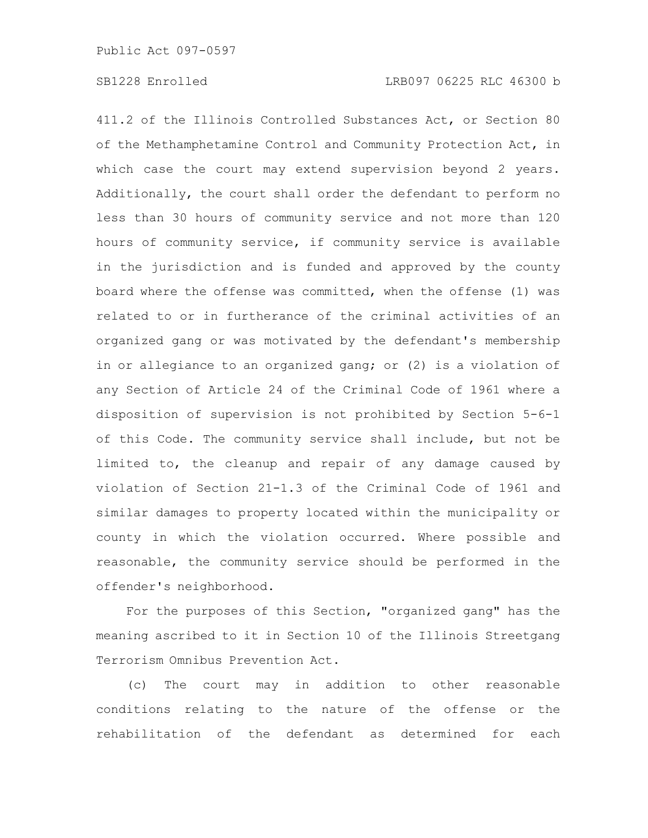411.2 of the Illinois Controlled Substances Act, or Section 80 of the Methamphetamine Control and Community Protection Act, in which case the court may extend supervision beyond 2 years. Additionally, the court shall order the defendant to perform no less than 30 hours of community service and not more than 120 hours of community service, if community service is available in the jurisdiction and is funded and approved by the county board where the offense was committed, when the offense (1) was related to or in furtherance of the criminal activities of an organized gang or was motivated by the defendant's membership in or allegiance to an organized gang; or (2) is a violation of any Section of Article 24 of the Criminal Code of 1961 where a disposition of supervision is not prohibited by Section 5-6-1 of this Code. The community service shall include, but not be limited to, the cleanup and repair of any damage caused by violation of Section 21-1.3 of the Criminal Code of 1961 and similar damages to property located within the municipality or county in which the violation occurred. Where possible and reasonable, the community service should be performed in the offender's neighborhood.

For the purposes of this Section, "organized gang" has the meaning ascribed to it in Section 10 of the Illinois Streetgang Terrorism Omnibus Prevention Act.

(c) The court may in addition to other reasonable conditions relating to the nature of the offense or the rehabilitation of the defendant as determined for each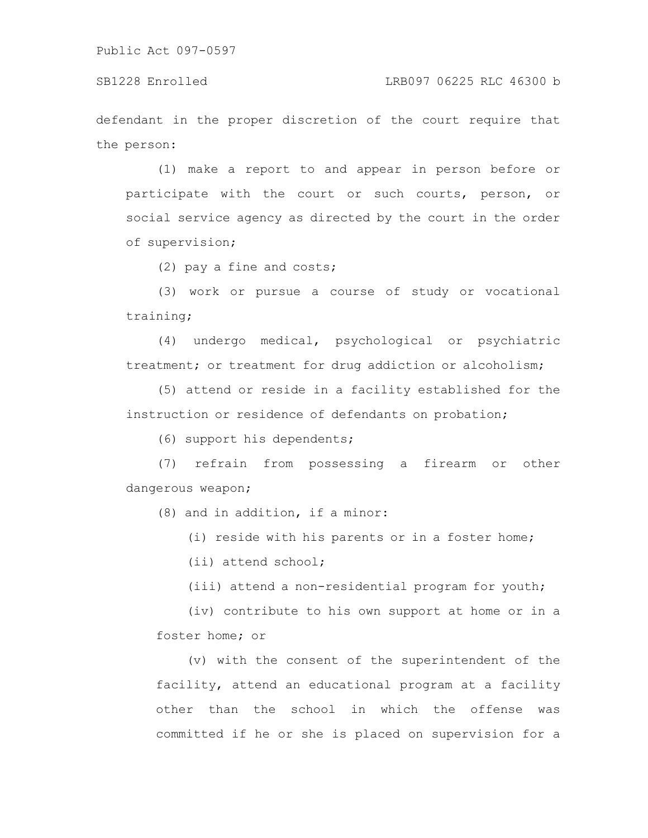defendant in the proper discretion of the court require that the person:

(1) make a report to and appear in person before or participate with the court or such courts, person, or social service agency as directed by the court in the order of supervision;

(2) pay a fine and costs;

(3) work or pursue a course of study or vocational training;

(4) undergo medical, psychological or psychiatric treatment; or treatment for drug addiction or alcoholism;

(5) attend or reside in a facility established for the instruction or residence of defendants on probation;

(6) support his dependents;

(7) refrain from possessing a firearm or other dangerous weapon;

(8) and in addition, if a minor:

(i) reside with his parents or in a foster home;

(ii) attend school;

(iii) attend a non-residential program for youth;

(iv) contribute to his own support at home or in a foster home; or

(v) with the consent of the superintendent of the facility, attend an educational program at a facility other than the school in which the offense was committed if he or she is placed on supervision for a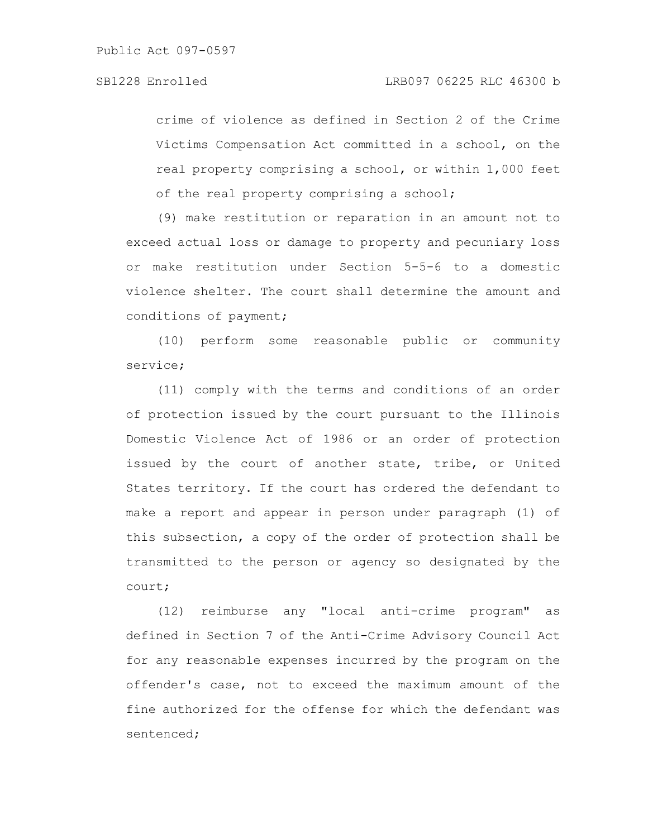crime of violence as defined in Section 2 of the Crime Victims Compensation Act committed in a school, on the real property comprising a school, or within 1,000 feet of the real property comprising a school;

(9) make restitution or reparation in an amount not to exceed actual loss or damage to property and pecuniary loss or make restitution under Section 5-5-6 to a domestic violence shelter. The court shall determine the amount and conditions of payment;

(10) perform some reasonable public or community service;

(11) comply with the terms and conditions of an order of protection issued by the court pursuant to the Illinois Domestic Violence Act of 1986 or an order of protection issued by the court of another state, tribe, or United States territory. If the court has ordered the defendant to make a report and appear in person under paragraph (1) of this subsection, a copy of the order of protection shall be transmitted to the person or agency so designated by the court;

(12) reimburse any "local anti-crime program" as defined in Section 7 of the Anti-Crime Advisory Council Act for any reasonable expenses incurred by the program on the offender's case, not to exceed the maximum amount of the fine authorized for the offense for which the defendant was sentenced;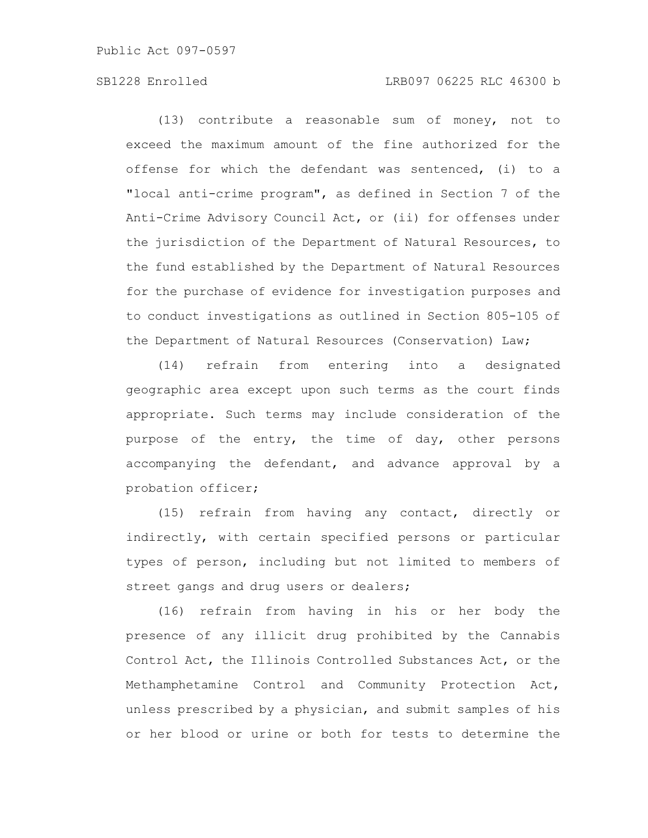# SB1228 Enrolled LRB097 06225 RLC 46300 b

(13) contribute a reasonable sum of money, not to exceed the maximum amount of the fine authorized for the offense for which the defendant was sentenced, (i) to a "local anti-crime program", as defined in Section 7 of the Anti-Crime Advisory Council Act, or (ii) for offenses under the jurisdiction of the Department of Natural Resources, to the fund established by the Department of Natural Resources for the purchase of evidence for investigation purposes and to conduct investigations as outlined in Section 805-105 of the Department of Natural Resources (Conservation) Law;

(14) refrain from entering into a designated geographic area except upon such terms as the court finds appropriate. Such terms may include consideration of the purpose of the entry, the time of day, other persons accompanying the defendant, and advance approval by a probation officer;

(15) refrain from having any contact, directly or indirectly, with certain specified persons or particular types of person, including but not limited to members of street gangs and drug users or dealers;

(16) refrain from having in his or her body the presence of any illicit drug prohibited by the Cannabis Control Act, the Illinois Controlled Substances Act, or the Methamphetamine Control and Community Protection Act, unless prescribed by a physician, and submit samples of his or her blood or urine or both for tests to determine the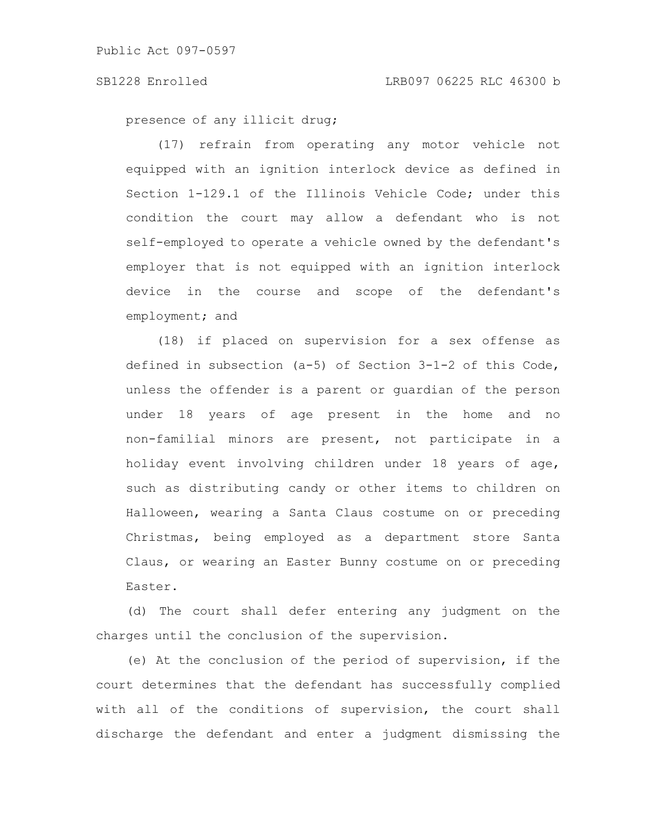presence of any illicit drug;

(17) refrain from operating any motor vehicle not equipped with an ignition interlock device as defined in Section 1-129.1 of the Illinois Vehicle Code; under this condition the court may allow a defendant who is not self-employed to operate a vehicle owned by the defendant's employer that is not equipped with an ignition interlock device in the course and scope of the defendant's employment; and

(18) if placed on supervision for a sex offense as defined in subsection (a-5) of Section 3-1-2 of this Code, unless the offender is a parent or guardian of the person under 18 years of age present in the home and no non-familial minors are present, not participate in a holiday event involving children under 18 years of age, such as distributing candy or other items to children on Halloween, wearing a Santa Claus costume on or preceding Christmas, being employed as a department store Santa Claus, or wearing an Easter Bunny costume on or preceding Easter.

(d) The court shall defer entering any judgment on the charges until the conclusion of the supervision.

(e) At the conclusion of the period of supervision, if the court determines that the defendant has successfully complied with all of the conditions of supervision, the court shall discharge the defendant and enter a judgment dismissing the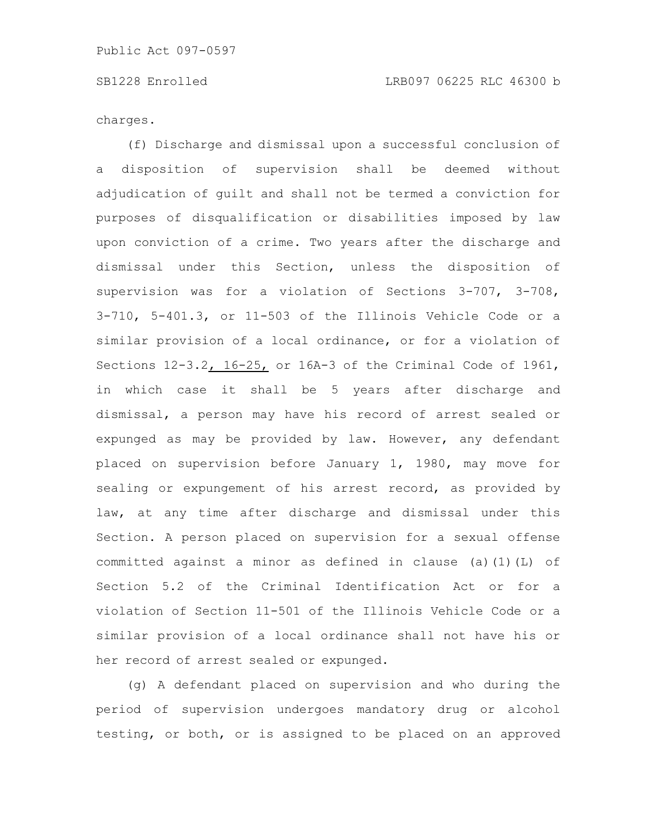charges.

(f) Discharge and dismissal upon a successful conclusion of a disposition of supervision shall be deemed without adjudication of guilt and shall not be termed a conviction for purposes of disqualification or disabilities imposed by law upon conviction of a crime. Two years after the discharge and dismissal under this Section, unless the disposition of supervision was for a violation of Sections 3-707, 3-708, 3-710, 5-401.3, or 11-503 of the Illinois Vehicle Code or a similar provision of a local ordinance, or for a violation of Sections 12-3.2, 16-25, or 16A-3 of the Criminal Code of 1961, in which case it shall be 5 years after discharge and dismissal, a person may have his record of arrest sealed or expunged as may be provided by law. However, any defendant placed on supervision before January 1, 1980, may move for sealing or expungement of his arrest record, as provided by law, at any time after discharge and dismissal under this Section. A person placed on supervision for a sexual offense committed against a minor as defined in clause (a)(1)(L) of Section 5.2 of the Criminal Identification Act or for a violation of Section 11-501 of the Illinois Vehicle Code or a similar provision of a local ordinance shall not have his or her record of arrest sealed or expunged.

(g) A defendant placed on supervision and who during the period of supervision undergoes mandatory drug or alcohol testing, or both, or is assigned to be placed on an approved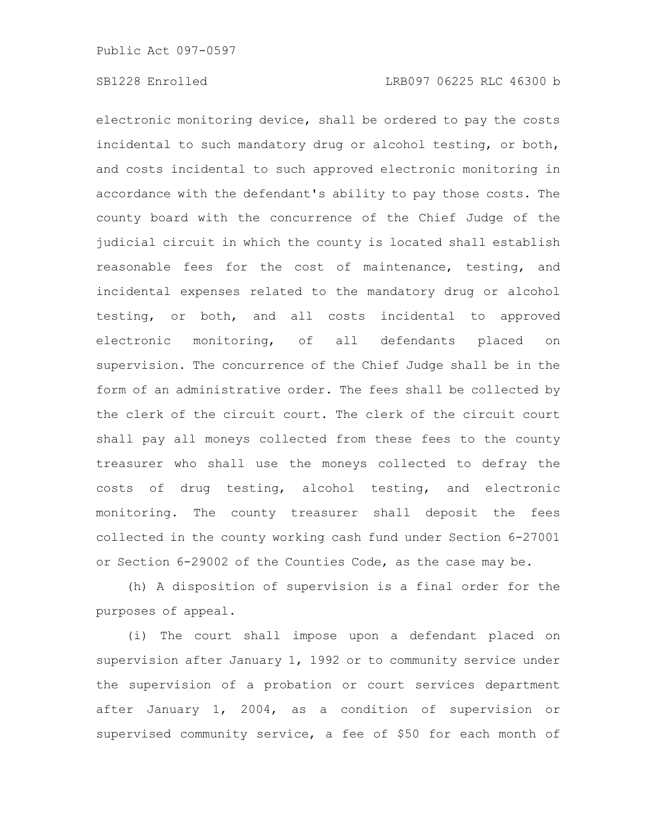electronic monitoring device, shall be ordered to pay the costs incidental to such mandatory drug or alcohol testing, or both, and costs incidental to such approved electronic monitoring in accordance with the defendant's ability to pay those costs. The county board with the concurrence of the Chief Judge of the judicial circuit in which the county is located shall establish reasonable fees for the cost of maintenance, testing, and incidental expenses related to the mandatory drug or alcohol testing, or both, and all costs incidental to approved electronic monitoring, of all defendants placed on supervision. The concurrence of the Chief Judge shall be in the form of an administrative order. The fees shall be collected by the clerk of the circuit court. The clerk of the circuit court shall pay all moneys collected from these fees to the county treasurer who shall use the moneys collected to defray the costs of drug testing, alcohol testing, and electronic monitoring. The county treasurer shall deposit the fees collected in the county working cash fund under Section 6-27001 or Section 6-29002 of the Counties Code, as the case may be.

(h) A disposition of supervision is a final order for the purposes of appeal.

(i) The court shall impose upon a defendant placed on supervision after January 1, 1992 or to community service under the supervision of a probation or court services department after January 1, 2004, as a condition of supervision or supervised community service, a fee of \$50 for each month of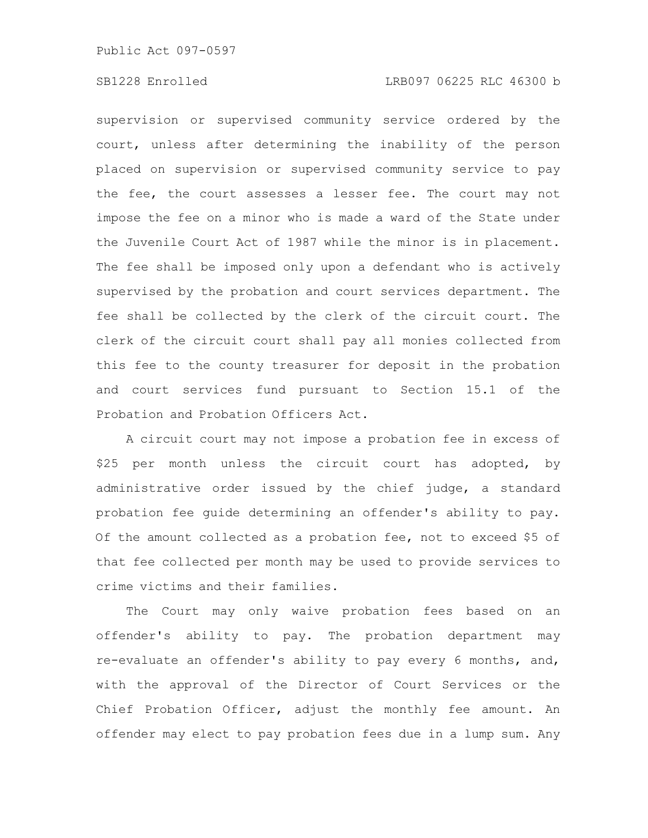# SB1228 Enrolled LRB097 06225 RLC 46300 b

supervision or supervised community service ordered by the court, unless after determining the inability of the person placed on supervision or supervised community service to pay the fee, the court assesses a lesser fee. The court may not impose the fee on a minor who is made a ward of the State under the Juvenile Court Act of 1987 while the minor is in placement. The fee shall be imposed only upon a defendant who is actively supervised by the probation and court services department. The fee shall be collected by the clerk of the circuit court. The clerk of the circuit court shall pay all monies collected from this fee to the county treasurer for deposit in the probation and court services fund pursuant to Section 15.1 of the Probation and Probation Officers Act.

A circuit court may not impose a probation fee in excess of \$25 per month unless the circuit court has adopted, by administrative order issued by the chief judge, a standard probation fee guide determining an offender's ability to pay. Of the amount collected as a probation fee, not to exceed \$5 of that fee collected per month may be used to provide services to crime victims and their families.

The Court may only waive probation fees based on an offender's ability to pay. The probation department may re-evaluate an offender's ability to pay every 6 months, and, with the approval of the Director of Court Services or the Chief Probation Officer, adjust the monthly fee amount. An offender may elect to pay probation fees due in a lump sum. Any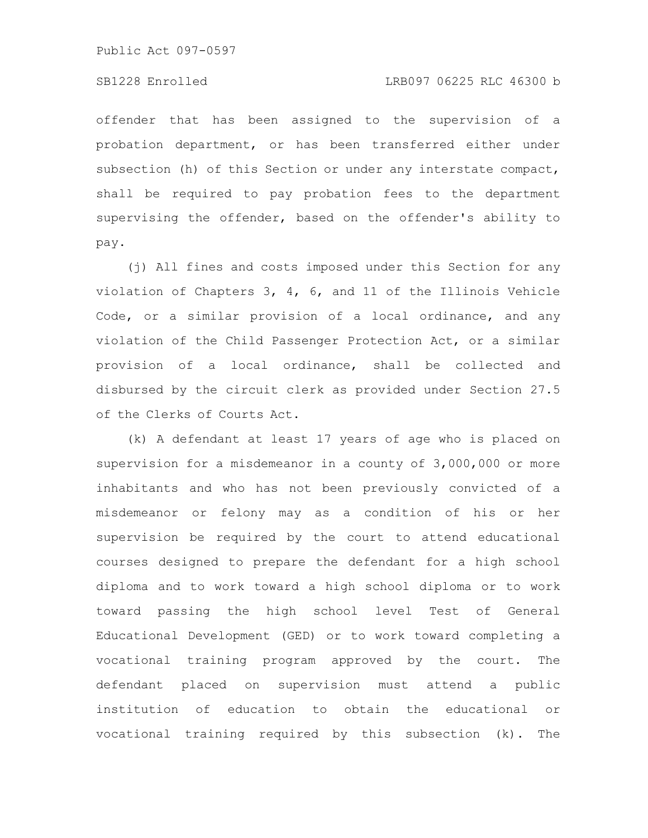### SB1228 Enrolled LRB097 06225 RLC 46300 b

offender that has been assigned to the supervision of a probation department, or has been transferred either under subsection (h) of this Section or under any interstate compact, shall be required to pay probation fees to the department supervising the offender, based on the offender's ability to pay.

(j) All fines and costs imposed under this Section for any violation of Chapters 3, 4, 6, and 11 of the Illinois Vehicle Code, or a similar provision of a local ordinance, and any violation of the Child Passenger Protection Act, or a similar provision of a local ordinance, shall be collected and disbursed by the circuit clerk as provided under Section 27.5 of the Clerks of Courts Act.

(k) A defendant at least 17 years of age who is placed on supervision for a misdemeanor in a county of 3,000,000 or more inhabitants and who has not been previously convicted of a misdemeanor or felony may as a condition of his or her supervision be required by the court to attend educational courses designed to prepare the defendant for a high school diploma and to work toward a high school diploma or to work toward passing the high school level Test of General Educational Development (GED) or to work toward completing a vocational training program approved by the court. The defendant placed on supervision must attend a public institution of education to obtain the educational or vocational training required by this subsection (k). The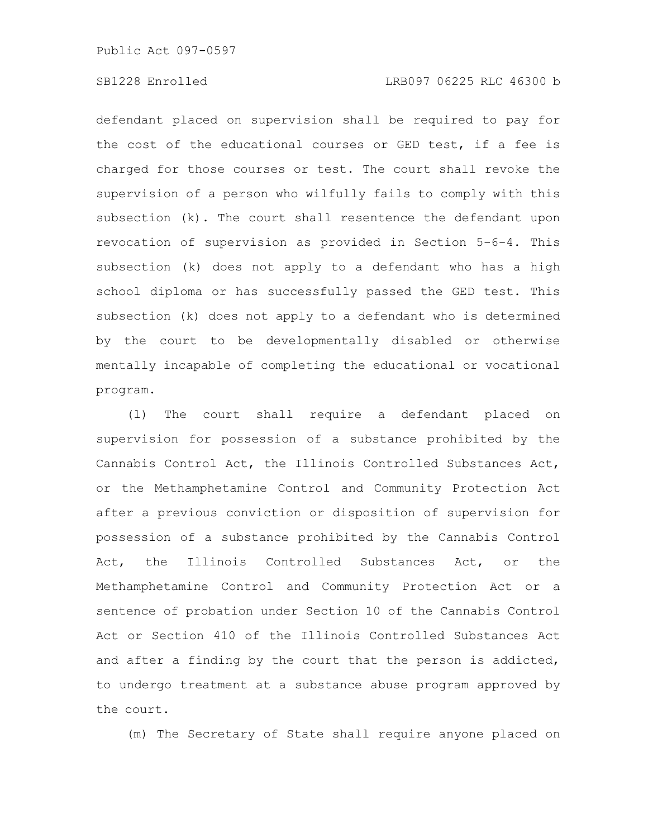# SB1228 Enrolled LRB097 06225 RLC 46300 b

defendant placed on supervision shall be required to pay for the cost of the educational courses or GED test, if a fee is charged for those courses or test. The court shall revoke the supervision of a person who wilfully fails to comply with this subsection (k). The court shall resentence the defendant upon revocation of supervision as provided in Section 5-6-4. This subsection (k) does not apply to a defendant who has a high school diploma or has successfully passed the GED test. This subsection (k) does not apply to a defendant who is determined by the court to be developmentally disabled or otherwise mentally incapable of completing the educational or vocational program.

(l) The court shall require a defendant placed on supervision for possession of a substance prohibited by the Cannabis Control Act, the Illinois Controlled Substances Act, or the Methamphetamine Control and Community Protection Act after a previous conviction or disposition of supervision for possession of a substance prohibited by the Cannabis Control Act, the Illinois Controlled Substances Act, or the Methamphetamine Control and Community Protection Act or a sentence of probation under Section 10 of the Cannabis Control Act or Section 410 of the Illinois Controlled Substances Act and after a finding by the court that the person is addicted, to undergo treatment at a substance abuse program approved by the court.

(m) The Secretary of State shall require anyone placed on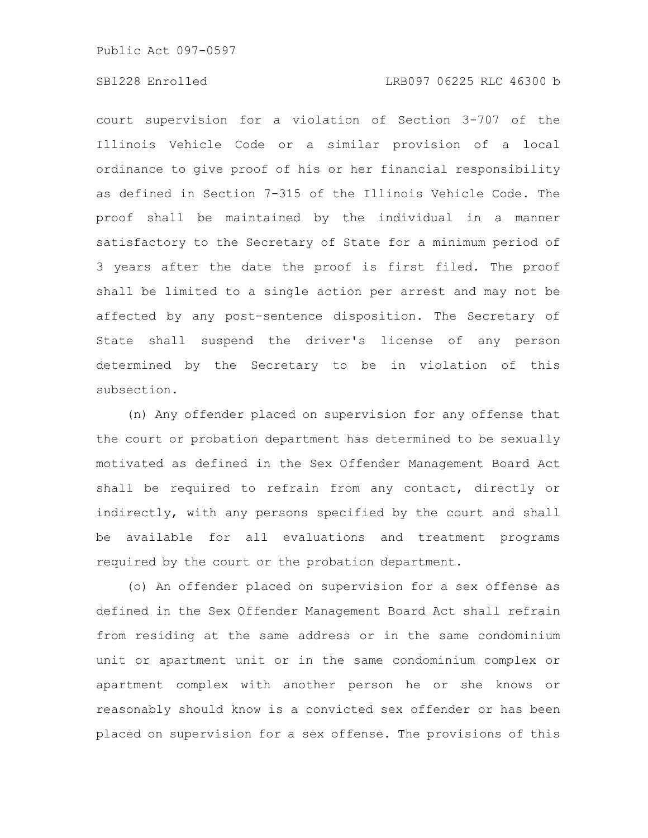court supervision for a violation of Section 3-707 of the Illinois Vehicle Code or a similar provision of a local ordinance to give proof of his or her financial responsibility as defined in Section 7-315 of the Illinois Vehicle Code. The proof shall be maintained by the individual in a manner satisfactory to the Secretary of State for a minimum period of 3 years after the date the proof is first filed. The proof shall be limited to a single action per arrest and may not be affected by any post-sentence disposition. The Secretary of State shall suspend the driver's license of any person determined by the Secretary to be in violation of this subsection.

(n) Any offender placed on supervision for any offense that the court or probation department has determined to be sexually motivated as defined in the Sex Offender Management Board Act shall be required to refrain from any contact, directly or indirectly, with any persons specified by the court and shall be available for all evaluations and treatment programs required by the court or the probation department.

(o) An offender placed on supervision for a sex offense as defined in the Sex Offender Management Board Act shall refrain from residing at the same address or in the same condominium unit or apartment unit or in the same condominium complex or apartment complex with another person he or she knows or reasonably should know is a convicted sex offender or has been placed on supervision for a sex offense. The provisions of this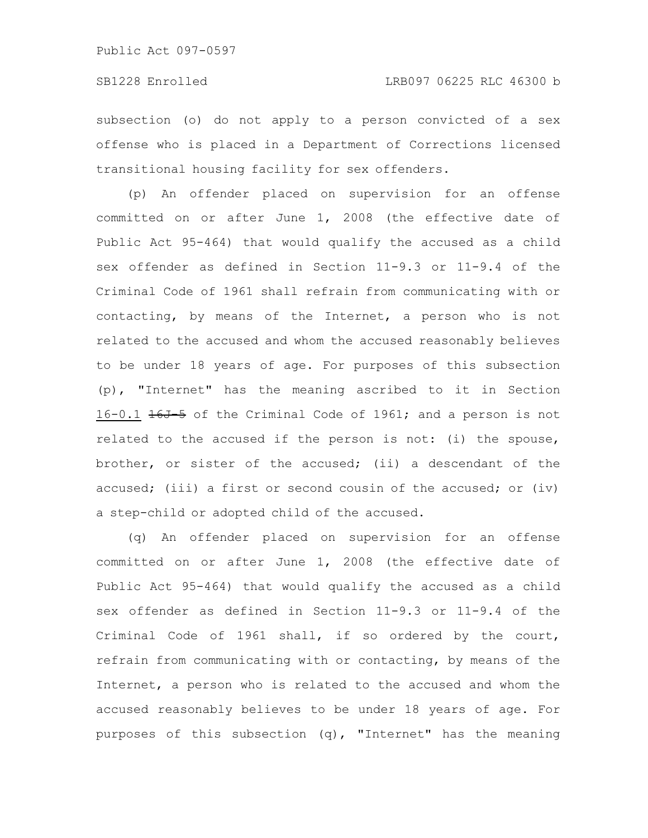## SB1228 Enrolled LRB097 06225 RLC 46300 b

subsection (o) do not apply to a person convicted of a sex offense who is placed in a Department of Corrections licensed transitional housing facility for sex offenders.

(p) An offender placed on supervision for an offense committed on or after June 1, 2008 (the effective date of Public Act 95-464) that would qualify the accused as a child sex offender as defined in Section 11-9.3 or 11-9.4 of the Criminal Code of 1961 shall refrain from communicating with or contacting, by means of the Internet, a person who is not related to the accused and whom the accused reasonably believes to be under 18 years of age. For purposes of this subsection (p), "Internet" has the meaning ascribed to it in Section 16-0.1 16J-5 of the Criminal Code of 1961; and a person is not related to the accused if the person is not: (i) the spouse, brother, or sister of the accused; (ii) a descendant of the accused; (iii) a first or second cousin of the accused; or (iv) a step-child or adopted child of the accused.

(q) An offender placed on supervision for an offense committed on or after June 1, 2008 (the effective date of Public Act 95-464) that would qualify the accused as a child sex offender as defined in Section 11-9.3 or 11-9.4 of the Criminal Code of 1961 shall, if so ordered by the court, refrain from communicating with or contacting, by means of the Internet, a person who is related to the accused and whom the accused reasonably believes to be under 18 years of age. For purposes of this subsection (q), "Internet" has the meaning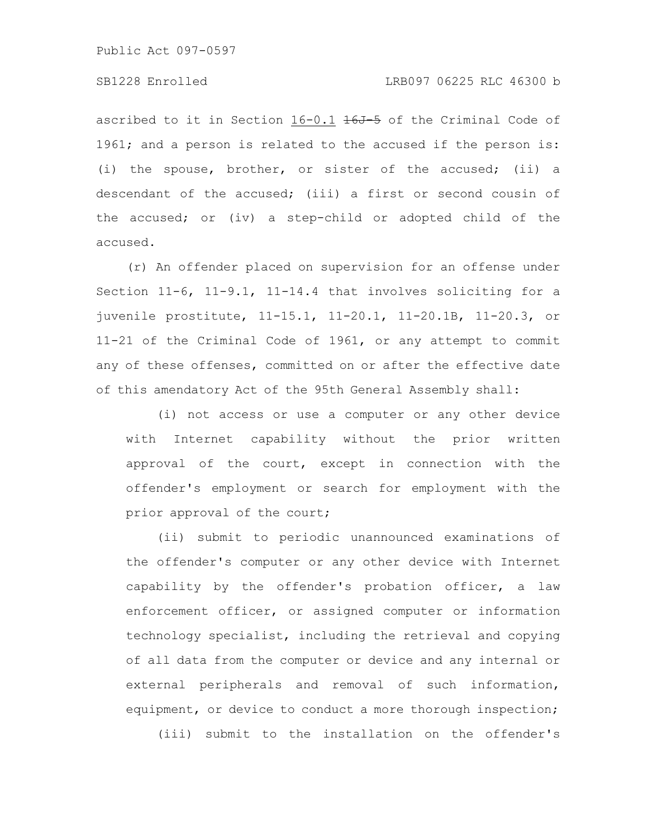# SB1228 Enrolled LRB097 06225 RLC 46300 b

ascribed to it in Section  $16-0.1$   $16J-5$  of the Criminal Code of 1961; and a person is related to the accused if the person is: (i) the spouse, brother, or sister of the accused; (ii) a descendant of the accused; (iii) a first or second cousin of the accused; or (iv) a step-child or adopted child of the accused.

(r) An offender placed on supervision for an offense under Section 11-6, 11-9.1, 11-14.4 that involves soliciting for a juvenile prostitute, 11-15.1, 11-20.1, 11-20.1B, 11-20.3, or 11-21 of the Criminal Code of 1961, or any attempt to commit any of these offenses, committed on or after the effective date of this amendatory Act of the 95th General Assembly shall:

(i) not access or use a computer or any other device with Internet capability without the prior written approval of the court, except in connection with the offender's employment or search for employment with the prior approval of the court;

(ii) submit to periodic unannounced examinations of the offender's computer or any other device with Internet capability by the offender's probation officer, a law enforcement officer, or assigned computer or information technology specialist, including the retrieval and copying of all data from the computer or device and any internal or external peripherals and removal of such information, equipment, or device to conduct a more thorough inspection; (iii) submit to the installation on the offender's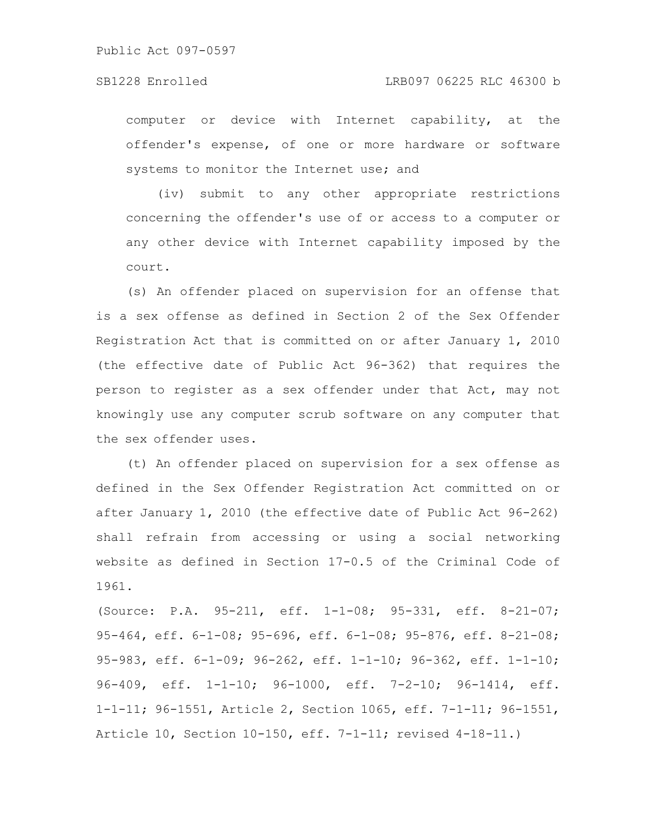computer or device with Internet capability, at the offender's expense, of one or more hardware or software systems to monitor the Internet use; and

(iv) submit to any other appropriate restrictions concerning the offender's use of or access to a computer or any other device with Internet capability imposed by the court.

(s) An offender placed on supervision for an offense that is a sex offense as defined in Section 2 of the Sex Offender Registration Act that is committed on or after January 1, 2010 (the effective date of Public Act 96-362) that requires the person to register as a sex offender under that Act, may not knowingly use any computer scrub software on any computer that the sex offender uses.

(t) An offender placed on supervision for a sex offense as defined in the Sex Offender Registration Act committed on or after January 1, 2010 (the effective date of Public Act 96-262) shall refrain from accessing or using a social networking website as defined in Section 17-0.5 of the Criminal Code of 1961.

(Source: P.A. 95-211, eff. 1-1-08; 95-331, eff. 8-21-07; 95-464, eff. 6-1-08; 95-696, eff. 6-1-08; 95-876, eff. 8-21-08; 95-983, eff. 6-1-09; 96-262, eff. 1-1-10; 96-362, eff. 1-1-10; 96-409, eff. 1-1-10; 96-1000, eff. 7-2-10; 96-1414, eff. 1-1-11; 96-1551, Article 2, Section 1065, eff. 7-1-11; 96-1551, Article 10, Section 10-150, eff. 7-1-11; revised 4-18-11.)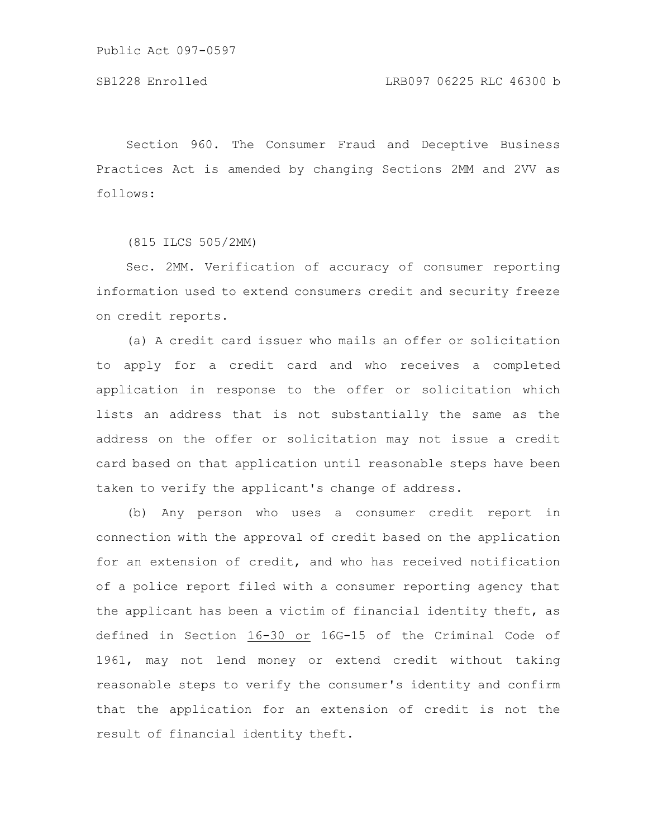Section 960. The Consumer Fraud and Deceptive Business Practices Act is amended by changing Sections 2MM and 2VV as follows:

(815 ILCS 505/2MM)

Sec. 2MM. Verification of accuracy of consumer reporting information used to extend consumers credit and security freeze on credit reports.

(a) A credit card issuer who mails an offer or solicitation to apply for a credit card and who receives a completed application in response to the offer or solicitation which lists an address that is not substantially the same as the address on the offer or solicitation may not issue a credit card based on that application until reasonable steps have been taken to verify the applicant's change of address.

(b) Any person who uses a consumer credit report in connection with the approval of credit based on the application for an extension of credit, and who has received notification of a police report filed with a consumer reporting agency that the applicant has been a victim of financial identity theft, as defined in Section 16-30 or 16G-15 of the Criminal Code of 1961, may not lend money or extend credit without taking reasonable steps to verify the consumer's identity and confirm that the application for an extension of credit is not the result of financial identity theft.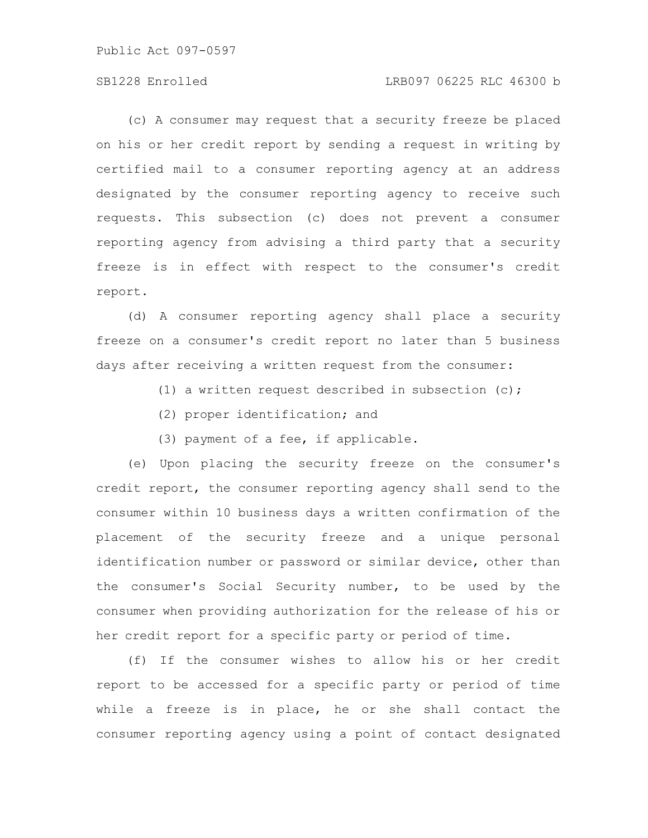Public Act 097-0597

# SB1228 Enrolled LRB097 06225 RLC 46300 b

(c) A consumer may request that a security freeze be placed on his or her credit report by sending a request in writing by certified mail to a consumer reporting agency at an address designated by the consumer reporting agency to receive such requests. This subsection (c) does not prevent a consumer reporting agency from advising a third party that a security freeze is in effect with respect to the consumer's credit report.

(d) A consumer reporting agency shall place a security freeze on a consumer's credit report no later than 5 business days after receiving a written request from the consumer:

- (1) a written request described in subsection (c);
- (2) proper identification; and
- (3) payment of a fee, if applicable.

(e) Upon placing the security freeze on the consumer's credit report, the consumer reporting agency shall send to the consumer within 10 business days a written confirmation of the placement of the security freeze and a unique personal identification number or password or similar device, other than the consumer's Social Security number, to be used by the consumer when providing authorization for the release of his or her credit report for a specific party or period of time.

(f) If the consumer wishes to allow his or her credit report to be accessed for a specific party or period of time while a freeze is in place, he or she shall contact the consumer reporting agency using a point of contact designated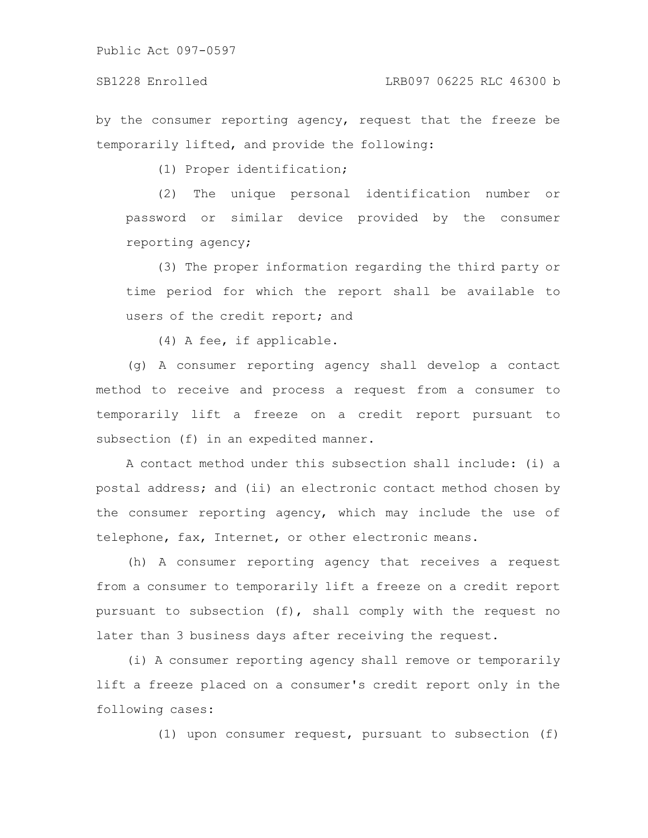by the consumer reporting agency, request that the freeze be temporarily lifted, and provide the following:

(1) Proper identification;

(2) The unique personal identification number or password or similar device provided by the consumer reporting agency;

(3) The proper information regarding the third party or time period for which the report shall be available to users of the credit report; and

(4) A fee, if applicable.

(g) A consumer reporting agency shall develop a contact method to receive and process a request from a consumer to temporarily lift a freeze on a credit report pursuant to subsection (f) in an expedited manner.

A contact method under this subsection shall include: (i) a postal address; and (ii) an electronic contact method chosen by the consumer reporting agency, which may include the use of telephone, fax, Internet, or other electronic means.

(h) A consumer reporting agency that receives a request from a consumer to temporarily lift a freeze on a credit report pursuant to subsection (f), shall comply with the request no later than 3 business days after receiving the request.

(i) A consumer reporting agency shall remove or temporarily lift a freeze placed on a consumer's credit report only in the following cases:

(1) upon consumer request, pursuant to subsection (f)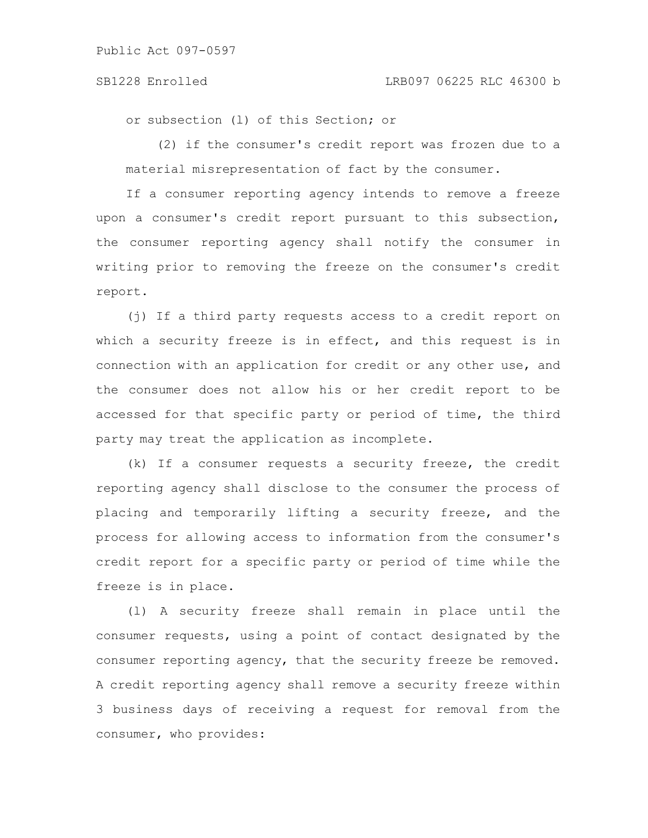# SB1228 Enrolled LRB097 06225 RLC 46300 b

or subsection (l) of this Section; or

(2) if the consumer's credit report was frozen due to a material misrepresentation of fact by the consumer.

If a consumer reporting agency intends to remove a freeze upon a consumer's credit report pursuant to this subsection, the consumer reporting agency shall notify the consumer in writing prior to removing the freeze on the consumer's credit report.

(j) If a third party requests access to a credit report on which a security freeze is in effect, and this request is in connection with an application for credit or any other use, and the consumer does not allow his or her credit report to be accessed for that specific party or period of time, the third party may treat the application as incomplete.

(k) If a consumer requests a security freeze, the credit reporting agency shall disclose to the consumer the process of placing and temporarily lifting a security freeze, and the process for allowing access to information from the consumer's credit report for a specific party or period of time while the freeze is in place.

(l) A security freeze shall remain in place until the consumer requests, using a point of contact designated by the consumer reporting agency, that the security freeze be removed. A credit reporting agency shall remove a security freeze within 3 business days of receiving a request for removal from the consumer, who provides: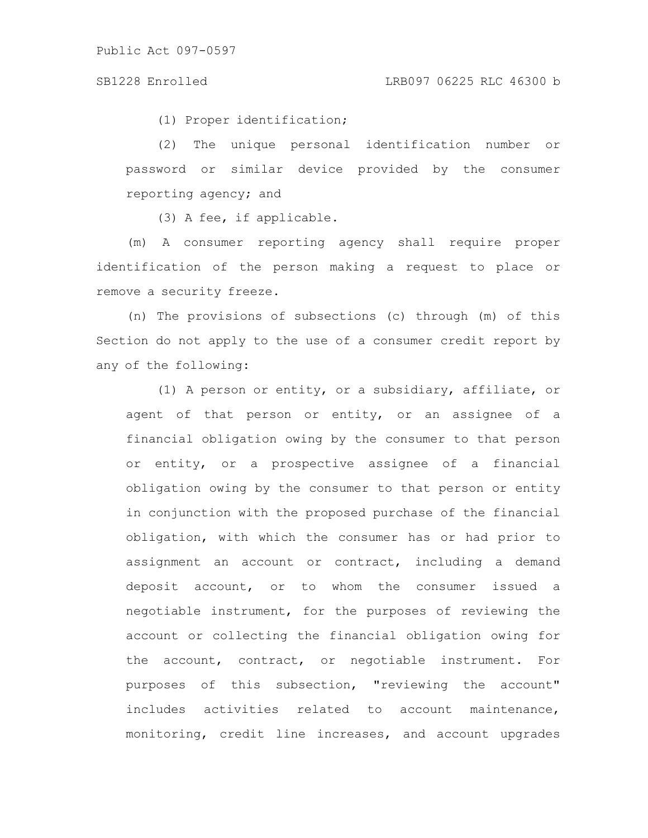(1) Proper identification;

(2) The unique personal identification number or password or similar device provided by the consumer reporting agency; and

(3) A fee, if applicable.

(m) A consumer reporting agency shall require proper identification of the person making a request to place or remove a security freeze.

(n) The provisions of subsections (c) through (m) of this Section do not apply to the use of a consumer credit report by any of the following:

(1) A person or entity, or a subsidiary, affiliate, or agent of that person or entity, or an assignee of a financial obligation owing by the consumer to that person or entity, or a prospective assignee of a financial obligation owing by the consumer to that person or entity in conjunction with the proposed purchase of the financial obligation, with which the consumer has or had prior to assignment an account or contract, including a demand deposit account, or to whom the consumer issued a negotiable instrument, for the purposes of reviewing the account or collecting the financial obligation owing for the account, contract, or negotiable instrument. For purposes of this subsection, "reviewing the account" includes activities related to account maintenance, monitoring, credit line increases, and account upgrades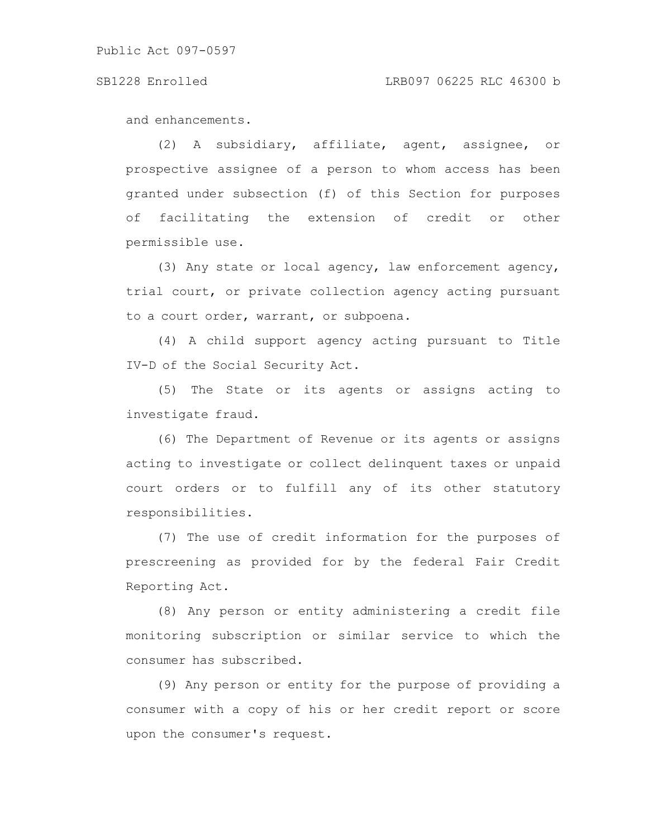### SB1228 Enrolled LRB097 06225 RLC 46300 b

and enhancements.

(2) A subsidiary, affiliate, agent, assignee, or prospective assignee of a person to whom access has been granted under subsection (f) of this Section for purposes of facilitating the extension of credit or other permissible use.

(3) Any state or local agency, law enforcement agency, trial court, or private collection agency acting pursuant to a court order, warrant, or subpoena.

(4) A child support agency acting pursuant to Title IV-D of the Social Security Act.

(5) The State or its agents or assigns acting to investigate fraud.

(6) The Department of Revenue or its agents or assigns acting to investigate or collect delinquent taxes or unpaid court orders or to fulfill any of its other statutory responsibilities.

(7) The use of credit information for the purposes of prescreening as provided for by the federal Fair Credit Reporting Act.

(8) Any person or entity administering a credit file monitoring subscription or similar service to which the consumer has subscribed.

(9) Any person or entity for the purpose of providing a consumer with a copy of his or her credit report or score upon the consumer's request.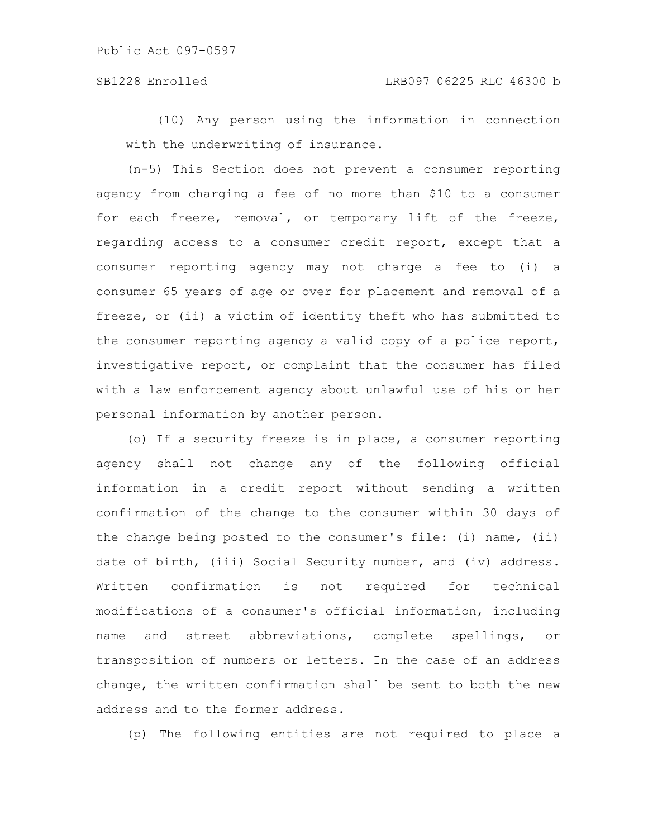(10) Any person using the information in connection with the underwriting of insurance.

(n-5) This Section does not prevent a consumer reporting agency from charging a fee of no more than \$10 to a consumer for each freeze, removal, or temporary lift of the freeze, regarding access to a consumer credit report, except that a consumer reporting agency may not charge a fee to (i) a consumer 65 years of age or over for placement and removal of a freeze, or (ii) a victim of identity theft who has submitted to the consumer reporting agency a valid copy of a police report, investigative report, or complaint that the consumer has filed with a law enforcement agency about unlawful use of his or her personal information by another person.

(o) If a security freeze is in place, a consumer reporting agency shall not change any of the following official information in a credit report without sending a written confirmation of the change to the consumer within 30 days of the change being posted to the consumer's file: (i) name, (ii) date of birth, (iii) Social Security number, and (iv) address. Written confirmation is not required for technical modifications of a consumer's official information, including name and street abbreviations, complete spellings, or transposition of numbers or letters. In the case of an address change, the written confirmation shall be sent to both the new address and to the former address.

(p) The following entities are not required to place a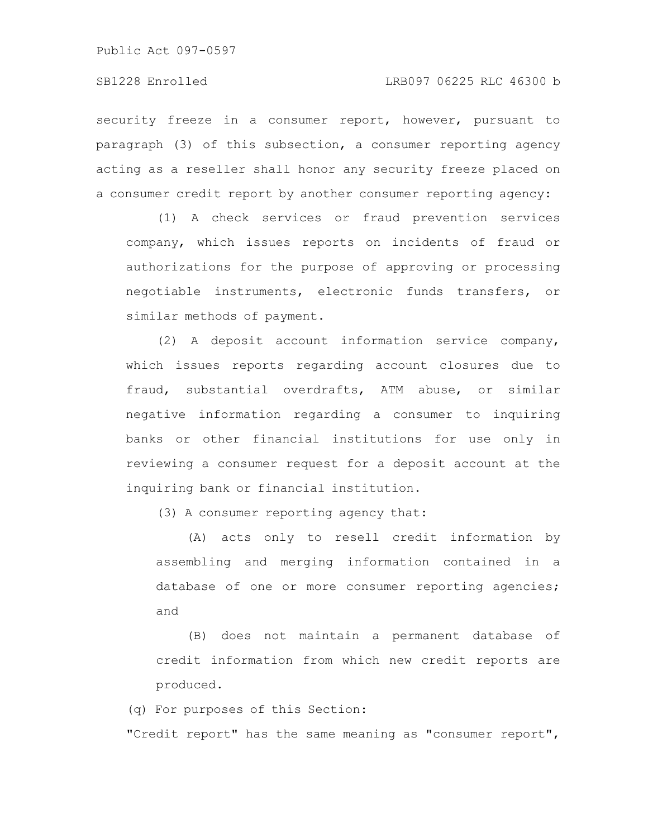Public Act 097-0597

security freeze in a consumer report, however, pursuant to paragraph (3) of this subsection, a consumer reporting agency acting as a reseller shall honor any security freeze placed on a consumer credit report by another consumer reporting agency:

(1) A check services or fraud prevention services company, which issues reports on incidents of fraud or authorizations for the purpose of approving or processing negotiable instruments, electronic funds transfers, or similar methods of payment.

(2) A deposit account information service company, which issues reports regarding account closures due to fraud, substantial overdrafts, ATM abuse, or similar negative information regarding a consumer to inquiring banks or other financial institutions for use only in reviewing a consumer request for a deposit account at the inquiring bank or financial institution.

(3) A consumer reporting agency that:

(A) acts only to resell credit information by assembling and merging information contained in a database of one or more consumer reporting agencies; and

(B) does not maintain a permanent database of credit information from which new credit reports are produced.

(q) For purposes of this Section: "Credit report" has the same meaning as "consumer report",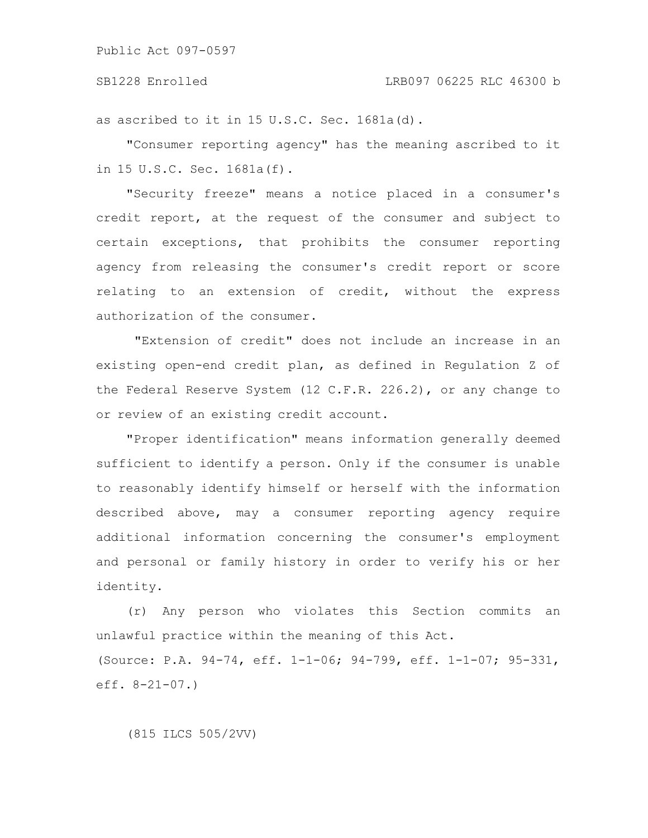## SB1228 Enrolled LRB097 06225 RLC 46300 b

as ascribed to it in 15 U.S.C. Sec. 1681a(d).

"Consumer reporting agency" has the meaning ascribed to it in 15 U.S.C. Sec. 1681a(f).

"Security freeze" means a notice placed in a consumer's credit report, at the request of the consumer and subject to certain exceptions, that prohibits the consumer reporting agency from releasing the consumer's credit report or score relating to an extension of credit, without the express authorization of the consumer.

"Extension of credit" does not include an increase in an existing open-end credit plan, as defined in Regulation Z of the Federal Reserve System (12 C.F.R. 226.2), or any change to or review of an existing credit account.

"Proper identification" means information generally deemed sufficient to identify a person. Only if the consumer is unable to reasonably identify himself or herself with the information described above, may a consumer reporting agency require additional information concerning the consumer's employment and personal or family history in order to verify his or her identity.

(r) Any person who violates this Section commits an unlawful practice within the meaning of this Act. (Source: P.A. 94-74, eff. 1-1-06; 94-799, eff. 1-1-07; 95-331, eff. 8-21-07.)

(815 ILCS 505/2VV)